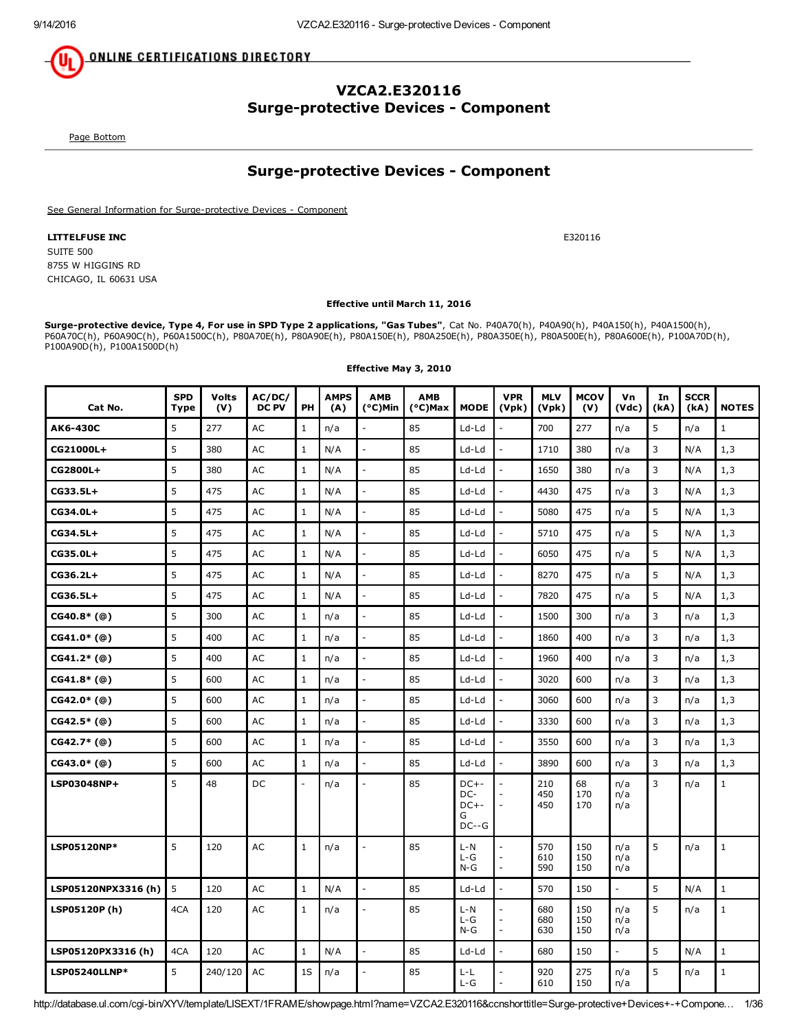**ONLINE CERTIFICATIONS DIRECTORY** 

# VZCA2.E320116 **Surge-protective Devices - Component**

<span id="page-0-0"></span>Page [Bottom](#page-35-0)

# **Surge-protective Devices - Component**

See General Information for Surge-protective Devices - Component

LITTELFUSE INC **E320116** SUITE 500 8755 W HIGGINS RD CHICAGO, IL 60631 USA

### Effective until March 11, 2016

Surge-protective device, Type 4, For use in SPD Type 2 applications, "Gas Tubes", Cat No. P40A70(h), P40A450(h), P40A1500(h), P40A1500(h), P60A70C(h), P60A90C(h), P60A1500C(h), P80A70E(h), P80A90E(h), P80A150E(h), P80A250E(h), P80A350E(h), P80A500E(h), P80A600E(h), P100A70D(h), P100A90D(h), P100A1500D(h)

| Cat No.             | <b>SPD</b><br>Type | <b>Volts</b><br>(V) | AC/DC/<br><b>DC PV</b> | PH             | <b>AMPS</b><br>(A) | <b>AMB</b><br>(°C)Min    | <b>AMB</b><br>(°C)Max | <b>MODE</b>                                | <b>VPR</b><br>(Vpk)      | <b>MLV</b><br>(Vpk) | <b>MCOV</b><br>(V) | Vn<br>(Vdc)               | In<br>(kA) | <b>SCCR</b><br>(kA) | <b>NOTES</b> |
|---------------------|--------------------|---------------------|------------------------|----------------|--------------------|--------------------------|-----------------------|--------------------------------------------|--------------------------|---------------------|--------------------|---------------------------|------------|---------------------|--------------|
| AK6-430C            | 5                  | 277                 | <b>AC</b>              | $\mathbf{1}$   | n/a                |                          | 85                    | $Ld-Ld$                                    |                          | 700                 | 277                | n/a                       | 5          | n/a                 | $\mathbf{1}$ |
| CG21000L+           | 5                  | 380                 | <b>AC</b>              | $\mathbf{1}$   | N/A                | $\overline{a}$           | 85                    | Ld-Ld                                      | $\overline{a}$           | 1710                | 380                | n/a                       | 3          | N/A                 | 1,3          |
| CG2800L+            | 5                  | 380                 | AC                     | $\mathbf{1}$   | N/A                | $\overline{a}$           | 85                    | Ld-Ld                                      | $\overline{a}$           | 1650                | 380                | n/a                       | 3          | N/A                 | 1,3          |
| $CG33.5L+$          | 5                  | 475                 | AC                     | $\mathbf{1}$   | N/A                | $\mathcal{L}$            | 85                    | $Ld-Ld$                                    | $\overline{\phantom{a}}$ | 4430                | 475                | n/a                       | 3          | N/A                 | 1,3          |
| CG34.0L+            | 5                  | 475                 | AC                     | $\mathbf{1}$   | N/A                | $\overline{a}$           | 85                    | Ld-Ld                                      | $\overline{a}$           | 5080                | 475                | n/a                       | 5          | N/A                 | 1,3          |
| $CG34.5L+$          | 5                  | 475                 | <b>AC</b>              | $\mathbf{1}$   | N/A                | $\overline{a}$           | 85                    | $Ld-Ld$                                    | $\overline{a}$           | 5710                | 475                | n/a                       | 5          | N/A                 | 1,3          |
| $CG35.0L+$          | 5                  | 475                 | <b>AC</b>              | $\mathbf{1}$   | N/A                |                          | 85                    | $Ld-Ld$                                    |                          | 6050                | 475                | n/a                       | 5          | N/A                 | 1,3          |
| $CG36.2L+$          | 5                  | 475                 | AC                     | $\mathbf{1}$   | N/A                |                          | 85                    | Ld-Ld                                      |                          | 8270                | 475                | n/a                       | 5          | N/A                 | 1,3          |
| $CG36.5L+$          | 5                  | 475                 | <b>AC</b>              | $\mathbf{1}$   | N/A                |                          | 85                    | Ld-Ld                                      |                          | 7820                | 475                | n/a                       | 5          | N/A                 | 1,3          |
| $CG40.8*(@)$        | 5                  | 300                 | AC                     | $\mathbf{1}$   | n/a                | $\overline{a}$           | 85                    | Ld-Ld                                      | $\overline{a}$           | 1500                | 300                | n/a                       | 3          | n/a                 | 1,3          |
| $CG41.0*(@)$        | 5                  | 400                 | AC                     | $\mathbf{1}$   | n/a                | $\overline{\phantom{a}}$ | 85                    | Ld-Ld                                      | $\overline{a}$           | 1860                | 400                | n/a                       | 3          | n/a                 | 1,3          |
| $CG41.2*(@)$        | 5                  | 400                 | <b>AC</b>              | $\mathbf{1}$   | n/a                | $\overline{a}$           | 85                    | $Ld-Ld$                                    | $\overline{a}$           | 1960                | 400                | n/a                       | 3          | n/a                 | 1,3          |
| $CG41.8*(@)$        | 5                  | 600                 | <b>AC</b>              | $\mathbf{1}$   | n/a                | $\overline{\phantom{a}}$ | 85                    | Ld-Ld                                      | $\overline{\phantom{a}}$ | 3020                | 600                | n/a                       | 3          | n/a                 | 1,3          |
| $CG42.0*(@)$        | 5                  | 600                 | <b>AC</b>              | $\mathbf{1}$   | n/a                | $\mathbb{L}$             | 85                    | Ld-Ld                                      | $\overline{a}$           | 3060                | 600                | n/a                       | 3          | n/a                 | 1,3          |
| $CG42.5*(@)$        | 5                  | 600                 | AC                     | $\mathbf{1}$   | n/a                | $\overline{\phantom{a}}$ | 85                    | $Ld-Ld$                                    | $\overline{\phantom{a}}$ | 3330                | 600                | n/a                       | 3          | n/a                 | 1,3          |
| $CG42.7*$ (@)       | 5                  | 600                 | AC                     | $\mathbf{1}$   | n/a                | $\overline{a}$           | 85                    | Ld-Ld                                      | $\overline{a}$           | 3550                | 600                | n/a                       | 3          | n/a                 | 1,3          |
| $CG43.0*(@)$        | 5                  | 600                 | <b>AC</b>              | $\mathbf{1}$   | n/a                | $\overline{a}$           | 85                    | $Ld-Ld$                                    | $\overline{a}$           | 3890                | 600                | n/a                       | 3          | n/a                 | 1,3          |
| LSP03048NP+         | 5                  | 48                  | DC                     | $\overline{a}$ | n/a                |                          | 85                    | $DC++$<br>DC-<br>$DC + -$<br>G<br>$DC - G$ |                          | 210<br>450<br>450   | 68<br>170<br>170   | n/a<br>n/a<br>n/a         | 3          | n/a                 | $\mathbf{1}$ |
| LSP05120NP*         | 5                  | 120                 | AC                     | $\mathbf{1}$   | n/a                | $\overline{a}$           | 85                    | $L-N$<br>$L-G$<br>$N-G$                    | $\sim$                   | 570<br>610<br>590   | 150<br>150<br>150  | n/a<br>n/a<br>n/a         | 5          | n/a                 | $\mathbf{1}$ |
| LSP05120NPX3316 (h) | 5                  | 120                 | <b>AC</b>              | $\mathbf{1}$   | N/A                | $\mathcal{L}$            | 85                    | Ld-Ld                                      | $\overline{a}$           | 570                 | 150                | $\mathbb{L}$              | 5          | N/A                 | $\mathbf{1}$ |
| LSP05120P(h)        | 4CA                | 120                 | <b>AC</b>              | $\mathbf{1}$   | n/a                | $\overline{\phantom{a}}$ | 85                    | $L-N$<br>$L-G$<br>$N-G$                    | $\overline{a}$           | 680<br>680<br>630   | 150<br>150<br>150  | n/a<br>n/a<br>n/a         | 5          | n/a                 | $\mathbf{1}$ |
| LSP05120PX3316 (h)  | 4CA                | 120                 | <b>AC</b>              | $\mathbf{1}$   | N/A                | $\mathcal{L}$            | 85                    | Ld-Ld                                      | $\overline{a}$           | 680                 | 150                | $\mathbb{L}^{\mathbb{Z}}$ | 5          | N/A                 | $1\,$        |
| LSP05240LLNP*       | 5                  | 240/120             | <b>AC</b>              | 1S             | n/a                |                          | 85                    | $L - L$<br>$L-G$                           |                          | 920<br>610          | 275<br>150         | n/a<br>n/a                | 5          | n/a                 | $\mathbf 1$  |

Effective May 3, 2010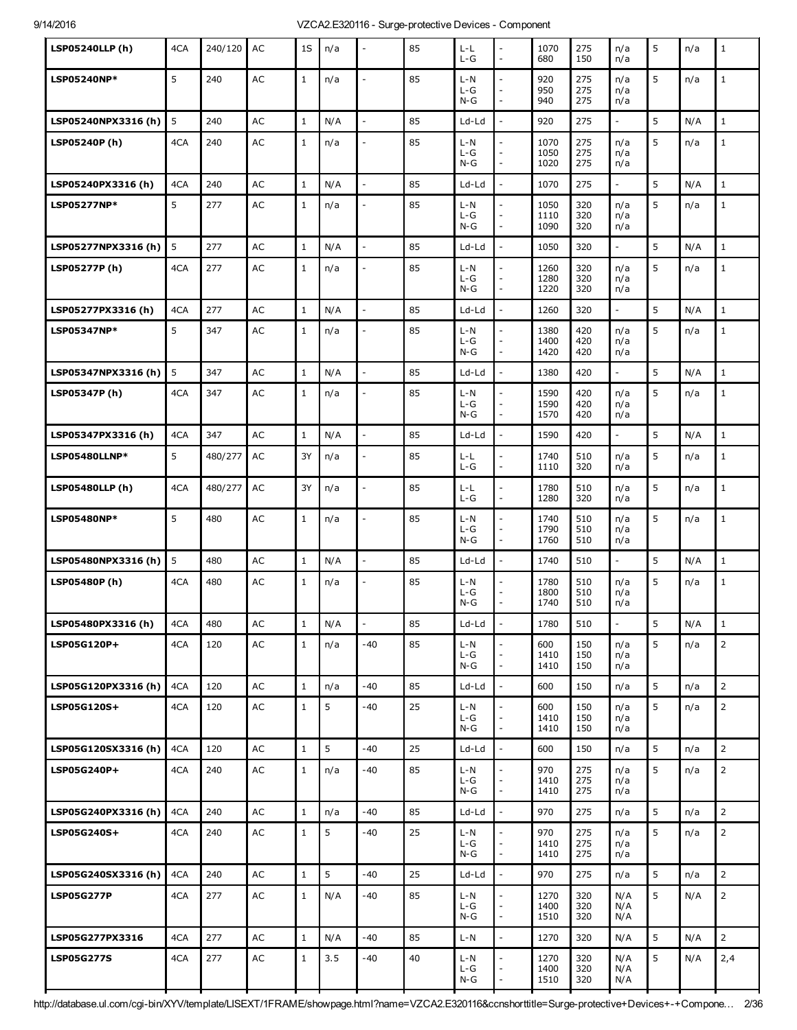| <b>LSP05240LLP (h)</b> | 4CA | 240/120 | AC            | 1S           | n/a | $\overline{a}$           | 85 | L-L<br>$L-G$              | $\overline{a}$<br>$\overline{\phantom{a}}$ | 1070<br>680          | 275<br>150        | n/a<br>n/a               | 5              | n/a | $\mathbf{1}$   |
|------------------------|-----|---------|---------------|--------------|-----|--------------------------|----|---------------------------|--------------------------------------------|----------------------|-------------------|--------------------------|----------------|-----|----------------|
| LSP05240NP*            | 5   | 240     | AC            | $\mathbf{1}$ | n/a | $\overline{\phantom{a}}$ | 85 | $L - N$<br>$L-G$<br>$N-G$ | $\overline{a}$<br>$\overline{a}$           | 920<br>950<br>940    | 275<br>275<br>275 | n/a<br>n/a<br>n/a        | 5              | n/a | $\mathbf{1}$   |
| LSP05240NPX3316 (h)    | 5   | 240     | AC            | $\mathbf{1}$ | N/A | $\overline{\phantom{a}}$ | 85 | Ld-Ld                     |                                            | 920                  | 275               | $\overline{a}$           | 5              | N/A | $\mathbf{1}$   |
| LSP05240P (h)          | 4CA | 240     | AC            | $1\,$        | n/a | $\frac{1}{2}$            | 85 | $L-N$<br>$L-G$<br>$N-G$   | $\overline{a}$<br>$\overline{a}$           | 1070<br>1050<br>1020 | 275<br>275<br>275 | n/a<br>n/a<br>n/a        | 5              | n/a | $\mathbf{1}$   |
| LSP05240PX3316 (h)     | 4CA | 240     | <b>AC</b>     | $1\,$        | N/A | $\overline{a}$           | 85 | Ld-Ld                     | L.                                         | 1070                 | 275               | $\overline{\phantom{a}}$ | 5              | N/A | $\mathbf{1}$   |
| LSP05277NP*            | 5   | 277     | AC            | $1\,$        | n/a | $\blacksquare$           | 85 | $L - N$<br>$L-G$<br>$N-G$ | $\overline{a}$                             | 1050<br>1110<br>1090 | 320<br>320<br>320 | n/a<br>n/a<br>n/a        | 5              | n/a | $\mathbf{1}$   |
| LSP05277NPX3316 (h)    | 5   | 277     | AC            | $\mathbf{1}$ | N/A | $\overline{a}$           | 85 | Ld-Ld                     | L.                                         | 1050                 | 320               | $\overline{\phantom{a}}$ | 5              | N/A | $\mathbf{1}$   |
| LSP05277P (h)          | 4CA | 277     | AC            | $1\,$        | n/a | $\frac{1}{2}$            | 85 | $L-N$<br>$L-G$<br>$N-G$   | $\overline{a}$<br>$\overline{\phantom{a}}$ | 1260<br>1280<br>1220 | 320<br>320<br>320 | n/a<br>n/a<br>n/a        | 5              | n/a | $\mathbf{1}$   |
| LSP05277PX3316 (h)     | 4CA | 277     | AC            | $\mathbf{1}$ | N/A | $\frac{1}{2}$            | 85 | Ld-Ld                     | $\overline{a}$                             | 1260                 | 320               | $\overline{\phantom{a}}$ | 5              | N/A | $\mathbf{1}$   |
| LSP05347NP*            | 5   | 347     | AC            | $1\,$        | n/a | $\overline{\phantom{a}}$ | 85 | $L-N$<br>$L-G$<br>$N-G$   | $\overline{a}$<br>$\overline{\phantom{a}}$ | 1380<br>1400<br>1420 | 420<br>420<br>420 | n/a<br>n/a<br>n/a        | 5              | n/a | $\mathbf{1}$   |
| LSP05347NPX3316 (h)    | 5   | 347     | AC            | $\mathbf{1}$ | N/A | $\overline{a}$           | 85 | Ld-Ld                     |                                            | 1380                 | 420               | $\overline{\phantom{a}}$ | 5              | N/A | $\mathbf{1}$   |
| LSP05347P (h)          | 4CA | 347     | AC            | $1\,$        | n/a | $\overline{a}$           | 85 | $L - N$<br>$L-G$<br>$N-G$ | $\overline{a}$<br>$\overline{\phantom{a}}$ | 1590<br>1590<br>1570 | 420<br>420<br>420 | n/a<br>n/a<br>n/a        | 5              | n/a | $\mathbf{1}$   |
| LSP05347PX3316 (h)     | 4CA | 347     | AC            | $\mathbf{1}$ | N/A | $\overline{a}$           | 85 | Ld-Ld                     |                                            | 1590                 | 420               | $\overline{\phantom{a}}$ | 5              | N/A | $\mathbf{1}$   |
| LSP05480LLNP*          | 5   | 480/277 | AC            | 3Y           | n/a | $\overline{a}$           | 85 | L-L<br>$L-G$              | $\overline{a}$<br>÷,                       | 1740<br>1110         | 510<br>320        | n/a<br>n/a               | 5              | n/a | $\mathbf{1}$   |
| <b>LSP05480LLP (h)</b> | 4CA | 480/277 | AC            | 3Y           | n/a | $\overline{\phantom{a}}$ | 85 | L-L<br>$L-G$              | $\overline{a}$<br>$\overline{a}$           | 1780<br>1280         | 510<br>320        | n/a<br>n/a               | 5              | n/a | $\mathbf{1}$   |
| LSP05480NP*            | 5   | 480     | AC            | $1\,$        | n/a | $\overline{a}$           | 85 | L-N<br>$L-G$<br>$N-G$     | $\overline{a}$<br>$\overline{\phantom{a}}$ | 1740<br>1790<br>1760 | 510<br>510<br>510 | n/a<br>n/a<br>n/a        | 5              | n/a | $\mathbf{1}$   |
| LSP05480NPX3316 (h)    | 5   | 480     | AC            | $\mathbf{1}$ | N/A | $\overline{a}$           | 85 | Ld-Ld                     |                                            | 1740                 | 510               | $\overline{a}$           | 5              | N/A | $\mathbf{1}$   |
| LSP05480P (h)          | 4CA | 480     | AC            | $\mathbf{1}$ | n/a | $\overline{a}$           | 85 | $L - N$<br>$L-G$<br>$N-G$ | $\overline{a}$<br>$\overline{\phantom{a}}$ | 1780<br>1800<br>1740 | 510<br>510<br>510 | n/a<br>n/a<br>n/a        | 5              | n/a | $\mathbf{1}$   |
| LSP05480PX3316 (h)     | 4CA | 480     | AC            | 1            | N/A | $\overline{\phantom{0}}$ | 85 | Ld-Ld                     |                                            | 1780                 | 510               |                          | 5              | N/A | 1              |
| LSP05G120P+            | 4CA | 120     | AC            | $\mathbf{1}$ | n/a | -40                      | 85 | $L-N$<br>L-G<br>$N-G$     | $\bar{\phantom{a}}$                        | 600<br>1410<br>1410  | 150<br>150<br>150 | n/a<br>n/a<br>n/a        | 5 <sup>5</sup> | n/a | $\overline{2}$ |
| LSP05G120PX3316 (h)    | 4CA | 120     | AC            | $1\,$        | n/a | $-40$                    | 85 | Ld-Ld                     |                                            | 600                  | 150               | n/a                      | 5              | n/a | $\overline{2}$ |
| LSP05G120S+            | 4CA | 120     | AC            | $\mathbf{1}$ | 5   | $-40$                    | 25 | $L-N$<br>L-G<br>$N-G$     | $\overline{a}$<br>$\overline{\phantom{a}}$ | 600<br>1410<br>1410  | 150<br>150<br>150 | n/a<br>n/a<br>n/a        | 5              | n/a | $\overline{2}$ |
| LSP05G120SX3316 (h)    | 4CA | 120     | $\mathsf{AC}$ | $1\,$        | 5   | -40                      | 25 | Ld-Ld                     |                                            | 600                  | 150               | n/a                      | 5              | n/a | $\overline{2}$ |
| LSP05G240P+            | 4CA | 240     | $\mathsf{AC}$ | $\mathbf{1}$ | n/a | $-40$                    | 85 | L-N<br>L-G<br>$N-G$       | $\overline{\phantom{a}}$                   | 970<br>1410<br>1410  | 275<br>275<br>275 | n/a<br>n/a<br>n/a        | 5              | n/a | $\overline{2}$ |
| LSP05G240PX3316 (h)    | 4CA | 240     | AC            | $\mathbf{1}$ | n/a | -40                      | 85 | Ld-Ld                     |                                            | 970                  | 275               | n/a                      | 5              | n/a | $\overline{2}$ |
| LSP05G240S+            | 4CA | 240     | AC            | $\mathbf{1}$ | 5   | $-40$                    | 25 | L-N<br>L-G<br>$N-G$       | $\overline{a}$                             | 970<br>1410<br>1410  | 275<br>275<br>275 | n/a<br>n/a<br>n/a        | 5              | n/a | $\overline{2}$ |
| LSP05G240SX3316 (h)    | 4CA | 240     | AC            | $1\,$        | 5   | -40                      | 25 | Ld-Ld                     |                                            | 970                  | 275               | n/a                      | 5              | n/a | $\overline{2}$ |
| <b>LSP05G277P</b>      | 4CA | 277     | $\mathsf{AC}$ | $\mathbf{1}$ | N/A | $-40$                    | 85 | L-N<br>$L-G$<br>$N-G$     | $\overline{\phantom{a}}$                   | 1270<br>1400<br>1510 | 320<br>320<br>320 | N/A<br>N/A<br>N/A        | 5              | N/A | $\overline{2}$ |
| LSP05G277PX3316        | 4CA | 277     | AC            | $\mathbf{1}$ | N/A | -40                      | 85 | $L - N$                   | $\overline{\phantom{a}}$                   | 1270                 | 320               | N/A                      | 5              | N/A | $\overline{2}$ |
| <b>LSP05G277S</b>      | 4CA | 277     | AC            | $\mathbf{1}$ | 3.5 | $-40$                    | 40 | L-N<br>$L - G$<br>$N-G$   | $\overline{a}$                             | 1270<br>1400<br>1510 | 320<br>320<br>320 | N/A<br>N/A<br>N/A        | 5              | N/A | 2,4            |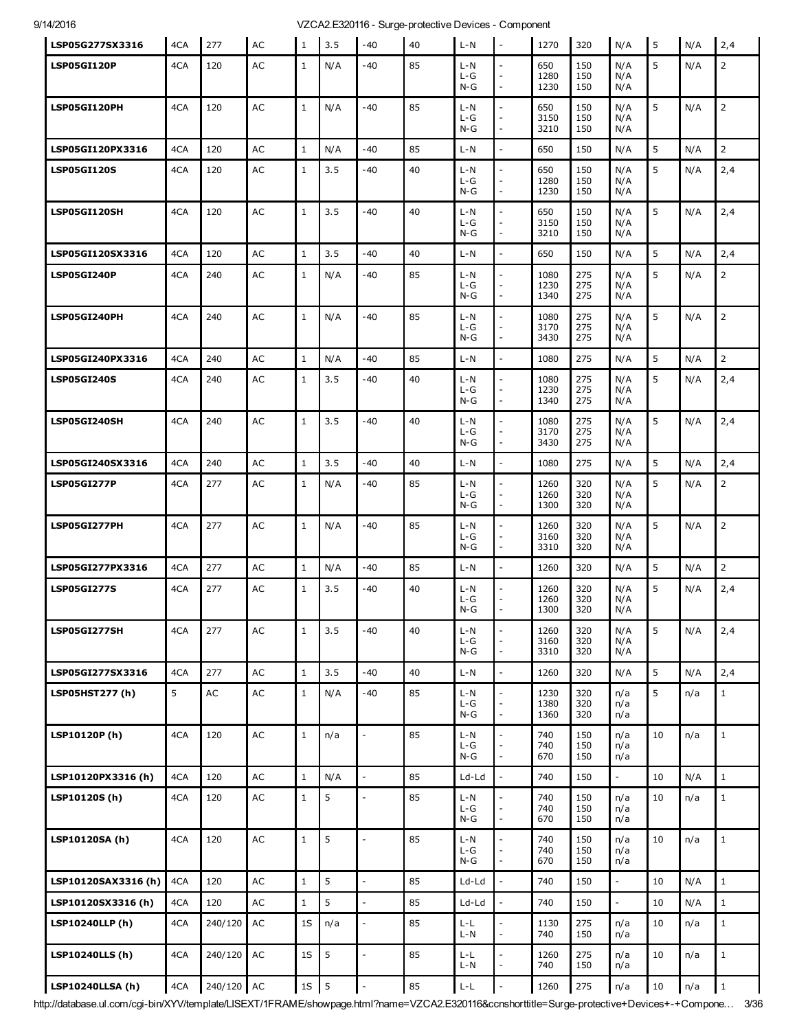| LSP05G277SX3316         | 4CA | 277           | AC            | $\mathbf{1}$  | 3.5 | $-40$                    | 40 | $L-N$                          | $\overline{\phantom{a}}$                                     | 1270                 | 320               | N/A                      | 5      | N/A | 2,4            |
|-------------------------|-----|---------------|---------------|---------------|-----|--------------------------|----|--------------------------------|--------------------------------------------------------------|----------------------|-------------------|--------------------------|--------|-----|----------------|
| LSP05GI120P             | 4CA | 120           | AC            | $\mathbf{1}$  | N/A | -40                      | 85 | $L-N$<br>$L-G$<br>$N-G$        | $\overline{a}$<br>$\overline{\phantom{a}}$                   | 650<br>1280<br>1230  | 150<br>150<br>150 | N/A<br>N/A<br>N/A        | 5      | N/A | $\overline{2}$ |
| LSP05GI120PH            | 4CA | 120           | AC            | $\mathbf{1}$  | N/A | $-40$                    | 85 | $L-N$<br>$L-G$<br>$N-G$        |                                                              | 650<br>3150<br>3210  | 150<br>150<br>150 | N/A<br>N/A<br>N/A        | 5      | N/A | $\overline{2}$ |
| <b>LSP05GI120PX3316</b> | 4CA | 120           | AC            | $\mathbf{1}$  | N/A | -40                      | 85 | $L-N$                          | $\overline{\phantom{a}}$                                     | 650                  | 150               | N/A                      | 5      | N/A | $\overline{2}$ |
| <b>LSP05GI120S</b>      | 4CA | 120           | AC            | $\mathbf{1}$  | 3.5 | -40                      | 40 | $L-N$<br>L-G<br>$N-G$          | $\overline{\phantom{a}}$                                     | 650<br>1280<br>1230  | 150<br>150<br>150 | N/A<br>N/A<br>N/A        | 5      | N/A | 2,4            |
| LSP05GI120SH            | 4CA | 120           | AC            | $\mathbf{1}$  | 3.5 | -40                      | 40 | $L - N$<br>$L-G$<br>N-G        | $\overline{a}$                                               | 650<br>3150<br>3210  | 150<br>150<br>150 | N/A<br>N/A<br>N/A        | 5      | N/A | 2,4            |
| LSP05GI120SX3316        | 4CA | 120           | AC            | $1\,$         | 3.5 | $-40$                    | 40 | $L - N$                        | $\overline{\phantom{a}}$                                     | 650                  | 150               | N/A                      | 5      | N/A | 2,4            |
| <b>LSP05GI240P</b>      | 4CA | 240           | AC            | $\mathbf{1}$  | N/A | -40                      | 85 | $L-N$<br>$L-G$<br>$N-G$        | $\overline{\phantom{a}}$                                     | 1080<br>1230<br>1340 | 275<br>275<br>275 | N/A<br>N/A<br>N/A        | 5      | N/A | $\overline{2}$ |
| LSP05GI240PH            | 4CA | 240           | AC            | $\mathbf{1}$  | N/A | $-40$                    | 85 | $L-N$<br>L-G<br>$N-G$          | $\overline{a}$<br>$\overline{\phantom{a}}$                   | 1080<br>3170<br>3430 | 275<br>275<br>275 | N/A<br>N/A<br>N/A        | 5      | N/A | $\overline{2}$ |
| LSP05GI240PX3316        | 4CA | 240           | AC            | $\mathbf{1}$  | N/A | -40                      | 85 | $L-N$                          |                                                              | 1080                 | 275               | N/A                      | 5      | N/A | $\overline{2}$ |
| <b>LSP05GI240S</b>      | 4CA | 240           | AC            | $\mathbf{1}$  | 3.5 | -40                      | 40 | L-N<br>$L-G$<br>$N-G$          | $\blacksquare$<br>$\bar{\phantom{a}}$                        | 1080<br>1230<br>1340 | 275<br>275<br>275 | N/A<br>N/A<br>N/A        | 5      | N/A | 2,4            |
| LSP05GI240SH            | 4CA | 240           | AC            | $\mathbf{1}$  | 3.5 | -40                      | 40 | $L-N$<br>$L-G$<br>$N-G$        | $\sim$<br>$\overline{\phantom{a}}$                           | 1080<br>3170<br>3430 | 275<br>275<br>275 | N/A<br>N/A<br>N/A        | 5      | N/A | 2,4            |
| LSP05GI240SX3316        | 4CA | 240           | AC            | $1\,$         | 3.5 | $-40$                    | 40 | $L-N$                          | $\overline{\phantom{a}}$                                     | 1080                 | 275               | N/A                      | 5      | N/A | 2,4            |
| <b>LSP05GI277P</b>      | 4CA | 277           | AC            | $\mathbf{1}$  | N/A | -40                      | 85 | $L-N$<br>L-G<br>$N-G$          | $\sim$                                                       | 1260<br>1260<br>1300 | 320<br>320<br>320 | N/A<br>N/A<br>N/A        | 5      | N/A | $\overline{2}$ |
| LSP05GI277PH            | 4CA | 277           | AC            | $\mathbf{1}$  | N/A | -40                      | 85 | $L-N$<br>$L-G$<br>$N-G$        | $\overline{\phantom{a}}$                                     | 1260<br>3160<br>3310 | 320<br>320<br>320 | N/A<br>N/A<br>N/A        | 5      | N/A | $\overline{2}$ |
| LSP05GI277PX3316        | 4CA | 277           | AC            | $\mathbf{1}$  | N/A | -40                      | 85 | $L-N$                          | $\overline{\phantom{a}}$                                     | 1260                 | 320               | N/A                      | 5      | N/A | $\overline{2}$ |
| <b>LSP05GI277S</b>      | 4CA | 277           | AC            | $\mathbf{1}$  | 3.5 | -40                      | 40 | $L-N$<br>L-G<br>$N-G$          | $\mathbb{L}$                                                 | 1260<br>1260<br>1300 | 320<br>320<br>320 | N/A<br>N/A<br>N/A        | 5      | N/A | 2,4            |
| LSP05GI277SH            | 4CA | 277           | AC            | $\mathbf 1$   | 3.5 | $-40$                    | 40 | $L-N$<br>$L-G$<br>$N-G$        | $\overline{a}$<br>$\overline{\phantom{a}}$<br>$\overline{a}$ | 1260<br>3160<br>3310 | 320<br>320<br>320 | N/A<br>N/A<br>N/A        | 5      | N/A | 2,4            |
| LSP05GI277SX3316        | 4CA | 277           | AC            | $\mathbf{1}$  | 3.5 | -40                      | 40 | $L-N$                          | $\overline{\phantom{a}}$                                     | 1260                 | 320               | N/A                      | 5      | N/A | 2,4            |
| LSP05HST277 (h)         | 5   | $\mathsf{AC}$ | $\mathsf{AC}$ | $\mathbf 1$   | N/A | -40                      | 85 | $L-N$<br>$L-G$<br>$N-G$        | $\overline{a}$<br>$\overline{\phantom{a}}$<br>$\frac{1}{2}$  | 1230<br>1380<br>1360 | 320<br>320<br>320 | n/a<br>n/a<br>n/a        | 5      | n/a | $1\,$          |
| LSP10120P(h)            | 4CA | 120           | $\mathsf{AC}$ | $\mathbf 1$   | n/a | $\Box$                   | 85 | $L-N$<br>$L-G$<br>$N-G$        | $\frac{1}{2}$<br>$\overline{\phantom{a}}$                    | 740<br>740<br>670    | 150<br>150<br>150 | n/a<br>n/a<br>n/a        | 10     | n/a | $\mathbf{1}$   |
| LSP10120PX3316 (h)      | 4CA | 120           | AC            | $\mathbf{1}$  | N/A | $\bar{z}$                | 85 | Ld-Ld                          | $\overline{a}$                                               | 740                  | 150               | $\overline{\phantom{a}}$ | 10     | N/A | $\mathbf{1}$   |
| LSP10120S(h)            | 4CA | 120           | $\mathsf{AC}$ | $\mathbf{1}$  | 5   | $\overline{\phantom{a}}$ | 85 | $L-N$<br>L-G<br>$N-G$          | $\frac{1}{2}$<br>$\overline{\phantom{a}}$                    | 740<br>740<br>670    | 150<br>150<br>150 | n/a<br>n/a<br>n/a        | 10     | n/a | $\mathbf{1}$   |
| LSP10120SA (h)          | 4CA | 120           | AC            | $\mathbf 1$   | 5   | $\overline{a}$           | 85 | $L-N$<br>L-G<br>$N-G$          | $\overline{\phantom{a}}$<br>$\overline{\phantom{a}}$         | 740<br>740<br>670    | 150<br>150<br>150 | n/a<br>n/a<br>n/a        | 10     | n/a | $\mathbf{1}$   |
| LSP10120SAX3316(h)      | 4CA | 120           | AC            | $\mathbf{1}$  | 5   | $\overline{a}$           | 85 | Ld-Ld                          |                                                              | 740                  | 150               | $\overline{\phantom{a}}$ | 10     | N/A | $\mathbf{1}$   |
| LSP10120SX3316 (h)      | 4CA | 120           | $\mathsf{AC}$ | $\mathbf 1$   | 5   | $\frac{1}{2}$            | 85 | Ld-Ld                          |                                                              | 740                  | 150               | $\overline{\phantom{a}}$ | 10     | N/A | $1\,$          |
| LSP10240LLP (h)         | 4CA | 240/120       | $\sf AC$      | 1S            | n/a | $\overline{a}$           | 85 | $L-L$<br>L-N                   | $\overline{a}$<br>$\overline{a}$                             | 1130<br>740          | 275<br>150        | n/a<br>n/a               | 10     | n/a | $\mathbf{1}$   |
| <b>LSP10240LLS (h)</b>  | 4CA | 240/120       | AC            | 1S            | 5   | $\frac{1}{2}$            | 85 | L-L<br>L-N                     | $\overline{a}$                                               | 1260<br>740          | 275<br>150        | n/a<br>n/a               | 10     | n/a | $1\,$          |
| <b>LSP10240LLSA (h)</b> | 4CA | 240/120 AC    |               | $1\mathrm{S}$ | 5   | $\frac{1}{2}$            | 85 | $\mathsf{L}\text{-}\mathsf{L}$ | $\overline{\phantom{a}}$                                     | 1260                 | 275               | n/a                      | $10\,$ | n/a | $\mathbf 1$    |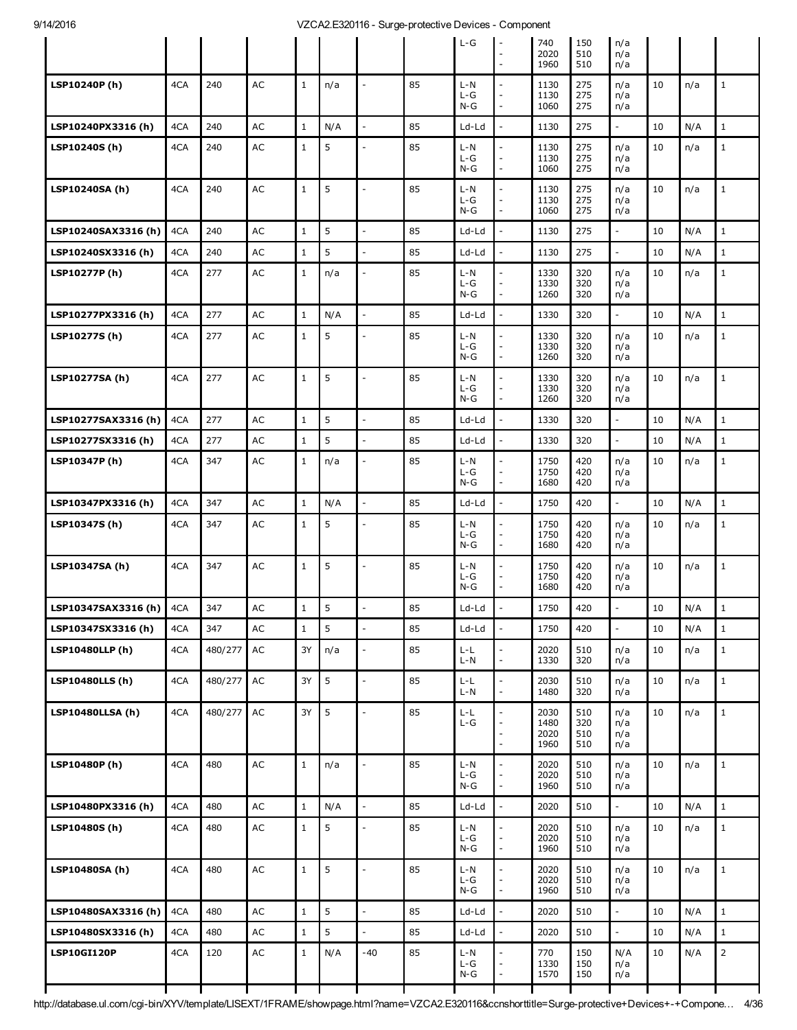|                         |     |         |               |              |     |                          |    | $L-G$                 |                                                                            | 740<br>2020                  | 150<br>510               | n/a                      |    |     |                |
|-------------------------|-----|---------|---------------|--------------|-----|--------------------------|----|-----------------------|----------------------------------------------------------------------------|------------------------------|--------------------------|--------------------------|----|-----|----------------|
|                         |     |         |               |              |     |                          |    |                       | $\overline{\phantom{a}}$                                                   | 1960                         | 510                      | n/a<br>n/a               |    |     |                |
| LSP10240P(h)            | 4CA | 240     | AC            | $\mathbf{1}$ | n/a |                          | 85 | L-N<br>L-G<br>N-G     |                                                                            | 1130<br>1130<br>1060         | 275<br>275<br>275        | n/a<br>n/a<br>n/a        | 10 | n/a | $\mathbf{1}$   |
| LSP10240PX3316 (h)      | 4CA | 240     | AC            | $\mathbf{1}$ | N/A | $\frac{1}{2}$            | 85 | Ld-Ld                 | $\overline{\phantom{a}}$                                                   | 1130                         | 275                      | $\overline{\phantom{a}}$ | 10 | N/A | $\mathbf 1$    |
| LSP10240S (h)           | 4CA | 240     | AC            | $\mathbf{1}$ | 5   | $\overline{\phantom{a}}$ | 85 | L-N<br>L-G<br>$N-G$   | $\overline{a}$                                                             | 1130<br>1130<br>1060         | 275<br>275<br>275        | n/a<br>n/a<br>n/a        | 10 | n/a | $1\,$          |
| LSP10240SA (h)          | 4CA | 240     | AC            | $\mathbf{1}$ | 5   | $\overline{a}$           | 85 | L-N<br>L-G<br>$N-G$   | $\overline{a}$<br>$\frac{1}{2}$                                            | 1130<br>1130<br>1060         | 275<br>275<br>275        | n/a<br>n/a<br>n/a        | 10 | n/a | $\mathbf{1}$   |
| LSP10240SAX3316 (h)     | 4CA | 240     | AC            | $\mathbf{1}$ | 5   | $\overline{a}$           | 85 | Ld-Ld                 |                                                                            | 1130                         | 275                      | $\overline{\phantom{a}}$ | 10 | N/A | $\mathbf{1}$   |
| LSP10240SX3316 (h)      | 4CA | 240     | AC            | $\mathbf{1}$ | 5   | $\overline{a}$           | 85 | Ld-Ld                 |                                                                            | 1130                         | 275                      | $\overline{\phantom{a}}$ | 10 | N/A | $1\,$          |
| LSP10277P (h)           | 4CA | 277     | AC            | $\mathbf{1}$ | n/a | $\overline{a}$           | 85 | L-N<br>L-G<br>$N-G$   | $\overline{a}$                                                             | 1330<br>1330<br>1260         | 320<br>320<br>320        | n/a<br>n/a<br>n/a        | 10 | n/a | $1\,$          |
| LSP10277PX3316 (h)      | 4CA | 277     | AC            | $\mathbf{1}$ | N/A | $\overline{a}$           | 85 | Ld-Ld                 |                                                                            | 1330                         | 320                      | $\overline{\phantom{a}}$ | 10 | N/A | $1\,$          |
| LSP10277S (h)           | 4CA | 277     | AC            | $\,1\,$      | 5   | $\overline{a}$           | 85 | L-N<br>L-G<br>$N-G$   | $\qquad \qquad \blacksquare$<br>$\overline{a}$                             | 1330<br>1330<br>1260         | 320<br>320<br>320        | n/a<br>n/a<br>n/a        | 10 | n/a | $\mathbf{1}$   |
| LSP10277SA (h)          | 4CA | 277     | AC            | $\mathbf{1}$ | 5   | $\overline{a}$           | 85 | $L - N$<br>L-G<br>N-G | $\overline{a}$<br>$\overline{\phantom{a}}$                                 | 1330<br>1330<br>1260         | 320<br>320<br>320        | n/a<br>n/a<br>n/a        | 10 | n/a | $\mathbf{1}$   |
| LSP10277SAX3316 (h)     | 4CA | 277     | AC            | $\mathbf{1}$ | 5   | $\overline{a}$           | 85 | Ld-Ld                 |                                                                            | 1330                         | 320                      | $\mathcal{L}$            | 10 | N/A | $\mathbf{1}$   |
| LSP10277SX3316 (h)      | 4CA | 277     | AC            | $\mathbf{1}$ | 5   | $\overline{a}$           | 85 | Ld-Ld                 |                                                                            | 1330                         | 320                      | $\overline{\phantom{a}}$ | 10 | N/A | $\mathbf{1}$   |
| LSP10347P (h)           | 4CA | 347     | AC            | $\,1\,$      | n/a | $\overline{a}$           | 85 | L-N<br>$L-G$<br>$N-G$ | $\overline{a}$<br>$\frac{1}{2}$                                            | 1750<br>1750<br>1680         | 420<br>420<br>420        | n/a<br>n/a<br>n/a        | 10 | n/a | $\mathbf{1}$   |
| LSP10347PX3316 (h)      | 4CA | 347     | AC            | $\mathbf{1}$ | N/A | $\frac{1}{2}$            | 85 | Ld-Ld                 | $\overline{\phantom{a}}$                                                   | 1750                         | 420                      | $\blacksquare$           | 10 | N/A | $\mathbf{1}$   |
| LSP10347S (h)           | 4CA | 347     | AC            | $\mathbf{1}$ | 5   | $\overline{a}$           | 85 | L-N<br>$L-G$<br>$N-G$ | $\qquad \qquad \blacksquare$<br>$\overline{a}$<br>$\overline{\phantom{a}}$ | 1750<br>1750<br>1680         | 420<br>420<br>420        | n/a<br>n/a<br>n/a        | 10 | n/a | $1\,$          |
| LSP10347SA (h)          | 4CA | 347     | AC            | $\mathbf{1}$ | 5   | $\overline{a}$           | 85 | L-N<br>$L-G$<br>N-G   | $\overline{a}$                                                             | 1750<br>1750<br>1680         | 420<br>420<br>420        | n/a<br>n/a<br>n/a        | 10 | n/a | $\mathbf{1}$   |
| LSP10347SAX3316 (h)     | 4CA | 347     | AC            | $\mathbf{1}$ | 5   |                          | 85 | Ld-Ld                 |                                                                            | 1750                         | 420                      |                          | 10 | N/A | $\mathbf{1}$   |
| LSP10347SX3316 (h)      | 4CA | 347     | AC            | $\mathbf{1}$ | 5   | $\overline{a}$           | 85 | Ld-Ld                 | $\overline{a}$                                                             | 1750                         | 420                      | $\overline{a}$           | 10 | N/A | $\mathbf{1}$   |
| LSP10480LLP (h)         | 4CA | 480/277 | AC            | 3Y           | n/a | $\overline{a}$           | 85 | L-L<br>$L-N$          | $\frac{1}{2}$<br>$\overline{a}$                                            | 2020<br>1330                 | 510<br>320               | n/a<br>n/a               | 10 | n/a | $1\,$          |
| <b>LSP10480LLS (h)</b>  | 4CA | 480/277 | AC            | 3Y           | 5   | $\overline{a}$           | 85 | L-L<br>$L-N$          | $\frac{1}{2}$<br>$\frac{1}{2}$                                             | 2030<br>1480                 | 510<br>320               | n/a<br>n/a               | 10 | n/a | $\mathbf{1}$   |
| <b>LSP10480LLSA (h)</b> | 4CA | 480/277 | AC            | 3Y           | 5   | $\overline{a}$           | 85 | L-L<br>$L-G$          | $\overline{a}$<br>$\frac{1}{2}$<br>$\overline{a}$                          | 2030<br>1480<br>2020<br>1960 | 510<br>320<br>510<br>510 | n/a<br>n/a<br>n/a<br>n/a | 10 | n/a | $\mathbf{1}$   |
| LSP10480P(h)            | 4CA | 480     | AC            | $\mathbf 1$  | n/a | $\overline{a}$           | 85 | L-N<br>L-G<br>$N-G$   | $\overline{a}$<br>$\overline{a}$                                           | 2020<br>2020<br>1960         | 510<br>510<br>510        | n/a<br>n/a<br>n/a        | 10 | n/a | $\mathbf{1}$   |
| LSP10480PX3316 (h)      | 4CA | 480     | AC            | $\mathbf{1}$ | N/A | $\overline{a}$           | 85 | Ld-Ld                 |                                                                            | 2020                         | 510                      | $\overline{\phantom{a}}$ | 10 | N/A | $\mathbf{1}$   |
| LSP10480S(h)            | 4CA | 480     | AC            | $\mathbf{1}$ | 5   | $\overline{a}$           | 85 | L-N<br>L-G<br>$N-G$   | $\qquad \qquad \blacksquare$<br>$\frac{1}{2}$                              | 2020<br>2020<br>1960         | 510<br>510<br>510        | n/a<br>n/a<br>n/a        | 10 | n/a | $\mathbf{1}$   |
| LSP10480SA (h)          | 4CA | 480     | AC            | $\mathbf{1}$ | 5   | $\overline{a}$           | 85 | $L-N$<br>$L-G$<br>N-G | $\overline{a}$<br>$\overline{\phantom{a}}$                                 | 2020<br>2020<br>1960         | 510<br>510<br>510        | n/a<br>n/a<br>n/a        | 10 | n/a | $\mathbf{1}$   |
| LSP10480SAX3316 (h)     | 4CA | 480     | AC            | $\mathbf{1}$ | 5   | $\overline{a}$           | 85 | Ld-Ld                 |                                                                            | 2020                         | 510                      | $\mathcal{L}$            | 10 | N/A | $\mathbf{1}$   |
| LSP10480SX3316 (h)      | 4CA | 480     | AC            | $\mathbf{1}$ | 5   | $\overline{a}$           | 85 | Ld-Ld                 | $\overline{\phantom{a}}$                                                   | 2020                         | 510                      | $\overline{\phantom{a}}$ | 10 | N/A | $\mathbf{1}$   |
| <b>LSP10GI120P</b>      | 4CA | 120     | $\mathsf{AC}$ | $\mathbf{1}$ | N/A | $-40$                    | 85 | L-N<br>$L-G$<br>$N-G$ | $\frac{1}{2}$<br>$\qquad \qquad \blacksquare$                              | 770<br>1330<br>1570          | 150<br>150<br>150        | N/A<br>n/a<br>n/a        | 10 | N/A | $\overline{2}$ |
|                         |     |         |               |              |     |                          |    |                       |                                                                            |                              |                          |                          |    |     |                |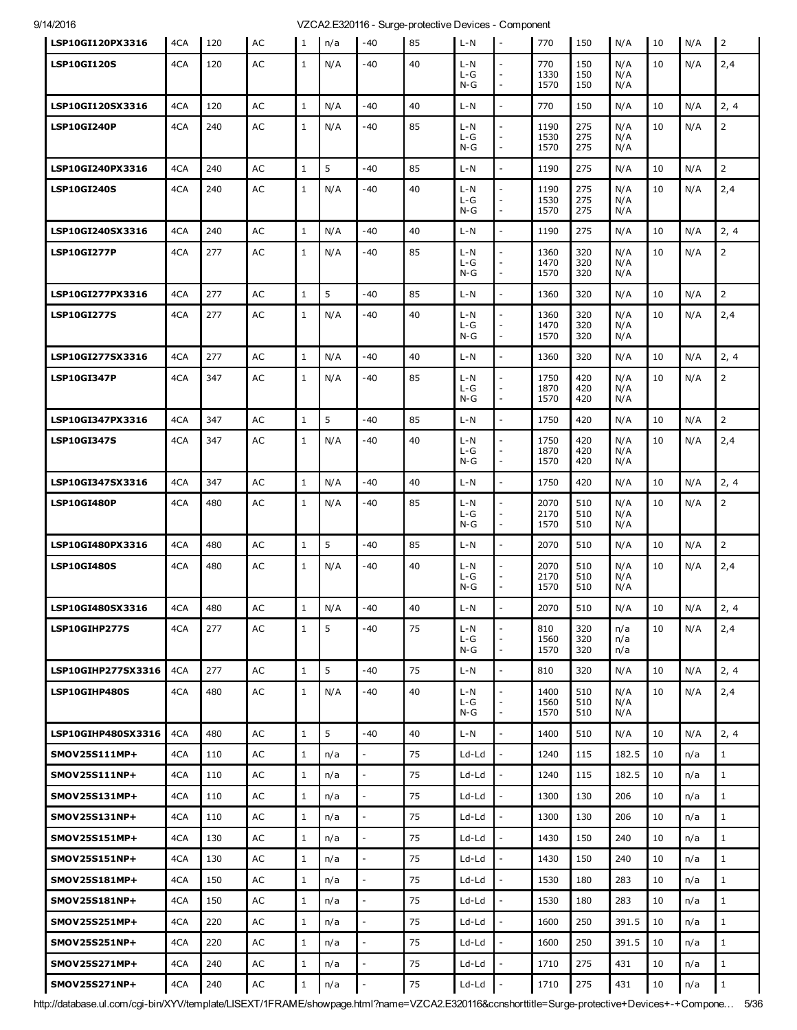| LSP10GI120PX3316   | 4CA | 120 | AC        | 1            | n/a | $-40$                    | 85 | $L-N$                     | $\overline{\phantom{a}}$       | 770                  | 150               | N/A               | 10 | N/A | $\overline{2}$ |
|--------------------|-----|-----|-----------|--------------|-----|--------------------------|----|---------------------------|--------------------------------|----------------------|-------------------|-------------------|----|-----|----------------|
| <b>LSP10GI120S</b> | 4CA | 120 | AC        | $\mathbf{1}$ | N/A | -40                      | 40 | L-N<br>$L-G$<br>$N-G$     | $\overline{a}$                 | 770<br>1330<br>1570  | 150<br>150<br>150 | N/A<br>N/A<br>N/A | 10 | N/A | 2,4            |
| LSP10GI120SX3316   | 4CA | 120 | AC        | $\mathbf{1}$ | N/A | -40                      | 40 | L-N                       | $\overline{a}$                 | 770                  | 150               | N/A               | 10 | N/A | 2, 4           |
| LSP10GI240P        | 4CA | 240 | AC        | $\mathbf{1}$ | N/A | -40                      | 85 | L-N<br>$L-G$<br>$N-G$     |                                | 1190<br>1530<br>1570 | 275<br>275<br>275 | N/A<br>N/A<br>N/A | 10 | N/A | $\overline{2}$ |
| LSP10GI240PX3316   | 4CA | 240 | AC        | $\mathbf{1}$ | 5   | $-40$                    | 85 | $L - N$                   | $\overline{\phantom{a}}$       | 1190                 | 275               | N/A               | 10 | N/A | $\overline{2}$ |
| <b>LSP10GI240S</b> | 4CA | 240 | AC        | $\mathbf{1}$ | N/A | -40                      | 40 | L-N<br>$L-G$<br>N-G       | $\overline{a}$                 | 1190<br>1530<br>1570 | 275<br>275<br>275 | N/A<br>N/A<br>N/A | 10 | N/A | 2,4            |
| LSP10GI240SX3316   | 4CA | 240 | AC        | $\mathbf{1}$ | N/A | $-40$                    | 40 | $L - N$                   | $\overline{a}$                 | 1190                 | 275               | N/A               | 10 | N/A | 2, 4           |
| <b>LSP10GI277P</b> | 4CA | 277 | AC        | $\mathbf{1}$ | N/A | -40                      | 85 | $L - N$<br>$L-G$<br>N-G   |                                | 1360<br>1470<br>1570 | 320<br>320<br>320 | N/A<br>N/A<br>N/A | 10 | N/A | $\overline{2}$ |
| LSP10GI277PX3316   | 4CA | 277 | AC        | $\mathbf{1}$ | 5   | -40                      | 85 | $L - N$                   | $\overline{\phantom{a}}$       | 1360                 | 320               | N/A               | 10 | N/A | $\overline{2}$ |
| <b>LSP10GI277S</b> | 4CA | 277 | AC        | 1            | N/A | -40                      | 40 | $L - N$<br>$L-G$<br>$N-G$ | ٠                              | 1360<br>1470<br>1570 | 320<br>320<br>320 | N/A<br>N/A<br>N/A | 10 | N/A | 2,4            |
| LSP10GI277SX3316   | 4CA | 277 | AC        | 1            | N/A | $-40$                    | 40 | $L - N$                   | $\overline{\phantom{a}}$       | 1360                 | 320               | N/A               | 10 | N/A | 2, 4           |
| <b>LSP10GI347P</b> | 4CA | 347 | AC        | $\mathbf{1}$ | N/A | -40                      | 85 | $L - N$<br>L-G<br>$N-G$   | L,<br>$\overline{a}$           | 1750<br>1870<br>1570 | 420<br>420<br>420 | N/A<br>N/A<br>N/A | 10 | N/A | $\overline{2}$ |
| LSP10GI347PX3316   | 4CA | 347 | AC        | 1            | 5   | $-40$                    | 85 | $L - N$                   | $\overline{\phantom{a}}$       | 1750                 | 420               | N/A               | 10 | N/A | $\overline{2}$ |
| <b>LSP10GI347S</b> | 4CA | 347 | AC        | $\mathbf{1}$ | N/A | -40                      | 40 | $L - N$<br>$L-G$<br>$N-G$ | L,<br>$\overline{\phantom{a}}$ | 1750<br>1870<br>1570 | 420<br>420<br>420 | N/A<br>N/A<br>N/A | 10 | N/A | 2,4            |
| LSP10GI347SX3316   | 4CA | 347 | AC        | $\mathbf{1}$ | N/A | -40                      | 40 | $L - N$                   | $\overline{a}$                 | 1750                 | 420               | N/A               | 10 | N/A | 2, 4           |
| <b>LSP10GI480P</b> | 4CA | 480 | AC        | $\mathbf{1}$ | N/A | -40                      | 85 | $L - N$<br>$L-G$<br>$N-G$ | $\overline{\phantom{a}}$       | 2070<br>2170<br>1570 | 510<br>510<br>510 | N/A<br>N/A<br>N/A | 10 | N/A | $\overline{2}$ |
| LSP10GI480PX3316   | 4CA | 480 | AC        | $\mathbf{1}$ | 5   | $-40$                    | 85 | $L - N$                   | $\overline{a}$                 | 2070                 | 510               | N/A               | 10 | N/A | $\overline{2}$ |
| <b>LSP10GI480S</b> | 4CA | 480 | AC        | $\mathbf{1}$ | N/A | -40                      | 40 | L-N<br>$L-G$<br>$N-G$     | $\overline{\phantom{a}}$       | 2070<br>2170<br>1570 | 510<br>510<br>510 | N/A<br>N/A<br>N/A | 10 | N/A | 2,4            |
| LSP10GI480SX3316   | 4CA | 480 | AC        | $1\,$        | N/A | $-40$                    | 40 | $L - N$                   |                                | 2070                 | 510               | N/A               | 10 | N/A | 2, 4           |
| LSP10GIHP277S      | 4CA | 277 | AC        | 1            | 5   | -40                      | 75 | L-N<br>L-G<br>$N-G$       | $\overline{\phantom{a}}$       | 810<br>1560<br>1570  | 320<br>320<br>320 | n/a<br>n/a<br>n/a | 10 | N/A | 2,4            |
| LSP10GIHP277SX3316 | 4CA | 277 | <b>AC</b> | $\mathbf{1}$ | 5   | $-40$                    | 75 | $L-N$                     | $\overline{a}$                 | 810                  | 320               | N/A               | 10 | N/A | 2, 4           |
| LSP10GIHP480S      | 4CA | 480 | AC        | $\mathbf{1}$ | N/A | -40                      | 40 | L-N<br>L-G<br>$N-G$       | $\overline{\phantom{a}}$       | 1400<br>1560<br>1570 | 510<br>510<br>510 | N/A<br>N/A<br>N/A | 10 | N/A | 2,4            |
| LSP10GIHP480SX3316 | 4CA | 480 | <b>AC</b> | $\mathbf{1}$ | 5   | $-40$                    | 40 | $L - N$                   |                                | 1400                 | 510               | N/A               | 10 | N/A | 2, 4           |
| SMOV25S111MP+      | 4CA | 110 | <b>AC</b> | 1            | n/a | $\overline{\phantom{a}}$ | 75 | $Ld-Ld$                   |                                | 1240                 | 115               | 182.5             | 10 | n/a | $\mathbf{1}$   |
| SMOV25S111NP+      | 4CA | 110 | AC        | $\mathbf{1}$ | n/a | $\frac{1}{2}$            | 75 | Ld-Ld                     | $\overline{a}$                 | 1240                 | 115               | 182.5             | 10 | n/a | $\mathbf{1}$   |
| SMOV25S131MP+      | 4CA | 110 | AC        | $\mathbf{1}$ | n/a |                          | 75 | Ld-Ld                     |                                | 1300                 | 130               | 206               | 10 | n/a | $\mathbf{1}$   |
| SMOV25S131NP+      | 4CA | 110 | AC        | 1            | n/a | $\overline{\phantom{a}}$ | 75 | Ld-Ld                     |                                | 1300                 | 130               | 206               | 10 | n/a | $\mathbf{1}$   |
| SMOV25S151MP+      | 4CA | 130 | AC        | $\mathbf{1}$ | n/a | $\overline{\phantom{a}}$ | 75 | Ld-Ld                     | $\overline{a}$                 | 1430                 | 150               | 240               | 10 | n/a | $\mathbf{1}$   |
| SMOV25S151NP+      | 4CA | 130 | AC        | $\mathbf{1}$ | n/a |                          | 75 | Ld-Ld                     |                                | 1430                 | 150               | 240               | 10 | n/a | $\mathbf{1}$   |
| SMOV25S181MP+      | 4CA | 150 | AC        | $\mathbf{1}$ | n/a |                          | 75 | Ld-Ld                     |                                | 1530                 | 180               | 283               | 10 | n/a | $\mathbf{1}$   |
| SMOV25S181NP+      | 4CA | 150 | AC        | $\mathbf{1}$ | n/a | $\overline{a}$           | 75 | Ld-Ld                     | $\overline{a}$                 | 1530                 | 180               | 283               | 10 | n/a | $\mathbf{1}$   |
| SMOV25S251MP+      | 4CA | 220 | AC        | $\mathbf{1}$ | n/a |                          | 75 | Ld-Ld                     |                                | 1600                 | 250               | 391.5             | 10 | n/a | $\mathbf{1}$   |
| SMOV25S251NP+      | 4CA | 220 | AC        | $\mathbf{1}$ | n/a | $\overline{\phantom{a}}$ | 75 | Ld-Ld                     |                                | 1600                 | 250               | 391.5             | 10 | n/a | $\mathbf{1}$   |
| SMOV25S271MP+      | 4CA | 240 | AC        | 1            | n/a | $\overline{a}$           | 75 | Ld-Ld                     |                                | 1710                 | 275               | 431               | 10 | n/a | $\mathbf{1}$   |
| SMOV25S271NP+      | 4CA | 240 | AC        | $\mathbf{1}$ | n/a | $\overline{\phantom{a}}$ | 75 | Ld-Ld                     |                                | 1710                 | 275               | 431               | 10 | n/a | $1\,$          |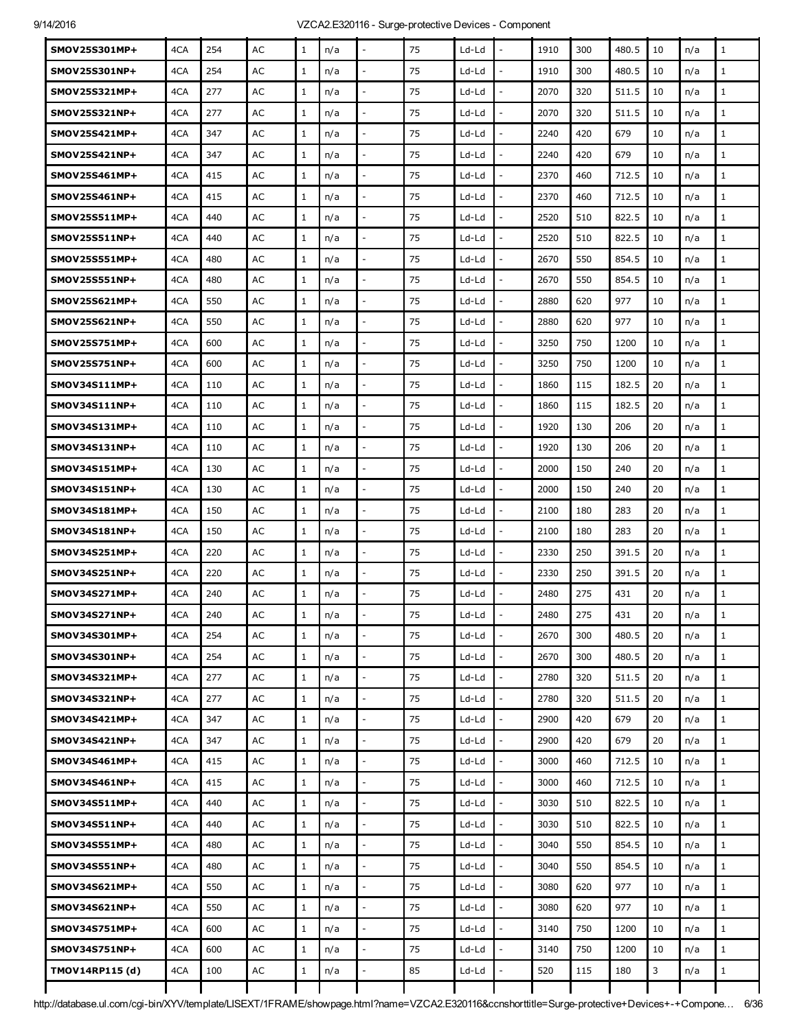| SMOV25S301MP+        | 4CA | 254 | AC | $\mathbf{1}$ | n/a |                          | 75 | Ld-Ld |                          | 1910 | 300 | 480.5 | 10 | n/a | $\mathbf{1}$ |
|----------------------|-----|-----|----|--------------|-----|--------------------------|----|-------|--------------------------|------|-----|-------|----|-----|--------------|
| SMOV25S301NP+        | 4CA | 254 | AC | $\mathbf{1}$ | n/a |                          | 75 | Ld-Ld | $\overline{a}$           | 1910 | 300 | 480.5 | 10 | n/a | $\mathbf{1}$ |
| SMOV25S321MP+        | 4CA | 277 | AC | $\mathbf{1}$ | n/a | $\overline{\phantom{a}}$ | 75 | Ld-Ld | $\overline{\phantom{a}}$ | 2070 | 320 | 511.5 | 10 | n/a | $\mathbf{1}$ |
| SMOV25S321NP+        | 4CA | 277 | AC | $\mathbf{1}$ | n/a |                          | 75 | Ld-Ld |                          | 2070 | 320 | 511.5 | 10 | n/a | $\mathbf{1}$ |
| SMOV25S421MP+        | 4CA | 347 | AC | $\mathbf{1}$ | n/a |                          | 75 | Ld-Ld | $\overline{a}$           | 2240 | 420 | 679   | 10 | n/a | $\mathbf{1}$ |
| SMOV25S421NP+        | 4CA | 347 | AC | $\mathbf{1}$ | n/a | $\sim$                   | 75 | Ld-Ld | $\overline{a}$           | 2240 | 420 | 679   | 10 | n/a | $\mathbf{1}$ |
| SMOV25S461MP+        | 4CA | 415 | AC | $\mathbf{1}$ | n/a |                          | 75 | Ld-Ld |                          | 2370 | 460 | 712.5 | 10 | n/a | $\mathbf{1}$ |
| SMOV25S461NP+        | 4CA | 415 | AC | $\mathbf{1}$ | n/a |                          | 75 | Ld-Ld | L.                       | 2370 | 460 | 712.5 | 10 | n/a | $\mathbf{1}$ |
| SMOV25S511MP+        | 4CA | 440 | AC | $\mathbf{1}$ | n/a |                          | 75 | Ld-Ld | $\overline{a}$           | 2520 | 510 | 822.5 | 10 | n/a | $\mathbf{1}$ |
| SMOV25S511NP+        | 4CA | 440 | AC | $\mathbf{1}$ | n/a |                          | 75 | Ld-Ld | $\overline{a}$           | 2520 | 510 | 822.5 | 10 | n/a | $\mathbf{1}$ |
| SMOV25S551MP+        | 4CA | 480 | AC | $\mathbf{1}$ | n/a |                          | 75 | Ld-Ld |                          | 2670 | 550 | 854.5 | 10 | n/a | $\mathbf{1}$ |
| SMOV25S551NP+        | 4CA | 480 | AC | $\mathbf{1}$ | n/a |                          | 75 | Ld-Ld |                          | 2670 | 550 | 854.5 | 10 | n/a | $\mathbf{1}$ |
| SMOV25S621MP+        | 4CA | 550 | AC | $\mathbf{1}$ | n/a |                          | 75 | Ld-Ld | $\overline{a}$           | 2880 | 620 | 977   | 10 | n/a | $\mathbf{1}$ |
| SMOV25S621NP+        | 4CA | 550 | AC | $\mathbf{1}$ | n/a |                          | 75 | Ld-Ld |                          | 2880 | 620 | 977   | 10 | n/a | $\mathbf{1}$ |
| SMOV25S751MP+        | 4CA | 600 | AC | $\mathbf{1}$ | n/a |                          | 75 | Ld-Ld |                          | 3250 | 750 | 1200  | 10 | n/a | $\mathbf{1}$ |
| <b>SMOV25S751NP+</b> | 4CA | 600 | AC | $\mathbf{1}$ | n/a |                          | 75 | Ld-Ld | $\overline{a}$           | 3250 | 750 | 1200  | 10 | n/a | $\mathbf{1}$ |
| SMOV34S111MP+        | 4CA | 110 | AC | $\mathbf{1}$ | n/a |                          | 75 | Ld-Ld |                          | 1860 | 115 | 182.5 | 20 | n/a | $\mathbf{1}$ |
| SMOV34S111NP+        | 4CA | 110 | AC | $\mathbf{1}$ | n/a |                          | 75 | Ld-Ld |                          | 1860 | 115 | 182.5 | 20 | n/a | $\mathbf{1}$ |
| SMOV34S131MP+        | 4CA | 110 | AC | $\mathbf{1}$ | n/a | $\overline{\phantom{a}}$ | 75 | Ld-Ld | $\overline{\phantom{a}}$ | 1920 | 130 | 206   | 20 | n/a | $\mathbf{1}$ |
| SMOV34S131NP+        | 4CA | 110 | AC | $\mathbf{1}$ | n/a |                          | 75 | Ld-Ld |                          | 1920 | 130 | 206   | 20 | n/a | $\mathbf{1}$ |
| SMOV34S151MP+        | 4CA | 130 | AC | $\mathbf{1}$ | n/a |                          | 75 | Ld-Ld |                          | 2000 | 150 | 240   | 20 | n/a | $\mathbf{1}$ |
| SMOV34S151NP+        | 4CA | 130 | AC | $\mathbf{1}$ | n/a | $\overline{\phantom{a}}$ | 75 | Ld-Ld | $\overline{\phantom{a}}$ | 2000 | 150 | 240   | 20 | n/a | $\mathbf{1}$ |
| SMOV34S181MP+        | 4CA | 150 | AC | $\mathbf{1}$ | n/a |                          | 75 | Ld-Ld |                          | 2100 | 180 | 283   | 20 | n/a | $\mathbf{1}$ |
| SMOV34S181NP+        | 4CA | 150 | AC | $\mathbf{1}$ | n/a |                          | 75 | Ld-Ld | $\overline{a}$           | 2100 | 180 | 283   | 20 | n/a | $\mathbf{1}$ |
| SMOV34S251MP+        | 4CA | 220 | AC | $\mathbf{1}$ | n/a | $\overline{\phantom{a}}$ | 75 | Ld-Ld | $\overline{\phantom{a}}$ | 2330 | 250 | 391.5 | 20 | n/a | $\mathbf{1}$ |
| SMOV34S251NP+        | 4CA | 220 | AC | $\mathbf{1}$ | n/a |                          | 75 | Ld-Ld |                          | 2330 | 250 | 391.5 | 20 | n/a | $\mathbf{1}$ |
| SMOV34S271MP+        | 4CA | 240 | AC | 1            | n/a |                          | 75 | Ld-Ld |                          | 2480 | 275 | 431   | 20 | n/a | $\mathbf{1}$ |
| SMOV34S271NP+        | 4CA | 240 | AC | $\mathbf 1$  | n/a |                          | 75 | Ld-Ld |                          | 2480 | 275 | 431   | 20 | n/a | $\mathbf 1$  |
| SMOV34S301MP+        | 4CA | 254 | AC | $\mathbf{1}$ | n/a |                          | 75 | Ld-Ld |                          | 2670 | 300 | 480.5 | 20 | n/a | $\mathbf{1}$ |
| SMOV34S301NP+        | 4CA | 254 | AC | $\mathbf{1}$ | n/a | $\overline{a}$           | 75 | Ld-Ld | L.                       | 2670 | 300 | 480.5 | 20 | n/a | $\mathbf{1}$ |
| SMOV34S321MP+        | 4CA | 277 | AC | $\mathbf{1}$ | n/a | $\overline{\phantom{a}}$ | 75 | Ld-Ld | $\frac{1}{2}$            | 2780 | 320 | 511.5 | 20 | n/a | $\mathbf{1}$ |
| SMOV34S321NP+        | 4CA | 277 | AC | $\mathbf{1}$ | n/a |                          | 75 | Ld-Ld |                          | 2780 | 320 | 511.5 | 20 | n/a | $\mathbf{1}$ |
| SMOV34S421MP+        | 4CA | 347 | AC | $\mathbf{1}$ | n/a | $\overline{a}$           | 75 | Ld-Ld | L.                       | 2900 | 420 | 679   | 20 | n/a | $\mathbf{1}$ |
| SMOV34S421NP+        | 4CA | 347 | AC | $\mathbf{1}$ | n/a | $\overline{a}$           | 75 | Ld-Ld | $\overline{a}$           | 2900 | 420 | 679   | 20 | n/a | $\mathbf{1}$ |
| SMOV34S461MP+        | 4CA | 415 | AC | $\mathbf{1}$ | n/a | $\overline{\phantom{a}}$ | 75 | Ld-Ld | ÷,                       | 3000 | 460 | 712.5 | 10 | n/a | $\mathbf{1}$ |
| SMOV34S461NP+        | 4CA | 415 | AC | $\mathbf{1}$ | n/a |                          | 75 | Ld-Ld |                          | 3000 | 460 | 712.5 | 10 | n/a | $\mathbf{1}$ |
| SMOV34S511MP+        | 4CA | 440 | AC | $\mathbf{1}$ | n/a |                          | 75 | Ld-Ld |                          | 3030 | 510 | 822.5 | 10 | n/a | $\mathbf{1}$ |
| SMOV34S511NP+        | 4CA | 440 | AC | $\mathbf{1}$ | n/a | $\overline{a}$           | 75 | Ld-Ld | $\overline{a}$           | 3030 | 510 | 822.5 | 10 | n/a | $\mathbf{1}$ |
| SMOV34S551MP+        | 4CA | 480 | AC | $\mathbf{1}$ | n/a |                          | 75 | Ld-Ld |                          | 3040 | 550 | 854.5 | 10 | n/a | $\mathbf{1}$ |
| SMOV34S551NP+        | 4CA | 480 | AC | $\mathbf{1}$ | n/a |                          | 75 | Ld-Ld |                          | 3040 | 550 | 854.5 | 10 | n/a | $\mathbf{1}$ |
| SMOV34S621MP+        | 4CA | 550 | AC | $\mathbf{1}$ | n/a | $\overline{\phantom{a}}$ | 75 | Ld-Ld | $\overline{\phantom{a}}$ | 3080 | 620 | 977   | 10 | n/a | $\mathbf{1}$ |
| SMOV34S621NP+        | 4CA | 550 | AC | $\mathbf{1}$ | n/a |                          | 75 | Ld-Ld | L,                       | 3080 | 620 | 977   | 10 | n/a | $\mathbf{1}$ |
| SMOV34S751MP+        | 4CA | 600 | AC | $\mathbf{1}$ | n/a |                          | 75 | Ld-Ld | $\overline{\phantom{a}}$ | 3140 | 750 | 1200  | 10 | n/a | $\mathbf{1}$ |
| SMOV34S751NP+        | 4CA | 600 | AC | $\mathbf{1}$ | n/a | $\overline{\phantom{a}}$ | 75 | Ld-Ld | $\overline{\phantom{a}}$ | 3140 | 750 | 1200  | 10 | n/a | $\mathbf{1}$ |
| TMOV14RP115 (d)      | 4CA | 100 | AC | 1            | n/a |                          | 85 | Ld-Ld |                          | 520  | 115 | 180   | 3  | n/a | $\mathbf{1}$ |
|                      |     |     |    |              |     |                          |    |       |                          |      |     |       |    |     |              |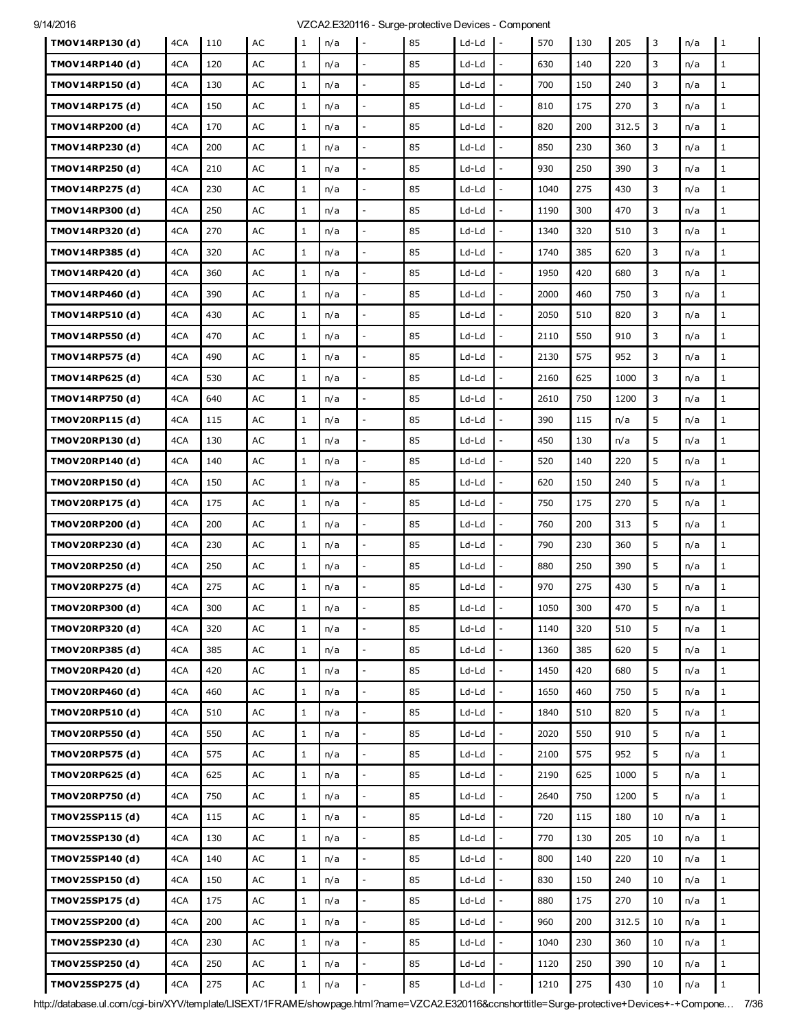| TMOV14RP130 (d) | 4CA | 110 | AC            | 1            | n/a | $\overline{\phantom{a}}$ | 85 | $Ld-Ld$ | $\mathbf{I}$             | 570  | 130 | 205   | 3  | n/a | 1            |
|-----------------|-----|-----|---------------|--------------|-----|--------------------------|----|---------|--------------------------|------|-----|-------|----|-----|--------------|
| TMOV14RP140 (d) | 4CA | 120 | AC            | $\mathbf{1}$ | n/a |                          | 85 | Ld-Ld   |                          | 630  | 140 | 220   | 3  | n/a | $\mathbf{1}$ |
| TMOV14RP150 (d) | 4CA | 130 | AC            | $\mathbf{1}$ | n/a |                          | 85 | Ld-Ld   |                          | 700  | 150 | 240   | 3  | n/a | $\mathbf{1}$ |
| TMOV14RP175 (d) | 4CA | 150 | AC            | $\mathbf{1}$ | n/a | $\overline{\phantom{a}}$ | 85 | $Ld-Ld$ | $\overline{a}$           | 810  | 175 | 270   | 3  | n/a | $\mathbf{1}$ |
| TMOV14RP200 (d) | 4CA | 170 | AC            | $\mathbf{1}$ | n/a |                          | 85 | Ld-Ld   |                          | 820  | 200 | 312.5 | 3  | n/a | $\mathbf{1}$ |
| TMOV14RP230 (d) | 4CA | 200 | AC            | 1            | n/a |                          | 85 | Ld-Ld   |                          | 850  | 230 | 360   | 3  | n/a | $\mathbf{1}$ |
| TMOV14RP250 (d) | 4CA | 210 | AC            | $\mathbf{1}$ | n/a | $\overline{\phantom{a}}$ | 85 | Ld-Ld   | $\overline{a}$           | 930  | 250 | 390   | 3  | n/a | $\mathbf{1}$ |
| TMOV14RP275 (d) | 4CA | 230 | AC            | $\mathbf{1}$ | n/a |                          | 85 | Ld-Ld   |                          | 1040 | 275 | 430   | 3  | n/a | $\mathbf{1}$ |
| TMOV14RP300 (d) | 4CA | 250 | AC            | 1            | n/a |                          | 85 | Ld-Ld   |                          | 1190 | 300 | 470   | 3  | n/a | $\mathbf{1}$ |
| TMOV14RP320 (d) | 4CA | 270 | AC            | $\mathbf{1}$ | n/a | $\sim$                   | 85 | Ld-Ld   | $\overline{a}$           | 1340 | 320 | 510   | 3  | n/a | $\mathbf{1}$ |
| TMOV14RP385 (d) | 4CA | 320 | AC            | $\mathbf{1}$ | n/a |                          | 85 | Ld-Ld   |                          | 1740 | 385 | 620   | 3  | n/a | $\mathbf{1}$ |
| TMOV14RP420 (d) | 4CA | 360 | AC            | $\mathbf{1}$ | n/a |                          | 85 | Ld-Ld   |                          | 1950 | 420 | 680   | 3  | n/a | $\mathbf{1}$ |
| TMOV14RP460 (d) | 4CA | 390 | AC            | $\mathbf{1}$ | n/a |                          | 85 | Ld-Ld   |                          | 2000 | 460 | 750   | 3  | n/a | $\mathbf{1}$ |
| TMOV14RP510 (d) | 4CA | 430 | AC            | $\mathbf{1}$ | n/a |                          | 85 | Ld-Ld   |                          | 2050 | 510 | 820   | 3  | n/a | $\mathbf{1}$ |
| TMOV14RP550 (d) | 4CA | 470 | AC            | 1            | n/a |                          | 85 | Ld-Ld   |                          | 2110 | 550 | 910   | 3  | n/a | $\mathbf{1}$ |
| TMOV14RP575 (d) | 4CA | 490 | AC            | $\mathbf{1}$ | n/a |                          | 85 | Ld-Ld   |                          | 2130 | 575 | 952   | 3  | n/a | $\mathbf{1}$ |
| TMOV14RP625 (d) | 4CA | 530 | AC            | $\mathbf{1}$ | n/a |                          | 85 | Ld-Ld   |                          | 2160 | 625 | 1000  | 3  | n/a | $\mathbf{1}$ |
| TMOV14RP750 (d) | 4CA | 640 | AC            | $\mathbf{1}$ | n/a |                          | 85 | Ld-Ld   |                          | 2610 | 750 | 1200  | 3  | n/a | $\mathbf{1}$ |
| TMOV20RP115 (d) | 4CA | 115 | AC            | $\mathbf{1}$ | n/a | $\sim$                   | 85 | Ld-Ld   |                          | 390  | 115 | n/a   | 5  | n/a | $\mathbf{1}$ |
| TMOV20RP130 (d) | 4CA | 130 | AC            | $\mathbf{1}$ | n/a | $\overline{\phantom{a}}$ | 85 | Ld-Ld   | $\overline{a}$           | 450  | 130 | n/a   | 5  | n/a | $\mathbf{1}$ |
| TMOV20RP140 (d) | 4CA | 140 | AC            | $\mathbf{1}$ | n/a |                          | 85 | Ld-Ld   |                          | 520  | 140 | 220   | 5  | n/a | $\mathbf{1}$ |
| TMOV20RP150 (d) | 4CA | 150 | AC            | $\mathbf{1}$ | n/a |                          | 85 | Ld-Ld   |                          | 620  | 150 | 240   | 5  | n/a | $\mathbf{1}$ |
| TMOV20RP175 (d) | 4CA | 175 | AC            | $\mathbf{1}$ | n/a | $\overline{\phantom{a}}$ | 85 | Ld-Ld   | $\overline{a}$           | 750  | 175 | 270   | 5  | n/a | $\mathbf{1}$ |
| TMOV20RP200 (d) | 4CA | 200 | AC            | 1            | n/a |                          | 85 | Ld-Ld   |                          | 760  | 200 | 313   | 5  | n/a | $\mathbf{1}$ |
| TMOV20RP230 (d) | 4CA | 230 | AC            | $\mathbf{1}$ | n/a |                          | 85 | Ld-Ld   |                          | 790  | 230 | 360   | 5  | n/a | $\mathbf{1}$ |
| TMOV20RP250 (d) | 4CA | 250 | AC            | $\mathbf{1}$ | n/a | $\overline{\phantom{a}}$ | 85 | Ld-Ld   | $\overline{a}$           | 880  | 250 | 390   | 5  | n/a | $\mathbf{1}$ |
| TMOV20RP275 (d) | 4CA | 275 | AC            | $\mathbf{1}$ | n/a |                          | 85 | Ld-Ld   |                          | 970  | 275 | 430   | 5  | n/a | $\mathbf{1}$ |
| TMOV20RP300 (d) | 4CA | 300 | AC            | 1            | n/a |                          | 85 | Ld-Ld   |                          | 1050 | 300 | 470   | 5  | n/a | $\mathbf{1}$ |
| TMOV20RP320 (d) | 4CA | 320 | AC            | $\mathbf{1}$ | n/a | $\overline{\phantom{a}}$ | 85 | Ld-Ld   | $\overline{\phantom{a}}$ | 1140 | 320 | 510   | 5  | n/a | $\mathbf{1}$ |
| TMOV20RP385 (d) | 4CA | 385 | $\mathsf{AC}$ | $\mathbf{1}$ | n/a |                          | 85 | Ld-Ld   |                          | 1360 | 385 | 620   | 5  | n/a | $\mathbf{1}$ |
| TMOV20RP420 (d) | 4CA | 420 | $\mathsf{AC}$ | $\mathbf{1}$ | n/a | $\overline{a}$           | 85 | Ld-Ld   |                          | 1450 | 420 | 680   | 5  | n/a | $\mathbf{1}$ |
| TMOV20RP460 (d) | 4CA | 460 | AC            | $\mathbf{1}$ | n/a | $\mathbb{L}$             | 85 | Ld-Ld   | $\overline{a}$           | 1650 | 460 | 750   | 5  | n/a | $\mathbf{1}$ |
| TMOV20RP510 (d) | 4CA | 510 | $\mathsf{AC}$ | $\mathbf{1}$ | n/a |                          | 85 | Ld-Ld   |                          | 1840 | 510 | 820   | 5  | n/a | $\mathbf{1}$ |
| TMOV20RP550 (d) | 4CA | 550 | AC            | $\mathbf{1}$ | n/a | $\overline{a}$           | 85 | Ld-Ld   |                          | 2020 | 550 | 910   | 5  | n/a | $\mathbf{1}$ |
| TMOV20RP575 (d) | 4CA | 575 | AC            | $\mathbf{1}$ | n/a | $\overline{\phantom{a}}$ | 85 | Ld-Ld   | $\overline{a}$           | 2100 | 575 | 952   | 5  | n/a | $\mathbf{1}$ |
| TMOV20RP625 (d) | 4CA | 625 | $\mathsf{AC}$ | $\mathbf{1}$ | n/a |                          | 85 | Ld-Ld   |                          | 2190 | 625 | 1000  | 5  | n/a | $\mathbf{1}$ |
| TMOV20RP750 (d) | 4CA | 750 | AC            | $\mathbf{1}$ | n/a |                          | 85 | Ld-Ld   |                          | 2640 | 750 | 1200  | 5  | n/a | $\mathbf{1}$ |
| TMOV25SP115 (d) | 4CA | 115 | AC            | $\mathbf{1}$ | n/a | $\overline{\phantom{a}}$ | 85 | Ld-Ld   | $\overline{a}$           | 720  | 115 | 180   | 10 | n/a | $\mathbf{1}$ |
| TMOV25SP130 (d) | 4CA | 130 | AC            | $\mathbf{1}$ | n/a | $\overline{a}$           | 85 | Ld-Ld   | $\overline{a}$           | 770  | 130 | 205   | 10 | n/a | $\mathbf{1}$ |
| TMOV25SP140 (d) | 4CA | 140 | AC            | $\mathbf{1}$ | n/a |                          | 85 | Ld-Ld   |                          | 800  | 140 | 220   | 10 | n/a | $\mathbf{1}$ |
| TMOV25SP150 (d) | 4CA | 150 | $\mathsf{AC}$ | $\mathbf{1}$ | n/a | $\overline{a}$           | 85 | Ld-Ld   | $\overline{a}$           | 830  | 150 | 240   | 10 | n/a | $\mathbf{1}$ |
| TMOV25SP175 (d) | 4CA | 175 | AC            | $\mathbf{1}$ | n/a | $\overline{\phantom{a}}$ | 85 | Ld-Ld   |                          | 880  | 175 | 270   | 10 | n/a | $\mathbf{1}$ |
| TMOV25SP200 (d) | 4CA | 200 | AC            | $\mathbf{1}$ | n/a |                          | 85 | Ld-Ld   |                          | 960  | 200 | 312.5 | 10 | n/a | $\mathbf{1}$ |
| TMOV25SP230 (d) | 4CA | 230 | AC            | $\mathbf{1}$ | n/a |                          | 85 | Ld-Ld   |                          | 1040 | 230 | 360   | 10 | n/a | $\mathbf{1}$ |
| TMOV25SP250 (d) | 4CA | 250 | AC            | $\mathbf{1}$ | n/a | $\overline{\phantom{a}}$ | 85 | Ld-Ld   |                          | 1120 | 250 | 390   | 10 | n/a | $\mathbf{1}$ |
| TMOV25SP275 (d) | 4CA | 275 | $\sf AC$      | 1            | n/a |                          | 85 | Ld-Ld   |                          | 1210 | 275 | 430   | 10 | n/a | $1\,$        |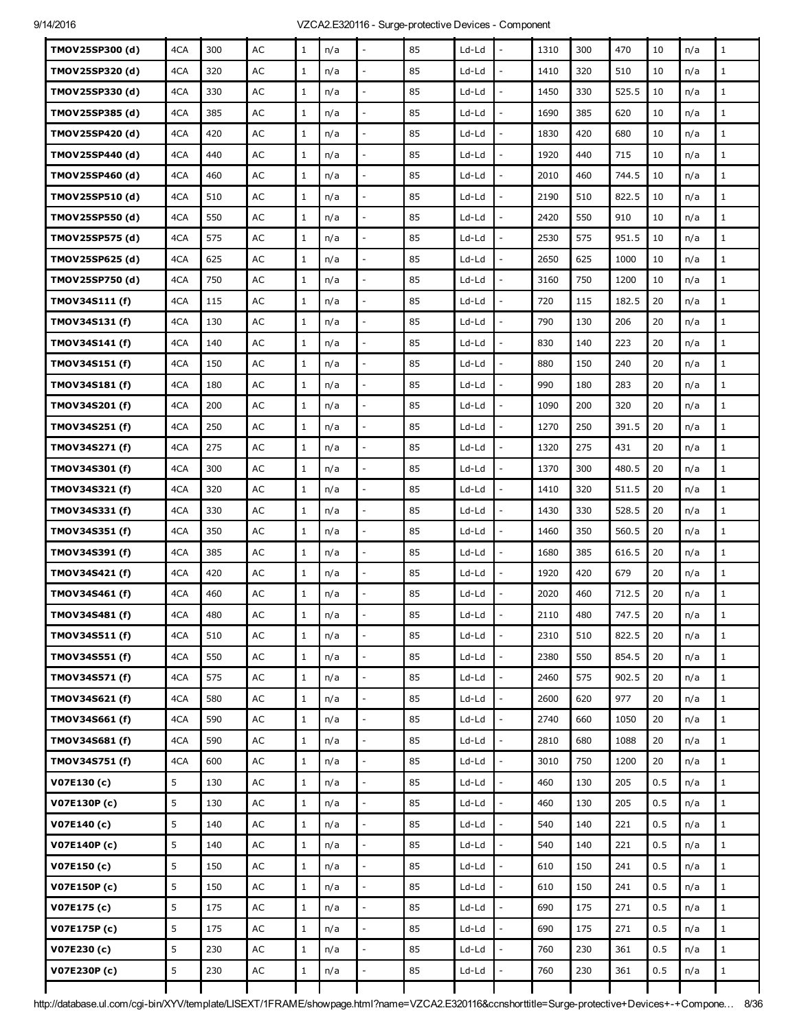| TMOV25SP300 (d) | 4CA | 300 | AC            | $\mathbf{1}$ | n/a |                          | 85 | Ld-Ld   |                          | 1310 | 300 | 470   | 10  | n/a | $\mathbf{1}$ |
|-----------------|-----|-----|---------------|--------------|-----|--------------------------|----|---------|--------------------------|------|-----|-------|-----|-----|--------------|
| TMOV25SP320 (d) | 4CA | 320 | AC            | $\mathbf{1}$ | n/a |                          | 85 | Ld-Ld   | ÷,                       | 1410 | 320 | 510   | 10  | n/a | $\mathbf{1}$ |
| TMOV25SP330 (d) | 4CA | 330 | AC            | $\mathbf{1}$ | n/a | $\overline{\phantom{a}}$ | 85 | Ld-Ld   | $\overline{a}$           | 1450 | 330 | 525.5 | 10  | n/a | $\mathbf 1$  |
| TMOV25SP385 (d) | 4CA | 385 | AC            | $\mathbf{1}$ | n/a |                          | 85 | Ld-Ld   |                          | 1690 | 385 | 620   | 10  | n/a | $\mathbf{1}$ |
| TMOV25SP420 (d) | 4CA | 420 | AC            | $\mathbf{1}$ | n/a | $\overline{a}$           | 85 | Ld-Ld   | $\overline{a}$           | 1830 | 420 | 680   | 10  | n/a | $\mathbf{1}$ |
| TMOV25SP440 (d) | 4CA | 440 | AC            | $\mathbf{1}$ | n/a | $\sim$                   | 85 | Ld-Ld   | $\overline{a}$           | 1920 | 440 | 715   | 10  | n/a | $\mathbf{1}$ |
| TMOV25SP460 (d) | 4CA | 460 | AC            | $\mathbf{1}$ | n/a |                          | 85 | Ld-Ld   | L,                       | 2010 | 460 | 744.5 | 10  | n/a | $\mathbf{1}$ |
| TMOV25SP510 (d) | 4CA | 510 | AC            | $\mathbf{1}$ | n/a |                          | 85 | Ld-Ld   |                          | 2190 | 510 | 822.5 | 10  | n/a | $1\,$        |
| TMOV25SP550 (d) | 4CA | 550 | AC            | $\mathbf{1}$ | n/a | $\overline{a}$           | 85 | Ld-Ld   | L,                       | 2420 | 550 | 910   | 10  | n/a | $\mathbf{1}$ |
| TMOV25SP575 (d) | 4CA | 575 | AC            | $\mathbf{1}$ | n/a |                          | 85 | Ld-Ld   | $\overline{a}$           | 2530 | 575 | 951.5 | 10  | n/a | $\mathbf{1}$ |
| TMOV25SP625 (d) | 4CA | 625 | AC            | $\mathbf{1}$ | n/a |                          | 85 | Ld-Ld   |                          | 2650 | 625 | 1000  | 10  | n/a | $1\,$        |
| TMOV25SP750 (d) | 4CA | 750 | AC            | $\mathbf{1}$ | n/a | $\overline{a}$           | 85 | Ld-Ld   |                          | 3160 | 750 | 1200  | 10  | n/a | $\mathbf{1}$ |
| TMOV34S111 (f)  | 4CA | 115 | AC            | $\mathbf{1}$ | n/a | $\overline{\phantom{a}}$ | 85 | Ld-Ld   | ÷,                       | 720  | 115 | 182.5 | 20  | n/a | $\mathbf{1}$ |
| TMOV34S131 (f)  | 4CA | 130 | AC            | $\mathbf{1}$ | n/a |                          | 85 | Ld-Ld   |                          | 790  | 130 | 206   | 20  | n/a | $1\,$        |
| TMOV34S141 (f)  | 4CA | 140 | AC            | $\mathbf{1}$ | n/a |                          | 85 | $Ld-Ld$ |                          | 830  | 140 | 223   | 20  | n/a | $\mathbf{1}$ |
| TMOV34S151 (f)  | 4CA | 150 | AC            | $\mathbf{1}$ | n/a | $\overline{\phantom{a}}$ | 85 | Ld-Ld   | $\frac{1}{2}$            | 880  | 150 | 240   | 20  | n/a | $\mathbf{1}$ |
| TMOV34S181 (f)  | 4CA | 180 | AC            | $\mathbf{1}$ | n/a |                          | 85 | Ld-Ld   |                          | 990  | 180 | 283   | 20  | n/a | $\mathbf{1}$ |
| TMOV34S201 (f)  | 4CA | 200 | AC            | $\mathbf{1}$ | n/a |                          | 85 | Ld-Ld   | L,                       | 1090 | 200 | 320   | 20  | n/a | $\mathbf{1}$ |
| TMOV34S251 (f)  | 4CA | 250 | AC            | $\mathbf{1}$ | n/a | $\overline{\phantom{a}}$ | 85 | Ld-Ld   | $\overline{a}$           | 1270 | 250 | 391.5 | 20  | n/a | $\mathbf{1}$ |
| TMOV34S271 (f)  | 4CA | 275 | AC            | $\mathbf{1}$ | n/a |                          | 85 | Ld-Ld   |                          | 1320 | 275 | 431   | 20  | n/a | $\mathbf{1}$ |
| TMOV34S301 (f)  | 4CA | 300 | AC            | $\mathbf{1}$ | n/a |                          | 85 | Ld-Ld   | $\overline{\phantom{a}}$ | 1370 | 300 | 480.5 | 20  | n/a | $\mathbf{1}$ |
| TMOV34S321 (f)  | 4CA | 320 | AC            | $\mathbf{1}$ | n/a | $\overline{a}$           | 85 | Ld-Ld   | $\overline{\phantom{a}}$ | 1410 | 320 | 511.5 | 20  | n/a | $\mathbf 1$  |
| TMOV34S331 (f)  | 4CA | 330 | AC            | $\mathbf{1}$ | n/a |                          | 85 | Ld-Ld   |                          | 1430 | 330 | 528.5 | 20  | n/a | $\mathbf{1}$ |
| TMOV34S351 (f)  | 4CA | 350 | AC            | $\mathbf 1$  | n/a |                          | 85 | Ld-Ld   | L,                       | 1460 | 350 | 560.5 | 20  | n/a | $\mathbf{1}$ |
| TMOV34S391 (f)  | 4CA | 385 | AC            | $\mathbf{1}$ | n/a | $\overline{a}$           | 85 | Ld-Ld   | $\frac{1}{2}$            | 1680 | 385 | 616.5 | 20  | n/a | $\mathbf 1$  |
| TMOV34S421 (f)  | 4CA | 420 | AC            | $\mathbf{1}$ | n/a |                          | 85 | Ld-Ld   |                          | 1920 | 420 | 679   | 20  | n/a | $\mathbf{1}$ |
| TMOV34S461 (f)  | 4CA | 460 | AC            | $\mathbf{1}$ | n/a |                          | 85 | Ld-Ld   |                          | 2020 | 460 | 712.5 | 20  | n/a | $\mathbf{1}$ |
| TMOV34S481 (f)  | 4CA | 480 | $\mathsf{AC}$ | $\mathbf 1$  | n/a |                          | 85 | Ld-Ld   |                          | 2110 | 480 | 747.5 | 20  | n/a | $\mathbf 1$  |
| TMOV34S511 (f)  | 4CA | 510 | AC            | $\,1$        | n/a | $\frac{1}{2}$            | 85 | Ld-Ld   | $\overline{a}$           | 2310 | 510 | 822.5 | 20  | n/a | $\mathbf{1}$ |
| TMOV34S551 (f)  | 4CA | 550 | $\mathsf{AC}$ | $\mathbf{1}$ | n/a |                          | 85 | Ld-Ld   |                          | 2380 | 550 | 854.5 | 20  | n/a | $1\,$        |
| TMOV34S571 (f)  | 4CA | 575 | $\mathsf{AC}$ | $\mathbf{1}$ | n/a | $\overline{\phantom{a}}$ | 85 | Ld-Ld   | $\overline{a}$           | 2460 | 575 | 902.5 | 20  | n/a | $\mathbf 1$  |
| TMOV34S621 (f)  | 4CA | 580 | $\mathsf{AC}$ | $\mathbf{1}$ | n/a | $\frac{1}{2}$            | 85 | Ld-Ld   | ÷,                       | 2600 | 620 | 977   | 20  | n/a | $1\,$        |
| TMOV34S661 (f)  | 4CA | 590 | $\mathsf{AC}$ | $\mathbf{1}$ | n/a |                          | 85 | Ld-Ld   | $\overline{\phantom{a}}$ | 2740 | 660 | 1050  | 20  | n/a | $\mathbf{1}$ |
| TMOV34S681 (f)  | 4CA | 590 | $\mathsf{AC}$ | $\mathbf{1}$ | n/a | $\overline{\phantom{a}}$ | 85 | $Ld-Ld$ | $\overline{a}$           | 2810 | 680 | 1088  | 20  | n/a | $1\,$        |
| TMOV34S751 (f)  | 4CA | 600 | AC            | $\mathbf{1}$ | n/a | $\blacksquare$           | 85 | Ld-Ld   | $\overline{a}$           | 3010 | 750 | 1200  | 20  | n/a | $\mathbf{1}$ |
| V07E130(c)      | 5   | 130 | $\mathsf{AC}$ | $\mathbf{1}$ | n/a |                          | 85 | Ld-Ld   |                          | 460  | 130 | 205   | 0.5 | n/a | $\,1$        |
| V07E130P (c)    | 5   | 130 | AC            | $\mathbf{1}$ | n/a |                          | 85 | Ld-Ld   |                          | 460  | 130 | 205   | 0.5 | n/a | $\mathbf{1}$ |
| V07E140 (c)     | 5   | 140 | AC            | $\mathbf{1}$ | n/a | $\mathbb{L}$             | 85 | Ld-Ld   | $\overline{\phantom{a}}$ | 540  | 140 | 221   | 0.5 | n/a | $1\,$        |
| V07E140P (c)    | 5   | 140 | $\mathsf{AC}$ | $\mathbf{1}$ | n/a |                          | 85 | Ld-Ld   | $\overline{a}$           | 540  | 140 | 221   | 0.5 | n/a | $1\,$        |
| V07E150(c)      | 5   | 150 | $\mathsf{AC}$ | $\mathbf{1}$ | n/a | $\bar{\phantom{a}}$      | 85 | $Ld-Ld$ | $\overline{a}$           | 610  | 150 | 241   | 0.5 | n/a | $1\,$        |
| V07E150P (c)    | 5   | 150 | AC            | $\mathbf{1}$ | n/a | $\mathbb{L}$             | 85 | Ld-Ld   | $\frac{1}{2}$            | 610  | 150 | 241   | 0.5 | n/a | $\mathbf 1$  |
| V07E175(c)      | 5   | 175 | $\mathsf{AC}$ | $\mathbf{1}$ | n/a |                          | 85 | Ld-Ld   | $\overline{a}$           | 690  | 175 | 271   | 0.5 | n/a | $\mathbf{1}$ |
| V07E175P (c)    | 5   | 175 | $\mathsf{AC}$ | $\mathbf{1}$ | n/a | $\frac{1}{2}$            | 85 | Ld-Ld   | $\overline{a}$           | 690  | 175 | 271   | 0.5 | n/a | $\mathbf{1}$ |
| V07E230 (c)     | 5   | 230 | AC            | $\mathbf{1}$ | n/a | $\overline{\phantom{a}}$ | 85 | Ld-Ld   | $\overline{\phantom{a}}$ | 760  | 230 | 361   | 0.5 | n/a | $1\,$        |
| V07E230P (c)    | 5   | 230 | $\mathsf{AC}$ | $\mathbf{1}$ | n/a |                          | 85 | Ld-Ld   |                          | 760  | 230 | 361   | 0.5 | n/a | $\mathbf{1}$ |
|                 |     |     |               |              |     |                          |    |         |                          |      |     |       |     |     |              |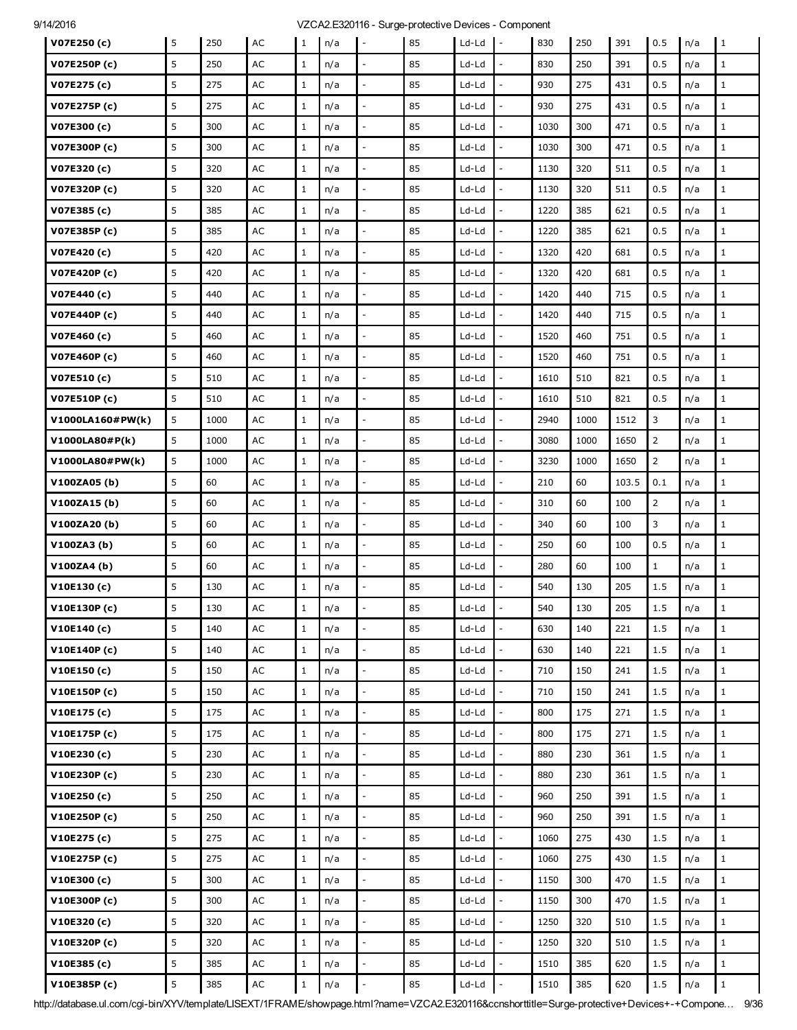| V07E250 (c)        | 5 | 250  | AC            | 1            | n/a | $\overline{\phantom{a}}$ | 85 | Ld-Ld   | $\mathbf{I}$ –           | 830  | 250  | 391   | 0.5            | n/a | 1            |
|--------------------|---|------|---------------|--------------|-----|--------------------------|----|---------|--------------------------|------|------|-------|----------------|-----|--------------|
| V07E250P (c)       | 5 | 250  | AC            | $\mathbf{1}$ | n/a |                          | 85 | Ld-Ld   |                          | 830  | 250  | 391   | 0.5            | n/a | $\mathbf{1}$ |
| V07E275 (c)        | 5 | 275  | AC            | $\mathbf{1}$ | n/a | $\overline{\phantom{a}}$ | 85 | Ld-Ld   |                          | 930  | 275  | 431   | 0.5            | n/a | $\mathbf{1}$ |
| V07E275P (c)       | 5 | 275  | AC            | $\mathbf{1}$ | n/a | $\overline{\phantom{a}}$ | 85 | Ld-Ld   | $\overline{a}$           | 930  | 275  | 431   | 0.5            | n/a | $\mathbf{1}$ |
| V07E300 (c)        | 5 | 300  | AC            | $\mathbf{1}$ | n/a | $\overline{\phantom{a}}$ | 85 | Ld-Ld   | $\overline{a}$           | 1030 | 300  | 471   | 0.5            | n/a | $\mathbf{1}$ |
| V07E300P (c)       | 5 | 300  | AC            | $\mathbf{1}$ | n/a |                          | 85 | Ld-Ld   |                          | 1030 | 300  | 471   | 0.5            | n/a | $\mathbf{1}$ |
| V07E320 (c)        | 5 | 320  | AC            | $\mathbf{1}$ | n/a | $\overline{a}$           | 85 | Ld-Ld   |                          | 1130 | 320  | 511   | 0.5            | n/a | $\mathbf{1}$ |
| V07E320P (c)       | 5 | 320  | AC            | $\mathbf{1}$ | n/a | $\qquad \qquad -$        | 85 | Ld-Ld   |                          | 1130 | 320  | 511   | 0.5            | n/a | $\mathbf{1}$ |
| V07E385 (c)        | 5 | 385  | AC            | $\mathbf{1}$ | n/a |                          | 85 | Ld-Ld   |                          | 1220 | 385  | 621   | 0.5            | n/a | $\mathbf{1}$ |
| V07E385P (c)       | 5 | 385  | AC            | $\mathbf{1}$ | n/a | $\overline{a}$           | 85 | Ld-Ld   |                          | 1220 | 385  | 621   | 0.5            | n/a | $\mathbf{1}$ |
| V07E420 (c)        | 5 | 420  | AC            | $\mathbf{1}$ | n/a | $\overline{\phantom{a}}$ | 85 | Ld-Ld   | $\overline{a}$           | 1320 | 420  | 681   | 0.5            | n/a | $\mathbf{1}$ |
| V07E420P (c)       | 5 | 420  | АC            | $\mathbf{1}$ | n/a |                          | 85 | Ld-Ld   |                          | 1320 | 420  | 681   | 0.5            | n/a | $\mathbf{1}$ |
| V07E440 (c)        | 5 | 440  | AC            | $\mathbf{1}$ | n/a | $\overline{\phantom{a}}$ | 85 | Ld-Ld   |                          | 1420 | 440  | 715   | 0.5            | n/a | $\mathbf{1}$ |
| V07E440P (c)       | 5 | 440  | AC            | $\mathbf{1}$ | n/a | $\overline{\phantom{a}}$ | 85 | Ld-Ld   | $\overline{a}$           | 1420 | 440  | 715   | 0.5            | n/a | $\mathbf{1}$ |
| V07E460 (c)        | 5 | 460  | AC            | $\mathbf{1}$ | n/a |                          | 85 | Ld-Ld   |                          | 1520 | 460  | 751   | 0.5            | n/a | $\mathbf{1}$ |
| V07E460P (c)       | 5 | 460  | AC            | $\mathbf{1}$ | n/a | $\overline{\phantom{a}}$ | 85 | Ld-Ld   |                          | 1520 | 460  | 751   | 0.5            | n/a | $1\,$        |
| V07E510(c)         | 5 | 510  | AC            | $\mathbf{1}$ | n/a | $\Box$                   | 85 | Ld-Ld   | $\overline{a}$           | 1610 | 510  | 821   | 0.5            | n/a | $\mathbf{1}$ |
| <b>V07E510P(c)</b> | 5 | 510  | AC            | $\mathbf{1}$ | n/a |                          | 85 | Ld-Ld   |                          | 1610 | 510  | 821   | 0.5            | n/a | $\mathbf{1}$ |
| V1000LA160#PW(k)   | 5 | 1000 | AC            | $\mathbf{1}$ | n/a | $\overline{\phantom{a}}$ | 85 | Ld-Ld   |                          | 2940 | 1000 | 1512  | 3              | n/a | $\mathbf{1}$ |
| V1000LA80#P(k)     | 5 | 1000 | AC            | $\mathbf{1}$ | n/a | $\Box$                   | 85 | Ld-Ld   | $\overline{a}$           | 3080 | 1000 | 1650  | $\overline{2}$ | n/a | $\mathbf{1}$ |
| V1000LA80#PW(k)    | 5 | 1000 | АC            | $\mathbf{1}$ | n/a |                          | 85 | Ld-Ld   |                          | 3230 | 1000 | 1650  | $\overline{2}$ | n/a | $\mathbf{1}$ |
| V100ZA05(b)        | 5 | 60   | AC            | $\mathbf{1}$ | n/a | $\overline{\phantom{a}}$ | 85 | Ld-Ld   |                          | 210  | 60   | 103.5 | 0.1            | n/a | $\mathbf{1}$ |
| V100ZA15(b)        | 5 | 60   | AC            | $\mathbf{1}$ | n/a | $\overline{\phantom{a}}$ | 85 | Ld-Ld   | $\overline{a}$           | 310  | 60   | 100   | $\overline{2}$ | n/a | $\mathbf{1}$ |
| V100ZA20(b)        | 5 | 60   | AC            | $\mathbf{1}$ | n/a |                          | 85 | Ld-Ld   |                          | 340  | 60   | 100   | 3              | n/a | $\mathbf{1}$ |
| V100ZA3(b)         | 5 | 60   | AC            | $\mathbf{1}$ | n/a | $\overline{\phantom{a}}$ | 85 | Ld-Ld   |                          | 250  | 60   | 100   | 0.5            | n/a | $\mathbf{1}$ |
| V100ZA4(b)         | 5 | 60   | AC            | $\mathbf{1}$ | n/a | $\overline{\phantom{a}}$ | 85 | Ld-Ld   | $\overline{a}$           | 280  | 60   | 100   | $\mathbf{1}$   | n/a | $\mathbf{1}$ |
| V10E130 (c)        | 5 | 130  | AC            | $\mathbf{1}$ | n/a |                          | 85 | Ld-Ld   |                          | 540  | 130  | 205   | 1.5            | n/a | $1\,$        |
| V10E130P(c)        | 5 | 130  | AC            | $\mathbf{1}$ | n/a |                          | 85 | Ld-Ld   |                          | 540  | 130  | 205   | 1.5            | n/a | $1\,$        |
| V10E140 (c)        | 5 | 140  | $\mathsf{AC}$ | $\mathbf{1}$ | n/a | $\overline{\phantom{a}}$ | 85 | Ld-Ld   | $\frac{1}{2}$            | 630  | 140  | 221   | 1.5            | n/a | $\mathbf{1}$ |
| V10E140P (c)       | 5 | 140  | AC            | $\mathbf{1}$ | n/a | $\overline{\phantom{a}}$ | 85 | $Ld-Ld$ |                          | 630  | 140  | 221   | 1.5            | n/a | $\mathbf{1}$ |
| V10E150(c)         | 5 | 150  | AC            | $\mathbf{1}$ | n/a | $\overline{a}$           | 85 | Ld-Ld   | $\overline{a}$           | 710  | 150  | 241   | 1.5            | n/a | $\mathbf{1}$ |
| V10E150P(c)        | 5 | 150  | $\mathsf{AC}$ | $\mathbf{1}$ | n/a | $\overline{\phantom{a}}$ | 85 | $Ld-Ld$ | $\overline{a}$           | 710  | 150  | 241   | 1.5            | n/a | $\mathbf{1}$ |
| V10E175(c)         | 5 | 175  | $\mathsf{AC}$ | $\mathbf{1}$ | n/a | $\blacksquare$           | 85 | Ld-Ld   | $\frac{1}{2}$            | 800  | 175  | 271   | 1.5            | n/a | $\mathbf{1}$ |
| V10E175P (c)       | 5 | 175  | AC            | $\mathbf{1}$ | n/a | $\overline{\phantom{a}}$ | 85 | Ld-Ld   | $\overline{a}$           | 800  | 175  | 271   | 1.5            | n/a | $\mathbf{1}$ |
| V10E230(c)         | 5 | 230  | AC            | $\mathbf{1}$ | n/a | $\overline{\phantom{a}}$ | 85 | Ld-Ld   | $\overline{a}$           | 880  | 230  | 361   | 1.5            | n/a | $\mathbf{1}$ |
| V10E230P (c)       | 5 | 230  | AC            | $\mathbf{1}$ | n/a | $\Box$                   | 85 | Ld-Ld   | $\overline{\phantom{a}}$ | 880  | 230  | 361   | 1.5            | n/a | $\mathbf{1}$ |
| V10E250(c)         | 5 | 250  | $\mathsf{AC}$ | $\mathbf{1}$ | n/a | $\overline{\phantom{a}}$ | 85 | $Ld-Ld$ | $\overline{a}$           | 960  | 250  | 391   | 1.5            | n/a | $\mathbf{1}$ |
| V10E250P (c)       | 5 | 250  | AC            | $\mathbf{1}$ | n/a | $\overline{\phantom{a}}$ | 85 | Ld-Ld   | $\overline{a}$           | 960  | 250  | 391   | 1.5            | n/a | $\mathbf{1}$ |
| V10E275 (c)        | 5 | 275  | AC            | $\mathbf{1}$ | n/a | $\Box$                   | 85 | Ld-Ld   | $\overline{\phantom{a}}$ | 1060 | 275  | 430   | 1.5            | n/a | $\mathbf{1}$ |
| V10E275P (c)       | 5 | 275  | $\mathsf{AC}$ | $\mathbf{1}$ | n/a | $\overline{a}$           | 85 | Ld-Ld   |                          | 1060 | 275  | 430   | 1.5            | n/a | $\mathbf{1}$ |
| V10E300 (c)        | 5 | 300  | AC            | $\mathbf{1}$ | n/a | $\overline{\phantom{a}}$ | 85 | Ld-Ld   | $\overline{a}$           | 1150 | 300  | 470   | 1.5            | n/a | $\mathbf{1}$ |
| V10E300P (c)       | 5 | 300  | AC            | $\mathbf{1}$ | n/a | $\overline{\phantom{a}}$ | 85 | Ld-Ld   | $\overline{a}$           | 1150 | 300  | 470   | 1.5            | n/a | $\mathbf{1}$ |
| V10E320 (c)        | 5 | 320  | $\mathsf{AC}$ | $\mathbf{1}$ | n/a | $\overline{a}$           | 85 | Ld-Ld   |                          | 1250 | 320  | 510   | 1.5            | n/a | $\mathbf{1}$ |
| V10E320P (c)       | 5 | 320  | $\mathsf{AC}$ | $\mathbf{1}$ | n/a | $\overline{\phantom{a}}$ | 85 | Ld-Ld   |                          | 1250 | 320  | 510   | 1.5            | n/a | $\mathbf{1}$ |
| V10E385(c)         | 5 | 385  | $\mathsf{AC}$ | $\mathbf{1}$ | n/a | $\overline{\phantom{a}}$ | 85 | Ld-Ld   | $\frac{1}{2}$            | 1510 | 385  | 620   | 1.5            | n/a | $\mathbf{1}$ |
| V10E385P (c)       | 5 | 385  | $\mathsf{AC}$ | $\mathbf{1}$ | n/a | $\bar{\phantom{a}}$      | 85 | Ld-Ld   | $\overline{a}$           | 1510 | 385  | 620   | $1.5$          | n/a | $\mathbf{1}$ |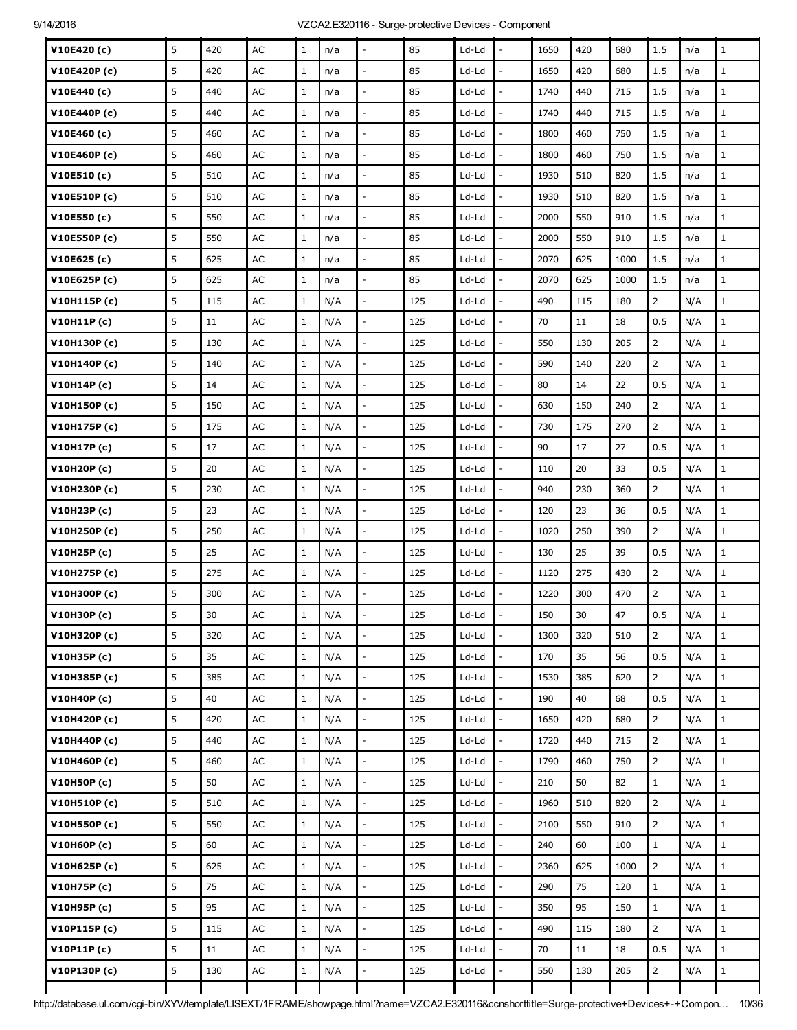| V10E420 (c)  | 5 | 420    | AC            | $\mathbf{1}$ | n/a |                          | 85  | Ld-Ld   |                          | 1650 | 420    | 680  | 1.5            | n/a | $\mathbf{1}$ |
|--------------|---|--------|---------------|--------------|-----|--------------------------|-----|---------|--------------------------|------|--------|------|----------------|-----|--------------|
| V10E420P(c)  | 5 | 420    | AC            | $\mathbf{1}$ | n/a |                          | 85  | Ld-Ld   | $\overline{\phantom{a}}$ | 1650 | 420    | 680  | 1.5            | n/a | $\mathbf{1}$ |
| V10E440 (c)  | 5 | 440    | AC            | $\mathbf{1}$ | n/a | $\overline{\phantom{a}}$ | 85  | Ld-Ld   | $\frac{1}{2}$            | 1740 | 440    | 715  | 1.5            | n/a | $1\,$        |
| V10E440P (c) | 5 | 440    | AC            | $\mathbf{1}$ | n/a |                          | 85  | Ld-Ld   |                          | 1740 | 440    | 715  | 1.5            | n/a | $\mathbf{1}$ |
| V10E460 (c)  | 5 | 460    | AC            | $\mathbf{1}$ | n/a |                          | 85  | Ld-Ld   | ÷,                       | 1800 | 460    | 750  | 1.5            | n/a | $\mathbf{1}$ |
| V10E460P(c)  | 5 | 460    | AC            | $\mathbf{1}$ | n/a | $\overline{a}$           | 85  | Ld-Ld   | $\overline{a}$           | 1800 | 460    | 750  | 1.5            | n/a | $\mathbf 1$  |
| V10E510(c)   | 5 | 510    | AC            | $\mathbf{1}$ | n/a |                          | 85  | Ld-Ld   |                          | 1930 | 510    | 820  | 1.5            | n/a | $\mathbf{1}$ |
| V10E510P(c)  | 5 | 510    | AC            | $\mathbf{1}$ | n/a | $\overline{a}$           | 85  | Ld-Ld   | $\overline{a}$           | 1930 | 510    | 820  | 1.5            | n/a | $\mathbf{1}$ |
| V10E550 (c)  | 5 | 550    | AC            | $\mathbf{1}$ | n/a | $\sim$                   | 85  | Ld-Ld   | $\overline{a}$           | 2000 | 550    | 910  | 1.5            | n/a | $\mathbf{1}$ |
| V10E550P(c)  | 5 | 550    | AC            | $\mathbf{1}$ | n/a |                          | 85  | Ld-Ld   |                          | 2000 | 550    | 910  | 1.5            | n/a | $\mathbf 1$  |
| V10E625 (c)  | 5 | 625    | AC            | $\mathbf{1}$ | n/a | $\overline{a}$           | 85  | Ld-Ld   | L,                       | 2070 | 625    | 1000 | 1.5            | n/a | $\mathbf 1$  |
| V10E625P (c) | 5 | 625    | AC            | $\mathbf{1}$ | n/a | $\sim$                   | 85  | Ld-Ld   | $\overline{a}$           | 2070 | 625    | 1000 | 1.5            | n/a | $\mathbf{1}$ |
| V10H115P(c)  | 5 | 115    | AC            | $\mathbf{1}$ | N/A | $\overline{a}$           | 125 | Ld-Ld   | ÷,                       | 490  | 115    | 180  | $\overline{2}$ | N/A | $\mathbf{1}$ |
| V10H11P(c)   | 5 | 11     | AC            | $\mathbf{1}$ | N/A |                          | 125 | Ld-Ld   |                          | 70   | 11     | 18   | 0.5            | N/A | $1\,$        |
| V10H130P(c)  | 5 | 130    | AC            | $\mathbf{1}$ | N/A | $\sim$                   | 125 | Ld-Ld   | $\overline{a}$           | 550  | 130    | 205  | $\overline{2}$ | N/A | $\mathbf{1}$ |
| V10H140P(c)  | 5 | 140    | AC            | $\mathbf{1}$ | N/A | $\overline{a}$           | 125 | Ld-Ld   | ÷,                       | 590  | 140    | 220  | $\overline{2}$ | N/A | $\mathbf{1}$ |
| V10H14P(c)   | 5 | 14     | AC            | $\mathbf{1}$ | N/A |                          | 125 | Ld-Ld   | $\overline{a}$           | 80   | 14     | 22   | 0.5            | N/A | $\mathbf 1$  |
| V10H150P (c) | 5 | 150    | AC            | $\mathbf{1}$ | N/A |                          | 125 | Ld-Ld   | L,                       | 630  | 150    | 240  | $\overline{2}$ | N/A | $\mathbf{1}$ |
| V10H175P (c) | 5 | 175    | AC            | $\mathbf{1}$ | N/A | $\overline{\phantom{a}}$ | 125 | Ld-Ld   | $\overline{\phantom{a}}$ | 730  | 175    | 270  | $\overline{2}$ | N/A | $\mathbf{1}$ |
| V10H17P(c)   | 5 | 17     | AC            | $\mathbf{1}$ | N/A |                          | 125 | Ld-Ld   |                          | 90   | 17     | 27   | 0.5            | N/A | $\mathbf{1}$ |
| V10H20P (c)  | 5 | 20     | AC            | $\mathbf{1}$ | N/A |                          | 125 | Ld-Ld   | ÷,                       | 110  | 20     | 33   | 0.5            | N/A | $\mathbf{1}$ |
| V10H230P(c)  | 5 | 230    | AC            | $\mathbf{1}$ | N/A | $\overline{\phantom{a}}$ | 125 | Ld-Ld   | $\overline{\phantom{a}}$ | 940  | 230    | 360  | $\overline{2}$ | N/A | $\mathbf{1}$ |
| V10H23P (c)  | 5 | 23     | AC            | $\mathbf{1}$ | N/A |                          | 125 | Ld-Ld   |                          | 120  | 23     | 36   | 0.5            | N/A | $\mathbf{1}$ |
| V10H250P (c) | 5 | 250    | AC            | $\mathbf{1}$ | N/A |                          | 125 | Ld-Ld   | L,                       | 1020 | 250    | 390  | $\overline{2}$ | N/A | $\mathbf{1}$ |
| V10H25P (c)  | 5 | 25     | AC            | $\mathbf{1}$ | N/A | $\mathbb{L}$             | 125 | Ld-Ld   | $\frac{1}{2}$            | 130  | 25     | 39   | 0.5            | N/A | $\mathbf 1$  |
| V10H275P (c) | 5 | 275    | AC            | $\mathbf{1}$ | N/A |                          | 125 | Ld-Ld   |                          | 1120 | 275    | 430  | $\overline{2}$ | N/A | $\mathbf{1}$ |
| V10H300P (c) | 5 | 300    | AC            | $1\,$        | N/A |                          | 125 | Ld-Ld   |                          | 1220 | 300    | 470  | $\overline{2}$ | N/A | $\,1\,$      |
| V10H30P (c)  | 5 | $30\,$ | AC            | $\mathbf 1$  | N/A |                          | 125 | Ld-Ld   |                          | 150  | $30\,$ | 47   | 0.5            | N/A |              |
| V10H320P (c) | 5 | 320    | AC            | $\mathbf{1}$ | N/A |                          | 125 | Ld-Ld   |                          | 1300 | 320    | 510  | $\overline{2}$ | N/A | $\mathbf{1}$ |
| V10H35P (c)  | 5 | 35     | $\mathsf{AC}$ | $\mathbf{1}$ | N/A | $\overline{a}$           | 125 | Ld-Ld   | $\overline{a}$           | 170  | 35     | 56   | 0.5            | N/A | $1\,$        |
| V10H385P (c) | 5 | 385    | $\mathsf{AC}$ | $\mathbf{1}$ | N/A | $\Box$                   | 125 | $Ld-Ld$ | $\frac{1}{2}$            | 1530 | 385    | 620  | $\overline{2}$ | N/A | $\,1$        |
| V10H40P (c)  | 5 | 40     | $\mathsf{AC}$ | $\mathbf{1}$ | N/A |                          | 125 | Ld-Ld   | $\overline{a}$           | 190  | 40     | 68   | 0.5            | N/A | $\mathbf{1}$ |
| V10H420P (c) | 5 | 420    | AC            | $\,1$        | N/A | $\overline{a}$           | 125 | Ld-Ld   | $\frac{1}{2}$            | 1650 | 420    | 680  | $\overline{2}$ | N/A | $\mathbf{1}$ |
| V10H440P (c) | 5 | 440    | $\mathsf{AC}$ | $\mathbf{1}$ | N/A | $\overline{\phantom{a}}$ | 125 | $Ld-Ld$ | $\overline{\phantom{a}}$ | 1720 | 440    | 715  | $\overline{2}$ | N/A | $\mathbf 1$  |
| V10H460P (c) | 5 | 460    | $\mathsf{AC}$ | $\,1$        | N/A | $\frac{1}{2}$            | 125 | Ld-Ld   | $\overline{a}$           | 1790 | 460    | 750  | $\overline{2}$ | N/A | $\mathbf 1$  |
| V10H50P (c)  | 5 | 50     | $\mathsf{AC}$ | $\mathbf{1}$ | N/A |                          | 125 | Ld-Ld   | $\overline{a}$           | 210  | 50     | 82   | $\mathbf 1$    | N/A | $\mathbf{1}$ |
| V10H510P (c) | 5 | 510    | $\mathsf{AC}$ | $\mathbf{1}$ | N/A | $\overline{\phantom{a}}$ | 125 | $Ld-Ld$ | $\overline{a}$           | 1960 | 510    | 820  | $\overline{2}$ | N/A | $1\,$        |
| V10H550P (c) | 5 | 550    | $\mathsf{AC}$ | $\mathbf{1}$ | N/A | $\frac{1}{2}$            | 125 | Ld-Ld   | $\overline{a}$           | 2100 | 550    | 910  | $\overline{2}$ | N/A | $1\,$        |
| V10H60P (c)  | 5 | 60     | $\mathsf{AC}$ | $\mathbf{1}$ | N/A |                          | 125 | Ld-Ld   | $\overline{a}$           | 240  | 60     | 100  | $\mathbf{1}$   | N/A | $\mathbf{1}$ |
| V10H625P (c) | 5 | 625    | $\mathsf{AC}$ | $\mathbf{1}$ | N/A | $\frac{1}{2}$            | 125 | $Ld-Ld$ | $\overline{a}$           | 2360 | 625    | 1000 | $\overline{2}$ | N/A | $1\,$        |
| V10H75P (c)  | 5 | 75     | AC            | $\mathbf{1}$ | N/A | $\overline{\phantom{a}}$ | 125 | Ld-Ld   | $\overline{\phantom{a}}$ | 290  | 75     | 120  | $\mathbf{1}$   | N/A | $1\,$        |
| V10H95P (c)  | 5 | 95     | $\mathsf{AC}$ | $\mathbf{1}$ | N/A |                          | 125 | Ld-Ld   | $\overline{a}$           | 350  | 95     | 150  | $\mathbf{1}$   | N/A | $\mathbf{1}$ |
| V10P115P(c)  | 5 | 115    | $\mathsf{AC}$ | $\mathbf{1}$ | N/A | $\frac{1}{2}$            | 125 | Ld-Ld   | $\frac{1}{2}$            | 490  | 115    | 180  | $\overline{2}$ | N/A | $1\,$        |
| V10P11P(c)   | 5 | 11     | AC            | $\mathbf{1}$ | N/A | $\overline{\phantom{a}}$ | 125 | Ld-Ld   | $\overline{\phantom{a}}$ | 70   | 11     | 18   | 0.5            | N/A | $\mathbf{1}$ |
| V10P130P(c)  | 5 | 130    | $\mathsf{AC}$ | $\mathbf{1}$ | N/A |                          | 125 | Ld-Ld   |                          | 550  | 130    | 205  | $\overline{2}$ | N/A | $\mathbf{1}$ |
|              |   |        |               |              |     |                          |     |         |                          |      |        |      |                |     |              |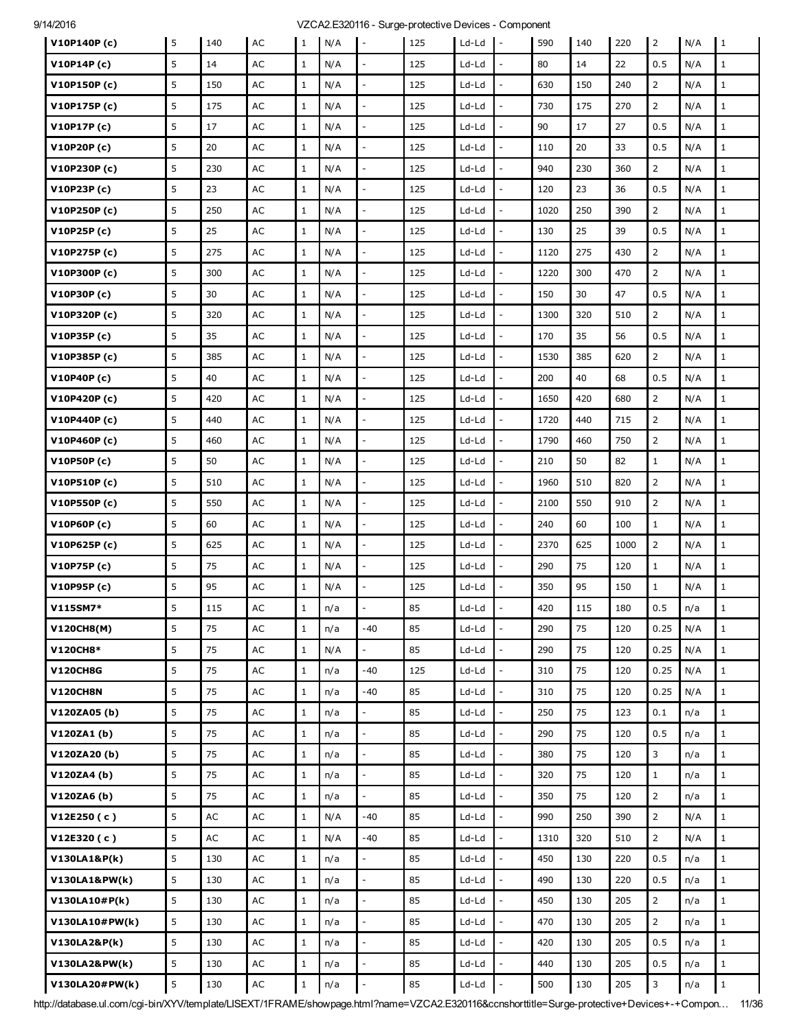| V10P140P(c)     | 5              | 140 | AC            | 1            | N/A | $\overline{\phantom{a}}$ | 125 | Ld-Ld   | $\mathbf{I}$ -           | 590  | 140 | 220  | $\overline{2}$ | N/A | I 1          |
|-----------------|----------------|-----|---------------|--------------|-----|--------------------------|-----|---------|--------------------------|------|-----|------|----------------|-----|--------------|
| V10P14P(c)      | 5              | 14  | AC            | $\mathbf{1}$ | N/A |                          | 125 | Ld-Ld   |                          | 80   | 14  | 22   | 0.5            | N/A | $\mathbf{1}$ |
| V10P150P(c)     | 5              | 150 | AC            | $\mathbf{1}$ | N/A | $\overline{a}$           | 125 | Ld-Ld   |                          | 630  | 150 | 240  | $\overline{2}$ | N/A | $\mathbf{1}$ |
| V10P175P(c)     | 5              | 175 | AC            | $\mathbf{1}$ | N/A | $\bar{\phantom{a}}$      | 125 | Ld-Ld   | $\overline{a}$           | 730  | 175 | 270  | $\overline{2}$ | N/A | $\mathbf{1}$ |
| V10P17P(c)      | 5              | 17  | AC            | $\mathbf{1}$ | N/A |                          | 125 | Ld-Ld   |                          | 90   | 17  | 27   | 0.5            | N/A | $\mathbf{1}$ |
| V10P20P (c)     | 5              | 20  | AC            | 1            | N/A |                          | 125 | Ld-Ld   |                          | 110  | 20  | 33   | 0.5            | N/A | $\mathbf{1}$ |
| V10P230P(c)     | 5              | 230 | AC            | $\mathbf{1}$ | N/A | $\bar{z}$                | 125 | Ld-Ld   | $\overline{\phantom{a}}$ | 940  | 230 | 360  | $2^{\circ}$    | N/A | $\mathbf{1}$ |
| V10P23P(c)      | 5              | 23  | AC            | $\mathbf{1}$ | N/A |                          | 125 | Ld-Ld   |                          | 120  | 23  | 36   | 0.5            | N/A | $\mathbf{1}$ |
| V10P250P(c)     | 5              | 250 | AC            | $\mathbf{1}$ | N/A | $\overline{\phantom{a}}$ | 125 | Ld-Ld   |                          | 1020 | 250 | 390  | $\overline{2}$ | N/A | $\mathbf{1}$ |
| V10P25P(c)      | 5              | 25  | AC            | $\mathbf{1}$ | N/A | $\mathbb{L}$             | 125 | Ld-Ld   | $\overline{a}$           | 130  | 25  | 39   | 0.5            | N/A | $\mathbf{1}$ |
| V10P275P(c)     | 5              | 275 | AC            | $\mathbf{1}$ | N/A |                          | 125 | Ld-Ld   |                          | 1120 | 275 | 430  | $\overline{2}$ | N/A | $\mathbf{1}$ |
| V10P300P(c)     | 5              | 300 | AC            | $\mathbf{1}$ | N/A | $\overline{a}$           | 125 | Ld-Ld   |                          | 1220 | 300 | 470  | $\overline{2}$ | N/A | $\mathbf{1}$ |
| V10P30P (c)     | 5              | 30  | AC            | $\mathbf{1}$ | N/A | $\overline{\phantom{a}}$ | 125 | Ld-Ld   | $\overline{a}$           | 150  | 30  | 47   | 0.5            | N/A | $\mathbf{1}$ |
| V10P320P (c)    | 5              | 320 | AC            | $\mathbf{1}$ | N/A | $\overline{\phantom{a}}$ | 125 | Ld-Ld   | $\overline{a}$           | 1300 | 320 | 510  | $\overline{2}$ | N/A | $\mathbf{1}$ |
| V10P35P (c)     | 5              | 35  | AC            | $\mathbf{1}$ | N/A |                          | 125 | Ld-Ld   |                          | 170  | 35  | 56   | 0.5            | N/A | $\mathbf{1}$ |
| V10P385P (c)    | 5              | 385 | AC            | $\mathbf{1}$ | N/A | $\overline{a}$           | 125 | Ld-Ld   |                          | 1530 | 385 | 620  | $\overline{2}$ | N/A | $\mathbf{1}$ |
| V10P40P (c)     | 5              | 40  | AC            | $\mathbf{1}$ | N/A | $\overline{\phantom{a}}$ | 125 | Ld-Ld   |                          | 200  | 40  | 68   | 0.5            | N/A | $\mathbf{1}$ |
| V10P420P(c)     | 5              | 420 | AC            | $\mathbf{1}$ | N/A |                          | 125 | Ld-Ld   |                          | 1650 | 420 | 680  | $\overline{2}$ | N/A | $\mathbf{1}$ |
| V10P440P (c)    | 5              | 440 | AC            | $\mathbf 1$  | N/A | $\overline{a}$           | 125 | Ld-Ld   |                          | 1720 | 440 | 715  | $\overline{2}$ | N/A | $\mathbf{1}$ |
| V10P460P (c)    | 5              | 460 | AC            | $\mathbf{1}$ | N/A | $\overline{\phantom{a}}$ | 125 | Ld-Ld   |                          | 1790 | 460 | 750  | $\overline{2}$ | N/A | $\mathbf{1}$ |
| V10P50P(c)      | 5              | 50  | AC            | $\mathbf{1}$ | N/A |                          | 125 | Ld-Ld   |                          | 210  | 50  | 82   | $\mathbf{1}$   | N/A | $\mathbf{1}$ |
| V10P510P(c)     | 5              | 510 | AC            | $\mathbf{1}$ | N/A | $\overline{\phantom{a}}$ | 125 | Ld-Ld   |                          | 1960 | 510 | 820  | $\overline{2}$ | N/A | $\mathbf{1}$ |
| V10P550P (c)    | 5              | 550 | AC            | $\mathbf{1}$ | N/A | $\mathbb{L}^2$           | 125 | Ld-Ld   | $\overline{a}$           | 2100 | 550 | 910  | $\overline{2}$ | N/A | $\mathbf{1}$ |
| V10P60P(c)      | 5              | 60  | AC            | $\mathbf{1}$ | N/A |                          | 125 | Ld-Ld   |                          | 240  | 60  | 100  | $\mathbf{1}$   | N/A | $\mathbf{1}$ |
| V10P625P (c)    | 5              | 625 | AC            | $\mathbf{1}$ | N/A | $\overline{\phantom{a}}$ | 125 | Ld-Ld   |                          | 2370 | 625 | 1000 | $\overline{2}$ | N/A | $1\,$        |
| V10P75P(c)      | 5              | 75  | AC            | $\mathbf{1}$ | N/A | $\mathbb{L}$             | 125 | Ld-Ld   | $\overline{a}$           | 290  | 75  | 120  | $\mathbf{1}$   | N/A | $\mathbf{1}$ |
| V10P95P (c)     | 5              | 95  | AC            | $\mathbf{1}$ | N/A |                          | 125 | Ld-Ld   |                          | 350  | 95  | 150  | $\mathbf{1}$   | N/A | $\mathbf{1}$ |
| V115SM7*        | 5              | 115 | AC            | $\mathbf 1$  | n/a |                          | 85  | Ld-Ld   |                          | 420  | 115 | 180  | 0.5            | n/a | $1\,$        |
| V120CH8(M)      | 5              | 75  | AC            | $1\,$        | n/a | $-40$                    | 85  | Ld-Ld   | $\overline{\phantom{a}}$ | 290  | 75  | 120  | 0.25           | N/A | $\mathbf{1}$ |
| V120CH8*        | 5              | 75  | AC            | $1\,$        | N/A |                          | 85  | $Ld-Ld$ |                          | 290  | 75  | 120  | 0.25           | N/A | $\mathbf{1}$ |
| <b>V120CH8G</b> | 5              | 75  | AC            | $\mathbf{1}$ | n/a | $-40$                    | 125 | Ld-Ld   |                          | 310  | 75  | 120  | 0.25           | N/A | $\mathbf{1}$ |
| <b>V120CH8N</b> | 5              | 75  | AC            | $\mathbf 1$  | n/a | $-40$                    | 85  | $Ld-Ld$ | $\overline{\phantom{a}}$ | 310  | 75  | 120  | 0.25           | N/A | $\,1$        |
| V120ZA05(b)     | 5              | 75  | AC            | $1\,$        | n/a | $\overline{\phantom{a}}$ | 85  | $Ld-Ld$ |                          | 250  | 75  | 123  | 0.1            | n/a | $\mathbf{1}$ |
| V120ZA1(b)      | 5              | 75  | AC            | $\mathbf{1}$ | n/a | $\mathcal{L}$            | 85  | $Ld-Ld$ | $\overline{a}$           | 290  | 75  | 120  | 0.5            | n/a | $\mathbf{1}$ |
| V120ZA20(b)     | 5              | 75  | AC            | $1\,$        | n/a | $\bar{\phantom{a}}$      | 85  | $Ld-Ld$ | $\overline{a}$           | 380  | 75  | 120  | $\mathbf{3}$   | n/a | $1\,$        |
| V120ZA4(b)      | 5              | 75  | AC            | $1\,$        | n/a | $\overline{\phantom{a}}$ | 85  | $Ld-Ld$ |                          | 320  | 75  | 120  | $\mathbf 1$    | n/a | $\mathbf{1}$ |
| V120ZA6(b)      | 5              | 75  | AC            | $\mathbf{1}$ | n/a | $\overline{a}$           | 85  | $Ld-Ld$ |                          | 350  | 75  | 120  | $\overline{2}$ | n/a | $\mathbf{1}$ |
| V12E250(c)      | 5              | AC  | AC            | $\mathbf{1}$ | N/A | $-40$                    | 85  | $Ld-Ld$ | $\overline{a}$           | 990  | 250 | 390  | $\overline{2}$ | N/A | $\mathbf{1}$ |
| V12E320(c)      | 5              | AC  | AC            | $1\,$        | N/A | -40                      | 85  | Ld-Ld   | $\overline{a}$           | 1310 | 320 | 510  | $\overline{2}$ | N/A | $\mathbf{1}$ |
| V130LA1&P(k)    | 5              | 130 | $\mathsf{AC}$ | $\mathbf{1}$ | n/a | $\overline{\phantom{a}}$ | 85  | $Ld-Ld$ |                          | 450  | 130 | 220  | 0.5            | n/a | $\mathbf{1}$ |
| V130LA1&PW(k)   | 5              | 130 | AC            | $1\,$        | n/a | $\mathbb{L}$             | 85  | $Ld-Ld$ | $\overline{a}$           | 490  | 130 | 220  | 0.5            | n/a | $\mathbf{1}$ |
| V130LA10#P(k)   | 5              | 130 | AC            | $1\,$        | n/a | $\overline{\phantom{a}}$ | 85  | Ld-Ld   | $\overline{a}$           | 450  | 130 | 205  | $\mathbf{2}$   | n/a | $\mathbf{1}$ |
| V130LA10#PW(k)  | 5              | 130 | AC            | $1\,$        | n/a |                          | 85  | Ld-Ld   |                          | 470  | 130 | 205  | $\mathbf{2}$   | n/a | $\mathbf{1}$ |
| V130LA2&P(k)    | 5              | 130 | AC            | $\mathbf{1}$ | n/a | $\overline{\phantom{a}}$ | 85  | Ld-Ld   |                          | 420  | 130 | 205  | 0.5            | n/a | $\mathbf{1}$ |
| V130LA2&PW(k)   | $\overline{5}$ | 130 | AC            | $1\,$        | n/a | $\overline{\phantom{a}}$ | 85  | Ld-Ld   | $\frac{1}{2}$            | 440  | 130 | 205  | 0.5            | n/a | $\mathbf{1}$ |
| V130LA20#PW(k)  | 5              | 130 | $\mathsf{AC}$ | $\mathbf 1$  | n/a | $\overline{a}$           | 85  | Ld-Ld   |                          | 500  | 130 | 205  | $\mathbf{3}$   | n/a | $\,1$        |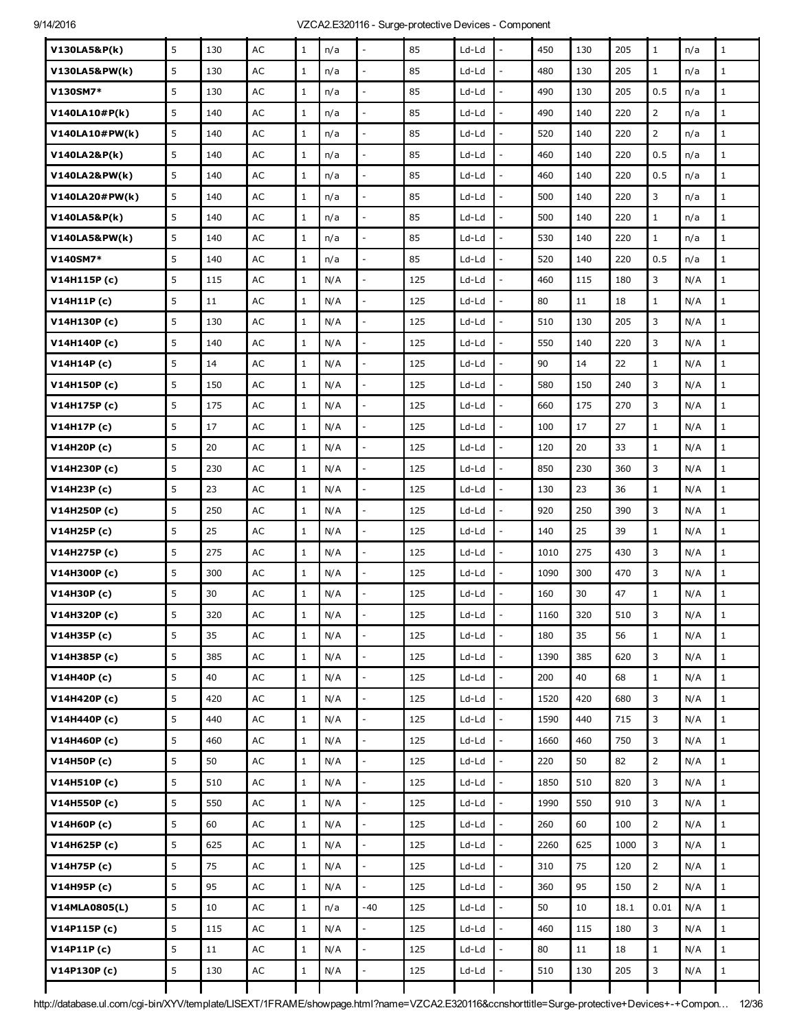| V130LA5&P(k)   | 5 | 130 | AC            | $\mathbf{1}$ | n/a |                          | 85  | Ld-Ld   |                          | 450  | 130 | 205  | $\mathbf{1}$   | n/a | $\mathbf{1}$ |
|----------------|---|-----|---------------|--------------|-----|--------------------------|-----|---------|--------------------------|------|-----|------|----------------|-----|--------------|
| V130LA5&PW(k)  | 5 | 130 | AC            | $\mathbf{1}$ | n/a | $\overline{a}$           | 85  | Ld-Ld   | ÷,                       | 480  | 130 | 205  | $\mathbf{1}$   | n/a | $\mathbf{1}$ |
| V130SM7*       | 5 | 130 | AC            | $\mathbf{1}$ | n/a | $\bar{\phantom{a}}$      | 85  | Ld-Ld   | $\overline{a}$           | 490  | 130 | 205  | 0.5            | n/a | $\mathbf 1$  |
| V140LA10#P(k)  | 5 | 140 | AC            | $\mathbf{1}$ | n/a |                          | 85  | Ld-Ld   |                          | 490  | 140 | 220  | $\overline{2}$ | n/a | $\mathbf{1}$ |
| V140LA10#PW(k) | 5 | 140 | AC            | $\mathbf{1}$ | n/a | $\overline{a}$           | 85  | Ld-Ld   | $\overline{a}$           | 520  | 140 | 220  | $\overline{2}$ | n/a | $\mathbf{1}$ |
| V140LA2&P(k)   | 5 | 140 | AC            | $\mathbf{1}$ | n/a | $\sim$                   | 85  | Ld-Ld   | $\overline{a}$           | 460  | 140 | 220  | 0.5            | n/a | $\mathbf{1}$ |
| V140LA2&PW(k)  | 5 | 140 | AC            | $\mathbf{1}$ | n/a |                          | 85  | Ld-Ld   | $\overline{a}$           | 460  | 140 | 220  | 0.5            | n/a | $\mathbf{1}$ |
| V140LA20#PW(k) | 5 | 140 | AC            | $\mathbf{1}$ | n/a |                          | 85  | Ld-Ld   |                          | 500  | 140 | 220  | 3              | n/a | $1\,$        |
| V140LA5&P(k)   | 5 | 140 | AC            | $\mathbf{1}$ | n/a | $\sim$                   | 85  | Ld-Ld   | $\overline{a}$           | 500  | 140 | 220  | $\mathbf{1}$   | n/a | $\mathbf{1}$ |
| V140LA5&PW(k)  | 5 | 140 | AC            | $\mathbf{1}$ | n/a | $\overline{a}$           | 85  | Ld-Ld   | $\overline{a}$           | 530  | 140 | 220  | $\mathbf{1}$   | n/a | $\mathbf{1}$ |
| V140SM7*       | 5 | 140 | AC            | $\mathbf{1}$ | n/a |                          | 85  | Ld-Ld   |                          | 520  | 140 | 220  | 0.5            | n/a | $\mathbf 1$  |
| V14H115P(c)    | 5 | 115 | AC            | $\mathbf{1}$ | N/A | $\sim$                   | 125 | Ld-Ld   | L,                       | 460  | 115 | 180  | 3              | N/A | $\mathbf{1}$ |
| V14H11P(c)     | 5 | 11  | AC            | $\mathbf{1}$ | N/A | $\overline{\phantom{a}}$ | 125 | Ld-Ld   | ÷,                       | 80   | 11  | 18   | $\mathbf{1}$   | N/A | $\mathbf{1}$ |
| V14H130P(c)    | 5 | 130 | AC            | $\mathbf{1}$ | N/A |                          | 125 | Ld-Ld   |                          | 510  | 130 | 205  | 3              | N/A | $\mathbf 1$  |
| V14H140P(c)    | 5 | 140 | AC            | $\mathbf{1}$ | N/A | $\overline{a}$           | 125 | Ld-Ld   | $\overline{a}$           | 550  | 140 | 220  | 3              | N/A | $\mathbf{1}$ |
| V14H14P (c)    | 5 | 14  | AC            | $\mathbf{1}$ | N/A | $\overline{\phantom{a}}$ | 125 | Ld-Ld   | $\frac{1}{2}$            | 90   | 14  | 22   | $\mathbf{1}$   | N/A | $\mathbf 1$  |
| V14H150P (c)   | 5 | 150 | AC            | $\mathbf{1}$ | N/A |                          | 125 | Ld-Ld   |                          | 580  | 150 | 240  | 3              | N/A | $\mathbf{1}$ |
| V14H175P (c)   | 5 | 175 | AC            | $\mathbf{1}$ | N/A | $\overline{a}$           | 125 | Ld-Ld   | L,                       | 660  | 175 | 270  | 3              | N/A | $\mathbf 1$  |
| V14H17P(c)     | 5 | 17  | AC            | $\mathbf{1}$ | N/A | $\overline{\phantom{a}}$ | 125 | Ld-Ld   | $\overline{a}$           | 100  | 17  | 27   | $\mathbf{1}$   | N/A | $\mathbf{1}$ |
| V14H20P (c)    | 5 | 20  | AC            | $\mathbf{1}$ | N/A |                          | 125 | Ld-Ld   |                          | 120  | 20  | 33   | $\mathbf{1}$   | N/A | $\mathbf{1}$ |
| V14H230P (c)   | 5 | 230 | AC            | $\mathbf{1}$ | N/A |                          | 125 | Ld-Ld   | L,                       | 850  | 230 | 360  | 3              | N/A | $\mathbf{1}$ |
| V14H23P(c)     | 5 | 23  | AC            | $\mathbf{1}$ | N/A | $\overline{a}$           | 125 | Ld-Ld   | $\overline{\phantom{a}}$ | 130  | 23  | 36   | $1\,$          | N/A | $\mathbf 1$  |
| V14H250P (c)   | 5 | 250 | AC            | $\mathbf{1}$ | N/A |                          | 125 | Ld-Ld   |                          | 920  | 250 | 390  | 3              | N/A | $\mathbf{1}$ |
| V14H25P (c)    | 5 | 25  | AC            | $\mathbf{1}$ | N/A |                          | 125 | Ld-Ld   | L,                       | 140  | 25  | 39   | $\mathbf{1}$   | N/A | $\mathbf{1}$ |
| V14H275P (c)   | 5 | 275 | AC            | $\mathbf{1}$ | N/A | $\bar{\phantom{a}}$      | 125 | Ld-Ld   | $\frac{1}{2}$            | 1010 | 275 | 430  | 3              | N/A | $\mathbf{1}$ |
| V14H300P (c)   | 5 | 300 | AC            | $\mathbf{1}$ | N/A |                          | 125 | Ld-Ld   |                          | 1090 | 300 | 470  | 3              | N/A | $\mathbf{1}$ |
| V14H30P (c)    | 5 | 30  | AC            | $\mathbf{1}$ | N/A |                          | 125 | Ld-Ld   |                          | 160  | 30  | 47   | $\mathbf{1}$   | N/A | $\mathbf 1$  |
| V14H320P (c)   | 5 | 320 | $\mathsf{AC}$ | $\mathbf 1$  | N/A |                          | 125 | Ld-Ld   |                          | 1160 | 320 | 510  | 3              | N/A |              |
| V14H35P (c)    | 5 | 35  | AC            | $\mathbf{1}$ | N/A | $\overline{\phantom{a}}$ | 125 | Ld-Ld   | $\overline{a}$           | 180  | 35  | 56   | $\mathbf{1}$   | N/A | $\mathbf{1}$ |
| V14H385P (c)   | 5 | 385 | AC            | $\mathbf{1}$ | N/A |                          | 125 | Ld-Ld   | $\overline{\phantom{a}}$ | 1390 | 385 | 620  | 3              | N/A | $1\,$        |
| V14H40P (c)    | 5 | 40  | $\mathsf{AC}$ | $\mathbf{1}$ | N/A | $\overline{\phantom{a}}$ | 125 | $Ld-Ld$ | $\overline{\phantom{a}}$ | 200  | 40  | 68   | $\mathbf{1}$   | N/A | $\mathbf 1$  |
| V14H420P (c)   | 5 | 420 | $\mathsf{AC}$ | $\mathbf{1}$ | N/A | $\overline{\phantom{a}}$ | 125 | Ld-Ld   | $\overline{a}$           | 1520 | 420 | 680  | 3              | N/A | $\mathbf{1}$ |
| V14H440P (c)   | 5 | 440 | AC            | $\mathbf{1}$ | N/A |                          | 125 | Ld-Ld   | $\overline{a}$           | 1590 | 440 | 715  | 3              | N/A | $\mathbf{1}$ |
| V14H460P (c)   | 5 | 460 | $\mathsf{AC}$ | $\mathbf{1}$ | N/A | $\overline{\phantom{a}}$ | 125 | $Ld-Ld$ | $\overline{a}$           | 1660 | 460 | 750  | 3              | N/A | $\mathbf 1$  |
| V14H50P (c)    | 5 | 50  | AC            | $\mathbf{1}$ | N/A | $\overline{\phantom{a}}$ | 125 | Ld-Ld   | $\overline{\phantom{a}}$ | 220  | 50  | 82   | $\overline{2}$ | N/A | $1\,$        |
| V14H510P (c)   | 5 | 510 | $\mathsf{AC}$ | $\mathbf{1}$ | N/A |                          | 125 | Ld-Ld   | $\overline{a}$           | 1850 | 510 | 820  | 3              | N/A | $\mathbf{1}$ |
| V14H550P (c)   | 5 | 550 | AC            | $\mathbf{1}$ | N/A |                          | 125 | $Ld-Ld$ | $\overline{a}$           | 1990 | 550 | 910  | 3              | N/A | $1\,$        |
| V14H60P (c)    | 5 | 60  | AC            | $\mathbf{1}$ | N/A | $\overline{\phantom{a}}$ | 125 | Ld-Ld   | $\overline{\phantom{a}}$ | 260  | 60  | 100  | $\overline{2}$ | N/A | $1\,$        |
| V14H625P (c)   | 5 | 625 | $\mathsf{AC}$ | $\mathbf{1}$ | N/A |                          | 125 | Ld-Ld   | $\overline{a}$           | 2260 | 625 | 1000 | 3              | N/A | $\mathbf{1}$ |
| V14H75P (c)    | 5 | 75  | $\mathsf{AC}$ | $\mathbf{1}$ | N/A | $\bar{\phantom{a}}$      | 125 | $Ld-Ld$ | $\overline{a}$           | 310  | 75  | 120  | $\overline{2}$ | N/A | $\mathbf 1$  |
| V14H95P (c)    | 5 | 95  | AC            | $\mathbf{1}$ | N/A | $\mathbb{L}$             | 125 | Ld-Ld   | $\frac{1}{2}$            | 360  | 95  | 150  | $\overline{2}$ | N/A | $\mathbf 1$  |
| V14MLA0805(L)  | 5 | 10  | $\mathsf{AC}$ | $\mathbf{1}$ | n/a | $-40$                    | 125 | Ld-Ld   | $\overline{a}$           | 50   | 10  | 18.1 | 0.01           | N/A | $\mathbf{1}$ |
| V14P115P(c)    | 5 | 115 | $\mathsf{AC}$ | $\mathbf{1}$ | N/A | $\frac{1}{2}$            | 125 | Ld-Ld   | $\frac{1}{2}$            | 460  | 115 | 180  | 3              | N/A | $1\,$        |
| V14P11P(c)     | 5 | 11  | AC            | $\mathbf{1}$ | N/A | $\overline{\phantom{a}}$ | 125 | Ld-Ld   | $\overline{\phantom{a}}$ | 80   | 11  | 18   | $\mathbf{1}$   | N/A | $\mathbf{1}$ |
| V14P130P(c)    | 5 | 130 | $\mathsf{AC}$ | $\mathbf{1}$ | N/A |                          | 125 | Ld-Ld   |                          | 510  | 130 | 205  | 3              | N/A | $\mathbf{1}$ |
|                |   |     |               |              |     |                          |     |         |                          |      |     |      |                |     |              |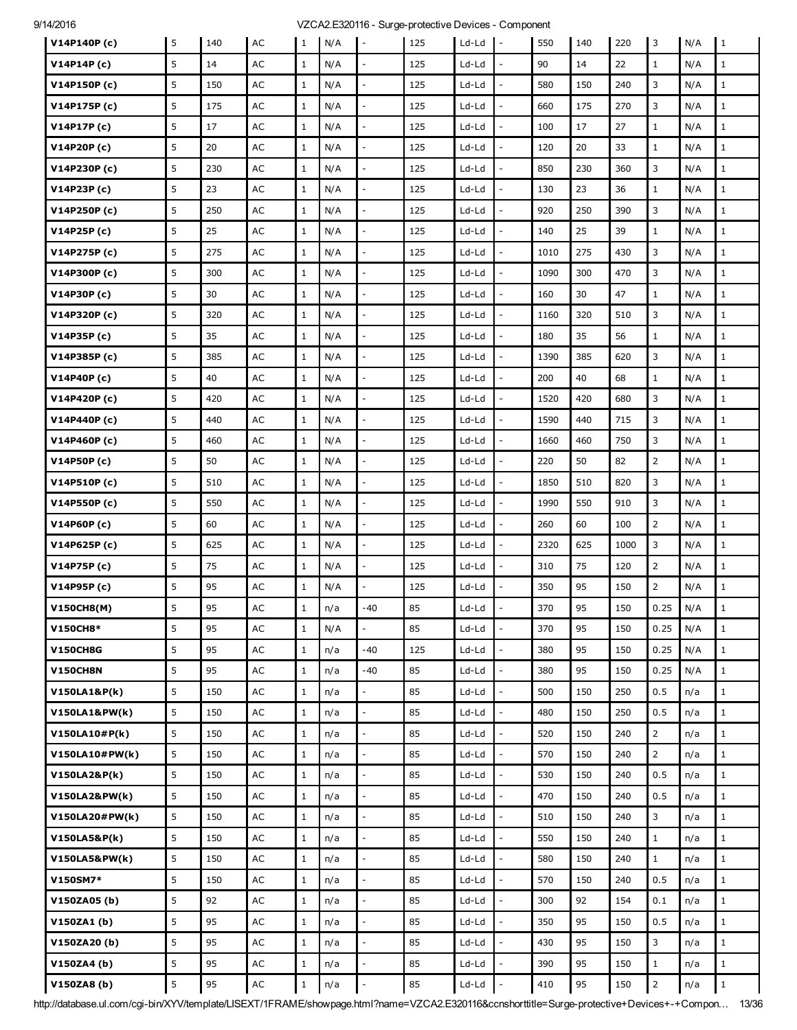| V14P140P(c)     | 5 | 140 | AC            | $\mathbf{1}$ | N/A | $\overline{\phantom{a}}$ | 125 | Ld-Ld   | $\overline{\phantom{a}}$ | 550  | 140 | 220  | 3              | N/A | $\mathbf{1}$ |
|-----------------|---|-----|---------------|--------------|-----|--------------------------|-----|---------|--------------------------|------|-----|------|----------------|-----|--------------|
| V14P14P(c)      | 5 | 14  | AC            | $\mathbf{1}$ | N/A |                          | 125 | Ld-Ld   |                          | 90   | 14  | 22   | $\mathbf{1}$   | N/A | $\mathbf{1}$ |
| V14P150P(c)     | 5 | 150 | AC            | $\mathbf{1}$ | N/A |                          | 125 | Ld-Ld   |                          | 580  | 150 | 240  | 3              | N/A | $\mathbf{1}$ |
| V14P175P(c)     | 5 | 175 | AC            | $\mathbf{1}$ | N/A | $\overline{\phantom{a}}$ | 125 | Ld-Ld   | $\overline{\phantom{a}}$ | 660  | 175 | 270  | 3              | N/A | $\mathbf{1}$ |
| V14P17P(c)      | 5 | 17  | AC            | $\mathbf{1}$ | N/A |                          | 125 | Ld-Ld   |                          | 100  | 17  | 27   | $\mathbf{1}$   | N/A | $\mathbf{1}$ |
| V14P20P(c)      | 5 | 20  | AC            | $\mathbf{1}$ | N/A |                          | 125 | Ld-Ld   | ÷,                       | 120  | 20  | 33   | $\mathbf{1}$   | N/A | $\mathbf{1}$ |
| V14P230P(c)     | 5 | 230 | AC            | $\mathbf{1}$ | N/A | $\overline{\phantom{a}}$ | 125 | Ld-Ld   | $\frac{1}{2}$            | 850  | 230 | 360  | 3              | N/A | $\mathbf{1}$ |
| V14P23P (c)     | 5 | 23  | AC            | $\mathbf{1}$ | N/A |                          | 125 | Ld-Ld   |                          | 130  | 23  | 36   | $\mathbf{1}$   | N/A | $\mathbf{1}$ |
| V14P250P (c)    | 5 | 250 | AC            | $\mathbf{1}$ | N/A |                          | 125 | Ld-Ld   | L,                       | 920  | 250 | 390  | 3              | N/A | $\mathbf{1}$ |
| V14P25P (c)     | 5 | 25  | AC            | $\mathbf{1}$ | N/A | $\mathbb{L}$             | 125 | Ld-Ld   | $\overline{\phantom{a}}$ | 140  | 25  | 39   | $\mathbf{1}$   | N/A | $1\,$        |
| V14P275P(c)     | 5 | 275 | AC            | $\mathbf{1}$ | N/A |                          | 125 | Ld-Ld   |                          | 1010 | 275 | 430  | 3              | N/A | $\mathbf{1}$ |
| V14P300P(c)     | 5 | 300 | AC            | $\mathbf{1}$ | N/A |                          | 125 | Ld-Ld   | ÷,                       | 1090 | 300 | 470  | 3              | N/A | $\mathbf{1}$ |
| V14P30P(c)      | 5 | 30  | AC            | $\mathbf{1}$ | N/A | $\mathbb{L}$             | 125 | Ld-Ld   | $\frac{1}{2}$            | 160  | 30  | 47   | $\mathbf{1}$   | N/A | $1\,$        |
| V14P320P(c)     | 5 | 320 | AC            | $\mathbf{1}$ | N/A |                          | 125 | Ld-Ld   |                          | 1160 | 320 | 510  | 3              | N/A | $\mathbf{1}$ |
| V14P35P (c)     | 5 | 35  | AC            | $\mathbf{1}$ | N/A |                          | 125 | Ld-Ld   |                          | 180  | 35  | 56   | $\mathbf{1}$   | N/A | $\mathbf{1}$ |
| V14P385P (c)    | 5 | 385 | AC            | $\mathbf{1}$ | N/A | $\sim$                   | 125 | Ld-Ld   | $\overline{a}$           | 1390 | 385 | 620  | 3              | N/A | $\mathbf{1}$ |
| V14P40P(c)      | 5 | 40  | AC            | $\mathbf{1}$ | N/A |                          | 125 | Ld-Ld   | L,                       | 200  | 40  | 68   | $\mathbf{1}$   | N/A | $\mathbf{1}$ |
| V14P420P(c)     | 5 | 420 | AC            | $\mathbf{1}$ | N/A | $\overline{a}$           | 125 | Ld-Ld   | L,                       | 1520 | 420 | 680  | 3              | N/A | $\mathbf{1}$ |
| V14P440P (c)    | 5 | 440 | AC            | $\mathbf{1}$ | N/A | $\sim$                   | 125 | Ld-Ld   | $\frac{1}{2}$            | 1590 | 440 | 715  | 3              | N/A | $\mathbf{1}$ |
| V14P460P (c)    | 5 | 460 | AC            | $\mathbf{1}$ | N/A | $\overline{a}$           | 125 | Ld-Ld   | ÷,                       | 1660 | 460 | 750  | 3              | N/A | $\mathbf{1}$ |
| V14P50P(c)      | 5 | 50  | AC            | $\mathbf{1}$ | N/A |                          | 125 | Ld-Ld   |                          | 220  | 50  | 82   | $\overline{2}$ | N/A | $1\,$        |
| V14P510P(c)     | 5 | 510 | AC            | $\mathbf{1}$ | N/A | $\overline{\phantom{a}}$ | 125 | Ld-Ld   | $\overline{a}$           | 1850 | 510 | 820  | 3              | N/A | $\mathbf{1}$ |
| V14P550P(c)     | 5 | 550 | AC            | $\mathbf{1}$ | N/A | $\overline{a}$           | 125 | Ld-Ld   | $\overline{a}$           | 1990 | 550 | 910  | 3              | N/A | $\mathbf{1}$ |
| V14P60P(c)      | 5 | 60  | AC            | $\mathbf{1}$ | N/A |                          | 125 | Ld-Ld   |                          | 260  | 60  | 100  | $\overline{2}$ | N/A | $1\,$        |
| V14P625P (c)    | 5 | 625 | AC            | $\mathbf{1}$ | N/A |                          | 125 | Ld-Ld   |                          | 2320 | 625 | 1000 | 3              | N/A | $\mathbf{1}$ |
| V14P75P(c)      | 5 | 75  | AC            | $\mathbf{1}$ | N/A | $\overline{\phantom{a}}$ | 125 | Ld-Ld   | $\overline{\phantom{a}}$ | 310  | 75  | 120  | $\overline{2}$ | N/A | $\mathbf{1}$ |
| V14P95P(c)      | 5 | 95  | AC            | $\mathbf 1$  | N/A |                          | 125 | Ld-Ld   |                          | 350  | 95  | 150  | $\overline{2}$ | N/A | $1\,$        |
| V150CH8(M)      | 5 | 95  | AC            | $\mathbf{1}$ | n/a | -40                      | 85  | Ld-Ld   |                          | 370  | 95  | 150  | 0.25           | N/A | $\mathbf{1}$ |
| V150CH8*        | 5 | 95  | $\mathsf{AC}$ | $\mathbf{1}$ | N/A | $\mathbb{L}$             | 85  | Ld-Ld   | $\overline{\phantom{a}}$ | 370  | 95  | 150  | 0.25           | N/A | $\mathbf 1$  |
| <b>V150CH8G</b> | 5 | 95  | $\mathsf{AC}$ | $\mathbf{1}$ | n/a | $-40$                    | 125 | Ld-Ld   |                          | 380  | 95  | 150  | 0.25           | N/A | $\mathbf{1}$ |
| <b>V150CH8N</b> | 5 | 95  | AC            | $\,1$        | n/a | $-40$                    | 85  | Ld-Ld   | $\overline{a}$           | 380  | 95  | 150  | 0.25           | N/A | $\mathbf{1}$ |
| V150LA1&P(k)    | 5 | 150 | AC            | $\mathbf{1}$ | n/a | $\overline{\phantom{a}}$ | 85  | $Ld-Ld$ | $\overline{\phantom{a}}$ | 500  | 150 | 250  | 0.5            | n/a | $\mathbf 1$  |
| V150LA1&PW(k)   | 5 | 150 | $\mathsf{AC}$ | $\mathbf{1}$ | n/a |                          | 85  | Ld-Ld   |                          | 480  | 150 | 250  | 0.5            | n/a | $\mathbf{1}$ |
| V150LA10#P(k)   | 5 | 150 | $\mathsf{AC}$ | $\mathbf{1}$ | n/a | $\overline{a}$           | 85  | Ld-Ld   | L,                       | 520  | 150 | 240  | $\overline{2}$ | n/a | $\mathbf{1}$ |
| V150LA10#PW(k)  | 5 | 150 | $\mathsf{AC}$ | $\mathbf{1}$ | n/a | $\bar{\mathcal{L}}$      | 85  | $Ld-Ld$ | $\frac{1}{2}$            | 570  | 150 | 240  | $\overline{2}$ | n/a | $\mathbf 1$  |
| V150LA2&P(k)    | 5 | 150 | AC            | $\mathbf{1}$ | n/a |                          | 85  | Ld-Ld   | $\overline{a}$           | 530  | 150 | 240  | 0.5            | n/a | $\mathbf{1}$ |
| V150LA2&PW(k)   | 5 | 150 | AC            | $\mathbf{1}$ | n/a | $\overline{a}$           | 85  | Ld-Ld   | $\overline{a}$           | 470  | 150 | 240  | 0.5            | n/a | $1\,$        |
| V150LA20#PW(k)  | 5 | 150 | $\mathsf{AC}$ | $1\,$        | n/a | $\mathbb{L}$             | 85  | $Ld-Ld$ | $\frac{1}{2}$            | 510  | 150 | 240  | $\mathbf{3}$   | n/a | $\,1$        |
| V150LA5&P(k)    | 5 | 150 | $\mathsf{AC}$ | $\mathbf{1}$ | n/a |                          | 85  | Ld-Ld   | $\overline{a}$           | 550  | 150 | 240  | $\mathbf{1}$   | n/a | $\mathbf{1}$ |
| V150LA5&PW(k)   | 5 | 150 | AC            | $\,1$        | n/a | $\overline{a}$           | 85  | Ld-Ld   | $\frac{1}{2}$            | 580  | 150 | 240  | $\mathbf{1}$   | n/a | $\mathbf{1}$ |
| V150SM7*        | 5 | 150 | AC            | $\mathbf{1}$ | n/a | $\overline{\phantom{a}}$ | 85  | $Ld-Ld$ | $\overline{a}$           | 570  | 150 | 240  | 0.5            | n/a | $\mathbf 1$  |
| V150ZA05(b)     | 5 | 92  | AC            | $\mathbf{1}$ | n/a | $\overline{a}$           | 85  | Ld-Ld   |                          | 300  | 92  | 154  | 0.1            | n/a | $1\,$        |
| V150ZA1(b)      | 5 | 95  | AC            | $\mathbf{1}$ | n/a |                          | 85  | $Ld-Ld$ |                          | 350  | 95  | 150  | 0.5            | n/a | $\mathbf{1}$ |
| V150ZA20(b)     | 5 | 95  | $\mathsf{AC}$ | $\mathbf{1}$ | n/a | $\overline{a}$           | 85  | $Ld-Ld$ | $\overline{a}$           | 430  | 95  | 150  | 3              | n/a | $1\,$        |
| V150ZA4(b)      | 5 | 95  | AC            | $1\,$        | n/a | $\overline{\phantom{a}}$ | 85  | Ld-Ld   | $\overline{a}$           | 390  | 95  | 150  | $\mathbf{1}$   | n/a | $1\,$        |
| V150ZA8 (b)     | 5 | 95  | $\mathsf{AC}$ | $\mathbf 1$  | n/a | $\blacksquare$           | 85  | Ld-Ld   | $\frac{1}{2}$            | 410  | 95  | 150  | $\overline{2}$ | n/a | $\mathbf 1$  |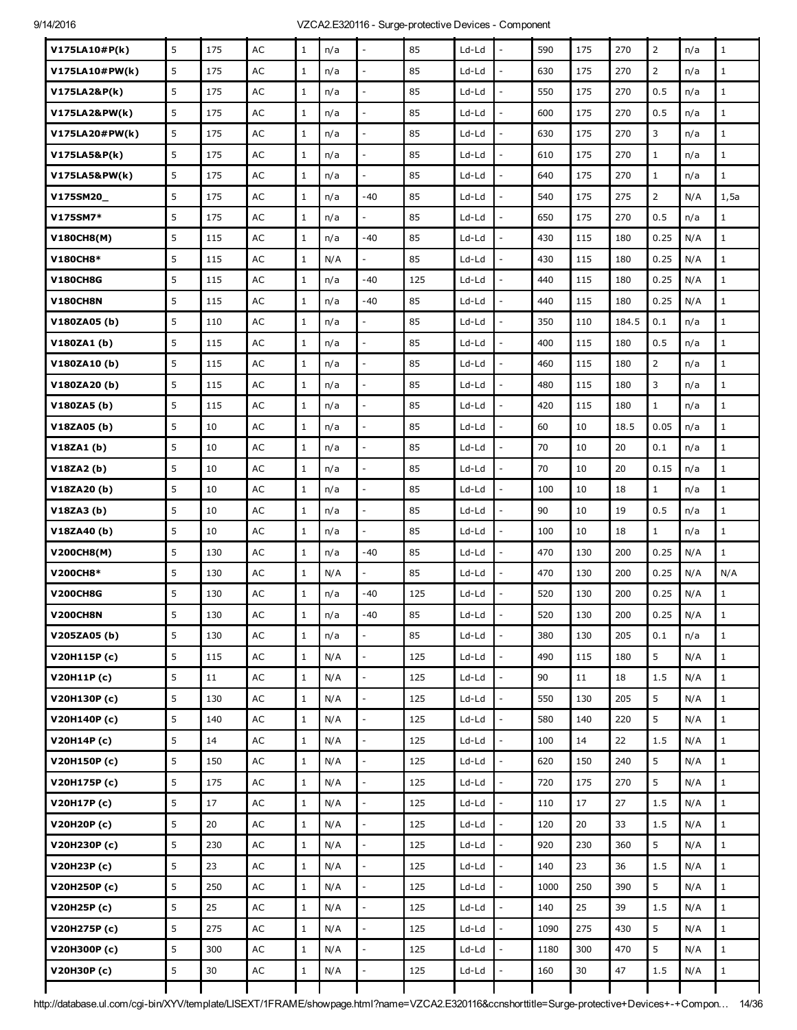| V175LA10#P(k)   | 5 | 175 | AC            | $\mathbf{1}$ | n/a |                          | 85  | Ld-Ld   |                          | 590  | 175 | 270   | $\overline{2}$ | n/a | $\mathbf{1}$ |
|-----------------|---|-----|---------------|--------------|-----|--------------------------|-----|---------|--------------------------|------|-----|-------|----------------|-----|--------------|
| V175LA10#PW(k)  | 5 | 175 | AC            | $\mathbf{1}$ | n/a |                          | 85  | Ld-Ld   |                          | 630  | 175 | 270   | $\overline{2}$ | n/a | $\mathbf{1}$ |
| V175LA2&P(k)    | 5 | 175 | AC            | $\mathbf{1}$ | n/a | $\overline{\phantom{a}}$ | 85  | Ld-Ld   | $\frac{1}{2}$            | 550  | 175 | 270   | 0.5            | n/a | $\mathbf 1$  |
| V175LA2&PW(k)   | 5 | 175 | AC            | $\mathbf{1}$ | n/a |                          | 85  | Ld-Ld   |                          | 600  | 175 | 270   | 0.5            | n/a | $\mathbf{1}$ |
| V175LA20#PW(k)  | 5 | 175 | AC            | $\mathbf{1}$ | n/a |                          | 85  | Ld-Ld   | L,                       | 630  | 175 | 270   | 3              | n/a | $\mathbf{1}$ |
| V175LA5&P(k)    | 5 | 175 | AC            | $\mathbf{1}$ | n/a | $\overline{a}$           | 85  | Ld-Ld   | $\overline{a}$           | 610  | 175 | 270   | $\mathbf{1}$   | n/a | $\mathbf 1$  |
| V175LA5&PW(k)   | 5 | 175 | AC            | $\mathbf{1}$ | n/a |                          | 85  | Ld-Ld   |                          | 640  | 175 | 270   | $\mathbf{1}$   | n/a | $\mathbf{1}$ |
| V175SM20_       | 5 | 175 | AC            | $\mathbf{1}$ | n/a | $-40$                    | 85  | Ld-Ld   | $\overline{a}$           | 540  | 175 | 275   | $\overline{2}$ | N/A | 1,5a         |
| V175SM7*        | 5 | 175 | AC            | $\mathbf{1}$ | n/a | $\overline{a}$           | 85  | Ld-Ld   | $\overline{a}$           | 650  | 175 | 270   | 0.5            | n/a | $\mathbf{1}$ |
| V180CH8(M)      | 5 | 115 | AC            | $\mathbf{1}$ | n/a | $-40$                    | 85  | Ld-Ld   |                          | 430  | 115 | 180   | 0.25           | N/A | $1\,$        |
| V180CH8*        | 5 | 115 | AC            | $\mathbf{1}$ | N/A | $\overline{a}$           | 85  | Ld-Ld   | L,                       | 430  | 115 | 180   | 0.25           | N/A | $\mathbf 1$  |
| <b>V180CH8G</b> | 5 | 115 | AC            | $\mathbf{1}$ | n/a | -40                      | 125 | Ld-Ld   | ÷,                       | 440  | 115 | 180   | 0.25           | N/A | $\mathbf{1}$ |
| <b>V180CH8N</b> | 5 | 115 | AC            | $\mathbf{1}$ | n/a | -40                      | 85  | Ld-Ld   |                          | 440  | 115 | 180   | 0.25           | N/A | $\mathbf{1}$ |
| V180ZA05(b)     | 5 | 110 | AC            | $\mathbf{1}$ | n/a |                          | 85  | Ld-Ld   |                          | 350  | 110 | 184.5 | 0.1            | n/a | $1\,$        |
| V180ZA1(b)      | 5 | 115 | AC            | $\mathbf{1}$ | n/a | $\overline{a}$           | 85  | Ld-Ld   | $\overline{a}$           | 400  | 115 | 180   | 0.5            | n/a | $\mathbf{1}$ |
| V180ZA10(b)     | 5 | 115 | AC            | $\mathbf{1}$ | n/a | $\overline{a}$           | 85  | Ld-Ld   | $\overline{a}$           | 460  | 115 | 180   | $\overline{2}$ | n/a | $\mathbf{1}$ |
| V180ZA20(b)     | 5 | 115 | AC            | $\mathbf{1}$ | n/a |                          | 85  | Ld-Ld   | $\overline{a}$           | 480  | 115 | 180   | 3              | n/a | $\mathbf 1$  |
| V180ZA5(b)      | 5 | 115 | AC            | $\mathbf{1}$ | n/a |                          | 85  | Ld-Ld   |                          | 420  | 115 | 180   | $\mathbf{1}$   | n/a | $\mathbf{1}$ |
| V18ZA05 (b)     | 5 | 10  | AC            | $\mathbf{1}$ | n/a | $\overline{\phantom{a}}$ | 85  | Ld-Ld   | ÷,                       | 60   | 10  | 18.5  | 0.05           | n/a | $\mathbf{1}$ |
| V18ZA1(b)       | 5 | 10  | AC            | $\mathbf{1}$ | n/a |                          | 85  | Ld-Ld   |                          | 70   | 10  | 20    | 0.1            | n/a | $\mathbf{1}$ |
| V18ZA2(b)       | 5 | 10  | AC            | $\mathbf{1}$ | n/a |                          | 85  | Ld-Ld   | $\overline{a}$           | 70   | 10  | 20    | 0.15           | n/a | $\mathbf{1}$ |
| V18ZA20 (b)     | 5 | 10  | AC            | $\mathbf{1}$ | n/a | $\overline{\phantom{a}}$ | 85  | Ld-Ld   | ÷,                       | 100  | 10  | 18    | $1\,$          | n/a | $\mathbf 1$  |
| V18ZA3 (b)      | 5 | 10  | AC            | $\mathbf{1}$ | n/a |                          | 85  | Ld-Ld   |                          | 90   | 10  | 19    | 0.5            | n/a | $\mathbf{1}$ |
| V18ZA40(b)      | 5 | 10  | AC            | $\mathbf{1}$ | n/a |                          | 85  | Ld-Ld   | $\overline{a}$           | 100  | 10  | 18    | $\mathbf{1}$   | n/a | $\mathbf{1}$ |
| V200CH8(M)      | 5 | 130 | AC            | $\mathbf{1}$ | n/a | $-40$                    | 85  | Ld-Ld   | $\overline{a}$           | 470  | 130 | 200   | 0.25           | N/A | $\mathbf{1}$ |
| V200CH8*        | 5 | 130 | AC            | $\mathbf{1}$ | N/A |                          | 85  | Ld-Ld   |                          | 470  | 130 | 200   | 0.25           | N/A | N/A          |
| <b>V200CH8G</b> | 5 | 130 | AC            | $\mathbf 1$  | n/a | $-40$                    | 125 | Ld-Ld   |                          | 520  | 130 | 200   | 0.25           | N/A | $1\,$        |
| <b>V200CH8N</b> | 5 | 130 | $\mathsf{AC}$ | $\mathbf 1$  | n/a | $-40$                    | 85  | $Ld-Ld$ |                          | 520  | 130 | 200   | 0.25           | N/A | $\mathbf 1$  |
| V205ZA05 (b)    | 5 | 130 | AC            | $\mathbf{1}$ | n/a |                          | 85  | Ld-Ld   |                          | 380  | 130 | 205   | 0.1            | n/a | $\mathbf{1}$ |
| V20H115P (c)    | 5 | 115 | $\mathsf{AC}$ | $\mathbf{1}$ | N/A | $\overline{a}$           | 125 | Ld-Ld   | $\overline{a}$           | 490  | 115 | 180   | 5              | N/A | $1\,$        |
| V20H11P(c)      | 5 | 11  | $\mathsf{AC}$ | $1\,$        | N/A | $\Box$                   | 125 | $Ld-Ld$ | $\frac{1}{2}$            | 90   | 11  | 18    | 1.5            | N/A | $\,1$        |
| V20H130P (c)    | 5 | 130 | AC            | $\mathbf{1}$ | N/A |                          | 125 | Ld-Ld   | $\overline{a}$           | 550  | 130 | 205   | 5              | N/A | $1\,$        |
| V20H140P (c)    | 5 | 140 | AC            | $\,1$        | N/A | $\overline{a}$           | 125 | Ld-Ld   | $\overline{a}$           | 580  | 140 | 220   | 5              | N/A | $\mathbf{1}$ |
| V20H14P (c)     | 5 | 14  | $\mathsf{AC}$ | $\mathbf{1}$ | N/A | $\overline{\phantom{a}}$ | 125 | $Ld-Ld$ | $\frac{1}{2}$            | 100  | 14  | 22    | 1.5            | N/A | $\mathbf 1$  |
| V20H150P (c)    | 5 | 150 | AC            | $\mathbf{1}$ | N/A | $\frac{1}{2}$            | 125 | Ld-Ld   | $\overline{a}$           | 620  | 150 | 240   | 5              | N/A | $\mathbf 1$  |
| V20H175P (c)    | 5 | 175 | AC            | $\mathbf{1}$ | N/A |                          | 125 | Ld-Ld   | $\overline{a}$           | 720  | 175 | 270   | 5              | N/A | $\mathbf{1}$ |
| V20H17P (c)     | 5 | 17  | $\mathsf{AC}$ | $\,1$        | N/A | $\overline{\phantom{a}}$ | 125 | $Ld-Ld$ | $\overline{a}$           | 110  | 17  | 27    | 1.5            | N/A | $1\,$        |
| V20H20P (c)     | 5 | 20  | $\mathsf{AC}$ | $\mathbf{1}$ | N/A | $\frac{1}{2}$            | 125 | Ld-Ld   | $\overline{a}$           | 120  | 20  | 33    | 1.5            | N/A | $1\,$        |
| V20H230P (c)    | 5 | 230 | AC            | $\mathbf{1}$ | N/A |                          | 125 | Ld-Ld   | $\overline{a}$           | 920  | 230 | 360   | 5              | N/A | $\mathbf{1}$ |
| V20H23P (c)     | 5 | 23  | AC            | $\mathbf{1}$ | N/A | $\frac{1}{2}$            | 125 | $Ld-Ld$ | $\overline{a}$           | 140  | 23  | 36    | 1.5            | N/A | $1\,$        |
| V20H250P (c)    | 5 | 250 | AC            | $\mathbf{1}$ | N/A | $\overline{\phantom{a}}$ | 125 | Ld-Ld   | $\overline{\phantom{a}}$ | 1000 | 250 | 390   | 5              | N/A | $1\,$        |
| V20H25P (c)     | 5 | 25  | AC            | $\mathbf{1}$ | N/A |                          | 125 | Ld-Ld   | $\overline{a}$           | 140  | 25  | 39    | 1.5            | N/A | $\mathbf{1}$ |
| V20H275P (c)    | 5 | 275 | $\mathsf{AC}$ | $\mathbf{1}$ | N/A | $\frac{1}{2}$            | 125 | Ld-Ld   | $\frac{1}{2}$            | 1090 | 275 | 430   | 5              | N/A | $1\,$        |
| V20H300P (c)    | 5 | 300 | AC            | $\mathbf{1}$ | N/A | $\overline{\phantom{a}}$ | 125 | Ld-Ld   | $\overline{\phantom{a}}$ | 1180 | 300 | 470   | 5              | N/A | $1\,$        |
| V20H30P (c)     | 5 | 30  | $\mathsf{AC}$ | $\mathbf{1}$ | N/A |                          | 125 | Ld-Ld   |                          | 160  | 30  | 47    | $1.5\,$        | N/A | $\mathbf{1}$ |
|                 |   |     |               |              |     |                          |     |         |                          |      |     |       |                |     |              |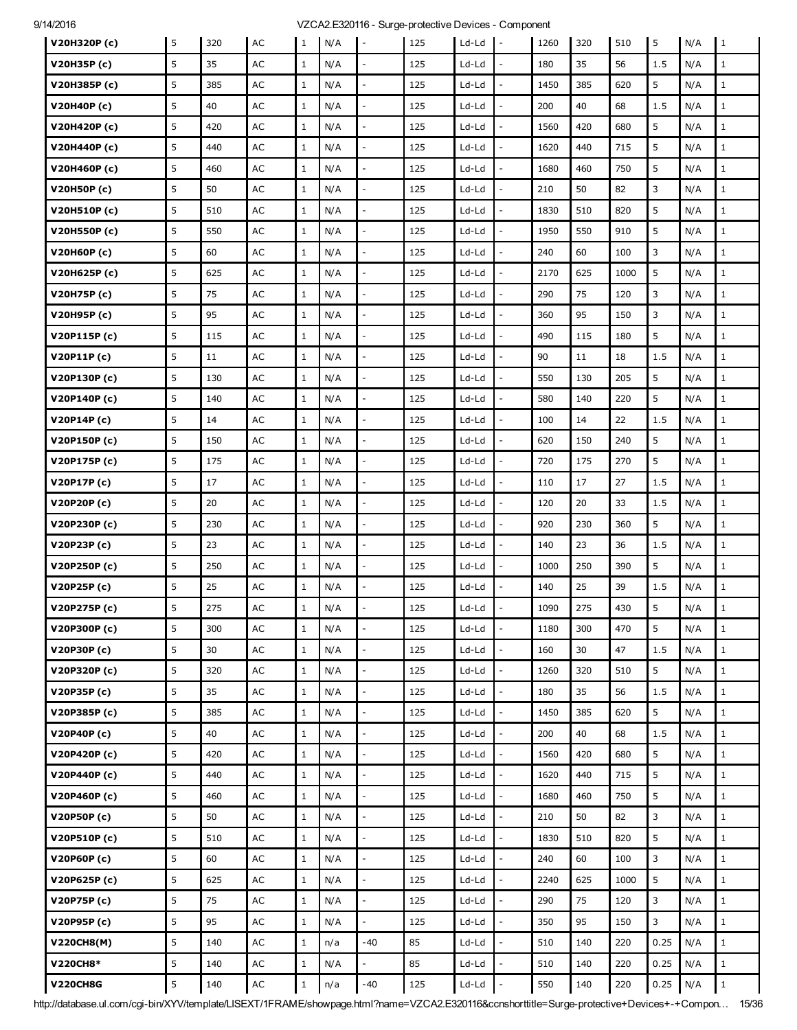| V20H320P (c)    | 5 | 320 | AC            | $\mathbf{1}$ | N/A | $\overline{\phantom{a}}$ | 125 | Ld-Ld   | $\mathbf{I}$ –               | 1260 | 320 | 510  | 5    | N/A | 1            |
|-----------------|---|-----|---------------|--------------|-----|--------------------------|-----|---------|------------------------------|------|-----|------|------|-----|--------------|
| V20H35P (c)     | 5 | 35  | AC            | $\mathbf{1}$ | N/A |                          | 125 | $Ld-Ld$ |                              | 180  | 35  | 56   | 1.5  | N/A | $\mathbf{1}$ |
| V20H385P (c)    | 5 | 385 | AC            | $\mathbf{1}$ | N/A | $\overline{\phantom{a}}$ | 125 | Ld-Ld   |                              | 1450 | 385 | 620  | 5    | N/A | $\mathbf{1}$ |
| V20H40P (c)     | 5 | 40  | AC            | $\mathbf{1}$ | N/A | $\overline{\phantom{a}}$ | 125 | Ld-Ld   | $\overline{\phantom{a}}$     | 200  | 40  | 68   | 1.5  | N/A | $\mathbf{1}$ |
| V20H420P (c)    | 5 | 420 | AC            | $\mathbf{1}$ | N/A |                          | 125 | Ld-Ld   |                              | 1560 | 420 | 680  | 5    | N/A | $\mathbf{1}$ |
| V20H440P (c)    | 5 | 440 | AC            | $\mathbf{1}$ | N/A | $\overline{\phantom{a}}$ | 125 | Ld-Ld   |                              | 1620 | 440 | 715  | 5    | N/A | $\mathbf{1}$ |
| V20H460P (c)    | 5 | 460 | AC            | $\mathbf{1}$ | N/A | $\overline{\phantom{a}}$ | 125 | Ld-Ld   | $\frac{1}{2}$                | 1680 | 460 | 750  | 5    | N/A | $\mathbf{1}$ |
| V20H50P (c)     | 5 | 50  | AC            | $\mathbf{1}$ | N/A |                          | 125 | Ld-Ld   |                              | 210  | 50  | 82   | 3    | N/A | $\mathbf{1}$ |
| V20H510P (c)    | 5 | 510 | AC            | $\mathbf{1}$ | N/A | $\overline{\phantom{a}}$ | 125 | Ld-Ld   |                              | 1830 | 510 | 820  | 5    | N/A | $\mathbf{1}$ |
| V20H550P (c)    | 5 | 550 | AC            | $\mathbf{1}$ | N/A | $\Box$                   | 125 | Ld-Ld   | $\frac{1}{2}$                | 1950 | 550 | 910  | 5    | N/A | $\mathbf{1}$ |
| V20H60P (c)     | 5 | 60  | AC            | $\mathbf{1}$ | N/A |                          | 125 | Ld-Ld   |                              | 240  | 60  | 100  | 3    | N/A | $\mathbf{1}$ |
| V20H625P (c)    | 5 | 625 | AC            | 1            | N/A | $\overline{\phantom{a}}$ | 125 | Ld-Ld   |                              | 2170 | 625 | 1000 | 5    | N/A | $\mathbf{1}$ |
| V20H75P (c)     | 5 | 75  | AC            | $\mathbf{1}$ | N/A | $\frac{1}{2}$            | 125 | Ld-Ld   | $\frac{1}{2}$                | 290  | 75  | 120  | 3    | N/A | $\mathbf{1}$ |
| V20H95P (c)     | 5 | 95  | AC            | $\mathbf{1}$ | N/A |                          | 125 | Ld-Ld   |                              | 360  | 95  | 150  | 3    | N/A | $\mathbf{1}$ |
| V20P115P(c)     | 5 | 115 | AC            | $\mathbf{1}$ | N/A | $\overline{\phantom{a}}$ | 125 | Ld-Ld   |                              | 490  | 115 | 180  | 5    | N/A | $\mathbf{1}$ |
| V20P11P(c)      | 5 | 11  | AC            | $\mathbf{1}$ | N/A | $\overline{\phantom{a}}$ | 125 | Ld-Ld   | $\overline{a}$               | 90   | 11  | 18   | 1.5  | N/A | $\mathbf{1}$ |
| V20P130P(c)     | 5 | 130 | AC            | $\mathbf{1}$ | N/A | $\blacksquare$           | 125 | Ld-Ld   |                              | 550  | 130 | 205  | 5    | N/A | $\mathbf{1}$ |
| V20P140P(c)     | 5 | 140 | AC            | $\mathbf{1}$ | N/A |                          | 125 | Ld-Ld   |                              | 580  | 140 | 220  | 5    | N/A | $\mathbf{1}$ |
| V20P14P (c)     | 5 | 14  | AC            | $\mathbf{1}$ | N/A | $\blacksquare$           | 125 | Ld-Ld   | $\overline{a}$               | 100  | 14  | 22   | 1.5  | N/A | $\mathbf{1}$ |
| V20P150P(c)     | 5 | 150 | AC            | $\mathbf{1}$ | N/A | $\overline{\phantom{a}}$ | 125 | Ld-Ld   | $\overline{a}$               | 620  | 150 | 240  | 5    | N/A | $\mathbf{1}$ |
| V20P175P (c)    | 5 | 175 | AC            | $\mathbf{1}$ | N/A |                          | 125 | Ld-Ld   |                              | 720  | 175 | 270  | 5    | N/A | $\mathbf{1}$ |
| V20P17P(c)      | 5 | 17  | AC            | $\mathbf{1}$ | N/A | $\overline{\phantom{a}}$ | 125 | Ld-Ld   | $\overline{a}$               | 110  | 17  | 27   | 1.5  | N/A | $\mathbf{1}$ |
| V20P20P(c)      | 5 | 20  | AC            | $\mathbf{1}$ | N/A | $\qquad \qquad -$        | 125 | Ld-Ld   | $\qquad \qquad \blacksquare$ | 120  | 20  | 33   | 1.5  | N/A | $\mathbf{1}$ |
| V20P230P (c)    | 5 | 230 | AC            | $\mathbf{1}$ | N/A |                          | 125 | Ld-Ld   |                              | 920  | 230 | 360  | 5    | N/A | $\mathbf{1}$ |
| V20P23P(c)      | 5 | 23  | AC            | $\mathbf{1}$ | N/A |                          | 125 | Ld-Ld   |                              | 140  | 23  | 36   | 1.5  | N/A | $\mathbf{1}$ |
| V20P250P (c)    | 5 | 250 | AC            | $\mathbf{1}$ | N/A | $\overline{\phantom{a}}$ | 125 | Ld-Ld   | $\overline{a}$               | 1000 | 250 | 390  | 5    | N/A | $\mathbf{1}$ |
| V20P25P(c)      | 5 | 25  | AC            | $\mathbf{1}$ | N/A |                          | 125 | Ld-Ld   |                              | 140  | 25  | 39   | 1.5  | N/A | $\mathbf{1}$ |
| V20P275P (c)    | 5 | 275 | AC            | $\mathbf{1}$ | N/A |                          | 125 | Ld-Ld   |                              | 1090 | 275 | 430  | 5    | N/A | $1\,$        |
| V20P300P (c)    | 5 | 300 | AC            | $\mathbf{1}$ | N/A | $\overline{\phantom{a}}$ | 125 | Ld-Ld   | $\overline{\phantom{a}}$     | 1180 | 300 | 470  | 5    | N/A | $\mathbf{1}$ |
| V20P30P (c)     | 5 | 30  | $\mathsf{AC}$ | $\mathbf{1}$ | N/A | $\overline{a}$           | 125 | Ld-Ld   |                              | 160  | 30  | 47   | 1.5  | N/A | $\mathbf{1}$ |
| V20P320P (c)    | 5 | 320 | AC            | $\mathbf{1}$ | N/A | $\overline{\phantom{a}}$ | 125 | Ld-Ld   | $\overline{a}$               | 1260 | 320 | 510  | 5    | N/A | $\mathbf{1}$ |
| V20P35P (c)     | 5 | 35  | AC            | $\mathbf{1}$ | N/A | $\mathbb{L}$             | 125 | Ld-Ld   | $\overline{\phantom{a}}$     | 180  | 35  | 56   | 1.5  | N/A | $\mathbf{1}$ |
| V20P385P (c)    | 5 | 385 | $\mathsf{AC}$ | $\mathbf{1}$ | N/A |                          | 125 | Ld-Ld   |                              | 1450 | 385 | 620  | 5    | N/A | $\mathbf{1}$ |
| V20P40P(c)      | 5 | 40  | AC            | $\mathbf{1}$ | N/A | $\overline{\phantom{a}}$ | 125 | Ld-Ld   |                              | 200  | 40  | 68   | 1.5  | N/A | $\mathbf{1}$ |
| V20P420P (c)    | 5 | 420 | $\mathsf{AC}$ | $\mathbf{1}$ | N/A | $\overline{\phantom{a}}$ | 125 | $Ld-Ld$ | $\overline{a}$               | 1560 | 420 | 680  | 5    | N/A | $\mathbf{1}$ |
| V20P440P (c)    | 5 | 440 | AC            | $\mathbf{1}$ | N/A | $\blacksquare$           | 125 | $Ld-Ld$ |                              | 1620 | 440 | 715  | 5    | N/A | $\mathbf{1}$ |
| V20P460P (c)    | 5 | 460 | AC            | $\mathbf{1}$ | N/A | $\overline{\phantom{a}}$ | 125 | Ld-Ld   |                              | 1680 | 460 | 750  | 5    | N/A | $\mathbf{1}$ |
| V20P50P(c)      | 5 | 50  | AC            | $\mathbf{1}$ | N/A | $\overline{\phantom{a}}$ | 125 | $Ld-Ld$ | $\overline{\phantom{a}}$     | 210  | 50  | 82   | 3    | N/A | $\mathbf{1}$ |
| V20P510P (c)    | 5 | 510 | AC            | $\mathbf{1}$ | N/A | $\overline{\phantom{a}}$ | 125 | Ld-Ld   |                              | 1830 | 510 | 820  | 5    | N/A | $\mathbf{1}$ |
| V20P60P(c)      | 5 | 60  | AC            | $\mathbf{1}$ | N/A | $\overline{\phantom{a}}$ | 125 | Ld-Ld   | $\overline{a}$               | 240  | 60  | 100  | 3    | N/A | $\mathbf{1}$ |
| V20P625P (c)    | 5 | 625 | $\mathsf{AC}$ | $\mathbf{1}$ | N/A | $\Box$                   | 125 | $Ld-Ld$ | $\frac{1}{2}$                | 2240 | 625 | 1000 | 5    | N/A | $\mathbf{1}$ |
| V20P75P (c)     | 5 | 75  | AC            | $\mathbf{1}$ | N/A | $\overline{\phantom{a}}$ | 125 | Ld-Ld   | $\frac{1}{2}$                | 290  | 75  | 120  | 3    | N/A | $\mathbf{1}$ |
| V20P95P(c)      | 5 | 95  | AC            | $\mathbf{1}$ | N/A | $\overline{a}$           | 125 | Ld-Ld   |                              | 350  | 95  | 150  | 3    | N/A | $\mathbf{1}$ |
| V220CH8(M)      | 5 | 140 | AC            | $\mathbf{1}$ | n/a | $-40$                    | 85  | Ld-Ld   | $\overline{a}$               | 510  | 140 | 220  | 0.25 | N/A | $\mathbf{1}$ |
| <b>V220CH8*</b> | 5 | 140 | AC            | $\mathbf{1}$ | N/A | $\blacksquare$           | 85  | Ld-Ld   | $\overline{a}$               | 510  | 140 | 220  | 0.25 | N/A | $\mathbf{1}$ |
| <b>V220CH8G</b> | 5 | 140 | $\mathsf{AC}$ | $\mathbf{1}$ | n/a | $-40$                    | 125 | Ld-Ld   |                              | 550  | 140 | 220  | 0.25 | N/A | $\mathbf{1}$ |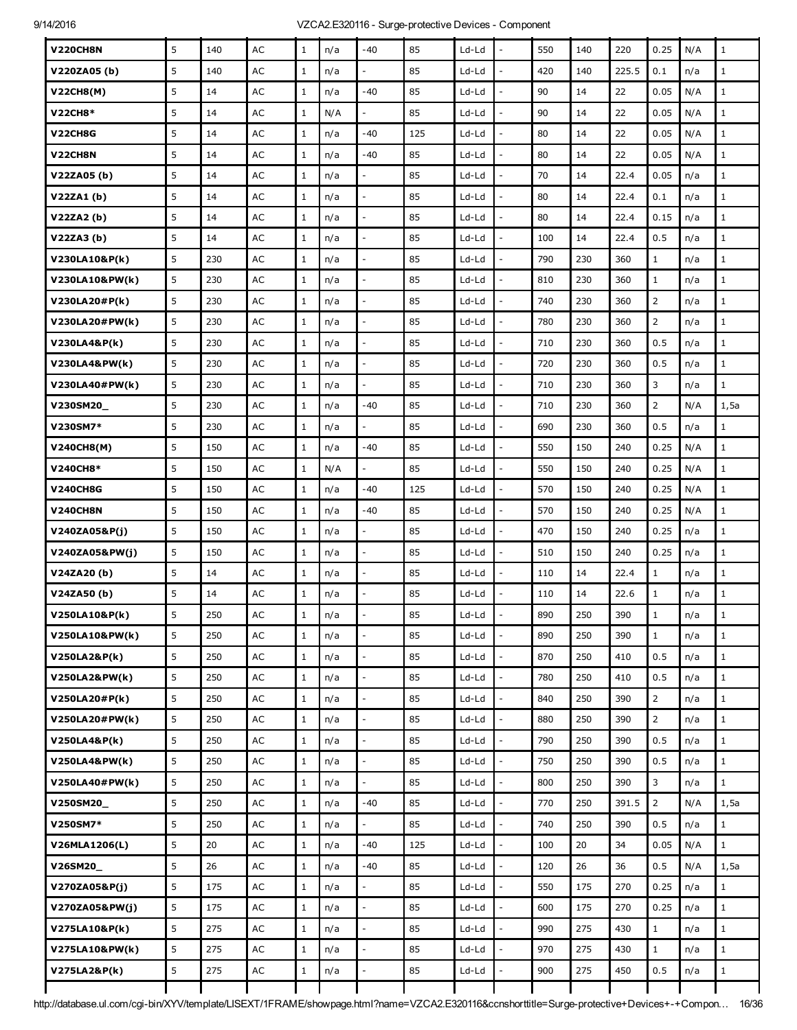| <b>V220CH8N</b>  | 5 | 140 | AC            | $\mathbf{1}$ | n/a | $-40$                    | 85  | $Ld-Ld$ |                          | 550 | 140 | 220   | 0.25           | N/A | $\mathbf{1}$ |
|------------------|---|-----|---------------|--------------|-----|--------------------------|-----|---------|--------------------------|-----|-----|-------|----------------|-----|--------------|
| V220ZA05(b)      | 5 | 140 | AC            | $\mathbf{1}$ | n/a |                          | 85  | Ld-Ld   |                          | 420 | 140 | 225.5 | 0.1            | n/a | $\mathbf{1}$ |
| <b>V22CH8(M)</b> | 5 | 14  | AC            | $\mathbf{1}$ | n/a | $-40$                    | 85  | Ld-Ld   | $\frac{1}{2}$            | 90  | 14  | 22    | 0.05           | N/A | $\mathbf 1$  |
| <b>V22CH8*</b>   | 5 | 14  | AC            | $\mathbf{1}$ | N/A |                          | 85  | Ld-Ld   |                          | 90  | 14  | 22    | 0.05           | N/A | $\mathbf{1}$ |
| V22CH8G          | 5 | 14  | AC            | $\mathbf{1}$ | n/a | $-40$                    | 125 | Ld-Ld   | $\overline{a}$           | 80  | 14  | 22    | 0.05           | N/A | $\mathbf{1}$ |
| V22CH8N          | 5 | 14  | AC            | $\mathbf{1}$ | n/a | $-40$                    | 85  | Ld-Ld   | $\overline{a}$           | 80  | 14  | 22    | 0.05           | N/A | $\mathbf 1$  |
| V22ZA05 (b)      | 5 | 14  | AC            | $\mathbf{1}$ | n/a |                          | 85  | Ld-Ld   |                          | 70  | 14  | 22.4  | 0.05           | n/a | $\mathbf{1}$ |
| V22ZA1(b)        | 5 | 14  | AC            | $\mathbf{1}$ | n/a |                          | 85  | Ld-Ld   | L,                       | 80  | 14  | 22.4  | 0.1            | n/a | $1\,$        |
| V22ZA2(b)        | 5 | 14  | AC            | $\mathbf{1}$ | n/a | $\bar{\phantom{a}}$      | 85  | Ld-Ld   | $\overline{a}$           | 80  | 14  | 22.4  | 0.15           | n/a | $\mathbf 1$  |
| V22ZA3(b)        | 5 | 14  | AC            | $\mathbf{1}$ | n/a |                          | 85  | Ld-Ld   |                          | 100 | 14  | 22.4  | 0.5            | n/a | $\mathbf{1}$ |
| V230LA10&P(k)    | 5 | 230 | AC            | $\mathbf{1}$ | n/a | $\overline{a}$           | 85  | Ld-Ld   | $\overline{a}$           | 790 | 230 | 360   | $\mathbf{1}$   | n/a | $\mathbf{1}$ |
| V230LA10&PW(k)   | 5 | 230 | AC            | $\mathbf{1}$ | n/a | $\bar{\phantom{a}}$      | 85  | Ld-Ld   | $\frac{1}{2}$            | 810 | 230 | 360   | $\mathbf{1}$   | n/a | $\mathbf 1$  |
| V230LA20#P(k)    | 5 | 230 | AC            | $\mathbf{1}$ | n/a |                          | 85  | Ld-Ld   |                          | 740 | 230 | 360   | $\overline{2}$ | n/a | $\mathbf{1}$ |
| V230LA20#PW(k)   | 5 | 230 | AC            | $\mathbf{1}$ | n/a | $\overline{a}$           | 85  | Ld-Ld   | $\overline{a}$           | 780 | 230 | 360   | $\overline{2}$ | n/a | $\mathbf{1}$ |
| V230LA4&P(k)     | 5 | 230 | AC            | $\mathbf{1}$ | n/a | $\overline{a}$           | 85  | Ld-Ld   | $\overline{a}$           | 710 | 230 | 360   | 0.5            | n/a | $\mathbf{1}$ |
| V230LA4&PW(k)    | 5 | 230 | AC            | $\mathbf{1}$ | n/a |                          | 85  | Ld-Ld   |                          | 720 | 230 | 360   | 0.5            | n/a | $\mathbf{1}$ |
| V230LA40#PW(k)   | 5 | 230 | AC            | $\mathbf{1}$ | n/a |                          | 85  | Ld-Ld   |                          | 710 | 230 | 360   | 3              | n/a | $\mathbf{1}$ |
| V230SM20_        | 5 | 230 | AC            | $\mathbf{1}$ | n/a | $-40$                    | 85  | Ld-Ld   | L,                       | 710 | 230 | 360   | $\overline{2}$ | N/A | 1,5a         |
| V230SM7*         | 5 | 230 | AC            | $\mathbf{1}$ | n/a | ÷,                       | 85  | Ld-Ld   | ÷,                       | 690 | 230 | 360   | 0.5            | n/a | $\mathbf{1}$ |
| V240CH8(M)       | 5 | 150 | AC            | $\mathbf{1}$ | n/a | $-40$                    | 85  | Ld-Ld   |                          | 550 | 150 | 240   | 0.25           | N/A | $\mathbf 1$  |
| V240CH8*         | 5 | 150 | AC            | $\mathbf{1}$ | N/A | $\overline{a}$           | 85  | Ld-Ld   | L,                       | 550 | 150 | 240   | 0.25           | N/A | $\mathbf{1}$ |
| <b>V240CH8G</b>  | 5 | 150 | AC            | $\mathbf{1}$ | n/a | $-40$                    | 125 | Ld-Ld   | $\overline{a}$           | 570 | 150 | 240   | 0.25           | N/A | $\mathbf{1}$ |
| <b>V240CH8N</b>  | 5 | 150 | AC            | $\mathbf{1}$ | n/a | $-40$                    | 85  | Ld-Ld   |                          | 570 | 150 | 240   | 0.25           | N/A | $1\,$        |
| V240ZA05&P(j)    | 5 | 150 | AC            | $\mathbf{1}$ | n/a |                          | 85  | Ld-Ld   |                          | 470 | 150 | 240   | 0.25           | n/a | $\mathbf{1}$ |
| V240ZA05&PW(j)   | 5 | 150 | AC            | $\mathbf{1}$ | n/a | $\overline{\phantom{a}}$ | 85  | Ld-Ld   | $\overline{\phantom{a}}$ | 510 | 150 | 240   | 0.25           | n/a | $\mathbf{1}$ |
| V24ZA20(b)       | 5 | 14  | AC            | $\mathbf{1}$ | n/a |                          | 85  | Ld-Ld   |                          | 110 | 14  | 22.4  | $\mathbf{1}$   | n/a | $1\,$        |
| V24ZA50(b)       | 5 | 14  | AC            | $\mathbf{1}$ | n/a |                          | 85  | Ld-Ld   |                          | 110 | 14  | 22.6  | $\mathbf{1}$   | n/a | $\mathbf{1}$ |
| V250LA10&P(k)    | 5 | 250 | AC            | $\mathbf{1}$ | n/a |                          | 85  | Ld-Ld   |                          | 890 | 250 | 390   | $\mathbf{1}$   | n/a | $\mathbf{1}$ |
| V250LA10&PW(k)   | 5 | 250 | $\mathsf{AC}$ | $\mathbf{1}$ | n/a |                          | 85  | Ld-Ld   |                          | 890 | 250 | 390   | $\mathbf{1}$   | n/a | $\mathbf{1}$ |
| V250LA2&P(k)     | 5 | 250 | $\mathsf{AC}$ | $\mathbf{1}$ | n/a |                          | 85  | Ld-Ld   |                          | 870 | 250 | 410   | 0.5            | n/a | $\mathbf{1}$ |
| V250LA2&PW(k)    | 5 | 250 | $\mathsf{AC}$ | $1\,$        | n/a | $\overline{\phantom{a}}$ | 85  | $Ld-Ld$ | $\overline{\phantom{a}}$ | 780 | 250 | 410   | 0.5            | n/a | $\,1$        |
| V250LA20#P(k)    | 5 | 250 | $\mathsf{AC}$ | $\mathbf{1}$ | n/a |                          | 85  | Ld-Ld   |                          | 840 | 250 | 390   | $\overline{2}$ | n/a | $\mathbf{1}$ |
| V250LA20#PW(k)   | 5 | 250 | $\mathsf{AC}$ | $\mathbf{1}$ | n/a | $\overline{a}$           | 85  | Ld-Ld   | $\overline{a}$           | 880 | 250 | 390   | $\overline{2}$ | n/a | $\mathbf{1}$ |
| V250LA4&P(k)     | 5 | 250 | $\mathsf{AC}$ | $\mathbf{1}$ | n/a | $\mathbb{L}$             | 85  | $Ld-Ld$ | $\overline{a}$           | 790 | 250 | 390   | 0.5            | n/a | $\,1$        |
| V250LA4&PW(k)    | 5 | 250 | $\mathsf{AC}$ | $\mathbf{1}$ | n/a |                          | 85  | $Ld-Ld$ |                          | 750 | 250 | 390   | 0.5            | n/a | $\mathbf{1}$ |
| V250LA40#PW(k)   | 5 | 250 | $\mathsf{AC}$ | $\,1$        | n/a | $\overline{a}$           | 85  | Ld-Ld   | $\overline{a}$           | 800 | 250 | 390   | 3              | n/a | $\mathbf 1$  |
| V250SM20_        | 5 | 250 | $\mathsf{AC}$ | $\mathbf{1}$ | n/a | $-40$                    | 85  | $Ld-Ld$ | $\overline{a}$           | 770 | 250 | 391.5 | $\overline{2}$ | N/A | 1,5a         |
| V250SM7*         | 5 | 250 | $\mathsf{AC}$ | $1\,$        | n/a |                          | 85  | Ld-Ld   | $\overline{a}$           | 740 | 250 | 390   | 0.5            | n/a | $\mathbf{1}$ |
| V26MLA1206(L)    | 5 | 20  | $\mathsf{AC}$ | $\mathbf{1}$ | n/a | -40                      | 125 | Ld-Ld   |                          | 100 | 20  | 34    | 0.05           | N/A | $\mathbf{1}$ |
| V26SM20_         | 5 | 26  | $\mathsf{AC}$ | $\mathbf{1}$ | n/a | $-40$                    | 85  | $Ld-Ld$ | $\overline{a}$           | 120 | 26  | 36    | 0.5            | N/A | 1,5a         |
| V270ZA05&P(j)    | 5 | 175 | $\mathsf{AC}$ | $\mathbf{1}$ | n/a | $\frac{1}{2}$            | 85  | Ld-Ld   | $\overline{a}$           | 550 | 175 | 270   | 0.25           | n/a | $1\,$        |
| V270ZA05&PW(j)   | 5 | 175 | $\mathsf{AC}$ | $\mathbf{1}$ | n/a | $\overline{a}$           | 85  | $Ld-Ld$ | $\overline{a}$           | 600 | 175 | 270   | 0.25           | n/a | $1\,$        |
| V275LA10&P(k)    | 5 | 275 | $\mathsf{AC}$ | $\mathbf{1}$ | n/a | $\overline{a}$           | 85  | $Ld-Ld$ | $\overline{a}$           | 990 | 275 | 430   | $\mathbf{1}$   | n/a | $\mathbf{1}$ |
| V275LA10&PW(k)   | 5 | 275 | AC            | $\mathbf{1}$ | n/a | $\frac{1}{2}$            | 85  | Ld-Ld   | ÷,                       | 970 | 275 | 430   | $\mathbf{1}$   | n/a | $\mathbf{1}$ |
| V275LA2&P(k)     | 5 | 275 | $\mathsf{AC}$ | $1\,$        | n/a |                          | 85  | $Ld-Ld$ | $\overline{a}$           | 900 | 275 | 450   | 0.5            | n/a | $\,1$        |
|                  |   |     |               |              |     |                          |     |         |                          |     |     |       |                |     |              |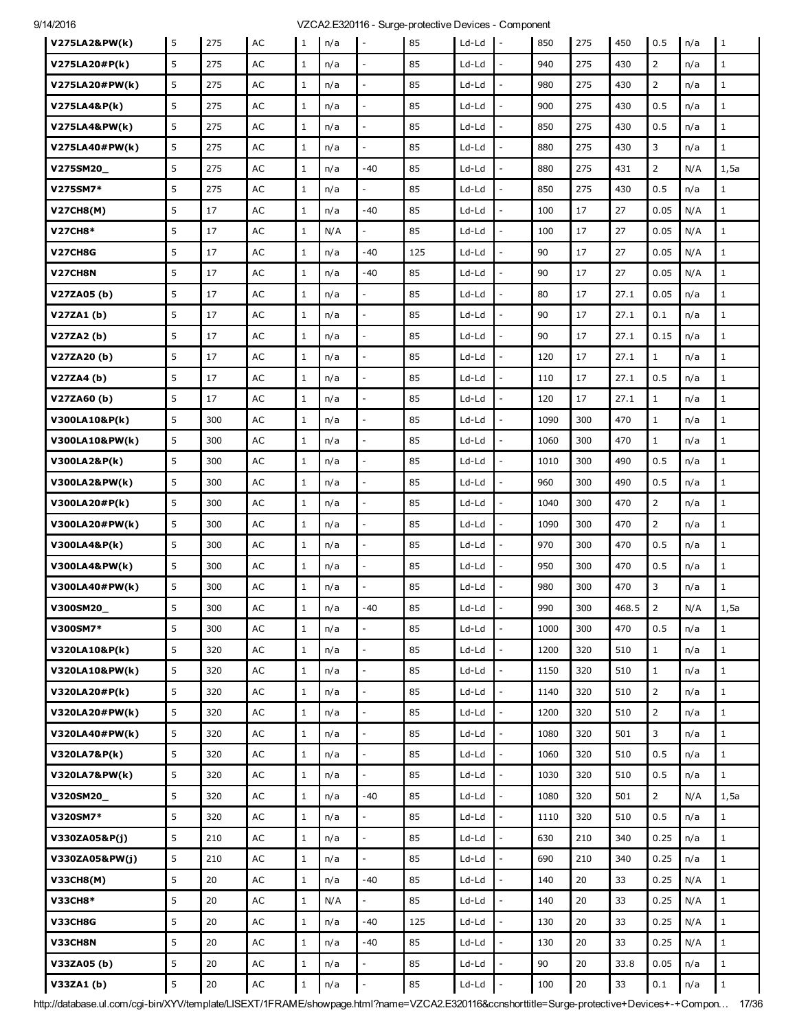| V275LA2&PW(k)    | 5 | 275    | AC            | 1            | n/a | l –                      | 85  | Ld-Ld   | $\mathbf{I}$ -           | 850  | 275 | 450   | 0.5            | n/a | $\vert$ 1    |
|------------------|---|--------|---------------|--------------|-----|--------------------------|-----|---------|--------------------------|------|-----|-------|----------------|-----|--------------|
| V275LA20#P(k)    | 5 | 275    | AC            | $\mathbf{1}$ | n/a |                          | 85  | Ld-Ld   |                          | 940  | 275 | 430   | $\overline{2}$ | n/a | $\mathbf{1}$ |
| V275LA20#PW(k)   | 5 | 275    | AC            | $\mathbf{1}$ | n/a |                          | 85  | Ld-Ld   | ÷,                       | 980  | 275 | 430   | $\overline{2}$ | n/a | $\mathbf{1}$ |
| V275LA4&P(k)     | 5 | 275    | AC            | $\mathbf{1}$ | n/a | $\bar{\phantom{a}}$      | 85  | Ld-Ld   | $\frac{1}{2}$            | 900  | 275 | 430   | 0.5            | n/a | $\mathbf 1$  |
| V275LA4&PW(k)    | 5 | 275    | AC            | $\mathbf{1}$ | n/a |                          | 85  | Ld-Ld   |                          | 850  | 275 | 430   | 0.5            | n/a | $\mathbf{1}$ |
| V275LA40#PW(k)   | 5 | 275    | AC            | $\mathbf{1}$ | n/a | $\overline{a}$           | 85  | Ld-Ld   | $\overline{a}$           | 880  | 275 | 430   | 3              | n/a | $\mathbf{1}$ |
| V275SM20_        | 5 | 275    | AC            | $\mathbf{1}$ | n/a | $-40$                    | 85  | Ld-Ld   | $\overline{a}$           | 880  | 275 | 431   | $\overline{2}$ | N/A | 1,5a         |
| V275SM7*         | 5 | 275    | AC            | $\mathbf{1}$ | n/a |                          | 85  | Ld-Ld   |                          | 850  | 275 | 430   | 0.5            | n/a | $\mathbf{1}$ |
| V27CH8(M)        | 5 | 17     | AC            | $\mathbf{1}$ | n/a | $-40$                    | 85  | Ld-Ld   | L,                       | 100  | 17  | 27    | 0.05           | N/A | $\mathbf 1$  |
| <b>V27CH8*</b>   | 5 | 17     | AC            | $\mathbf{1}$ | N/A | $\overline{a}$           | 85  | Ld-Ld   | $\overline{a}$           | 100  | 17  | 27    | 0.05           | N/A | $\mathbf{1}$ |
| V27CH8G          | 5 | 17     | AC            | $\mathbf{1}$ | n/a | $-40$                    | 125 | Ld-Ld   |                          | 90   | 17  | 27    | 0.05           | N/A | $\mathbf{1}$ |
| V27CH8N          | 5 | 17     | AC            | $\mathbf{1}$ | n/a | $-40$                    | 85  | Ld-Ld   |                          | 90   | 17  | 27    | 0.05           | N/A | $1\,$        |
| V27ZA05 (b)      | 5 | 17     | AC            | $\mathbf{1}$ | n/a | $\sim$                   | 85  | Ld-Ld   | $\overline{a}$           | 80   | 17  | 27.1  | 0.05           | n/a | $\mathbf{1}$ |
| V27ZA1(b)        | 5 | 17     | AC            | $\mathbf{1}$ | n/a | $\overline{a}$           | 85  | Ld-Ld   | $\overline{a}$           | 90   | 17  | 27.1  | 0.1            | n/a | $\mathbf{1}$ |
| V27ZA2(b)        | 5 | 17     | AC            | $\mathbf{1}$ | n/a |                          | 85  | Ld-Ld   | $\overline{a}$           | 90   | 17  | 27.1  | 0.15           | n/a | $\mathbf 1$  |
| V27ZA20(b)       | 5 | 17     | AC            | $\mathbf{1}$ | n/a |                          | 85  | Ld-Ld   | $\overline{a}$           | 120  | 17  | 27.1  | $\mathbf{1}$   | n/a | $\mathbf{1}$ |
| V27ZA4 (b)       | 5 | 17     | AC            | $\mathbf{1}$ | n/a | $\overline{\phantom{a}}$ | 85  | Ld-Ld   | $\overline{\phantom{a}}$ | 110  | 17  | 27.1  | 0.5            | n/a | $\mathbf{1}$ |
| V27ZA60(b)       | 5 | 17     | AC            | $\mathbf{1}$ | n/a |                          | 85  | Ld-Ld   |                          | 120  | 17  | 27.1  | $\mathbf{1}$   | n/a | $1\,$        |
| V300LA10&P(k)    | 5 | 300    | AC            | $\mathbf{1}$ | n/a | $\overline{a}$           | 85  | Ld-Ld   | $\overline{a}$           | 1090 | 300 | 470   | $\mathbf{1}$   | n/a | $\mathbf{1}$ |
| V300LA10&PW(k)   | 5 | 300    | AC            | $\mathbf{1}$ | n/a | $\overline{\phantom{a}}$ | 85  | Ld-Ld   | $\overline{\phantom{a}}$ | 1060 | 300 | 470   | $\mathbf{1}$   | n/a | $\mathbf 1$  |
| V300LA2&P(k)     | 5 | 300    | $\mathsf{AC}$ | $\mathbf{1}$ | n/a |                          | 85  | Ld-Ld   |                          | 1010 | 300 | 490   | 0.5            | n/a | $\mathbf{1}$ |
| V300LA2&PW(k)    | 5 | 300    | AC            | $\mathbf{1}$ | n/a |                          | 85  | Ld-Ld   | L,                       | 960  | 300 | 490   | 0.5            | n/a | $\mathbf{1}$ |
| V300LA20#P(k)    | 5 | 300    | AC            | $\mathbf{1}$ | n/a | $\sim$                   | 85  | Ld-Ld   | $\overline{a}$           | 1040 | 300 | 470   | $\overline{2}$ | n/a | $\mathbf 1$  |
| V300LA20#PW(k)   | 5 | 300    | $\mathsf{AC}$ | $\mathbf{1}$ | n/a |                          | 85  | Ld-Ld   |                          | 1090 | 300 | 470   | $\overline{2}$ | n/a | $\mathbf{1}$ |
| V300LA4&P(k)     | 5 | 300    | AC            | $\mathbf{1}$ | n/a |                          | 85  | Ld-Ld   | ÷,                       | 970  | 300 | 470   | 0.5            | n/a | $1\,$        |
| V300LA4&PW(k)    | 5 | 300    | AC            | $\mathbf{1}$ | n/a | $\bar{\phantom{a}}$      | 85  | Ld-Ld   | $\frac{1}{2}$            | 950  | 300 | 470   | 0.5            | n/a | $\mathbf 1$  |
| V300LA40#PW(k)   | 5 | 300    | AC            | $\mathbf{1}$ | n/a |                          | 85  | Ld-Ld   |                          | 980  | 300 | 470   | 3              | n/a | $\mathbf{1}$ |
| <b>V300SM20</b>  | 5 | 300    | AC            | $1\,$        | n/a | -40                      | 85  | Ld-Ld   |                          | 990  | 300 | 468.5 | $\overline{2}$ | N/A | 1,5a         |
| V300SM7*         | 5 | 300    | AC            | $\mathbf{1}$ | n/a | $\bar{\phantom{a}}$      | 85  | Ld-Ld   | $\frac{1}{2}$            | 1000 | 300 | 470   | 0.5            | n/a | $\mathbf{1}$ |
| V320LA10&P(k)    | 5 | 320    | $\mathsf{AC}$ | $\mathbf{1}$ | n/a |                          | 85  | Ld-Ld   |                          | 1200 | 320 | 510   | $\mathbf{1}$   | n/a | $\mathbf{1}$ |
| V320LA10&PW(k)   | 5 | 320    | $\mathsf{AC}$ | $\,1$        | n/a | $\overline{a}$           | 85  | Ld-Ld   | $\overline{a}$           | 1150 | 320 | 510   | $1\,$          | n/a | $\mathbf{1}$ |
| V320LA20#P(k)    | 5 | 320    | $\mathsf{AC}$ | $\mathbf{1}$ | n/a | $\overline{\phantom{a}}$ | 85  | $Ld-Ld$ | $\overline{a}$           | 1140 | 320 | 510   | $\overline{2}$ | n/a | $1\,$        |
| V320LA20#PW(k)   | 5 | 320    | AC            | $\,1$        | n/a | $\overline{\phantom{a}}$ | 85  | Ld-Ld   | $\overline{a}$           | 1200 | 320 | 510   | $\overline{2}$ | n/a | $1\,$        |
| V320LA40#PW(k)   | 5 | 320    | AC            | $\mathbf{1}$ | n/a |                          | 85  | Ld-Ld   | $\overline{a}$           | 1080 | 320 | 501   | 3              | n/a | $1\,$        |
| V320LA7&P(k)     | 5 | 320    | $\mathsf{AC}$ | $\mathbf{1}$ | n/a | $\overline{\phantom{a}}$ | 85  | $Ld-Ld$ | $\overline{a}$           | 1060 | 320 | 510   | 0.5            | n/a | $1\,$        |
| V320LA7&PW(k)    | 5 | 320    | $\mathsf{AC}$ | $\mathbf{1}$ | n/a | $\overline{a}$           | 85  | Ld-Ld   | ÷,                       | 1030 | 320 | 510   | 0.5            | n/a | $\mathbf{1}$ |
| V320SM20_        | 5 | 320    | AC            | $\mathbf{1}$ | n/a | $-40$                    | 85  | Ld-Ld   | $\overline{a}$           | 1080 | 320 | 501   | $\overline{2}$ | N/A | 1,5a         |
| V320SM7*         | 5 | 320    | $\mathsf{AC}$ | $\mathbf{1}$ | n/a | $\overline{\phantom{a}}$ | 85  | $Ld-Ld$ | $\overline{a}$           | 1110 | 320 | 510   | 0.5            | n/a | $\mathbf 1$  |
| V330ZA05&P(j)    | 5 | 210    | AC            | $\mathbf{1}$ | n/a | $\overline{\phantom{a}}$ | 85  | Ld-Ld   | $\overline{\phantom{a}}$ | 630  | 210 | 340   | 0.25           | n/a | $\mathbf{1}$ |
| V330ZA05&PW(j)   | 5 | 210    | AC            | $\mathbf{1}$ | n/a |                          | 85  | Ld-Ld   | $\overline{a}$           | 690  | 210 | 340   | 0.25           | n/a | $1\,$        |
| <b>V33CH8(M)</b> | 5 | 20     | AC            | $\mathbf{1}$ | n/a | $-40$                    | 85  | Ld-Ld   | $\overline{a}$           | 140  | 20  | 33    | 0.25           | N/A | $\mathbf{1}$ |
| <b>V33CH8*</b>   | 5 | 20     | AC            | $\,1$        | N/A | $\bar{\phantom{a}}$      | 85  | Ld-Ld   | $\frac{1}{2}$            | 140  | 20  | 33    | 0.25           | N/A | $1\,$        |
| V33CH8G          | 5 | 20     | $\mathsf{AC}$ | $\mathbf{1}$ | n/a | $-40$                    | 125 | Ld-Ld   | ÷,                       | 130  | 20  | 33    | 0.25           | N/A | $\mathbf{1}$ |
| V33CH8N          | 5 | 20     | AC            | $\mathbf{1}$ | n/a | $-40$                    | 85  | Ld-Ld   | $\overline{a}$           | 130  | 20  | 33    | 0.25           | N/A | $\mathbf 1$  |
| V33ZA05 (b)      | 5 | 20     | AC            | $\mathbf{1}$ | n/a | $\overline{\phantom{a}}$ | 85  | Ld-Ld   | $\frac{1}{2}$            | 90   | 20  | 33.8  | 0.05           | n/a | $\,1$        |
| V33ZA1(b)        | 5 | $20\,$ | $\sf AC$      | $1\,$        | n/a |                          | 85  | Ld-Ld   | ÷,                       | 100  | 20  | 33    | 0.1            | n/a | $\mathbf 1$  |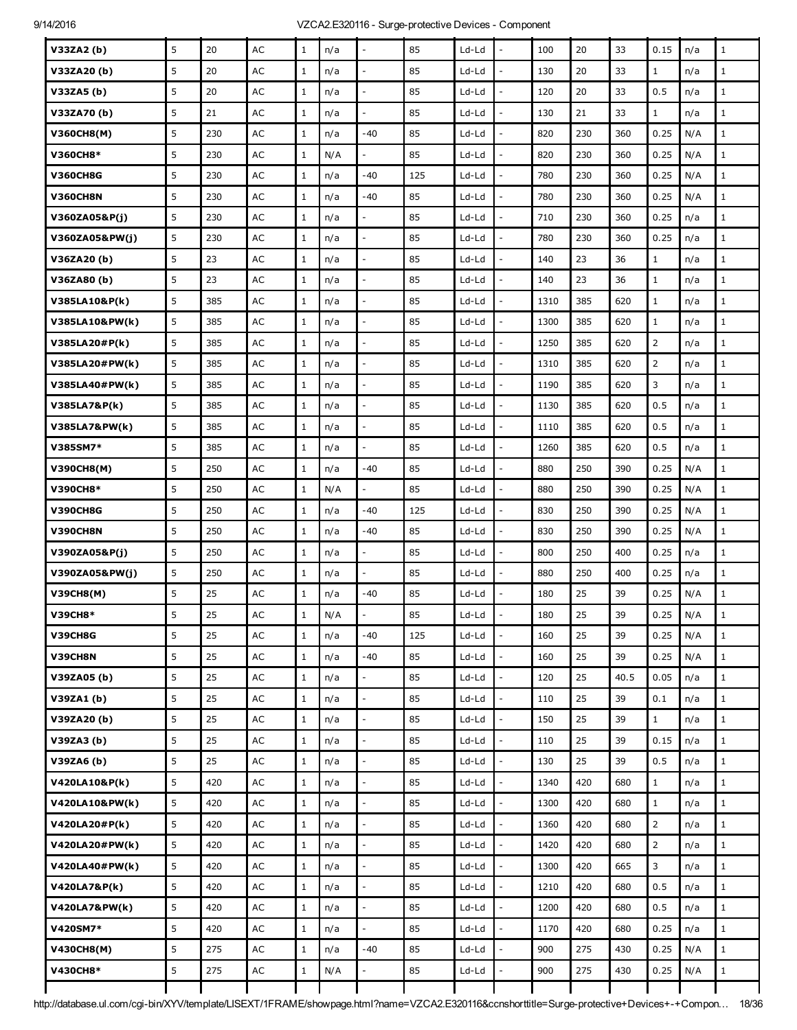| V33ZA2(b)         | 5 | 20  | AC            | $\mathbf{1}$ | n/a |                          | 85  | Ld-Ld   |                          | 100  | 20  | 33   | 0.15           | n/a | $\mathbf{1}$ |
|-------------------|---|-----|---------------|--------------|-----|--------------------------|-----|---------|--------------------------|------|-----|------|----------------|-----|--------------|
| V33ZA20(b)        | 5 | 20  | AC            | $\mathbf{1}$ | n/a | $\overline{a}$           | 85  | Ld-Ld   |                          | 130  | 20  | 33   | $\mathbf{1}$   | n/a | $\mathbf{1}$ |
| V33ZA5 (b)        | 5 | 20  | AC            | $\mathbf{1}$ | n/a | $\overline{\phantom{a}}$ | 85  | Ld-Ld   | $\frac{1}{2}$            | 120  | 20  | 33   | 0.5            | n/a | $\mathbf 1$  |
| V33ZA70(b)        | 5 | 21  | AC            | $\mathbf{1}$ | n/a |                          | 85  | Ld-Ld   |                          | 130  | 21  | 33   | $\mathbf{1}$   | n/a | $\mathbf{1}$ |
| <b>V360CH8(M)</b> | 5 | 230 | AC            | $\mathbf{1}$ | n/a | $-40$                    | 85  | Ld-Ld   | $\overline{a}$           | 820  | 230 | 360  | 0.25           | N/A | $1\,$        |
| V360CH8*          | 5 | 230 | AC            | $\mathbf{1}$ | N/A | $\overline{\phantom{a}}$ | 85  | Ld-Ld   | $\overline{a}$           | 820  | 230 | 360  | 0.25           | N/A | $\mathbf 1$  |
| <b>V360CH8G</b>   | 5 | 230 | AC            | $\mathbf{1}$ | n/a | -40                      | 125 | Ld-Ld   |                          | 780  | 230 | 360  | 0.25           | N/A | $\mathbf{1}$ |
| <b>V360CH8N</b>   | 5 | 230 | AC            | $\mathbf{1}$ | n/a | -40                      | 85  | Ld-Ld   | $\overline{a}$           | 780  | 230 | 360  | 0.25           | N/A | $\mathbf{1}$ |
| V360ZA05&P(j)     | 5 | 230 | AC            | $\mathbf{1}$ | n/a | $\bar{\phantom{a}}$      | 85  | Ld-Ld   | $\overline{\phantom{a}}$ | 710  | 230 | 360  | 0.25           | n/a | $\mathbf 1$  |
| V360ZA05&PW(j)    | 5 | 230 | AC            | $\mathbf{1}$ | n/a |                          | 85  | Ld-Ld   |                          | 780  | 230 | 360  | 0.25           | n/a | $\mathbf{1}$ |
| V36ZA20(b)        | 5 | 23  | AC            | $\mathbf{1}$ | n/a | $\overline{a}$           | 85  | Ld-Ld   | L,                       | 140  | 23  | 36   | $\mathbf{1}$   | n/a | $\mathbf{1}$ |
| V36ZA80(b)        | 5 | 23  | AC            | $\mathbf{1}$ | n/a | $\bar{\phantom{a}}$      | 85  | Ld-Ld   | $\overline{a}$           | 140  | 23  | 36   | $1\,$          | n/a | $\mathbf 1$  |
| V385LA10&P(k)     | 5 | 385 | AC            | $\mathbf{1}$ | n/a |                          | 85  | Ld-Ld   |                          | 1310 | 385 | 620  | $\mathbf{1}$   | n/a | $\mathbf{1}$ |
| V385LA10&PW(k)    | 5 | 385 | AC            | $\mathbf{1}$ | n/a |                          | 85  | Ld-Ld   | L,                       | 1300 | 385 | 620  | $\mathbf{1}$   | n/a | $\mathbf 1$  |
| V385LA20#P(k)     | 5 | 385 | AC            | $\mathbf{1}$ | n/a | $\overline{a}$           | 85  | Ld-Ld   | $\overline{a}$           | 1250 | 385 | 620  | $\overline{2}$ | n/a | $\mathbf{1}$ |
| V385LA20#PW(k)    | 5 | 385 | AC            | $\mathbf{1}$ | n/a |                          | 85  | Ld-Ld   |                          | 1310 | 385 | 620  | $\overline{2}$ | n/a | $\mathbf{1}$ |
| V385LA40#PW(k)    | 5 | 385 | AC            | $\mathbf{1}$ | n/a |                          | 85  | Ld-Ld   |                          | 1190 | 385 | 620  | 3              | n/a | $\mathbf 1$  |
| V385LA7&P(k)      | 5 | 385 | AC            | $\mathbf{1}$ | n/a | $\overline{a}$           | 85  | Ld-Ld   | L,                       | 1130 | 385 | 620  | 0.5            | n/a | $\mathbf{1}$ |
| V385LA7&PW(k)     | 5 | 385 | AC            | $\mathbf{1}$ | n/a | $\overline{a}$           | 85  | Ld-Ld   | $\overline{a}$           | 1110 | 385 | 620  | 0.5            | n/a | $\mathbf{1}$ |
| V385SM7*          | 5 | 385 | AC            | $\mathbf{1}$ | n/a |                          | 85  | Ld-Ld   |                          | 1260 | 385 | 620  | 0.5            | n/a | $\mathbf 1$  |
| V390CH8(M)        | 5 | 250 | AC            | $\mathbf{1}$ | n/a | $-40$                    | 85  | Ld-Ld   | L,                       | 880  | 250 | 390  | 0.25           | N/A | $\mathbf{1}$ |
| V390CH8*          | 5 | 250 | AC            | $\mathbf{1}$ | N/A | $\overline{a}$           | 85  | Ld-Ld   | $\overline{a}$           | 880  | 250 | 390  | 0.25           | N/A | $\mathbf{1}$ |
| <b>V390CH8G</b>   | 5 | 250 | AC            | $\mathbf{1}$ | n/a | $-40$                    | 125 | Ld-Ld   |                          | 830  | 250 | 390  | 0.25           | N/A | $\mathbf 1$  |
| <b>V390CH8N</b>   | 5 | 250 | AC            | $\mathbf{1}$ | n/a | -40                      | 85  | Ld-Ld   |                          | 830  | 250 | 390  | 0.25           | N/A | $\mathbf{1}$ |
| V390ZA05&P(j)     | 5 | 250 | AC            | $\mathbf{1}$ | n/a | $\overline{\phantom{a}}$ | 85  | Ld-Ld   | ÷,                       | 800  | 250 | 400  | 0.25           | n/a | $\mathbf{1}$ |
| V390ZA05&PW(j)    | 5 | 250 | AC            | $\mathbf{1}$ | n/a |                          | 85  | Ld-Ld   |                          | 880  | 250 | 400  | 0.25           | n/a | $\mathbf 1$  |
| <b>V39CH8(M)</b>  | 5 | 25  | AC            | $\mathbf{1}$ | n/a | $-40$                    | 85  | Ld-Ld   |                          | 180  | 25  | 39   | 0.25           | N/A | $1\,$        |
| <b>V39CH8*</b>    | 5 | 25  | AC            | $\mathbf{1}$ | N/A |                          | 85  | $Ld-Ld$ |                          | 180  | 25  | 39   | 0.25           | N/A | $\mathbf{1}$ |
| V39CH8G           | 5 | 25  | $\mathsf{AC}$ | $\mathbf{1}$ | n/a | -40                      | 125 | Ld-Ld   |                          | 160  | 25  | 39   | 0.25           | N/A | $\mathbf{1}$ |
| V39CH8N           | 5 | 25  | $\mathsf{AC}$ | $\mathbf{1}$ | n/a | $-40$                    | 85  | Ld-Ld   | $\overline{a}$           | 160  | 25  | 39   | 0.25           | N/A | $\mathbf{1}$ |
| V39ZA05 (b)       | 5 | 25  | AC            | $1\,$        | n/a | $\overline{\phantom{a}}$ | 85  | $Ld-Ld$ | $\overline{\phantom{a}}$ | 120  | 25  | 40.5 | 0.05           | n/a | $\,1$        |
| V39ZA1(b)         | 5 | 25  | $\mathsf{AC}$ | $\mathbf{1}$ | n/a |                          | 85  | Ld-Ld   |                          | 110  | 25  | 39   | 0.1            | n/a | $\mathbf{1}$ |
| V39ZA20(b)        | 5 | 25  | $\mathsf{AC}$ | $\mathbf{1}$ | n/a | $\overline{a}$           | 85  | Ld-Ld   | $\overline{a}$           | 150  | 25  | 39   | $\mathbf{1}$   | n/a | $\mathbf{1}$ |
| V39ZA3 (b)        | 5 | 25  | $\mathsf{AC}$ | $1\,$        | n/a | $\mathbb{L}$             | 85  | $Ld-Ld$ | $\frac{1}{2}$            | 110  | 25  | 39   | 0.15           | n/a | $\,1$        |
| V39ZA6 (b)        | 5 | 25  | $\mathsf{AC}$ | $\mathbf{1}$ | n/a |                          | 85  | Ld-Ld   | $\overline{a}$           | 130  | 25  | 39   | 0.5            | n/a | $\mathbf{1}$ |
| V420LA10&P(k)     | 5 | 420 | $\mathsf{AC}$ | $\,1$        | n/a | $\overline{a}$           | 85  | Ld-Ld   | $\overline{a}$           | 1340 | 420 | 680  | $\mathbf{1}$   | n/a | $1\,$        |
| V420LA10&PW(k)    | 5 | 420 | $\mathsf{AC}$ | $1\,$        | n/a | $\overline{\phantom{a}}$ | 85  | $Ld-Ld$ | $\overline{a}$           | 1300 | 420 | 680  | $1\,$          | n/a | $1\,$        |
| V420LA20#P(k)     | 5 | 420 | $\mathsf{AC}$ | $1\,$        | n/a | $\overline{a}$           | 85  | Ld-Ld   | $\overline{a}$           | 1360 | 420 | 680  | $\overline{2}$ | n/a | $\mathbf 1$  |
| V420LA20#PW(k)    | 5 | 420 | $\mathsf{AC}$ | $\mathbf{1}$ | n/a |                          | 85  | Ld-Ld   |                          | 1420 | 420 | 680  | $\overline{2}$ | n/a | $\mathbf{1}$ |
| V420LA40#PW(k)    | 5 | 420 | $\mathsf{AC}$ | $\mathbf{1}$ | n/a | $\sim$                   | 85  | Ld-Ld   | $\overline{a}$           | 1300 | 420 | 665  | 3              | n/a | $1\,$        |
| V420LA7&P(k)      | 5 | 420 | $\mathsf{AC}$ | $\mathbf{1}$ | n/a | $\overline{a}$           | 85  | Ld-Ld   | $\overline{a}$           | 1210 | 420 | 680  | 0.5            | n/a | $1\,$        |
| V420LA7&PW(k)     | 5 | 420 | $\mathsf{AC}$ | $\mathbf{1}$ | n/a | $\overline{a}$           | 85  | $Ld-Ld$ | $\overline{\phantom{a}}$ | 1200 | 420 | 680  | 0.5            | n/a | $1\,$        |
| V420SM7*          | 5 | 420 | $\mathsf{AC}$ | $\mathbf{1}$ | n/a | $\overline{a}$           | 85  | $Ld-Ld$ | $\overline{a}$           | 1170 | 420 | 680  | 0.25           | n/a | $1\,$        |
| <b>V430CH8(M)</b> | 5 | 275 | AC            | $\mathbf{1}$ | n/a | $-40$                    | 85  | Ld-Ld   | $\overline{\phantom{a}}$ | 900  | 275 | 430  | 0.25           | N/A | $\mathbf{1}$ |
| V430CH8*          | 5 | 275 | $\mathsf{AC}$ | $\,1$        | N/A |                          | 85  | $Ld-Ld$ | $\overline{a}$           | 900  | 275 | 430  | 0.25           | N/A | $\,1$        |
|                   |   |     |               |              |     |                          |     |         |                          |      |     |      |                |     |              |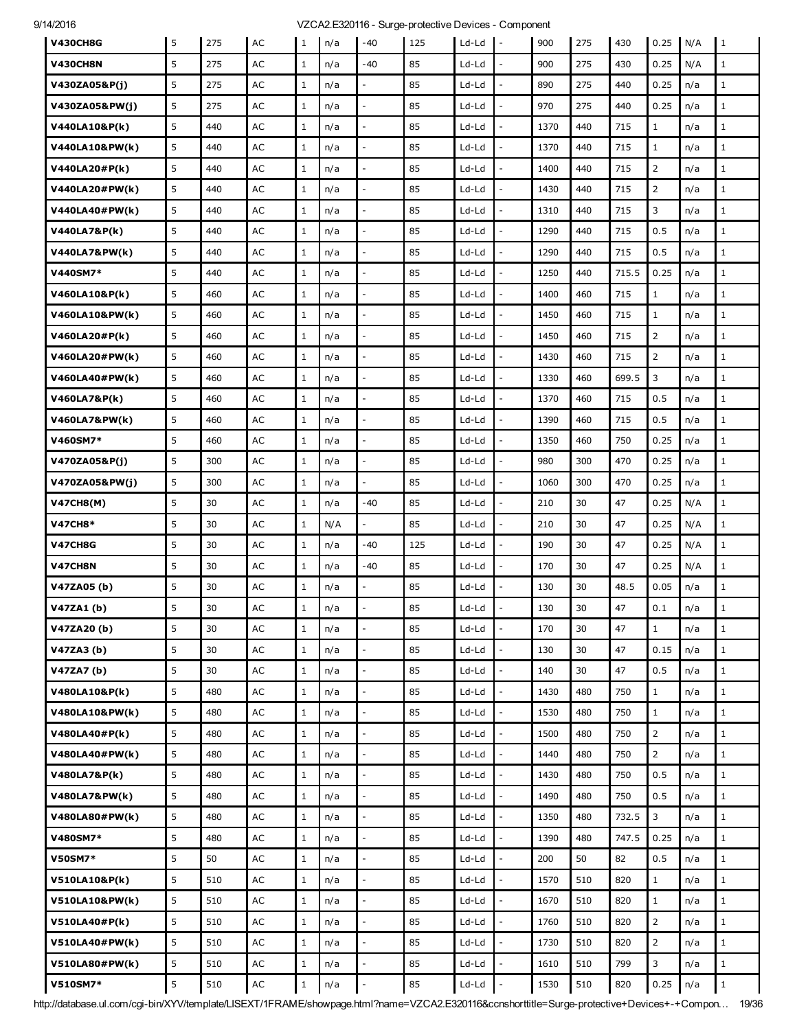| <b>V430CH8G</b>          | 5 | 275 | AC            | $\mathbf{1}$ | n/a | $-40$                    | 125 | Ld-Ld   | $\overline{\phantom{a}}$ | 900  | 275 | 430   | 0.25           | N/A        | $\mathbf{1}$ |
|--------------------------|---|-----|---------------|--------------|-----|--------------------------|-----|---------|--------------------------|------|-----|-------|----------------|------------|--------------|
| <b>V430CH8N</b>          | 5 | 275 | AC            | $\mathbf{1}$ | n/a | -40                      | 85  | Ld-Ld   | L.                       | 900  | 275 | 430   | 0.25           | N/A        | $1\,$        |
| V430ZA05&P(j)            | 5 | 275 | AC            | $\mathbf{1}$ | n/a |                          | 85  | Ld-Ld   |                          | 890  | 275 | 440   | 0.25           | n/a        | $\mathbf{1}$ |
| V430ZA05&PW(j)           | 5 | 275 | AC            | $\mathbf{1}$ | n/a | $\overline{a}$           | 85  | Ld-Ld   |                          | 970  | 275 | 440   | 0.25           | n/a        | $\mathbf{1}$ |
| V440LA10&P(k)            | 5 | 440 | AC            | $\mathbf{1}$ | n/a | $\overline{a}$           | 85  | Ld-Ld   | $\overline{a}$           | 1370 | 440 | 715   | $\mathbf{1}$   | n/a        | $1\,$        |
| V440LA10&PW(k)           | 5 | 440 | AC            | $\mathbf{1}$ | n/a |                          | 85  | Ld-Ld   |                          | 1370 | 440 | 715   | $\mathbf{1}$   | n/a        | $\mathbf{1}$ |
| V440LA20#P(k)            | 5 | 440 | AC            | $\mathbf{1}$ | n/a |                          | 85  | Ld-Ld   |                          | 1400 | 440 | 715   | $\overline{2}$ |            | $\mathbf{1}$ |
| V440LA20#PW(k)           | 5 | 440 | AC            | $\mathbf{1}$ | n/a | $\overline{a}$           | 85  | Ld-Ld   | $\overline{a}$           | 1430 | 440 | 715   | $\overline{2}$ | n/a<br>n/a | $\mathbf 1$  |
| V440LA40#PW(k)           | 5 | 440 | AC            | $\mathbf{1}$ | n/a |                          | 85  | Ld-Ld   |                          | 1310 | 440 | 715   | 3              | n/a        | $\mathbf{1}$ |
| V440LA7&P(k)             | 5 | 440 | AC            | $\mathbf{1}$ | n/a | $\overline{\phantom{a}}$ | 85  | Ld-Ld   |                          | 1290 | 440 | 715   | 0.5            | n/a        | $\mathbf{1}$ |
| <b>V440LA7&amp;PW(k)</b> | 5 | 440 | AC            | $\mathbf{1}$ | n/a | $\overline{a}$           | 85  | Ld-Ld   | $\overline{a}$           | 1290 | 440 | 715   | 0.5            | n/a        | $\mathbf{1}$ |
| V440SM7*                 | 5 | 440 | AC            | $\mathbf{1}$ | n/a |                          | 85  | Ld-Ld   |                          | 1250 | 440 | 715.5 | 0.25           | n/a        | $\mathbf{1}$ |
| V460LA10&P(k)            | 5 | 460 | AC            | $\mathbf{1}$ | n/a | $\overline{a}$           | 85  | Ld-Ld   |                          | 1400 | 460 | 715   | $\mathbf{1}$   | n/a        | $\mathbf{1}$ |
| V460LA10&PW(k)           | 5 | 460 | AC            | $\mathbf{1}$ | n/a | $\overline{a}$           | 85  | Ld-Ld   |                          | 1450 | 460 | 715   | $\mathbf{1}$   | n/a        | $\mathbf{1}$ |
| V460LA20#P(k)            | 5 | 460 | AC            | $\mathbf{1}$ | n/a | $\overline{a}$           | 85  | Ld-Ld   | $\overline{a}$           | 1450 | 460 | 715   | $\overline{2}$ | n/a        | $\mathbf{1}$ |
| V460LA20#PW(k)           | 5 | 460 | AC            | $\mathbf{1}$ | n/a |                          | 85  | Ld-Ld   |                          | 1430 | 460 | 715   | $\overline{2}$ | n/a        | $\mathbf{1}$ |
| V460LA40#PW(k)           | 5 | 460 | AC            | $\mathbf{1}$ | n/a | $\overline{a}$           | 85  | Ld-Ld   |                          | 1330 | 460 | 699.5 | 3              | n/a        | $\mathbf{1}$ |
| V460LA7&P(k)             | 5 | 460 | AC            | $\mathbf{1}$ | n/a | $\overline{\phantom{a}}$ | 85  | Ld-Ld   |                          | 1370 | 460 | 715   | 0.5            | n/a        | $\mathbf{1}$ |
| V460LA7&PW(k)            | 5 | 460 | AC            | $\mathbf{1}$ | n/a |                          | 85  | Ld-Ld   |                          | 1390 | 460 | 715   | 0.5            | n/a        | $\mathbf{1}$ |
| V460SM7*                 | 5 | 460 | AC            | $\mathbf{1}$ | n/a | $\overline{a}$           | 85  | Ld-Ld   |                          | 1350 | 460 | 750   | 0.25           | n/a        | $\mathbf{1}$ |
| V470ZA05&P(j)            | 5 | 300 | AC            | $\mathbf{1}$ | n/a | $\overline{\phantom{a}}$ | 85  | Ld-Ld   |                          | 980  | 300 | 470   | 0.25           | n/a        | $1\,$        |
| V470ZA05&PW(j)           | 5 | 300 | AC            | $\mathbf{1}$ | n/a |                          | 85  | Ld-Ld   |                          | 1060 | 300 | 470   | 0.25           | n/a        | $\mathbf{1}$ |
| <b>V47CH8(M)</b>         | 5 | 30  | AC            | $\mathbf{1}$ | n/a | -40                      | 85  | Ld-Ld   |                          | 210  | 30  | 47    | 0.25           | N/A        | $\mathbf{1}$ |
| <b>V47CH8*</b>           | 5 | 30  | AC            | $\mathbf{1}$ | N/A | $\overline{\phantom{a}}$ | 85  | Ld-Ld   | $\frac{1}{2}$            | 210  | 30  | 47    | 0.25           | N/A        | $\mathbf{1}$ |
| <b>V47CH8G</b>           | 5 | 30  | AC            | $\mathbf{1}$ | n/a | -40                      | 125 | Ld-Ld   |                          | 190  | 30  | 47    | 0.25           | N/A        | $\mathbf{1}$ |
| V47CH8N                  | 5 | 30  | AC            | $\mathbf{1}$ | n/a | -40                      | 85  | Ld-Ld   |                          | 170  | 30  | 47    | 0.25           | N/A        | $\mathbf{1}$ |
| V47ZA05(b)               | 5 | 30  | AC            | $\mathbf{1}$ | n/a | $\overline{\phantom{a}}$ | 85  | Ld-Ld   |                          | 130  | 30  | 48.5  | 0.05           | n/a        | $\mathbf{1}$ |
| V47ZA1(b)                | 5 | 30  | AC            | $\mathbf{1}$ | n/a |                          | 85  | Ld-Ld   |                          | 130  | 30  | 47    | 0.1            | n/a        | $\mathbf{1}$ |
| V47ZA20(b)               | 5 | 30  | AC            | $\mathbf{1}$ | n/a | $\overline{a}$           | 85  | Ld-Ld   | $\overline{\phantom{a}}$ | 170  | 30  | 47    | $\mathbf{1}$   | n/a        | $\mathbf{1}$ |
| V47ZA3(b)                | 5 | 30  | AC            | $\mathbf{1}$ | n/a | $\mathcal{L}$            | 85  | $Ld-Ld$ | $\overline{\phantom{a}}$ | 130  | 30  | 47    | 0.15           | n/a        | $\mathbf{1}$ |
| V47ZA7(b)                | 5 | 30  | $\mathsf{AC}$ | $\mathbf{1}$ | n/a | $\overline{a}$           | 85  | $Ld-Ld$ |                          | 140  | 30  | 47    | 0.5            | n/a        | $\mathbf{1}$ |
| V480LA10&P(k)            | 5 | 480 | $\mathsf{AC}$ | $\mathbf{1}$ | n/a | $\overline{\phantom{a}}$ | 85  | $Ld-Ld$ |                          | 1430 | 480 | 750   | $\mathbf{1}$   | n/a        | $\mathbf{1}$ |
| V480LA10&PW(k)           | 5 | 480 | AC            | $\mathbf{1}$ | n/a | $\mathcal{L}$            | 85  | Ld-Ld   | $\overline{a}$           | 1530 | 480 | 750   | $\mathbf{1}$   | n/a        | $\mathbf{1}$ |
| V480LA40#P(k)            | 5 | 480 | AC            | $\mathbf{1}$ | n/a | $\overline{\phantom{a}}$ | 85  | $Ld-Ld$ |                          | 1500 | 480 | 750   | $\overline{2}$ | n/a        | $\mathbf{1}$ |
| V480LA40#PW(k)           | 5 | 480 | AC            | $\,1$        | n/a | $\overline{\phantom{a}}$ | 85  | $Ld-Ld$ |                          | 1440 | 480 | 750   | $\overline{2}$ | n/a        | $\mathbf{1}$ |
| V480LA7&P(k)             | 5 | 480 | $\mathsf{AC}$ | $\mathbf{1}$ | n/a | $\overline{\phantom{a}}$ | 85  | Ld-Ld   |                          | 1430 | 480 | 750   | 0.5            | n/a        | $\mathbf{1}$ |
| <b>V480LA7&amp;PW(k)</b> | 5 | 480 | AC            | $1\,$        | n/a | $\overline{\phantom{a}}$ | 85  | Ld-Ld   |                          | 1490 | 480 | 750   | 0.5            | n/a        | $\mathbf{1}$ |
| V480LA80#PW(k)           | 5 | 480 | $\mathsf{AC}$ | $\,1$        | n/a | $\overline{a}$           | 85  | $Ld-Ld$ |                          | 1350 | 480 | 732.5 | 3              | n/a        | $1\,$        |
| V480SM7*                 | 5 | 480 | $\mathsf{AC}$ | $\mathbf{1}$ | n/a | $\overline{a}$           | 85  | Ld-Ld   |                          | 1390 | 480 | 747.5 | 0.25           | n/a        | $1\,$        |
| <b>V50SM7*</b>           | 5 | 50  | $\mathsf{AC}$ | $1\,$        | n/a | $\Box$                   | 85  | Ld-Ld   |                          | 200  | 50  | 82    | 0.5            | n/a        | $\mathbf{1}$ |
| V510LA10&P(k)            | 5 | 510 | AC            | $\mathbf{1}$ | n/a | $\overline{a}$           | 85  | $Ld-Ld$ |                          | 1570 | 510 | 820   | $\mathbf{1}$   | n/a        | $\mathbf{1}$ |
| V510LA10&PW(k)           | 5 | 510 | $\mathsf{AC}$ | $\mathbf{1}$ | n/a | $\overline{a}$           | 85  | Ld-Ld   |                          | 1670 | 510 | 820   | $1\,$          | n/a        | $1\,$        |
| V510LA40#P(k)            | 5 | 510 | $\mathsf{AC}$ | $1\,$        | n/a | $\overline{\phantom{a}}$ | 85  | Ld-Ld   | $\overline{\phantom{a}}$ | 1760 | 510 | 820   | $\overline{2}$ | n/a        | $\mathbf{1}$ |
| V510LA40#PW(k)           | 5 | 510 | AC            | $\mathbf{1}$ | n/a |                          | 85  | Ld-Ld   |                          | 1730 | 510 | 820   | $\overline{2}$ | n/a        | $\mathbf{1}$ |
| V510LA80#PW(k)           | 5 | 510 | AC            | $\mathbf{1}$ | n/a | $\overline{\phantom{a}}$ | 85  | Ld-Ld   |                          | 1610 | 510 | 799   | 3              | n/a        | $\mathbf{1}$ |
| V510SM7*                 | 5 | 510 | AC            | $\mathbf 1$  | n/a | $\overline{\phantom{a}}$ | 85  | $Ld-Ld$ | $\overline{\phantom{a}}$ | 1530 | 510 | 820   | 0.25           | n/a        | $1\,$        |

http://database.ul.com/cgi-bin/XYV/template/LISEXT/1FRAME/showpage.html?name=VZCA2.E320116&ccnshorttitle=Surge-protective+Devices+-+Compon… 19/36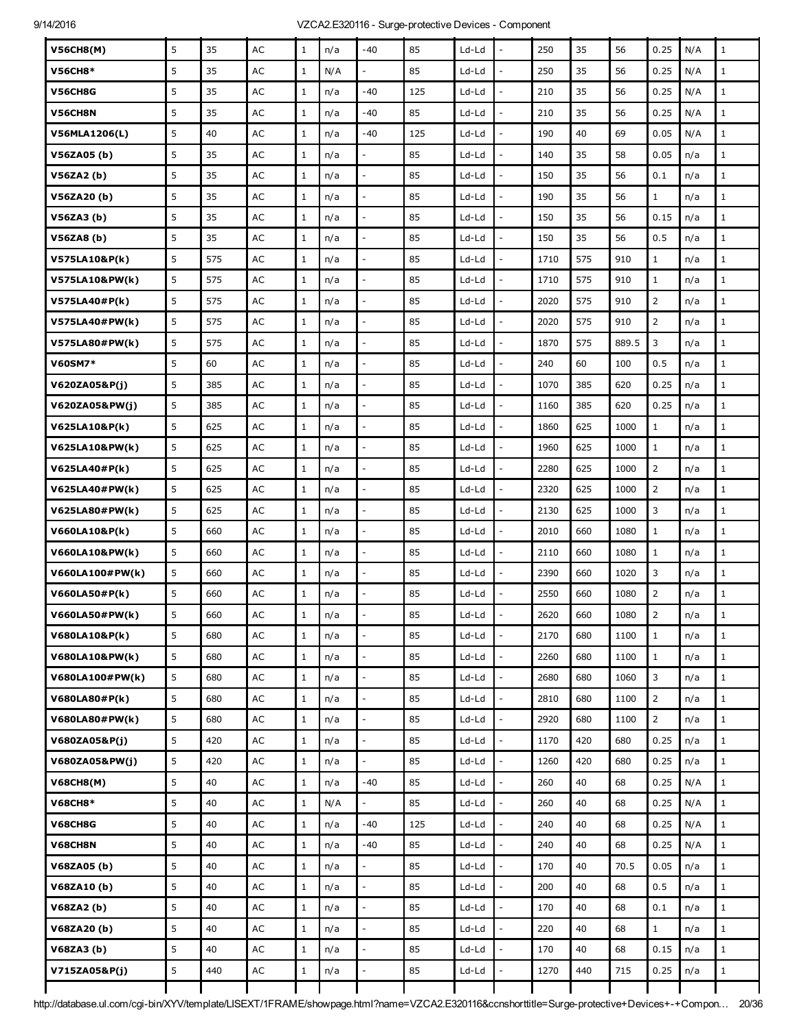| <b>V56CH8(M)</b>          | 5 | 35  | AC            | $\mathbf 1$  | n/a | -40                      | 85  | Ld-Ld   |                          | 250  | 35  | 56    | 0.25           | N/A | $\mathbf{1}$ |
|---------------------------|---|-----|---------------|--------------|-----|--------------------------|-----|---------|--------------------------|------|-----|-------|----------------|-----|--------------|
| <b>V56CH8*</b>            | 5 | 35  | AC            | $\mathbf 1$  | N/A |                          | 85  | Ld-Ld   |                          | 250  | 35  | 56    | 0.25           | N/A | $\mathbf{1}$ |
| V56CH8G                   | 5 | 35  | AC            | $\mathbf 1$  | n/a | -40                      | 125 | Ld-Ld   | $\overline{a}$           | 210  | 35  | 56    | 0.25           | N/A | $\mathbf{1}$ |
| V56CH8N                   | 5 | 35  | AC            | $\mathbf 1$  | n/a | -40                      | 85  | Ld-Ld   |                          | 210  | 35  | 56    | 0.25           | N/A | $1\,$        |
| <b>V56MLA1206(L)</b>      | 5 | 40  | AC            | $\mathbf 1$  | n/a | -40                      | 125 | Ld-Ld   | $\overline{a}$           | 190  | 40  | 69    | 0.05           | N/A | $\mathbf{1}$ |
| V56ZA05 (b)               | 5 | 35  | AC            | $\mathbf 1$  | n/a |                          | 85  | Ld-Ld   | $\overline{a}$           | 140  | 35  | 58    | 0.05           | n/a | $1\,$        |
| V56ZA2(b)                 | 5 | 35  | AC            | $\mathbf 1$  | n/a |                          | 85  | Ld-Ld   |                          | 150  | 35  | 56    | 0.1            | n/a | $\mathbf 1$  |
| V56ZA20(b)                | 5 | 35  | AC            | $\mathbf{1}$ | n/a |                          | 85  | Ld-Ld   | $\overline{a}$           | 190  | 35  | 56    | $\mathbf{1}$   | n/a | $\mathbf{1}$ |
| V56ZA3 (b)                | 5 | 35  | AC            | $1\,$        | n/a | $\overline{\phantom{a}}$ | 85  | Ld-Ld   | $\overline{a}$           | 150  | 35  | 56    | 0.15           | n/a | $\mathbf 1$  |
| V56ZA8 (b)                | 5 | 35  | AC            | $\mathbf 1$  | n/a |                          | 85  | Ld-Ld   |                          | 150  | 35  | 56    | 0.5            | n/a | $1\,$        |
| V575LA10&P(k)             | 5 | 575 | AC            | $\mathbf 1$  | n/a | $\overline{a}$           | 85  | Ld-Ld   | $\overline{a}$           | 1710 | 575 | 910   | $\mathbf{1}$   | n/a | $\mathbf{1}$ |
| V575LA10&PW(k)            | 5 | 575 | AC            | $\mathbf 1$  | n/a | $\overline{\phantom{a}}$ | 85  | Ld-Ld   | $\overline{a}$           | 1710 | 575 | 910   | $\mathbf{1}$   | n/a | $\mathbf 1$  |
| V575LA40#P(k)             | 5 | 575 | AC            | $\mathbf{1}$ | n/a |                          | 85  | Ld-Ld   |                          | 2020 | 575 | 910   | $\overline{2}$ | n/a | $\mathbf{1}$ |
| V575LA40#PW(k)            | 5 | 575 | AC            | $1\,$        | n/a |                          | 85  | Ld-Ld   | $\overline{\phantom{a}}$ | 2020 | 575 | 910   | $\overline{2}$ | n/a | $\mathbf{1}$ |
| V575LA80#PW(k)            | 5 | 575 | AC            | $\mathbf 1$  | n/a | $\overline{a}$           | 85  | Ld-Ld   | $\overline{a}$           | 1870 | 575 | 889.5 | 3              | n/a | $\mathbf 1$  |
| <b>V60SM7*</b>            | 5 | 60  | AC            | $\mathbf 1$  | n/a |                          | 85  | Ld-Ld   |                          | 240  | 60  | 100   | 0.5            | n/a | $\mathbf{1}$ |
| V620ZA05&P(j)             | 5 | 385 | AC            | $1\,$        | n/a |                          | 85  | Ld-Ld   | $\overline{\phantom{a}}$ | 1070 | 385 | 620   | 0.25           | n/a | $\mathbf{1}$ |
| V620ZA05&PW(j)            | 5 | 385 | AC            | $\mathbf 1$  | n/a | $\overline{\phantom{a}}$ | 85  | Ld-Ld   | $\overline{a}$           | 1160 | 385 | 620   | 0.25           | n/a | $\mathbf 1$  |
| V625LA10&P(k)             | 5 | 625 | AC            | $\mathbf{1}$ | n/a |                          | 85  | Ld-Ld   |                          | 1860 | 625 | 1000  | $\mathbf{1}$   | n/a | $\mathbf{1}$ |
| V625LA10&PW(k)            | 5 | 625 | AC            | $\mathbf{1}$ | n/a |                          | 85  | Ld-Ld   | $\overline{a}$           | 1960 | 625 | 1000  | $\mathbf{1}$   | n/a | $\mathbf{1}$ |
| V625LA40#P(k)             | 5 | 625 | AC            | $\mathbf 1$  | n/a | $\overline{\phantom{a}}$ | 85  | Ld-Ld   | $\overline{a}$           | 2280 | 625 | 1000  | $\overline{2}$ | n/a | $\mathbf 1$  |
| V625LA40#PW(k)            | 5 | 625 | AC            | $\mathbf 1$  | n/a |                          | 85  | Ld-Ld   |                          | 2320 | 625 | 1000  | $\overline{2}$ | n/a | $\mathbf{1}$ |
| V625LA80#PW(k)            | 5 | 625 | AC            | $1\,$        | n/a | $\overline{a}$           | 85  | Ld-Ld   | $\overline{a}$           | 2130 | 625 | 1000  | 3              | n/a | $1\,$        |
| V660LA10&P(k)             | 5 | 660 | AC            | $\mathbf 1$  | n/a | $\overline{a}$           | 85  | Ld-Ld   | $\overline{a}$           | 2010 | 660 | 1080  | $\mathbf{1}$   | n/a | $\mathbf{1}$ |
| V660LA10&PW(k)            | 5 | 660 | AC            | $\mathbf 1$  | n/a |                          | 85  | Ld-Ld   | L,                       | 2110 | 660 | 1080  | $\mathbf{1}$   | n/a | $\mathbf{1}$ |
| V660LA100#PW(k)           | 5 | 660 | AC            | $\mathbf{1}$ | n/a |                          | 85  | Ld-Ld   |                          | 2390 | 660 | 1020  | 3              | n/a | $1\,$        |
| V660LA50#P(k)             | 5 | 660 | AC            | $\mathbf 1$  | n/a |                          | 85  | Ld-Ld   |                          | 2550 | 660 | 1080  | $\overline{2}$ | n/a | $\mathbf{1}$ |
| V660LA50#PW(k)            | 5 | 660 | $\mathsf{AC}$ | $\mathbf{1}$ | n/a |                          | 85  | Ld-Ld   |                          | 2620 | 660 | 1080  | $\overline{2}$ | n/a | $\mathbf{1}$ |
| V680LA10&P(k)             | 5 | 680 | AC            | $\mathbf 1$  | n/a |                          | 85  | Ld-Ld   | $\overline{a}$           | 2170 | 680 | 1100  | $\mathbf{1}$   | n/a | $\mathbf 1$  |
| <b>V680LA10&amp;PW(k)</b> | 5 | 680 | $\mathsf{AC}$ | $\mathbf 1$  | n/a | $\overline{a}$           | 85  | Ld-Ld   | $\overline{a}$           | 2260 | 680 | 1100  | $\mathbf{1}$   | n/a | $\mathbf{1}$ |
| V680LA100#PW(k)           | 5 | 680 | AC            | $\mathbf 1$  | n/a | $\blacksquare$           | 85  | Ld-Ld   | $\overline{a}$           | 2680 | 680 | 1060  | 3              | n/a | $\mathbf{1}$ |
| V680LA80#P(k)             | 5 | 680 | AC            | $\mathbf 1$  | n/a |                          | 85  | $Ld-Ld$ | $\overline{a}$           | 2810 | 680 | 1100  | $\overline{2}$ | n/a | $1\,$        |
| V680LA80#PW(k)            | 5 | 680 | $\mathsf{AC}$ | $\mathbf 1$  | n/a | $\overline{a}$           | 85  | Ld-Ld   | $\overline{a}$           | 2920 | 680 | 1100  | $\overline{2}$ | n/a | $\mathbf{1}$ |
| V680ZA05&P(j)             | 5 | 420 | $\mathsf{AC}$ | $\,1$        | n/a | $\overline{\phantom{a}}$ | 85  | Ld-Ld   | $\overline{a}$           | 1170 | 420 | 680   | 0.25           | n/a | $1\,$        |
| V680ZA05&PW(j)            | 5 | 420 | AC            | $\mathbf 1$  | n/a |                          | 85  | $Ld-Ld$ | $\overline{a}$           | 1260 | 420 | 680   | 0.25           | n/a | $\mathbf{1}$ |
| <b>V68CH8(M)</b>          | 5 | 40  | AC            | $\mathbf 1$  | n/a | $-40$                    | 85  | Ld-Ld   | $\overline{a}$           | 260  | 40  | 68    | 0.25           | N/A | $\mathbf{1}$ |
| <b>V68CH8*</b>            | 5 | 40  | $\mathsf{AC}$ | $\,1$        | N/A | $\frac{1}{2}$            | 85  | $Ld-Ld$ | $\overline{a}$           | 260  | 40  | 68    | 0.25           | N/A | $1\,$        |
| <b>V68CH8G</b>            | 5 | 40  | AC            | $\mathbf 1$  | n/a | -40                      | 125 | Ld-Ld   |                          | 240  | 40  | 68    | 0.25           | N/A | $\mathbf{1}$ |
| <b>V68CH8N</b>            | 5 | 40  | AC            | $\mathbf 1$  | n/a | $-40$                    | 85  | Ld-Ld   |                          | 240  | 40  | 68    | 0.25           | N/A | $\mathbf{1}$ |
| V68ZA05(b)                | 5 | 40  | AC            | $\mathbf 1$  | n/a | $\frac{1}{2}$            | 85  | $Ld-Ld$ | $\overline{a}$           | 170  | 40  | 70.5  | 0.05           | n/a | $\mathbf 1$  |
| V68ZA10(b)                | 5 | 40  | AC            | $\mathbf 1$  | n/a |                          | 85  | Ld-Ld   | $\overline{a}$           | 200  | 40  | 68    | 0.5            | n/a | $\mathbf{1}$ |
| V68ZA2(b)                 | 5 | 40  | AC            | $\mathbf 1$  | n/a | $\overline{a}$           | 85  | Ld-Ld   | $\overline{\phantom{a}}$ | 170  | 40  | 68    | 0.1            | n/a | $\mathbf{1}$ |
| V68ZA20(b)                | 5 | 40  | AC            | $\mathbf 1$  | n/a | $\overline{\phantom{a}}$ | 85  | $Ld-Ld$ | $\overline{a}$           | 220  | 40  | 68    | $\mathbf{1}$   | n/a | $\mathbf 1$  |
| V68ZA3(b)                 | 5 | 40  | AC            | $1\,$        | n/a |                          | 85  | Ld-Ld   | $\overline{a}$           | 170  | 40  | 68    | 0.15           | n/a | $\mathbf{1}$ |
| V715ZA05&P(j)             | 5 | 440 | $\mathsf{AC}$ | $\mathbf 1$  | n/a | $\overline{a}$           | 85  | $Ld-Ld$ | $\overline{a}$           | 1270 | 440 | 715   | 0.25           | n/a | $\,1\,$      |
|                           |   |     |               |              |     |                          |     |         |                          |      |     |       |                |     |              |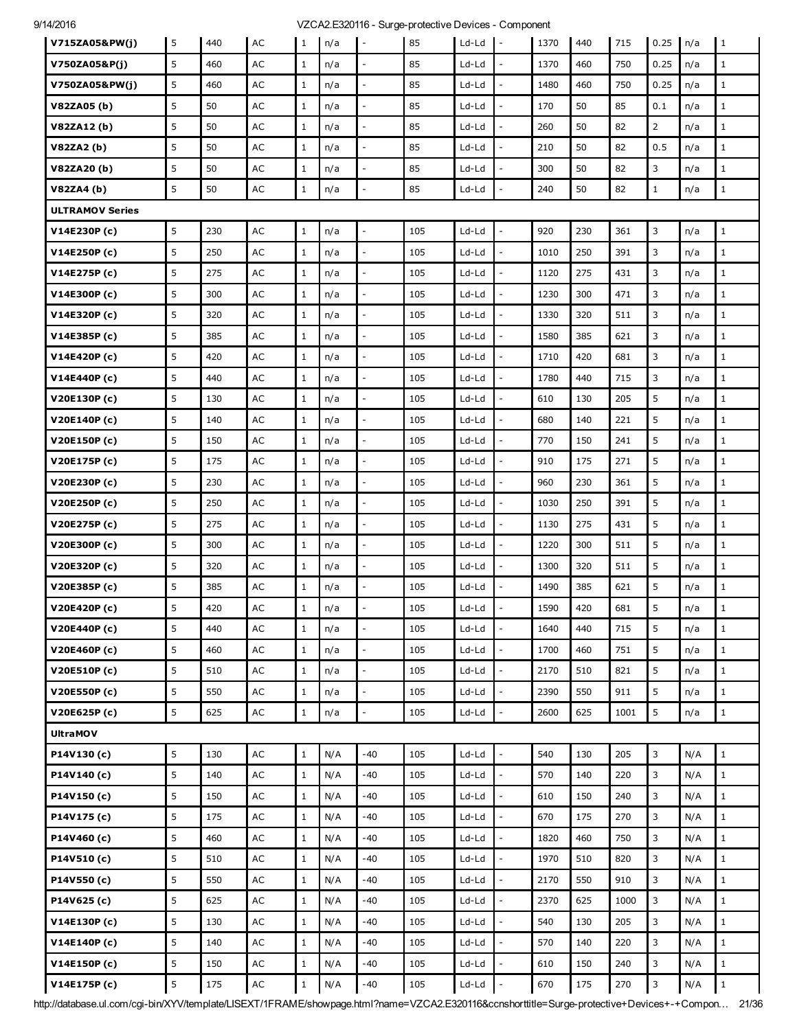| V715ZA05&PW(j)         | 5 | 440 | AC            | 1            | n/a | $\sim$                   | 85  | Ld-Ld   | $\blacksquare$               | 1370 | 440 | 715  | 0.25           | n/a | 1            |
|------------------------|---|-----|---------------|--------------|-----|--------------------------|-----|---------|------------------------------|------|-----|------|----------------|-----|--------------|
| V750ZA05&P(j)          | 5 | 460 | AC            | $\mathbf{1}$ | n/a | $\overline{\phantom{a}}$ | 85  | Ld-Ld   | $\overline{\phantom{a}}$     | 1370 | 460 | 750  | 0.25           | n/a | $\mathbf{1}$ |
| V750ZA05&PW(j)         | 5 | 460 | AC            | $\mathbf{1}$ | n/a |                          | 85  | Ld-Ld   |                              | 1480 | 460 | 750  | 0.25           | n/a | $\mathbf{1}$ |
| V82ZA05 (b)            | 5 | 50  | AC            | $\mathbf{1}$ | n/a |                          | 85  | Ld-Ld   |                              | 170  | 50  | 85   | 0.1            | n/a | $\mathbf{1}$ |
| V82ZA12(b)             | 5 | 50  | AC            | $\mathbf{1}$ | n/a | $\mathbb{L}^2$           | 85  | Ld-Ld   | $\overline{\phantom{a}}$     | 260  | 50  | 82   | $\overline{2}$ | n/a | $\mathbf{1}$ |
| V82ZA2(b)              | 5 | 50  | AC            | $\mathbf{1}$ | n/a |                          | 85  | Ld-Ld   |                              | 210  | 50  | 82   | 0.5            | n/a | $\mathbf{1}$ |
| V82ZA20(b)             | 5 | 50  | AC            | $\mathbf{1}$ | n/a |                          | 85  | Ld-Ld   |                              | 300  | 50  | 82   | 3              | n/a | $\mathbf{1}$ |
| V82ZA4 (b)             | 5 | 50  | AC            | $\mathbf{1}$ | n/a | $\mathbb{L}$             | 85  | Ld-Ld   | $\overline{\phantom{a}}$     | 240  | 50  | 82   | $\mathbf{1}$   | n/a | $\mathbf{1}$ |
| <b>ULTRAMOV Series</b> |   |     |               |              |     |                          |     |         |                              |      |     |      |                |     |              |
| V14E230P(c)            | 5 | 230 | AC            | $\mathbf{1}$ | n/a | $\sim$                   | 105 | Ld-Ld   | $\overline{\phantom{a}}$     | 920  | 230 | 361  | 3              | n/a | $\mathbf{1}$ |
| V14E250P (c)           | 5 | 250 | AC            | $\mathbf{1}$ | n/a | $\mathbb{Z}^2$           | 105 | Ld-Ld   | $\overline{\phantom{0}}$     | 1010 | 250 | 391  | 3              | n/a | $\mathbf{1}$ |
| V14E275P (c)           | 5 | 275 | AC            | $\mathbf{1}$ | n/a |                          | 105 | Ld-Ld   |                              | 1120 | 275 | 431  | 3              | n/a | $\mathbf{1}$ |
| V14E300P (c)           | 5 | 300 | AC            | $\mathbf{1}$ | n/a | $\mathcal{L}$            | 105 | Ld-Ld   |                              | 1230 | 300 | 471  | 3              | n/a | $\mathbf{1}$ |
| V14E320P(c)            | 5 | 320 | AC            | $\mathbf{1}$ | n/a | $\mathcal{L}$            | 105 | Ld-Ld   | $\overline{a}$               | 1330 | 320 | 511  | 3              | n/a | $\mathbf{1}$ |
| V14E385P (c)           | 5 | 385 | AC            | $\mathbf{1}$ | n/a |                          | 105 | Ld-Ld   |                              | 1580 | 385 | 621  | 3              | n/a | $\mathbf{1}$ |
| V14E420P (c)           | 5 | 420 | AC            | $\mathbf{1}$ | n/a | $\overline{a}$           | 105 | Ld-Ld   |                              | 1710 | 420 | 681  | 3              | n/a | $\mathbf{1}$ |
| V14E440P (c)           | 5 | 440 | AC            | $\mathbf{1}$ | n/a | $\overline{\phantom{a}}$ | 105 | Ld-Ld   |                              | 1780 | 440 | 715  | 3              | n/a | $\mathbf{1}$ |
| V20E130P(c)            | 5 | 130 | AC            | $\mathbf{1}$ | n/a |                          | 105 | Ld-Ld   | $\overline{a}$               | 610  | 130 | 205  | 5              | n/a | $1\,$        |
| V20E140P (c)           | 5 | 140 | AC            | $\mathbf{1}$ | n/a | $\overline{a}$           | 105 | Ld-Ld   |                              | 680  | 140 | 221  | 5              | n/a | $1\,$        |
| V20E150P (c)           | 5 | 150 | AC            | $\mathbf{1}$ | n/a | $\overline{a}$           | 105 | Ld-Ld   |                              | 770  | 150 | 241  | 5              | n/a | $\mathbf{1}$ |
| V20E175P (c)           | 5 | 175 | AC            | $\mathbf{1}$ | n/a | $\overline{\phantom{a}}$ | 105 | Ld-Ld   | $\overline{a}$               | 910  | 175 | 271  | 5              | n/a | $\mathbf{1}$ |
| V20E230P (c)           | 5 | 230 | AC            | $\mathbf{1}$ | n/a |                          | 105 | Ld-Ld   |                              | 960  | 230 | 361  | 5              | n/a | $\mathbf{1}$ |
| V20E250P (c)           | 5 | 250 | AC            | $\mathbf{1}$ | n/a | $\overline{a}$           | 105 | Ld-Ld   |                              | 1030 | 250 | 391  | 5              | n/a | $\mathbf{1}$ |
| V20E275P (c)           | 5 | 275 | AC            | $\mathbf{1}$ | n/a | $\overline{\phantom{a}}$ | 105 | Ld-Ld   | $\qquad \qquad \blacksquare$ | 1130 | 275 | 431  | 5              | n/a | $\mathbf{1}$ |
| V20E300P (c)           | 5 | 300 | AC            | $\mathbf{1}$ | n/a |                          | 105 | Ld-Ld   |                              | 1220 | 300 | 511  | 5              | n/a | $\mathbf{1}$ |
| V20E320P (c)           | 5 | 320 | AC            | $\mathbf{1}$ | n/a | $\overline{\phantom{a}}$ | 105 | Ld-Ld   | $\mathbb{L}$                 | 1300 | 320 | 511  | 5              | n/a | $\mathbf{1}$ |
| V20E385P (c)           | 5 | 385 | AC            | $\mathbf{1}$ | n/a | $\mathbb{L}$             | 105 | Ld-Ld   | $\overline{a}$               | 1490 | 385 | 621  | 5              | n/a | $\mathbf{1}$ |
| V20E420P (c)           | 5 | 420 | AC            | $\mathbf{1}$ | n/a |                          | 105 | Ld-Ld   |                              | 1590 | 420 | 681  | 5              | n/a | $\mathbf{1}$ |
| V20E440P (c)           | 5 | 440 | AC            | $\mathbf{1}$ | n/a | $\overline{\phantom{a}}$ | 105 | Ld-Ld   | $\overline{a}$               | 1640 | 440 | 715  | 5              | n/a | $\mathbf{1}$ |
| V20E460P (c)           | 5 | 460 | AC            | $\mathbf{1}$ | n/a | $\mathbb{Z}^2$           | 105 | Ld-Ld   | $\overline{\phantom{a}}$     | 1700 | 460 | 751  | 5              | n/a | $1\,$        |
| V20E510P(c)            | 5 | 510 | AC            | $\mathbf{1}$ | n/a |                          | 105 | Ld-Ld   |                              | 2170 | 510 | 821  | 5              | n/a | $\mathbf{1}$ |
| V20E550P (c)           | 5 | 550 | $\mathsf{AC}$ | $\mathbf{1}$ | n/a | $\overline{\phantom{a}}$ | 105 | $Ld-Ld$ |                              | 2390 | 550 | 911  | 5              | n/a | $\mathbf{1}$ |
| V20E625P (c)           | 5 | 625 | AC            | $\mathbf{1}$ | n/a | $\mathbb{L}^2$           | 105 | Ld-Ld   | $\overline{\phantom{a}}$     | 2600 | 625 | 1001 | 5              | n/a | $\mathbf{1}$ |
| <b>UltraMOV</b>        |   |     |               |              |     |                          |     |         |                              |      |     |      |                |     |              |
| P14V130(c)             | 5 | 130 | AC            | $\mathbf{1}$ | N/A | $-40$                    | 105 | Ld-Ld   | $\overline{\phantom{a}}$     | 540  | 130 | 205  | 3              | N/A | $\mathbf{1}$ |
| P14V140 (c)            | 5 | 140 | $\mathsf{AC}$ | $\mathbf{1}$ | N/A | $-40$                    | 105 | Ld-Ld   | $\overline{\phantom{0}}$     | 570  | 140 | 220  | 3              | N/A | $\mathbf{1}$ |
| P14V150(c)             | 5 | 150 | $\mathsf{AC}$ | $\mathbf{1}$ | N/A | -40                      | 105 | Ld-Ld   |                              | 610  | 150 | 240  | 3              | N/A | $\mathbf{1}$ |
| P14V175 (c)            | 5 | 175 | AC            | $\mathbf{1}$ | N/A | -40                      | 105 | Ld-Ld   | $\overline{a}$               | 670  | 175 | 270  | 3              | N/A | $1\,$        |
| P14V460 (c)            | 5 | 460 | $\mathsf{AC}$ | $\mathbf{1}$ | N/A | $-40$                    | 105 | Ld-Ld   | $\overline{a}$               | 1820 | 460 | 750  | 3              | N/A | $\mathbf{1}$ |
| P14V510(c)             | 5 | 510 | AC            | $\mathbf{1}$ | N/A | -40                      | 105 | Ld-Ld   | $\overline{a}$               | 1970 | 510 | 820  | 3              | N/A | $\mathbf{1}$ |
| P14V550 (c)            | 5 | 550 | AC            | $\,1$        | N/A | $-40$                    | 105 | Ld-Ld   | $\overline{a}$               | 2170 | 550 | 910  | 3              | N/A | $\mathbf{1}$ |
| P14V625 (c)            | 5 | 625 | $\mathsf{AC}$ | $\mathbf{1}$ | N/A | -40                      | 105 | Ld-Ld   | $\overline{a}$               | 2370 | 625 | 1000 | 3              | N/A | $\mathbf{1}$ |
| V14E130P(c)            | 5 | 130 | AC            | $\,1$        | N/A | -40                      | 105 | Ld-Ld   | $\overline{\phantom{a}}$     | 540  | 130 | 205  | 3              | N/A | $\mathbf{1}$ |
| V14E140P (c)           | 5 | 140 | AC            | $\mathbf{1}$ | N/A | -40                      | 105 | Ld-Ld   | $\overline{a}$               | 570  | 140 | 220  | 3              | N/A | $\mathbf{1}$ |
| V14E150P(c)            | 5 | 150 | AC            | $\mathbf{1}$ | N/A | -40                      | 105 | Ld-Ld   |                              | 610  | 150 | 240  | 3              | N/A | $1\,$        |
| V14E175P (c)           | 5 | 175 | $\mathsf{AC}$ | $1\,$        | N/A | $-40$                    | 105 | Ld-Ld   |                              | 670  | 175 | 270  | 3              | N/A | $\mathbf 1$  |

http://database.ul.com/cgi-bin/XYV/template/LISEXT/1FRAME/showpage.html?name=VZCA2.E320116&ccnshorttitle=Surge-protective+Devices+-+Compon… 21/36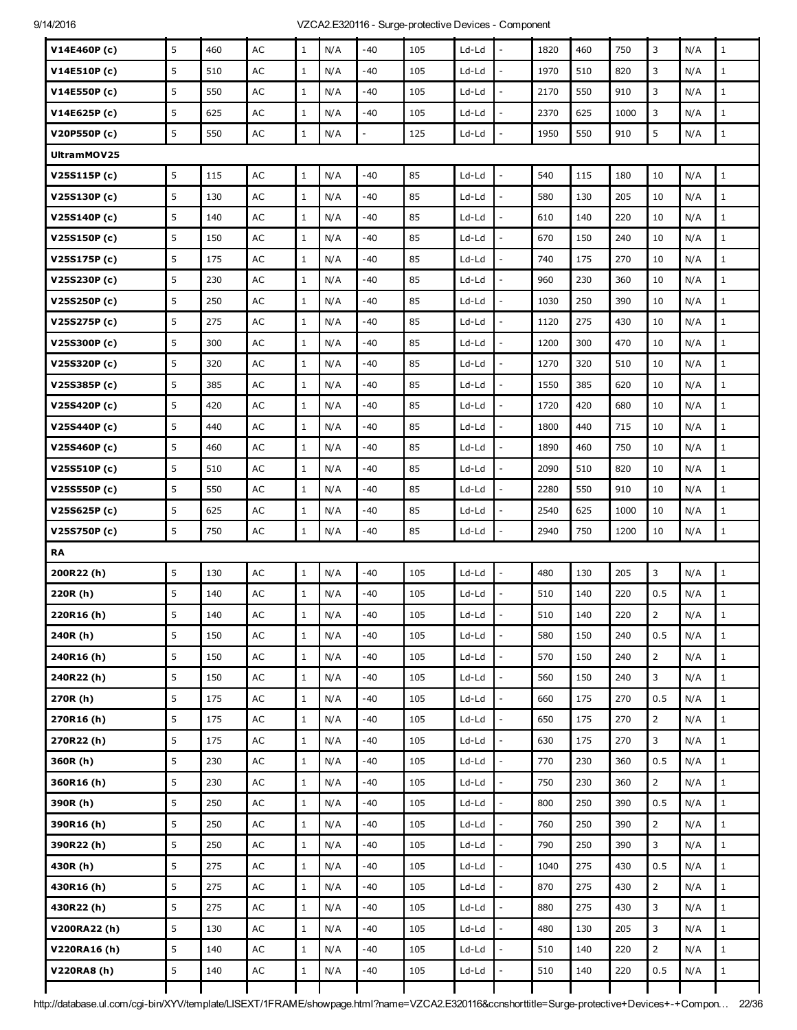| V14E460P(c)  | 5 | 460 | AC            | $\mathbf{1}$ | N/A | -40            | 105 | Ld-Ld   |                          | 1820 | 460 | 750  | 3              | N/A | $\mathbf{1}$ |
|--------------|---|-----|---------------|--------------|-----|----------------|-----|---------|--------------------------|------|-----|------|----------------|-----|--------------|
| V14E510P(c)  | 5 | 510 | AC            | $\mathbf{1}$ | N/A | $-40$          | 105 | Ld-Ld   | ÷,                       | 1970 | 510 | 820  | 3              | N/A | $\mathbf{1}$ |
| V14E550P (c) | 5 | 550 | AC            | $\mathbf{1}$ | N/A | -40            | 105 | Ld-Ld   | $\frac{1}{2}$            | 2170 | 550 | 910  | 3              | N/A | $\mathbf{1}$ |
| V14E625P (c) | 5 | 625 | AC            | $\mathbf{1}$ | N/A | -40            | 105 | Ld-Ld   |                          | 2370 | 625 | 1000 | 3              | N/A | $\mathbf{1}$ |
| V20P550P (c) | 5 | 550 | AC            | $\,1$        | N/A | $\overline{a}$ | 125 | Ld-Ld   | $\overline{\phantom{a}}$ | 1950 | 550 | 910  | 5              | N/A | $\mathbf 1$  |
| UltramMOV25  |   |     |               |              |     |                |     |         |                          |      |     |      |                |     |              |
| V25S115P(c)  | 5 | 115 | AC            | $\mathbf{1}$ | N/A | $-40$          | 85  | Ld-Ld   | $\frac{1}{2}$            | 540  | 115 | 180  | 10             | N/A | $\mathbf{1}$ |
| V25S130P (c) | 5 | 130 | AC            | $\mathbf{1}$ | N/A | $-40$          | 85  | Ld-Ld   |                          | 580  | 130 | 205  | 10             | N/A | $1\,$        |
| V25S140P (c) | 5 | 140 | AC            | $\mathbf{1}$ | N/A | -40            | 85  | Ld-Ld   | ÷,                       | 610  | 140 | 220  | 10             | N/A | $\mathbf{1}$ |
| V25S150P (c) | 5 | 150 | AC            | $\mathbf{1}$ | N/A | -40            | 85  | Ld-Ld   | $\overline{a}$           | 670  | 150 | 240  | 10             | N/A | $\mathbf{1}$ |
| V25S175P (c) | 5 | 175 | AC            | $\mathbf{1}$ | N/A | $-40$          | 85  | Ld-Ld   |                          | 740  | 175 | 270  | 10             | N/A | $1\,$        |
| V25S230P (c) | 5 | 230 | AC            | $\mathbf{1}$ | N/A | -40            | 85  | Ld-Ld   | L,                       | 960  | 230 | 360  | 10             | N/A | $\mathbf{1}$ |
| V25S250P (c) | 5 | 250 | AC            | $\mathbf{1}$ | N/A | -40            | 85  | Ld-Ld   | ÷,                       | 1030 | 250 | 390  | 10             | N/A | $\mathbf{1}$ |
| V25S275P (c) | 5 | 275 | AC            | $\mathbf{1}$ | N/A | $-40$          | 85  | Ld-Ld   | $\overline{a}$           | 1120 | 275 | 430  | 10             | N/A | $1\,$        |
| V25S300P(c)  | 5 | 300 | AC            | $\mathbf{1}$ | N/A | -40            | 85  | Ld-Ld   | $\overline{a}$           | 1200 | 300 | 470  | 10             | N/A | $\mathbf{1}$ |
| V25S320P(c)  | 5 | 320 | AC            | $\mathbf{1}$ | N/A | -40            | 85  | Ld-Ld   | $\frac{1}{2}$            | 1270 | 320 | 510  | 10             | N/A | $\mathbf{1}$ |
| V25S385P (c) | 5 | 385 | AC            | $\mathbf{1}$ | N/A | -40            | 85  | Ld-Ld   |                          | 1550 | 385 | 620  | 10             | N/A | $\mathbf{1}$ |
| V25S420P (c) | 5 | 420 | AC            | $\mathbf{1}$ | N/A | $-40$          | 85  | Ld-Ld   | ÷,                       | 1720 | 420 | 680  | 10             | N/A | $\mathbf{1}$ |
| V25S440P (c) | 5 | 440 | AC            | $\mathbf{1}$ | N/A | -40            | 85  | Ld-Ld   | $\overline{a}$           | 1800 | 440 | 715  | 10             | N/A | $\mathbf{1}$ |
| V25S460P (c) | 5 | 460 | AC            | $\mathbf{1}$ | N/A | -40            | 85  | Ld-Ld   |                          | 1890 | 460 | 750  | 10             | N/A | $\mathbf{1}$ |
| V25S510P (c) | 5 | 510 | AC            | $\mathbf{1}$ | N/A | -40            | 85  | Ld-Ld   | L,                       | 2090 | 510 | 820  | 10             | N/A | $\mathbf{1}$ |
| V25S550P (c) | 5 | 550 | AC            | $\mathbf{1}$ | N/A | -40            | 85  | Ld-Ld   | $\overline{\phantom{a}}$ | 2280 | 550 | 910  | 10             | N/A | $\mathbf 1$  |
| V25S625P (c) | 5 | 625 | AC            | $\mathbf{1}$ | N/A | -40            | 85  | Ld-Ld   |                          | 2540 | 625 | 1000 | 10             | N/A | $\mathbf{1}$ |
| V25S750P (c) | 5 | 750 | AC            | $\mathbf 1$  | N/A | $-40$          | 85  | Ld-Ld   | $\frac{1}{2}$            | 2940 | 750 | 1200 | 10             | N/A | $\mathbf{1}$ |
| <b>RA</b>    |   |     |               |              |     |                |     |         |                          |      |     |      |                |     |              |
| 200R22(h)    | 5 | 130 | AC            | $\mathbf{1}$ | N/A | -40            | 105 | Ld-Ld   | ÷,                       | 480  | 130 | 205  | 3              | N/A | $\mathbf{1}$ |
| 220R (h)     | 5 | 140 | AC            | $\mathbf{1}$ | N/A | -40            | 105 | Ld-Ld   |                          | 510  | 140 | 220  | 0.5            | N/A | $\,1\,$      |
| 220R16(h)    | 5 | 140 | $\mathsf{AC}$ | $\mathbf 1$  | N/A | $-40$          | 105 | Ld-Ld   |                          | 510  | 140 | 220  | $\overline{2}$ | N/A | $\mathbf{1}$ |
| 240R (h)     | 5 | 150 | $\mathsf{AC}$ | $\mathbf{1}$ | N/A | -40            | 105 | Ld-Ld   | $\overline{a}$           | 580  | 150 | 240  | 0.5            | N/A | $1\,$        |
| 240R16(h)    | 5 | 150 | $\mathsf{AC}$ | $\,1$        | N/A | $-40$          | 105 | $Ld-Ld$ | $\overline{a}$           | 570  | 150 | 240  | $\overline{2}$ | N/A | $\mathbf 1$  |
| 240R22(h)    | 5 | 150 | $\mathsf{AC}$ | $1\,$        | N/A | $-40$          | 105 | $Ld-Ld$ | $\overline{a}$           | 560  | 150 | 240  | 3              | N/A | $\mathbf 1$  |
| 270R(h)      | 5 | 175 | $\mathsf{AC}$ | $\mathbf{1}$ | N/A | -40            | 105 | Ld-Ld   | $\overline{a}$           | 660  | 175 | 270  | 0.5            | N/A | $\mathbf 1$  |
| 270R16(h)    | 5 | 175 | $\mathsf{AC}$ | $\,1$        | N/A | $-40$          | 105 | $Ld-Ld$ | $\overline{a}$           | 650  | 175 | 270  | $\overline{2}$ | N/A | $\mathbf{1}$ |
| 270R22(h)    | 5 | 175 | $\mathsf{AC}$ | $1\,$        | N/A | $-40$          | 105 | $Ld-Ld$ | $\overline{a}$           | 630  | 175 | 270  | 3              | N/A | $1\,$        |
| 360R (h)     | 5 | 230 | AC            | $1\,$        | N/A | -40            | 105 | Ld-Ld   | $\overline{a}$           | 770  | 230 | 360  | 0.5            | N/A | $1\,$        |
| 360R16(h)    | 5 | 230 | $\mathsf{AC}$ | $1\,$        | N/A | -40            | 105 | $Ld-Ld$ |                          | 750  | 230 | 360  | $\overline{2}$ | N/A | $\,1$        |
| 390R (h)     | 5 | 250 | $\mathsf{AC}$ | $\mathbf{1}$ | N/A | -40            | 105 | $Ld-Ld$ | $\overline{a}$           | 800  | 250 | 390  | 0.5            | N/A | $1\,$        |
| 390R16(h)    | 5 | 250 | AC            | $\mathbf{1}$ | N/A | -40            | 105 | Ld-Ld   | $\overline{\phantom{a}}$ | 760  | 250 | 390  | $\overline{2}$ | N/A | $\,1$        |
| 390R22(h)    | 5 | 250 | $\mathsf{AC}$ | $\mathbf{1}$ | N/A | $-40$          | 105 | $Ld-Ld$ | $\overline{a}$           | 790  | 250 | 390  | 3              | N/A | $\mathbf{1}$ |
| 430R (h)     | 5 | 275 | $\mathsf{AC}$ | $\mathbf{1}$ | N/A | $-40$          | 105 | $Ld-Ld$ | $\overline{a}$           | 1040 | 275 | 430  | 0.5            | N/A | $1\,$        |
| 430R16(h)    | 5 | 275 | AC            | $\mathbf{1}$ | N/A | -40            | 105 | Ld-Ld   | $\frac{1}{2}$            | 870  | 275 | 430  | $\overline{2}$ | N/A | $\mathbf 1$  |
| 430R22(h)    | 5 | 275 | $\mathsf{AC}$ | $\mathbf{1}$ | N/A | $-40$          | 105 | Ld-Ld   | $\overline{a}$           | 880  | 275 | 430  | 3              | N/A | $\mathbf{1}$ |
| V200RA22 (h) | 5 | 130 | $\mathsf{AC}$ | $\,1$        | N/A | $-40$          | 105 | $Ld-Ld$ | $\overline{a}$           | 480  | 130 | 205  | 3              | N/A | $\mathbf{1}$ |
| V220RA16(h)  | 5 | 140 | $\mathsf{AC}$ | $\mathbf{1}$ | N/A | -40            | 105 | $Ld-Ld$ | $\overline{\phantom{a}}$ | 510  | 140 | 220  | $\overline{2}$ | N/A | $\,1$        |
| V220RA8 (h)  | 5 | 140 | $\mathsf{AC}$ | $\mathbf{1}$ | N/A | -40            | 105 | $Ld-Ld$ |                          | 510  | 140 | 220  | 0.5            | N/A | $\mathbf 1$  |
|              |   |     |               |              |     |                |     |         |                          |      |     |      |                |     |              |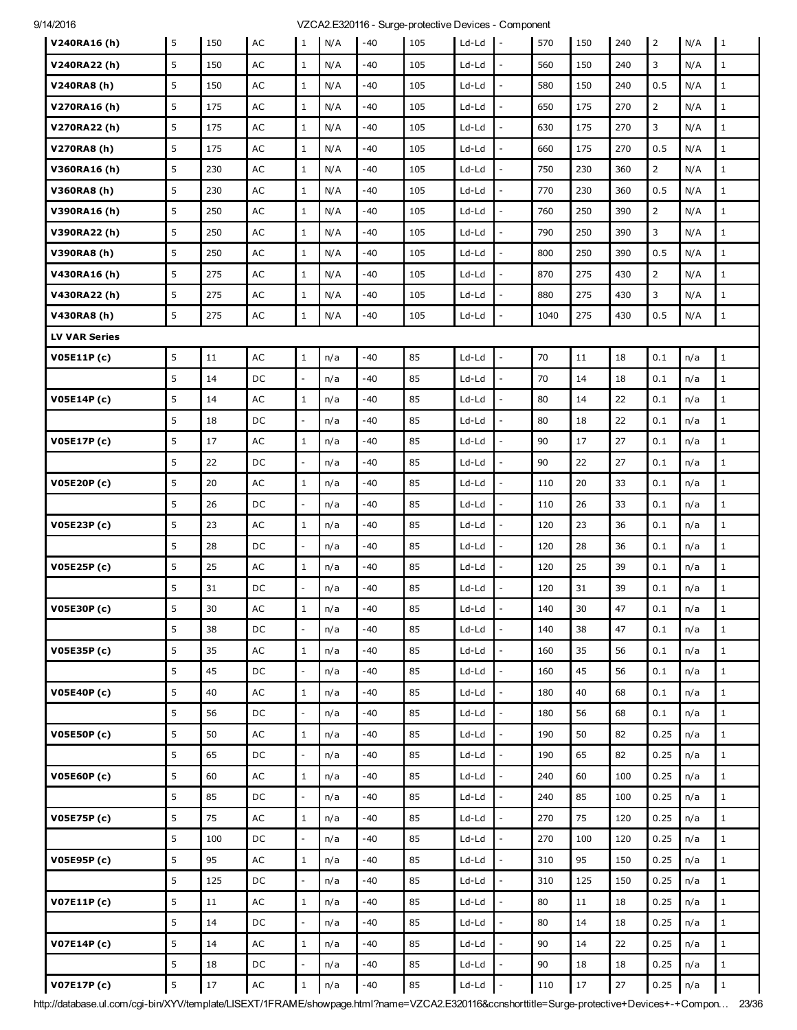| V240RA16(h)          | 5 | 150    | AC            | 1                        | N/A | $-40$ | 105 | Ld-Ld   | $\mathbf{I}$ -               | 570  | 150    | 240  | $\overline{2}$ | N/A | $\mathbf{1}$ |
|----------------------|---|--------|---------------|--------------------------|-----|-------|-----|---------|------------------------------|------|--------|------|----------------|-----|--------------|
| V240RA22(h)          | 5 | 150    | AC            | $\mathbf{1}$             | N/A | -40   | 105 | Ld-Ld   | $\overline{a}$               | 560  | 150    | 240  | 3              | N/A | $\mathbf{1}$ |
| V240RA8 (h)          | 5 | 150    | AC            | $\mathbf{1}$             | N/A | -40   | 105 | Ld-Ld   |                              | 580  | 150    | 240  | 0.5            | N/A | $\mathbf{1}$ |
| V270RA16(h)          | 5 | 175    | AC            | $\mathbf{1}$             | N/A | -40   | 105 | Ld-Ld   |                              | 650  | 175    | 270  | $\overline{2}$ | N/A | $1\,$        |
| V270RA22 (h)         | 5 | 175    | AC            | $\mathbf{1}$             | N/A | -40   | 105 | Ld-Ld   | $\qquad \qquad \blacksquare$ | 630  | 175    | 270  | 3              | N/A | $\mathbf{1}$ |
| V270RA8(h)           | 5 | 175    | $\mathsf{AC}$ | $\mathbf{1}$             | N/A | -40   | 105 | Ld-Ld   |                              | 660  | 175    | 270  | 0.5            | N/A | $\mathbf{1}$ |
| V360RA16(h)          | 5 | 230    | AC            | $\mathbf{1}$             | N/A | -40   | 105 | $Ld-Ld$ |                              | 750  | 230    | 360  | $\overline{2}$ | N/A | $\mathbf{1}$ |
| V360RA8(h)           | 5 | 230    | AC            | $\mathbf{1}$             | N/A | -40   | 105 | Ld-Ld   | $\overline{\phantom{a}}$     | 770  | 230    | 360  | 0.5            | N/A | $\mathbf{1}$ |
| V390RA16(h)          | 5 | 250    | AC            | $\mathbf{1}$             | N/A | $-40$ | 105 | Ld-Ld   |                              | 760  | 250    | 390  | $\overline{2}$ | N/A | $\mathbf{1}$ |
| V390RA22 (h)         | 5 | 250    | AC            | $\mathbf{1}$             | N/A | $-40$ | 105 | Ld-Ld   |                              | 790  | 250    | 390  | 3              | N/A | $\mathbf{1}$ |
| V390RA8 (h)          | 5 | 250    | AC            | $\mathbf{1}$             | N/A | -40   | 105 | Ld-Ld   | $\overline{\phantom{a}}$     | 800  | 250    | 390  | 0.5            | N/A | $\mathbf{1}$ |
| V430RA16(h)          | 5 | 275    | AC            | $\mathbf{1}$             | N/A | $-40$ | 105 | Ld-Ld   |                              | 870  | 275    | 430  | $\overline{2}$ | N/A | $\mathbf{1}$ |
| V430RA22 (h)         | 5 | 275    | $\mathsf{AC}$ | $\mathbf 1$              | N/A | -40   | 105 | Ld-Ld   |                              | 880  | 275    | 430  | 3              | N/A | $\mathbf{1}$ |
| V430RA8 (h)          | 5 | 275    | AC            | $1\,$                    | N/A | $-40$ | 105 | Ld-Ld   | $\overline{\phantom{a}}$     | 1040 | 275    | 430  | 0.5            | N/A | $\mathbf{1}$ |
| <b>LV VAR Series</b> |   |        |               |                          |     |       |     |         |                              |      |        |      |                |     |              |
| <b>V05E11P(c)</b>    | 5 | 11     | AC            | $\mathbf{1}$             | n/a | $-40$ | 85  | Ld-Ld   | $\overline{\phantom{a}}$     | 70   | 11     | 18   | 0.1            | n/a | $\mathbf{1}$ |
|                      | 5 | 14     | DC            | ÷.                       | n/a | -40   | 85  | Ld-Ld   | $\overline{\phantom{0}}$     | 70   | 14     | 18   | 0.1            | n/a | $\mathbf{1}$ |
| V05E14P (c)          | 5 | 14     | $\mathsf{AC}$ | $\,1$                    | n/a | -40   | 85  | Ld-Ld   |                              | 80   | 14     | 22   | 0.1            | n/a | $\mathbf{1}$ |
|                      | 5 | 18     | DC            | $\overline{\phantom{a}}$ | n/a | $-40$ | 85  | Ld-Ld   | $\overline{a}$               | 80   | 18     | 22   | 0.1            | n/a | $\mathbf{1}$ |
| V05E17P(c)           | 5 | 17     | $\mathsf{AC}$ | $\mathbf{1}$             | n/a | -40   | 85  | Ld-Ld   | $\overline{\phantom{0}}$     | 90   | 17     | 27   | 0.1            | n/a | $\mathbf{1}$ |
|                      | 5 | 22     | DC            | $\overline{\phantom{a}}$ | n/a | -40   | 85  | Ld-Ld   |                              | 90   | 22     | 27   | 0.1            | n/a | $\mathbf{1}$ |
| V05E20P (c)          | 5 | 20     | AC            | $\mathbf{1}$             | n/a | -40   | 85  | Ld-Ld   |                              | 110  | 20     | 33   | 0.1            | n/a | $\mathbf{1}$ |
|                      | 5 | 26     | DC            | $\blacksquare$           | n/a | -40   | 85  | Ld-Ld   | $\overline{a}$               | 110  | 26     | 33   | 0.1            | n/a | $\mathbf{1}$ |
| V05E23P (c)          | 5 | 23     | $\mathsf{AC}$ | $\mathbf{1}$             | n/a | -40   | 85  | Ld-Ld   | $\overline{a}$               | 120  | 23     | 36   | 0.1            | n/a | $\mathbf{1}$ |
|                      | 5 | 28     | DC            | $\blacksquare$           | n/a | -40   | 85  | Ld-Ld   |                              | 120  | 28     | 36   | 0.1            | n/a | $\mathbf{1}$ |
| V05E25P(c)           | 5 | 25     | AC            | $\mathbf{1}$             | n/a | -40   | 85  | Ld-Ld   | $\overline{a}$               | 120  | 25     | 39   | 0.1            | n/a | $\mathbf{1}$ |
|                      | 5 | 31     | DC            | $\overline{\phantom{a}}$ | n/a | -40   | 85  | Ld-Ld   |                              | 120  | 31     | 39   | 0.1            | n/a | $\mathbf{1}$ |
| V05E30P(c)           | 5 | 30     | AC            | $\mathbf 1$              | n/a | -40   | 85  | Ld-Ld   |                              | 140  | 30     | 47   | 0.1            | n/a | $\mathbf{1}$ |
|                      | 5 | 38     | DC            | $\overline{\phantom{a}}$ | n/a | -40   | 85  | Ld-Ld   |                              | 140  | 38     | 47   | 0.1            | n/a | $\mathbf{1}$ |
| V05E35P (c)          | 5 | 35     | $\mathsf{AC}$ | $\,1$                    | n/a | -40   | 85  | Ld-Ld   | $\frac{1}{2}$                | 160  | 35     | 56   | 0.1            | n/a | $\mathbf{1}$ |
|                      | 5 | 45     | DC            | $\bar{\phantom{a}}$      | n/a | $-40$ | 85  | Ld-Ld   |                              | 160  | 45     | 56   | 0.1            | n/a | $\mathbf{1}$ |
| <b>V05E40P (c)</b>   | 5 | 40     | $\mathsf{AC}$ | $\mathbf{1}$             | n/a | $-40$ | 85  | Ld-Ld   |                              | 180  | 40     | 68   | 0.1            | n/a | $\mathbf{1}$ |
|                      | 5 | 56     | DC            | ÷.                       | n/a | -40   | 85  | $Ld-Ld$ | $\overline{\phantom{a}}$     | 180  | 56     | 68   | 0.1            | n/a | $\mathbf{1}$ |
| <b>V05E50P(c)</b>    | 5 | 50     | $\mathsf{AC}$ | $\,1$                    | n/a | $-40$ | 85  | Ld-Ld   |                              | 190  | 50     | 82   | 0.25           | n/a | $\mathbf{1}$ |
|                      | 5 | 65     | DC            | $\overline{\phantom{a}}$ | n/a | $-40$ | 85  | Ld-Ld   | $\overline{a}$               | 190  | 65     | 82   | 0.25           | n/a | $\mathbf{1}$ |
| <b>V05E60P(c)</b>    | 5 | 60     | AC            | $\,1$                    | n/a | -40   | 85  | $Ld-Ld$ | $\overline{\phantom{0}}$     | 240  | 60     | 100  | 0.25           | n/a | $\mathbf{1}$ |
|                      | 5 | 85     | DC            | $\bar{\phantom{a}}$      | n/a | $-40$ | 85  | Ld-Ld   |                              | 240  | 85     | 100  | 0.25           | n/a | $\mathbf{1}$ |
| V05E75P (c)          | 5 | 75     | AC            | $\mathbf{1}$             | n/a | $-40$ | 85  | Ld-Ld   | $\overline{a}$               | 270  | 75     | 120  | 0.25           | n/a | $\mathbf{1}$ |
|                      | 5 | 100    | DC            | $\overline{\phantom{a}}$ | n/a | -40   | 85  | $Ld-Ld$ | $\overline{\phantom{0}}$     | 270  | 100    | 120  | 0.25           | n/a | $\mathbf{1}$ |
| V05E95P (c)          | 5 | 95     | $\mathsf{AC}$ | $\mathbf{1}$             | n/a | -40   | 85  | $Ld-Ld$ |                              | 310  | 95     | 150  | 0.25           | n/a | $\mathbf{1}$ |
|                      | 5 | 125    | DC            | $\bar{\phantom{a}}$      | n/a | $-40$ | 85  | $Ld-Ld$ | $\overline{\phantom{a}}$     | 310  | 125    | 150  | 0.25           | n/a | $\mathbf{1}$ |
| V07E11P(c)           | 5 | 11     | AC            | $\mathbf 1$              | n/a | $-40$ | 85  | Ld-Ld   | $\frac{1}{2}$                | 80   | 11     | 18   | 0.25           | n/a | $\mathbf{1}$ |
|                      | 5 | 14     | DC            | $\overline{\phantom{a}}$ | n/a | -40   | 85  | Ld-Ld   | $\overline{a}$               | 80   | 14     | 18   | 0.25           | n/a | $\mathbf{1}$ |
| V07E14P(c)           | 5 | 14     | $\mathsf{AC}$ | $\mathbf{1}$             | n/a | -40   | 85  | $Ld-Ld$ | $\overline{a}$               | 90   | 14     | 22   | 0.25           | n/a | $\mathbf{1}$ |
|                      | 5 | 18     | DC            | $\overline{\phantom{a}}$ | n/a | -40   | 85  | $Ld-Ld$ |                              | 90   | 18     | 18   | 0.25           | n/a | $\mathbf{1}$ |
| <b>V07E17P(c)</b>    | 5 | $17\,$ | $\mathsf{AC}$ | $\mathbf 1$              | n/a | $-40$ | 85  | $Ld-Ld$ |                              | 110  | $17\,$ | $27$ | 0.25           | n/a | $\mathbf 1$  |

http://database.ul.com/cgi-bin/XYV/template/LISEXT/1FRAME/showpage.html?name=VZCA2.E320116&ccnshorttitle=Surge-protective+Devices+-+Compon… 23/36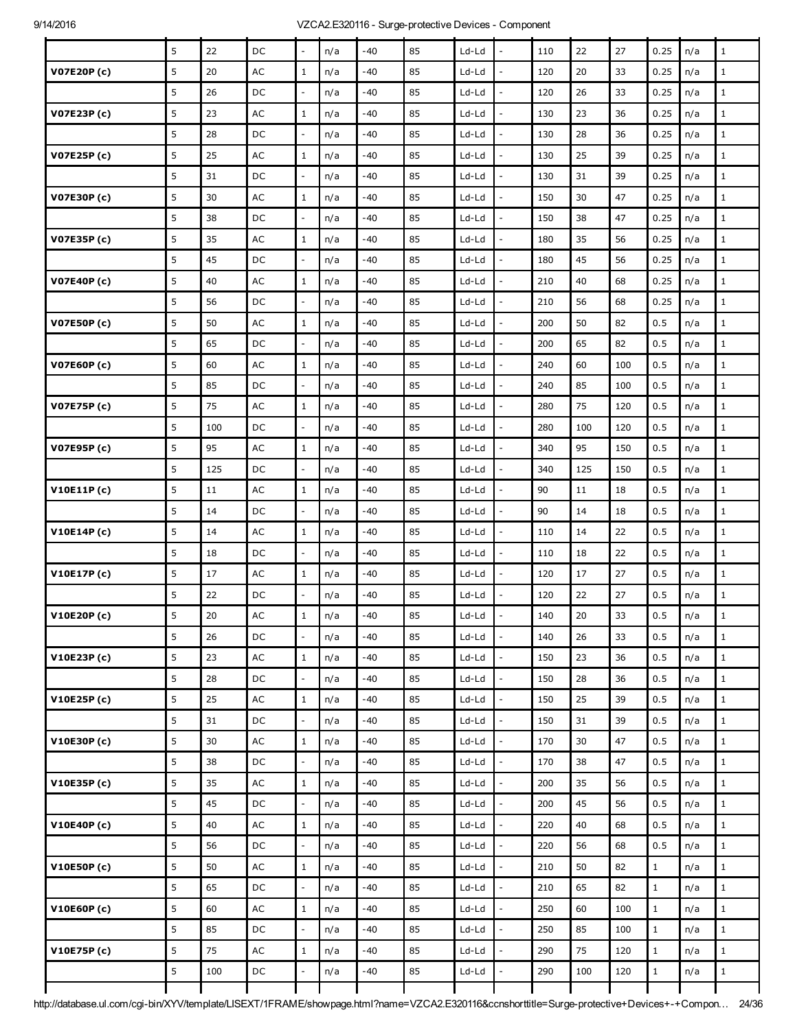|                    | 5           | 22  | DC            | $\blacksquare$           | n/a | $-40$ | 85 | Ld-Ld   | $\overline{a}$           | 110 | 22  | 27  | 0.25         | n/a | $\mathbf{1}$ |
|--------------------|-------------|-----|---------------|--------------------------|-----|-------|----|---------|--------------------------|-----|-----|-----|--------------|-----|--------------|
| V07E20P (c)        | 5           | 20  | AC            | $1\,$                    | n/a | -40   | 85 | Ld-Ld   | $\overline{a}$           | 120 | 20  | 33  | 0.25         | n/a | $\mathbf 1$  |
|                    | 5           | 26  | DC            | $\overline{\phantom{a}}$ | n/a | -40   | 85 | Ld-Ld   |                          | 120 | 26  | 33  | 0.25         | n/a | $1\,$        |
| V07E23P(c)         | 5           | 23  | $\mathsf{AC}$ | $\mathbf{1}$             | n/a | $-40$ | 85 | Ld-Ld   | L.                       | 130 | 23  | 36  | 0.25         | n/a | $\mathbf 1$  |
|                    | 5           | 28  | DC            | $\Box$                   | n/a | -40   | 85 | Ld-Ld   | $\overline{a}$           | 130 | 28  | 36  | 0.25         | n/a | $\mathbf 1$  |
| V07E25P (c)        | $\mathsf S$ | 25  | AC            | $\mathbf{1}$             | n/a | -40   | 85 | Ld-Ld   | ÷,                       | 130 | 25  | 39  | 0.25         | n/a | $\mathbf 1$  |
|                    | 5           | 31  | DC            | $\bar{\phantom{a}}$      | n/a | -40   | 85 | Ld-Ld   |                          | 130 | 31  | 39  | 0.25         | n/a | $\mathbf 1$  |
| V07E30P (c)        | 5           | 30  | AC            | $\mathbf{1}$             | n/a | -40   | 85 | Ld-Ld   | $\overline{a}$           | 150 | 30  | 47  | 0.25         | n/a | $\mathbf{1}$ |
|                    | 5           | 38  | DC            | $\overline{\phantom{a}}$ | n/a | -40   | 85 | Ld-Ld   | ÷,                       | 150 | 38  | 47  | 0.25         | n/a | $\mathbf{1}$ |
| V07E35P (c)        | 5           | 35  | AC            | $\mathbf{1}$             | n/a | $-40$ | 85 | Ld-Ld   |                          | 180 | 35  | 56  | 0.25         | n/a | $\mathbf 1$  |
|                    | 5           | 45  | DC            | $\overline{\phantom{a}}$ | n/a | -40   | 85 | Ld-Ld   | $\overline{a}$           | 180 | 45  | 56  | 0.25         | n/a | $\mathbf 1$  |
| V07E40P (c)        | 5           | 40  | AC            | $\mathbf{1}$             | n/a | -40   | 85 | Ld-Ld   | $\overline{a}$           | 210 | 40  | 68  | 0.25         | n/a | $\mathbf 1$  |
|                    | $\mathsf S$ | 56  | DC            | $\overline{\phantom{a}}$ | n/a | $-40$ | 85 | Ld-Ld   | $\overline{a}$           | 210 | 56  | 68  | 0.25         | n/a | $\mathbf 1$  |
| <b>V07E50P(c)</b>  | 5           | 50  | AC            | $\mathbf{1}$             | n/a | -40   | 85 | Ld-Ld   | $\overline{a}$           | 200 | 50  | 82  | 0.5          | n/a | $\mathbf{1}$ |
|                    | 5           | 65  | DC            | $\equiv$                 | n/a | -40   | 85 | Ld-Ld   | $\overline{\phantom{a}}$ | 200 | 65  | 82  | 0.5          | n/a | $\mathbf 1$  |
| <b>V07E60P (c)</b> | 5           | 60  | $\mathsf{AC}$ | $\mathbf{1}$             | n/a | -40   | 85 | Ld-Ld   |                          | 240 | 60  | 100 | 0.5          | n/a | $1\,$        |
|                    | 5           | 85  | DC            | $\overline{\phantom{a}}$ | n/a | $-40$ | 85 | Ld-Ld   | L.                       | 240 | 85  | 100 | 0.5          | n/a | $\mathbf{1}$ |
| V07E75P (c)        | 5           | 75  | AC            | $\mathbf{1}$             | n/a | -40   | 85 | Ld-Ld   | $\overline{\phantom{a}}$ | 280 | 75  | 120 | 0.5          | n/a | $\mathbf 1$  |
|                    | 5           | 100 | DC            | $\qquad \qquad -$        | n/a | $-40$ | 85 | Ld-Ld   |                          | 280 | 100 | 120 | 0.5          | n/a | $1\,$        |
| V07E95P (c)        | 5           | 95  | AC            | $\mathbf{1}$             | n/a | $-40$ | 85 | Ld-Ld   | ÷,                       | 340 | 95  | 150 | 0.5          | n/a | $\mathbf{1}$ |
|                    | 5           | 125 | DC            | ÷.                       | n/a | -40   | 85 | Ld-Ld   | $\overline{\phantom{a}}$ | 340 | 125 | 150 | 0.5          | n/a | $\mathbf 1$  |
| V10E11P(c)         | 5           | 11  | $\mathsf{AC}$ | $\mathbf{1}$             | n/a | -40   | 85 | Ld-Ld   |                          | 90  | 11  | 18  | 0.5          | n/a | $1\,$        |
|                    | 5           | 14  | DC            | $\overline{\phantom{a}}$ | n/a | -40   | 85 | Ld-Ld   | $\overline{\phantom{a}}$ | 90  | 14  | 18  | 0.5          | n/a | $\mathbf 1$  |
| V10E14P(c)         | 5           | 14  | AC            | $\mathbf{1}$             | n/a | $-40$ | 85 | Ld-Ld   | $\overline{\phantom{a}}$ | 110 | 14  | 22  | 0.5          | n/a | $\mathbf 1$  |
|                    | 5           | 18  | DC            | $\overline{\phantom{a}}$ | n/a | -40   | 85 | Ld-Ld   | $\overline{a}$           | 110 | 18  | 22  | 0.5          | n/a | $\mathbf{1}$ |
| V10E17P(c)         | 5           | 17  | AC            | $\mathbf{1}$             | n/a | -40   | 85 | Ld-Ld   | $\overline{a}$           | 120 | 17  | 27  | 0.5          | n/a | $\mathbf 1$  |
|                    | 5           | 22  | DC            | $\Box$                   | n/a | -40   | 85 | Ld-Ld   |                          | 120 | 22  | 27  | 0.5          | n/a | $\mathbf 1$  |
| V10E20P (c)        | 5           | 20  | $\sf AC$      | $\,1\,$                  | n/a | -40   | 85 | Ld-Ld   |                          | 140 | 20  | 33  | 0.5          | n/a | $\mathbf 1$  |
|                    | 5           | 26  | DC            | $\bar{\phantom{a}}$      | n/a | -40   | 85 | Ld-Ld   | $\overline{a}$           | 140 | 26  | 33  | 0.5          | n/a | $\mathbf{1}$ |
| V10E23P(c)         | 5           | 23  | AC            | $\mathbf{1}$             | n/a | -40   | 85 | Ld-Ld   | $\overline{a}$           | 150 | 23  | 36  | 0.5          | n/a | $1\,$        |
|                    | 5           | 28  | DC            | $\overline{\phantom{a}}$ | n/a | -40   | 85 | Ld-Ld   | $\overline{\phantom{a}}$ | 150 | 28  | 36  | 0.5          | n/a | $\mathbf 1$  |
| V10E25P(c)         | 5           | 25  | AC            | $\mathbf{1}$             | n/a | $-40$ | 85 | Ld-Ld   | $\overline{a}$           | 150 | 25  | 39  | 0.5          | n/a | $\mathbf{1}$ |
|                    | 5           | 31  | DC            | $\bar{\phantom{a}}$      | n/a | $-40$ | 85 | $Ld-Ld$ | $\overline{a}$           | 150 | 31  | 39  | 0.5          | n/a | $1\,$        |
| V10E30P(c)         | 5           | 30  | AC            | $1\,$                    | n/a | -40   | 85 | $Ld-Ld$ | $\overline{\phantom{a}}$ | 170 | 30  | 47  | 0.5          | n/a | $\mathbf 1$  |
|                    | 5           | 38  | DC            | $\overline{\phantom{a}}$ | n/a | $-40$ | 85 | Ld-Ld   | $\overline{a}$           | 170 | 38  | 47  | 0.5          | n/a | $\mathbf 1$  |
| V10E35P(c)         | 5           | 35  | $\mathsf{AC}$ | $\mathbf{1}$             | n/a | $-40$ | 85 | Ld-Ld   | $\overline{a}$           | 200 | 35  | 56  | 0.5          | n/a | $\mathbf{1}$ |
|                    | 5           | 45  | DC            | ÷.                       | n/a | -40   | 85 | $Ld-Ld$ | $\overline{\phantom{a}}$ | 200 | 45  | 56  | 0.5          | n/a | $\,1$        |
| V10E40P(c)         | 5           | 40  | $\mathsf{AC}$ | $\mathbf{1}$             | n/a | $-40$ | 85 | Ld-Ld   | $\overline{a}$           | 220 | 40  | 68  | 0.5          | n/a | $\mathbf{1}$ |
|                    | 5           | 56  | DC            | $\overline{\phantom{a}}$ | n/a | $-40$ | 85 | $Ld-Ld$ | $\overline{\phantom{a}}$ | 220 | 56  | 68  | 0.5          | n/a | $1\,$        |
| V10E50P(c)         | 5           | 50  | AC            | $1\,$                    | n/a | -40   | 85 | $Ld-Ld$ | $\overline{\phantom{a}}$ | 210 | 50  | 82  | $\mathbf 1$  | n/a | $\,1$        |
|                    | 5           | 65  | DC            | $\bar{\phantom{a}}$      | n/a | $-40$ | 85 | Ld-Ld   | $\overline{a}$           | 210 | 65  | 82  | $1\,$        | n/a | $\mathbf{1}$ |
| V10E60P(c)         | 5           | 60  | $\mathsf{AC}$ | $\mathbf{1}$             | n/a | $-40$ | 85 | Ld-Ld   | $\overline{\phantom{a}}$ | 250 | 60  | 100 | $\mathbf{1}$ | n/a | $1\,$        |
|                    | 5           | 85  | DC            | $\mathbb{Z}^2$           | n/a | $-40$ | 85 | $Ld-Ld$ | $\overline{a}$           | 250 | 85  | 100 | $\mathbf{1}$ | n/a | $\,1$        |
| V10E75P(c)         | 5           | 75  | $\sf AC$      | $\mathbf{1}$             | n/a | -40   | 85 | $Ld-Ld$ | L,                       | 290 | 75  | 120 | $\mathbf{1}$ | n/a | $\mathbf{1}$ |
|                    | 5           | 100 | DC            | $\bar{\phantom{a}}$      | n/a | $-40$ | 85 | Ld-Ld   | $\overline{a}$           | 290 | 100 | 120 | $\mathbf 1$  | n/a | $\mathbf 1$  |
|                    |             |     |               |                          |     |       |    |         |                          |     |     |     |              |     |              |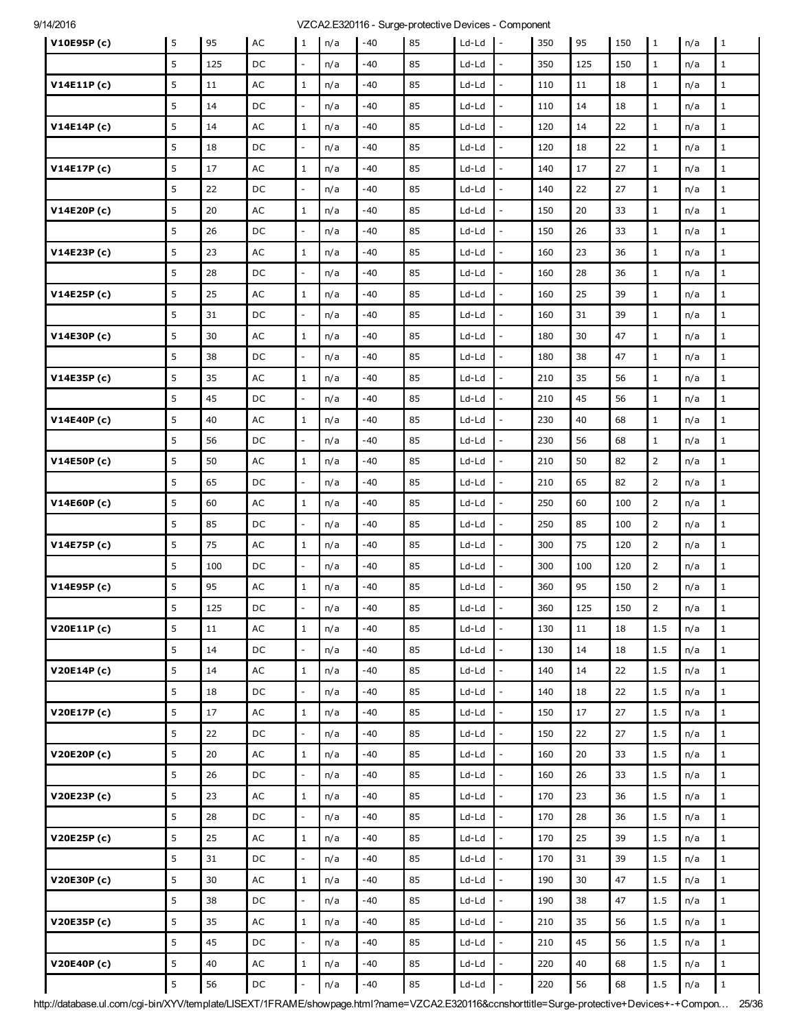| V10E95P(c)  | 5       | 95     | AC            | $\mathbf{1}$             | n/a | $-40$ | 85 | Ld-Ld   | $\mathbf{I}$             | 350 | 95     | 150 | $\vert$ 1      | n/a | $\mathbf{1}$ |
|-------------|---------|--------|---------------|--------------------------|-----|-------|----|---------|--------------------------|-----|--------|-----|----------------|-----|--------------|
|             | 5       | 125    | DC            | $\overline{\phantom{a}}$ | n/a | -40   | 85 | Ld-Ld   |                          | 350 | 125    | 150 | $\mathbf{1}$   | n/a | $\mathbf{1}$ |
| V14E11P(c)  | 5       | 11     | AC            | $\mathbf{1}$             | n/a | -40   | 85 | Ld-Ld   | $\overline{a}$           | 110 | 11     | 18  | $1\,$          | n/a | $\mathbf{1}$ |
|             | 5       | 14     | DC            | $\mathbb{Z}^2$           | n/a | $-40$ | 85 | Ld-Ld   | $\overline{\phantom{a}}$ | 110 | 14     | 18  | $\mathbf{1}$   | n/a | $\mathbf 1$  |
| V14E14P(c)  | 5       | 14     | AC            | $\mathbf{1}$             | n/a | -40   | 85 | Ld-Ld   | $\overline{a}$           | 120 | 14     | 22  | $\mathbf{1}$   | n/a | $\mathbf{1}$ |
|             | 5       | 18     | DC            | $\Box$                   | n/a | -40   | 85 | Ld-Ld   | $\overline{a}$           | 120 | 18     | 22  | $\mathbf 1$    | n/a | $\mathbf 1$  |
| V14E17P(c)  | 5       | 17     | $\mathsf{AC}$ | $\mathbf{1}$             | n/a | -40   | 85 | Ld-Ld   | $\overline{a}$           | 140 | 17     | 27  | $\mathbf 1$    | n/a | $\mathbf 1$  |
|             | 5       | 22     | DC            | $\overline{\phantom{a}}$ | n/a | -40   | 85 | Ld-Ld   | $\overline{a}$           | 140 | 22     | 27  | $\mathbf{1}$   | n/a | $\mathbf{1}$ |
| V14E20P(c)  | 5       | 20     | AC            | $\mathbf{1}$             | n/a | -40   | 85 | Ld-Ld   | $\overline{\phantom{a}}$ | 150 | 20     | 33  | $\mathbf{1}$   | n/a | $\mathbf 1$  |
|             | 5       | 26     | DC            | $\overline{\phantom{a}}$ | n/a | -40   | 85 | Ld-Ld   | $\overline{a}$           | 150 | 26     | 33  | $\mathbf{1}$   | n/a | $\mathbf 1$  |
| V14E23P(c)  | 5       | 23     | AC            | $\mathbf{1}$             | n/a | -40   | 85 | Ld-Ld   | L,                       | 160 | 23     | 36  | $\mathbf{1}$   | n/a | $\mathbf{1}$ |
|             | 5       | 28     | DC            | $\overline{\phantom{a}}$ | n/a | -40   | 85 | Ld-Ld   | $\overline{a}$           | 160 | 28     | 36  | $\mathbf 1$    | n/a | $1\,$        |
| V14E25P(c)  | 5       | 25     | AC            | $\mathbf{1}$             | n/a | -40   | 85 | Ld-Ld   | $\overline{a}$           | 160 | 25     | 39  | $\mathbf 1$    | n/a | $\mathbf 1$  |
|             | 5       | 31     | DC            | $\overline{\phantom{a}}$ | n/a | -40   | 85 | Ld-Ld   | $\overline{a}$           | 160 | 31     | 39  | $\mathbf{1}$   | n/a | $\mathbf 1$  |
| V14E30P(c)  | 5       | 30     | AC            | $\mathbf{1}$             | n/a | $-40$ | 85 | Ld-Ld   | $\overline{a}$           | 180 | 30     | 47  | $\mathbf 1$    | n/a | $\mathbf 1$  |
|             | 5       | 38     | DC            | $\Box$                   | n/a | -40   | 85 | Ld-Ld   | $\overline{a}$           | 180 | 38     | 47  | $\mathbf{1}$   | n/a | $\mathbf{1}$ |
| V14E35P(c)  | 5       | 35     | AC            | $\mathbf 1$              | n/a | -40   | 85 | Ld-Ld   | $\overline{\phantom{a}}$ | 210 | 35     | 56  | $\mathbf{1}$   | n/a | $\mathbf 1$  |
|             | 5       | 45     | DC            | $\overline{\phantom{a}}$ | n/a | -40   | 85 | Ld-Ld   | $\overline{a}$           | 210 | 45     | 56  | $\mathbf 1$    | n/a | $\mathbf 1$  |
| V14E40P(c)  | 5       | 40     | AC            | $\mathbf{1}$             | n/a | -40   | 85 | Ld-Ld   | $\overline{\phantom{a}}$ | 230 | 40     | 68  | $\mathbf 1$    | n/a | $\mathbf{1}$ |
|             | 5       | 56     | DC            | $\overline{\phantom{a}}$ | n/a | -40   | 85 | Ld-Ld   | $\overline{\phantom{a}}$ | 230 | 56     | 68  | $\mathbf{1}$   | n/a | $\mathbf 1$  |
| V14E50P(c)  | 5       | 50     | $\mathsf{AC}$ | $\mathbf{1}$             | n/a | -40   | 85 | Ld-Ld   | $\overline{a}$           | 210 | 50     | 82  | $\overline{2}$ | n/a | $\mathbf{1}$ |
|             | 5       | 65     | DC            | $\sim$                   | n/a | -40   | 85 | Ld-Ld   | $\overline{\phantom{a}}$ | 210 | 65     | 82  | $\overline{2}$ | n/a | $\mathbf{1}$ |
| V14E60P(c)  | 5       | 60     | AC            | $\mathbf{1}$             | n/a | -40   | 85 | Ld-Ld   | $\overline{a}$           | 250 | 60     | 100 | $\overline{2}$ | n/a | $1\,$        |
|             | 5       | 85     | DC            | $\overline{\phantom{a}}$ | n/a | -40   | 85 | Ld-Ld   |                          | 250 | 85     | 100 | $\overline{2}$ | n/a | $1\,$        |
| V14E75P (c) | 5       | 75     | AC            | $1\,$                    | n/a | -40   | 85 | Ld-Ld   | $\overline{a}$           | 300 | 75     | 120 | $\overline{2}$ | n/a | $1\,$        |
|             | 5       | 100    | DC            | $\bar{\phantom{a}}$      | n/a | -40   | 85 | Ld-Ld   | $\overline{\phantom{a}}$ | 300 | 100    | 120 | $\overline{2}$ | n/a | $\mathbf 1$  |
| V14E95P(c)  | 5       | 95     | AC            | $\mathbf{1}$             | n/a | -40   | 85 | Ld-Ld   |                          | 360 | 95     | 150 | $\overline{2}$ | n/a | $\mathbf{1}$ |
|             | 5       | 125    | DC            | $\blacksquare$           | n/a | -40   | 85 | Ld-Ld   |                          | 360 | 125    | 150 | $\overline{2}$ | n/a | $\,1\,$      |
| V20E11P(c)  | $\sf 5$ | $11\,$ | AC            | $\mathbf 1$              | n/a | $-40$ | 85 | Ld-Ld   | $\overline{\phantom{a}}$ | 130 | $11\,$ | 18  | 1.5            | n/a | $\mathbf 1$  |
|             | 5       | 14     | DC            | ÷.                       | n/a | -40   | 85 | Ld-Ld   | $\overline{a}$           | 130 | 14     | 18  | 1.5            | n/a | $\mathbf{1}$ |
| V20E14P(c)  | 5       | 14     | $\mathsf{AC}$ | $\,1\,$                  | n/a | $-40$ | 85 | $Ld-Ld$ | $\overline{\phantom{a}}$ | 140 | 14     | 22  | $1.5\,$        | n/a | $1\,$        |
|             | 5       | 18     | DC            | $\mathbb{Z}^2$           | n/a | -40   | 85 | $Ld-Ld$ | $\overline{\phantom{a}}$ | 140 | 18     | 22  | 1.5            | n/a | $\,1$        |
| V20E17P(c)  | 5       | 17     | $\mathsf{AC}$ | $\,1\,$                  | n/a | $-40$ | 85 | $Ld-Ld$ | $\overline{\phantom{a}}$ | 150 | $17\,$ | 27  | 1.5            | n/a | $\,1$        |
|             | 5       | 22     | DC            | $\equiv$                 | n/a | $-40$ | 85 | $Ld-Ld$ | $\overline{\phantom{a}}$ | 150 | 22     | 27  | 1.5            | n/a | $\mathbf 1$  |
| V20E20P(c)  | 5       | 20     | AC            | $\,1\,$                  | n/a | $-40$ | 85 | $Ld-Ld$ | $\overline{\phantom{a}}$ | 160 | $20\,$ | 33  | $1.5\,$        | n/a | $\mathbf 1$  |
|             | 5       | 26     | DC            | ÷.                       | n/a | -40   | 85 | $Ld-Ld$ | ÷,                       | 160 | 26     | 33  | 1.5            | n/a | $\mathbf 1$  |
| V20E23P(c)  | 5       | 23     | AC            | $\,1\,$                  | n/a | $-40$ | 85 | Ld-Ld   | $\overline{a}$           | 170 | 23     | 36  | 1.5            | n/a | $\mathbf 1$  |
|             | 5       | 28     | DC            | $\Box$                   | n/a | $-40$ | 85 | $Ld-Ld$ | $\overline{\phantom{a}}$ | 170 | 28     | 36  | 1.5            | n/a | $1\,$        |
| V20E25P (c) | 5       | 25     | $\mathsf{AC}$ | $\mathbf 1$              | n/a | -40   | 85 | $Ld-Ld$ | $\overline{\phantom{a}}$ | 170 | 25     | 39  | 1.5            | n/a | $\mathbf 1$  |
|             | 5       | 31     | DC            | ÷.                       | n/a | $-40$ | 85 | $Ld-Ld$ | $\overline{a}$           | 170 | 31     | 39  | 1.5            | n/a | $\mathbf 1$  |
| V20E30P(c)  | 5       | 30     | $\mathsf{AC}$ | $\,1\,$                  | n/a | $-40$ | 85 | $Ld-Ld$ | $\overline{\phantom{a}}$ | 190 | 30     | 47  | 1.5            | n/a | $1\,$        |
|             | 5       | 38     | DC            | ÷.                       | n/a | -40   | 85 | $Ld-Ld$ | $\overline{\phantom{a}}$ | 190 | 38     | 47  | 1.5            | n/a | $\,1$        |
| V20E35P (c) | 5       | 35     | $\mathsf{AC}$ | $\,1$                    | n/a | -40   | 85 | $Ld-Ld$ | $\overline{a}$           | 210 | 35     | 56  | 1.5            | n/a | $\mathbf{1}$ |
|             | 5       | 45     | DC            | $\mathbb{Z}^2$           | n/a | $-40$ | 85 | Ld-Ld   | $\overline{\phantom{a}}$ | 210 | 45     | 56  | $1.5$          | n/a | $\mathbf{1}$ |
| V20E40P(c)  | 5       | 40     | $\mathsf{AC}$ | $\mathbf 1$              | n/a | $-40$ | 85 | $Ld-Ld$ | $\blacksquare$           | 220 | 40     | 68  | 1.5            | n/a | $\,1$        |
|             | $\sf 5$ | 56     | $\mathsf{DC}$ | $\overline{\phantom{a}}$ | n/a | $-40$ | 85 | Ld-Ld   | $\overline{\phantom{a}}$ | 220 | 56     | 68  | $1.5\,$        | n/a | $\mathbf 1$  |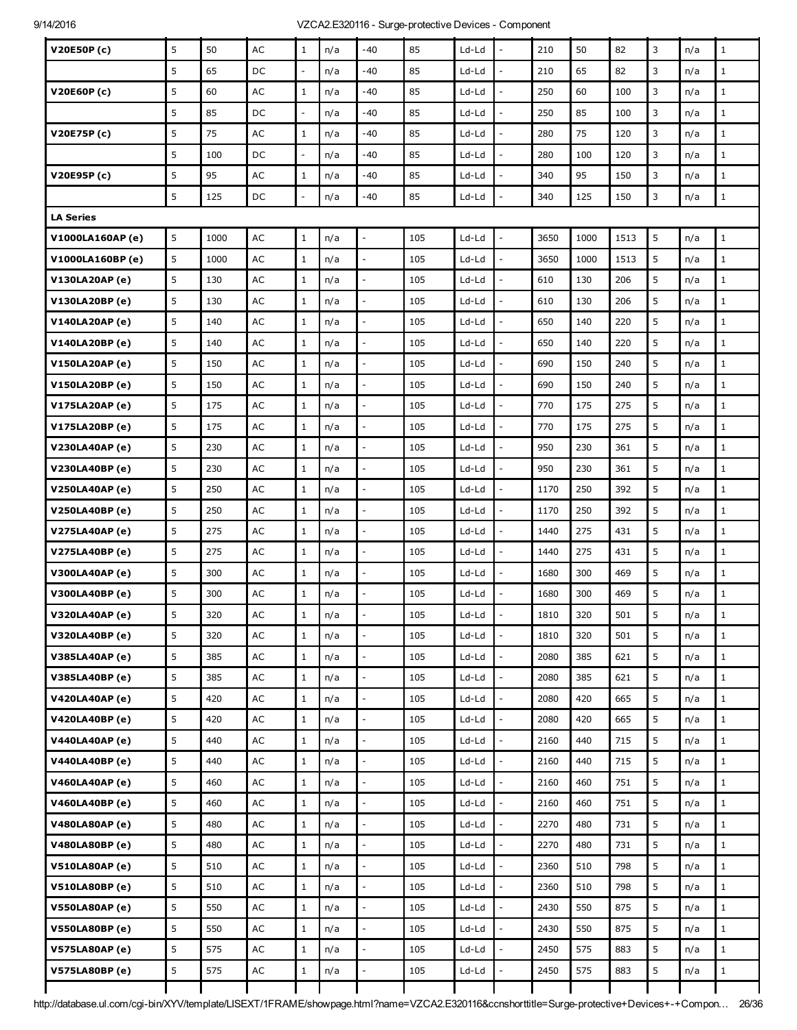| V20E50P(c)            | 5 | 50   | AC            | $\mathbf{1}$             | n/a | $-40$                    | 85  | Ld-Ld   | L,                       | 210  | 50   | 82   | 3 | n/a | $\mathbf{1}$ |
|-----------------------|---|------|---------------|--------------------------|-----|--------------------------|-----|---------|--------------------------|------|------|------|---|-----|--------------|
|                       | 5 | 65   | DC            | $\overline{\phantom{a}}$ | n/a | $-40$                    | 85  | Ld-Ld   | $\overline{a}$           | 210  | 65   | 82   | 3 | n/a | $\mathbf{1}$ |
| V20E60P (c)           | 5 | 60   | AC            | $\mathbf{1}$             | n/a | -40                      | 85  | Ld-Ld   |                          | 250  | 60   | 100  | 3 | n/a | $\mathbf{1}$ |
|                       | 5 | 85   | DC            | $\overline{\phantom{a}}$ | n/a | -40                      | 85  | Ld-Ld   | L,                       | 250  | 85   | 100  | 3 | n/a | $\mathbf{1}$ |
| V20E75P(c)            | 5 | 75   | AC            | $\mathbf{1}$             | n/a | -40                      | 85  | Ld-Ld   | $\overline{a}$           | 280  | 75   | 120  | 3 | n/a | $\mathbf{1}$ |
|                       | 5 | 100  | DC            | $\overline{\phantom{a}}$ | n/a | -40                      | 85  | Ld-Ld   | $\overline{a}$           | 280  | 100  | 120  | 3 | n/a | $\mathbf{1}$ |
| V20E95P (c)           | 5 | 95   | AC            | $\mathbf{1}$             | n/a | -40                      | 85  | Ld-Ld   |                          | 340  | 95   | 150  | 3 | n/a | $\mathbf{1}$ |
|                       | 5 | 125  | DC            | $\overline{a}$           | n/a | -40                      | 85  | Ld-Ld   | ÷,                       | 340  | 125  | 150  | 3 | n/a | $\mathbf{1}$ |
| <b>LA Series</b>      |   |      |               |                          |     |                          |     |         |                          |      |      |      |   |     |              |
| V1000LA160AP(e)       | 5 | 1000 | AC            | $\mathbf{1}$             | n/a |                          | 105 | $Ld-Ld$ | $\overline{a}$           | 3650 | 1000 | 1513 | 5 | n/a | $\mathbf{1}$ |
| V1000LA160BP (e)      | 5 | 1000 | AC            | $\mathbf{1}$             | n/a | $\overline{a}$           | 105 | Ld-Ld   |                          | 3650 | 1000 | 1513 | 5 | n/a | $\mathbf{1}$ |
| V130LA20AP (e)        | 5 | 130  | AC            | $\mathbf{1}$             | n/a | $\overline{\phantom{a}}$ | 105 | Ld-Ld   | $\overline{\phantom{a}}$ | 610  | 130  | 206  | 5 | n/a | $\mathbf{1}$ |
| V130LA20BP (e)        | 5 | 130  | AC            | $\mathbf{1}$             | n/a |                          | 105 | Ld-Ld   |                          | 610  | 130  | 206  | 5 | n/a | $\mathbf 1$  |
| V140LA20AP (e)        | 5 | 140  | AC            | $\mathbf{1}$             | n/a |                          | 105 | Ld-Ld   | L,                       | 650  | 140  | 220  | 5 | n/a | $\mathbf{1}$ |
| V140LA20BP (e)        | 5 | 140  | AC            | $\mathbf{1}$             | n/a | $\mathbb{L}$             | 105 | Ld-Ld   | $\frac{1}{2}$            | 650  | 140  | 220  | 5 | n/a | $\mathbf 1$  |
| V150LA20AP (e)        | 5 | 150  | AC            | $\mathbf{1}$             | n/a |                          | 105 | Ld-Ld   |                          | 690  | 150  | 240  | 5 | n/a | $\mathbf{1}$ |
| V150LA20BP (e)        | 5 | 150  | AC            | $\mathbf{1}$             | n/a | $\overline{a}$           | 105 | Ld-Ld   | ÷,                       | 690  | 150  | 240  | 5 | n/a | $\mathbf{1}$ |
| V175LA20AP (e)        | 5 | 175  | AC            | $\mathbf{1}$             | n/a | $\overline{\phantom{a}}$ | 105 | Ld-Ld   | $\frac{1}{2}$            | 770  | 175  | 275  | 5 | n/a | $\mathbf{1}$ |
| V175LA20BP (e)        | 5 | 175  | AC            | $\mathbf{1}$             | n/a |                          | 105 | Ld-Ld   |                          | 770  | 175  | 275  | 5 | n/a | $\mathbf{1}$ |
| V230LA40AP (e)        | 5 | 230  | AC            | $\mathbf{1}$             | n/a |                          | 105 | Ld-Ld   | $\overline{\phantom{a}}$ | 950  | 230  | 361  | 5 | n/a | $\mathbf{1}$ |
| V230LA40BP (e)        | 5 | 230  | AC            | $\mathbf{1}$             | n/a | $\mathbb{L}$             | 105 | Ld-Ld   | $\frac{1}{2}$            | 950  | 230  | 361  | 5 | n/a | $\mathbf 1$  |
| <b>V250LA40AP (e)</b> | 5 | 250  | AC            | $\mathbf{1}$             | n/a |                          | 105 | Ld-Ld   |                          | 1170 | 250  | 392  | 5 | n/a | $\mathbf{1}$ |
| V250LA40BP (e)        | 5 | 250  | AC            | $\mathbf{1}$             | n/a |                          | 105 | Ld-Ld   | ÷,                       | 1170 | 250  | 392  | 5 | n/a | $\mathbf{1}$ |
| <b>V275LA40AP (e)</b> | 5 | 275  | AC            | $\mathbf{1}$             | n/a | $\mathbb{L}$             | 105 | Ld-Ld   | $\frac{1}{2}$            | 1440 | 275  | 431  | 5 | n/a | $\mathbf 1$  |
| V275LA40BP (e)        | 5 | 275  | AC            | $\mathbf{1}$             | n/a |                          | 105 | Ld-Ld   |                          | 1440 | 275  | 431  | 5 | n/a | $\mathbf{1}$ |
| <b>V300LA40AP (e)</b> | 5 | 300  | AC            | $\mathbf{1}$             | n/a | $\overline{a}$           | 105 | Ld-Ld   | $\overline{a}$           | 1680 | 300  | 469  | 5 | n/a | $\mathbf 1$  |
| V300LA40BP (e)        | 5 | 300  | AC            | $\mathbf{1}$             | n/a |                          | 105 | Ld-Ld   |                          | 1680 | 300  | 469  | 5 | n/a | $\mathbf{1}$ |
| <b>V320LA40AP (e)</b> | 5 | 320  | $\mathsf{AC}$ | $\mathbf{1}$             | n/a |                          | 105 | Ld-Ld   |                          | 1810 | 320  | 501  | 5 | n/a | $\mathbf{1}$ |
| V320LA40BP (e)        | 5 | 320  | AC            | $\mathbf{1}$             | n/a |                          | 105 | Ld-Ld   |                          | 1810 | 320  | 501  | 5 | n/a | $1\,$        |
| V385LA40AP (e)        | 5 | 385  | $\mathsf{AC}$ | $\mathbf{1}$             | n/a | $\sim$                   | 105 | Ld-Ld   | L,                       | 2080 | 385  | 621  | 5 | n/a | $\mathbf{1}$ |
| V385LA40BP (e)        | 5 | 385  | $\mathsf{AC}$ | $\mathbf{1}$             | n/a | $\overline{\phantom{a}}$ | 105 | Ld-Ld   | $\overline{a}$           | 2080 | 385  | 621  | 5 | n/a | $1\,$        |
| <b>V420LA40AP (e)</b> | 5 | 420  | AC            | $\mathbf{1}$             | n/a | $\overline{a}$           | 105 | Ld-Ld   | $\overline{a}$           | 2080 | 420  | 665  | 5 | n/a | $\mathbf{1}$ |
| V420LA40BP (e)        | 5 | 420  | $\mathsf{AC}$ | $\mathbf{1}$             | n/a | $\overline{\phantom{a}}$ | 105 | Ld-Ld   | $\overline{a}$           | 2080 | 420  | 665  | 5 | n/a | $\mathbf{1}$ |
| V440LA40AP (e)        | 5 | 440  | AC            | $1\,$                    | n/a | $\overline{\phantom{a}}$ | 105 | Ld-Ld   | $\overline{\phantom{a}}$ | 2160 | 440  | 715  | 5 | n/a | $1\,$        |
| <b>V440LA40BP (e)</b> | 5 | 440  | AC            | $\mathbf{1}$             | n/a |                          | 105 | Ld-Ld   | $\overline{a}$           | 2160 | 440  | 715  | 5 | n/a | $1\,$        |
| <b>V460LA40AP (e)</b> | 5 | 460  | AC            | $\mathbf{1}$             | n/a | $\overline{a}$           | 105 | Ld-Ld   | $\overline{a}$           | 2160 | 460  | 751  | 5 | n/a | $\mathbf{1}$ |
| V460LA40BP (e)        | 5 | 460  | AC            | $\mathbf{1}$             | n/a | $\overline{\phantom{a}}$ | 105 | Ld-Ld   | $\overline{\phantom{a}}$ | 2160 | 460  | 751  | 5 | n/a | $1\,$        |
| <b>V480LA80AP (e)</b> | 5 | 480  | $\mathsf{AC}$ | $\mathbf{1}$             | n/a |                          | 105 | Ld-Ld   | $\overline{a}$           | 2270 | 480  | 731  | 5 | n/a | $\mathbf{1}$ |
| V480LA80BP (e)        | 5 | 480  | AC            | $\mathbf{1}$             | n/a | $\overline{\phantom{a}}$ | 105 | Ld-Ld   | L,                       | 2270 | 480  | 731  | 5 | n/a | $1\,$        |
| <b>V510LA80AP (e)</b> | 5 | 510  | AC            | $\mathbf{1}$             | n/a | $\overline{\phantom{a}}$ | 105 | Ld-Ld   | $\frac{1}{2}$            | 2360 | 510  | 798  | 5 | n/a | $1\,$        |
| <b>V510LA80BP(e)</b>  | 5 | 510  | $\mathsf{AC}$ | $\mathbf{1}$             | n/a |                          | 105 | Ld-Ld   | $\overline{a}$           | 2360 | 510  | 798  | 5 | n/a | $\mathbf{1}$ |
| <b>V550LA80AP (e)</b> | 5 | 550  | $\mathsf{AC}$ | $\mathbf{1}$             | n/a | $\overline{a}$           | 105 | Ld-Ld   | ÷,                       | 2430 | 550  | 875  | 5 | n/a | $\mathbf{1}$ |
| <b>V550LA80BP (e)</b> | 5 | 550  | AC            | $\mathbf{1}$             | n/a | $\overline{\phantom{a}}$ | 105 | Ld-Ld   | $\overline{\phantom{a}}$ | 2430 | 550  | 875  | 5 | n/a | $\mathbf 1$  |
| <b>V575LA80AP (e)</b> | 5 | 575  | $\mathsf{AC}$ | $\mathbf{1}$             | n/a |                          | 105 | Ld-Ld   |                          | 2450 | 575  | 883  | 5 | n/a | $\mathbf{1}$ |
| <b>V575LA80BP (e)</b> | 5 | 575  | AC            | $\mathbf{1}$             | n/a |                          | 105 | Ld-Ld   |                          | 2450 | 575  | 883  | 5 | n/a | $\mathbf{1}$ |
|                       |   |      |               |                          |     |                          |     |         |                          |      |      |      |   |     |              |

http://database.ul.com/cgi-bin/XYV/template/LISEXT/1FRAME/showpage.html?name=VZCA2.E320116&ccnshorttitle=Surge-protective+Devices+-+Compon... 26/36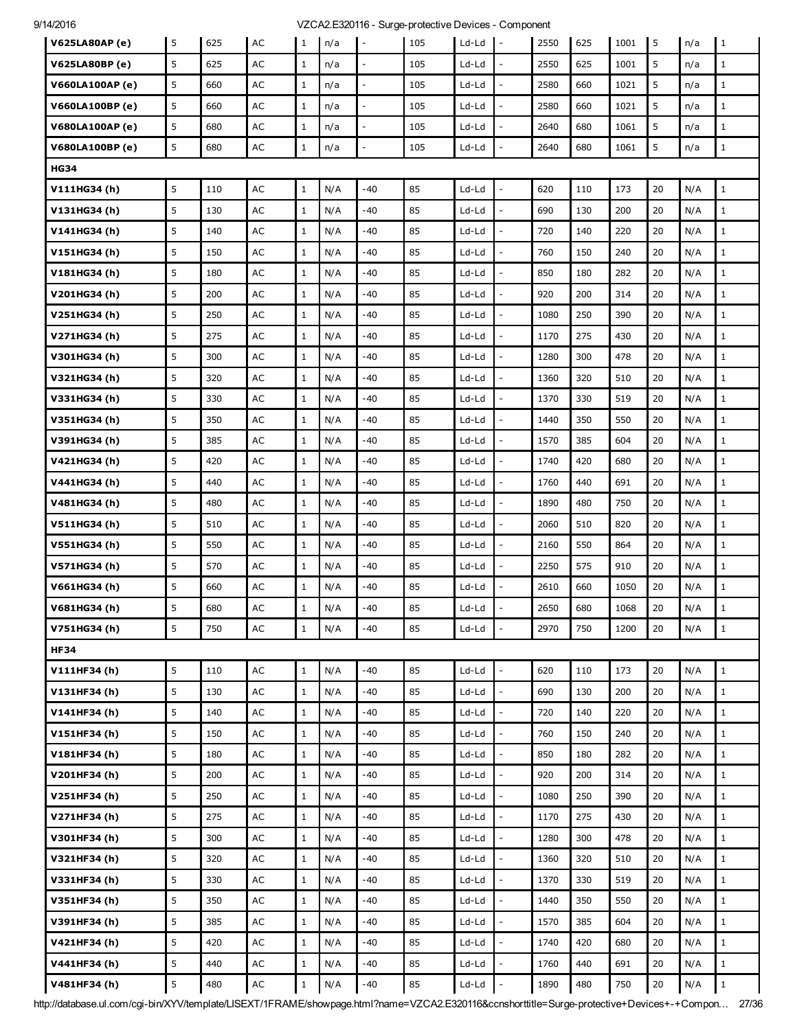| <b>V625LA80AP (e)</b>  | 5 | 625 | AC            | 1            | n/a | $\overline{\phantom{a}}$ | 105 | Ld-Ld   | $\mathbf{I}$             | 2550 | 625 | 1001 | l 5 | n/a | $\mathbf{1}$ |
|------------------------|---|-----|---------------|--------------|-----|--------------------------|-----|---------|--------------------------|------|-----|------|-----|-----|--------------|
| V625LA80BP (e)         | 5 | 625 | AC            | $\mathbf{1}$ | n/a |                          | 105 | Ld-Ld   |                          | 2550 | 625 | 1001 | 5   | n/a | $\mathbf{1}$ |
| <b>V660LA100AP (e)</b> | 5 | 660 | AC            | $\mathbf{1}$ | n/a | $\overline{a}$           | 105 | Ld-Ld   | $\overline{\phantom{a}}$ | 2580 | 660 | 1021 | 5   | n/a | $\mathbf 1$  |
| V660LA100BP (e)        | 5 | 660 | AC            | $\mathbf{1}$ | n/a | $\overline{\phantom{a}}$ | 105 | Ld-Ld   | $\overline{a}$           | 2580 | 660 | 1021 | 5   | n/a | $\mathbf{1}$ |
| <b>V680LA100AP (e)</b> | 5 | 680 | AC            | $\mathbf{1}$ | n/a | $\overline{\phantom{a}}$ | 105 | Ld-Ld   | $\overline{a}$           | 2640 | 680 | 1061 | 5   | n/a | $\mathbf{1}$ |
| V680LA100BP (e)        | 5 | 680 | AC            | 1            | n/a |                          | 105 | Ld-Ld   | $\overline{a}$           | 2640 | 680 | 1061 | 5   | n/a | $1\,$        |
| <b>HG34</b>            |   |     |               |              |     |                          |     |         |                          |      |     |      |     |     |              |
| V111HG34(h)            | 5 | 110 | AC            | $\mathbf{1}$ | N/A | $-40$                    | 85  | Ld-Ld   | $\overline{\phantom{a}}$ | 620  | 110 | 173  | 20  | N/A | $1\,$        |
| V131HG34(h)            | 5 | 130 | AC            | $\mathbf{1}$ | N/A | $-40$                    | 85  | Ld-Ld   | $\overline{a}$           | 690  | 130 | 200  | 20  | N/A | $\mathbf{1}$ |
| V141HG34(h)            | 5 | 140 | AC            | $\mathbf{1}$ | N/A | -40                      | 85  | Ld-Ld   | $\overline{a}$           | 720  | 140 | 220  | 20  | N/A | $\mathbf{1}$ |
| V151HG34(h)            | 5 | 150 | AC            | $\mathbf{1}$ | N/A | -40                      | 85  | Ld-Ld   | ÷,                       | 760  | 150 | 240  | 20  | N/A | $\mathbf{1}$ |
| V181HG34 (h)           | 5 | 180 | AC            | $\mathbf{1}$ | N/A | $-40$                    | 85  | Ld-Ld   |                          | 850  | 180 | 282  | 20  | N/A | $\mathbf{1}$ |
| V201HG34 (h)           | 5 | 200 | AC            | $\mathbf{1}$ | N/A | -40                      | 85  | Ld-Ld   |                          | 920  | 200 | 314  | 20  | N/A | $\mathbf{1}$ |
| V251HG34 (h)           | 5 | 250 | AC            | $\mathbf{1}$ | N/A | -40                      | 85  | Ld-Ld   | $\overline{a}$           | 1080 | 250 | 390  | 20  | N/A | $\mathbf{1}$ |
| V271HG34 (h)           | 5 | 275 | AC            | $\mathbf{1}$ | N/A | -40                      | 85  | Ld-Ld   |                          | 1170 | 275 | 430  | 20  | N/A | $\mathbf{1}$ |
| V301HG34 (h)           | 5 | 300 | AC            | $\mathbf{1}$ | N/A | $-40$                    | 85  | Ld-Ld   | $\overline{a}$           | 1280 | 300 | 478  | 20  | N/A | $\mathbf{1}$ |
| V321HG34 (h)           | 5 | 320 | AC            | $\mathbf{1}$ | N/A | -40                      | 85  | Ld-Ld   | $\overline{a}$           | 1360 | 320 | 510  | 20  | N/A | $\mathbf{1}$ |
| V331HG34 (h)           | 5 | 330 | AC            | $\mathbf{1}$ | N/A | -40                      | 85  | Ld-Ld   |                          | 1370 | 330 | 519  | 20  | N/A | $\mathbf{1}$ |
| V351HG34 (h)           | 5 | 350 | AC            | $\mathbf{1}$ | N/A | $-40$                    | 85  | Ld-Ld   | $\overline{\phantom{a}}$ | 1440 | 350 | 550  | 20  | N/A | $\mathbf{1}$ |
| V391HG34 (h)           | 5 | 385 | AC            | $\mathbf{1}$ | N/A | $-40$                    | 85  | Ld-Ld   | $\overline{a}$           | 1570 | 385 | 604  | 20  | N/A | $\mathbf 1$  |
| V421HG34 (h)           | 5 | 420 | AC            | $\mathbf{1}$ | N/A | -40                      | 85  | Ld-Ld   |                          | 1740 | 420 | 680  | 20  | N/A | $\mathbf{1}$ |
| V441HG34(h)            | 5 | 440 | AC            | $\mathbf{1}$ | N/A | -40                      | 85  | Ld-Ld   | $\sim$                   | 1760 | 440 | 691  | 20  | N/A | $\mathbf{1}$ |
| V481HG34 (h)           | 5 | 480 | AC            | $\mathbf{1}$ | N/A | $-40$                    | 85  | Ld-Ld   | $\overline{a}$           | 1890 | 480 | 750  | 20  | N/A | $\mathbf{1}$ |
| V511HG34(h)            | 5 | 510 | AC            | $\mathbf{1}$ | N/A | -40                      | 85  | Ld-Ld   | $\overline{a}$           | 2060 | 510 | 820  | 20  | N/A | $\mathbf{1}$ |
| V551HG34 (h)           | 5 | 550 | AC            | $\mathbf{1}$ | N/A | $-40$                    | 85  | Ld-Ld   | $\overline{\phantom{a}}$ | 2160 | 550 | 864  | 20  | N/A | $\mathbf{1}$ |
| V571HG34 (h)           | 5 | 570 | AC            | $\mathbf{1}$ | N/A | -40                      | 85  | Ld-Ld   | $\overline{a}$           | 2250 | 575 | 910  | 20  | N/A | $\mathbf{1}$ |
| V661HG34 (h)           | 5 | 660 | AC            | $\mathbf{1}$ | N/A | -40                      | 85  | Ld-Ld   | $\overline{a}$           | 2610 | 660 | 1050 | 20  | N/A | $\mathbf{1}$ |
| V681HG34 (h)           | 5 | 680 | AC            | $\mathbf 1$  | N/A | $-40$                    | 85  | Ld-Ld   |                          | 2650 | 680 | 1068 | 20  | N/A | $\mathbf{1}$ |
| V751HG34(h)            | 5 | 750 | $\mathsf{AC}$ | $\mathbf{1}$ | N/A | $-40$                    | 85  | Ld-Ld   | $\overline{\phantom{a}}$ | 2970 | 750 | 1200 | 20  | N/A | $\mathbf{1}$ |
| <b>HF34</b>            |   |     |               |              |     |                          |     |         |                          |      |     |      |     |     |              |
| V111HF34(h)            | 5 | 110 | AC            | $\mathbf{1}$ | N/A | $-40$                    | 85  | Ld-Ld   | $\overline{a}$           | 620  | 110 | 173  | 20  | N/A | $\mathbf{1}$ |
| V131HF34 (h)           | 5 | 130 | $\mathsf{AC}$ | $\mathbf{1}$ | N/A | $-40$                    | 85  | $Ld-Ld$ | $\overline{a}$           | 690  | 130 | 200  | 20  | N/A | $1\,$        |
| V141HF34 (h)           | 5 | 140 | AC            | $\mathbf{1}$ | N/A | -40                      | 85  | Ld-Ld   | $\overline{a}$           | 720  | 140 | 220  | 20  | N/A | $1\,$        |
| V151HF34 (h)           | 5 | 150 | $\mathsf{AC}$ | $\mathbf{1}$ | N/A | $-40$                    | 85  | Ld-Ld   | $\overline{a}$           | 760  | 150 | 240  | 20  | N/A | $\mathbf{1}$ |
| V181HF34 (h)           | 5 | 180 | AC            | $\mathbf{1}$ | N/A | $-40$                    | 85  | $Ld-Ld$ | $\overline{a}$           | 850  | 180 | 282  | 20  | N/A | $1\,$        |
| V201HF34 (h)           | 5 | 200 | AC            | $\mathbf{1}$ | N/A | $-40$                    | 85  | Ld-Ld   | $\overline{a}$           | 920  | 200 | 314  | 20  | N/A | $1\,$        |
| V251HF34 (h)           | 5 | 250 | $\mathsf{AC}$ | $\mathbf{1}$ | N/A | -40                      | 85  | Ld-Ld   | $\overline{a}$           | 1080 | 250 | 390  | 20  | N/A | $\mathbf{1}$ |
| V271HF34 (h)           | 5 | 275 | AC            | $\mathbf{1}$ | N/A | $-40$                    | 85  | Ld-Ld   | $\frac{1}{2}$            | 1170 | 275 | 430  | 20  | N/A | $\mathbf{1}$ |
| V301HF34 (h)           | 5 | 300 | AC            | $\mathbf{1}$ | N/A | -40                      | 85  | Ld-Ld   | $\frac{1}{2}$            | 1280 | 300 | 478  | 20  | N/A | $1\,$        |
| V321HF34 (h)           | 5 | 320 | $\mathsf{AC}$ | $\mathbf{1}$ | N/A | -40                      | 85  | Ld-Ld   | $\overline{a}$           | 1360 | 320 | 510  | 20  | N/A | $\mathbf{1}$ |
| V331HF34 (h)           | 5 | 330 | AC            | $\mathbf{1}$ | N/A | $-40$                    | 85  | Ld-Ld   | $\overline{\phantom{a}}$ | 1370 | 330 | 519  | 20  | N/A | $\mathbf{1}$ |
| V351HF34 (h)           | 5 | 350 | AC            | $\mathbf{1}$ | N/A | $-40$                    | 85  | $Ld-Ld$ | $\frac{1}{2}$            | 1440 | 350 | 550  | 20  | N/A | $1\,$        |
| V391HF34 (h)           | 5 | 385 | AC            | $\mathbf{1}$ | N/A | -40                      | 85  | Ld-Ld   | $\overline{a}$           | 1570 | 385 | 604  | 20  | N/A | $\mathbf{1}$ |
| V421HF34 (h)           | 5 | 420 | AC            | $\mathbf{1}$ | N/A | -40                      | 85  | Ld-Ld   | $\overline{a}$           | 1740 | 420 | 680  | 20  | N/A | $\mathbf{1}$ |
| V441HF34 (h)           | 5 | 440 | AC            | $\mathbf{1}$ | N/A | $-40$                    | 85  | $Ld-Ld$ | $\overline{a}$           | 1760 | 440 | 691  | 20  | N/A | $1\,$        |
| V481HF34 (h)           | 5 | 480 | $\sf AC$      | $\mathbf{1}$ | N/A | $-40$                    | 85  | $Ld-Ld$ |                          | 1890 | 480 | 750  | 20  | N/A | $\mathbf{1}$ |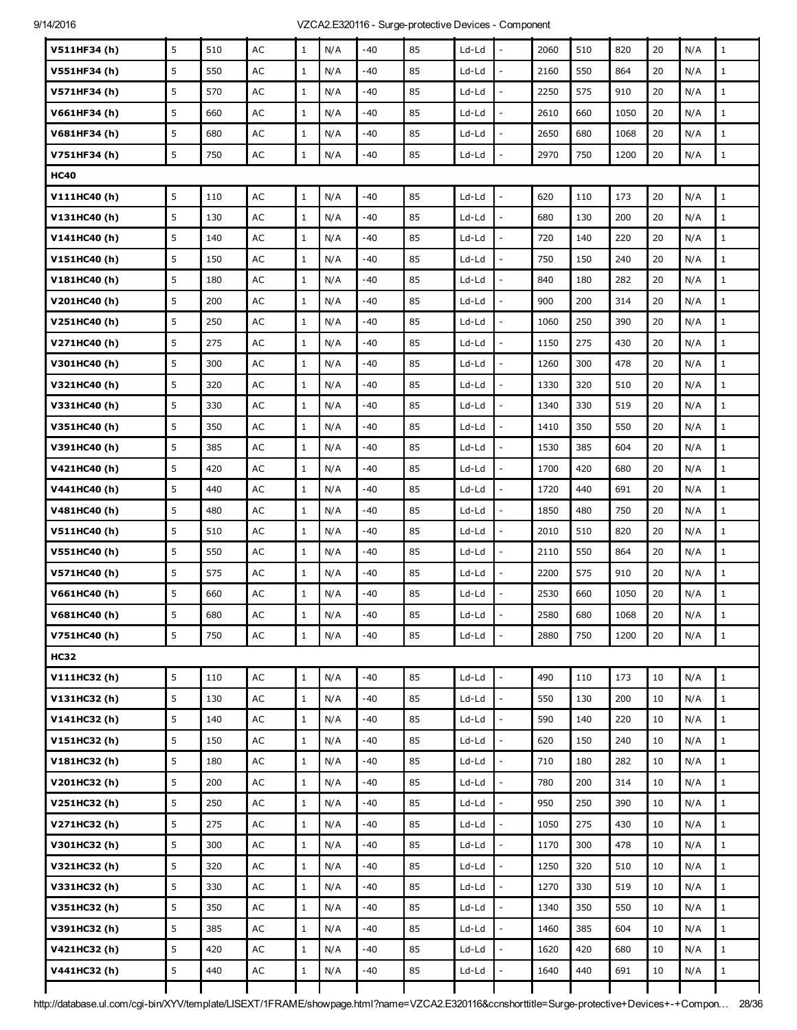| V511HF34 (h) | 5 | 510 | AC            | $\mathbf{1}$ | N/A | $-40$ | 85 | Ld-Ld   |                          | 2060 | 510 | 820  | 20 | N/A | $\mathbf{1}$ |
|--------------|---|-----|---------------|--------------|-----|-------|----|---------|--------------------------|------|-----|------|----|-----|--------------|
| V551HF34 (h) | 5 | 550 | AC            | $\mathbf{1}$ | N/A | -40   | 85 | Ld-Ld   | $\overline{a}$           | 2160 | 550 | 864  | 20 | N/A | $\mathbf{1}$ |
| V571HF34 (h) | 5 | 570 | AC            | $\mathbf{1}$ | N/A | -40   | 85 | Ld-Ld   | $\frac{1}{2}$            | 2250 | 575 | 910  | 20 | N/A | $\mathbf 1$  |
| V661HF34 (h) | 5 | 660 | AC            | $\mathbf{1}$ | N/A | -40   | 85 | Ld-Ld   |                          | 2610 | 660 | 1050 | 20 | N/A | $\mathbf{1}$ |
| V681HF34 (h) | 5 | 680 | AC            | $\mathbf{1}$ | N/A | $-40$ | 85 | Ld-Ld   | $\overline{a}$           | 2650 | 680 | 1068 | 20 | N/A | $1\,$        |
| V751HF34 (h) | 5 | 750 | AC            | $\mathbf{1}$ | N/A | -40   | 85 | Ld-Ld   | $\frac{1}{2}$            | 2970 | 750 | 1200 | 20 | N/A | $\,1$        |
| <b>HC40</b>  |   |     |               |              |     |       |    |         |                          |      |     |      |    |     |              |
| V111HC40 (h) | 5 | 110 | AC            | $\mathbf{1}$ | N/A | $-40$ | 85 | Ld-Ld   | $\overline{\phantom{a}}$ | 620  | 110 | 173  | 20 | N/A | $\mathbf{1}$ |
| V131HC40(h)  | 5 | 130 | AC            | $\mathbf{1}$ | N/A | $-40$ | 85 | Ld-Ld   | $\frac{1}{2}$            | 680  | 130 | 200  | 20 | N/A | $\mathbf 1$  |
| V141HC40(h)  | 5 | 140 | AC            | $\mathbf{1}$ | N/A | -40   | 85 | Ld-Ld   |                          | 720  | 140 | 220  | 20 | N/A | $\mathbf{1}$ |
| V151HC40(h)  | 5 | 150 | AC            | $\mathbf{1}$ | N/A | $-40$ | 85 | Ld-Ld   | $\overline{a}$           | 750  | 150 | 240  | 20 | N/A | $1\,$        |
| V181HC40 (h) | 5 | 180 | AC            | $\mathbf{1}$ | N/A | $-40$ | 85 | Ld-Ld   | $\frac{1}{2}$            | 840  | 180 | 282  | 20 | N/A | $\mathbf 1$  |
| V201HC40 (h) | 5 | 200 | AC            | $\mathbf{1}$ | N/A | -40   | 85 | Ld-Ld   |                          | 900  | 200 | 314  | 20 | N/A | $\mathbf{1}$ |
| V251HC40 (h) | 5 | 250 | AC            | $\mathbf{1}$ | N/A | -40   | 85 | Ld-Ld   | L,                       | 1060 | 250 | 390  | 20 | N/A | $\mathbf 1$  |
| V271HC40 (h) | 5 | 275 | AC            | $\mathbf{1}$ | N/A | -40   | 85 | Ld-Ld   | $\overline{a}$           | 1150 | 275 | 430  | 20 | N/A | $\mathbf{1}$ |
| V301HC40 (h) | 5 | 300 | AC            | $\mathbf{1}$ | N/A | $-40$ | 85 | Ld-Ld   | L,                       | 1260 | 300 | 478  | 20 | N/A | $\mathbf{1}$ |
| V321HC40 (h) | 5 | 320 | AC            | $\mathbf{1}$ | N/A | -40   | 85 | Ld-Ld   |                          | 1330 | 320 | 510  | 20 | N/A | $\mathbf 1$  |
| V331HC40 (h) | 5 | 330 | AC            | $\mathbf{1}$ | N/A | -40   | 85 | Ld-Ld   | L,                       | 1340 | 330 | 519  | 20 | N/A | $\mathbf{1}$ |
| V351HC40 (h) | 5 | 350 | AC            | $\mathbf{1}$ | N/A | -40   | 85 | Ld-Ld   | ÷,                       | 1410 | 350 | 550  | 20 | N/A | $\mathbf{1}$ |
| V391HC40 (h) | 5 | 385 | AC            | $\mathbf{1}$ | N/A | $-40$ | 85 | Ld-Ld   | $\overline{a}$           | 1530 | 385 | 604  | 20 | N/A | $\mathbf 1$  |
| V421HC40 (h) | 5 | 420 | AC            | $\mathbf{1}$ | N/A | -40   | 85 | Ld-Ld   | $\overline{a}$           | 1700 | 420 | 680  | 20 | N/A | $\mathbf{1}$ |
| V441HC40 (h) | 5 | 440 | AC            | $\mathbf{1}$ | N/A | -40   | 85 | Ld-Ld   | $\overline{a}$           | 1720 | 440 | 691  | 20 | N/A | $\mathbf{1}$ |
| V481HC40 (h) | 5 | 480 | AC            | $\mathbf{1}$ | N/A | $-40$ | 85 | Ld-Ld   |                          | 1850 | 480 | 750  | 20 | N/A | $\mathbf 1$  |
| V511HC40(h)  | 5 | 510 | AC            | $\mathbf{1}$ | N/A | -40   | 85 | Ld-Ld   | $\overline{a}$           | 2010 | 510 | 820  | 20 | N/A | $\mathbf{1}$ |
| V551HC40 (h) | 5 | 550 | AC            | $\mathbf{1}$ | N/A | -40   | 85 | Ld-Ld   | $\overline{\phantom{a}}$ | 2110 | 550 | 864  | 20 | N/A | $\mathbf{1}$ |
| V571HC40 (h) | 5 | 575 | AC            | $\mathbf 1$  | N/A | $-40$ | 85 | Ld-Ld   | $\overline{a}$           | 2200 | 575 | 910  | 20 | N/A | $\mathbf 1$  |
| V661HC40 (h) | 5 | 660 | AC            | $\mathbf{1}$ | N/A | $-40$ | 85 | Ld-Ld   |                          | 2530 | 660 | 1050 | 20 | N/A | $1\,$        |
| V681HC40 (h) | 5 | 680 | AC            | $\mathbf{1}$ | N/A | $-40$ | 85 | Ld-Ld   |                          | 2580 | 680 | 1068 | 20 | N/A | $\mathbf{1}$ |
| V751HC40 (h) | 5 | 750 | AC            | $\mathbf{1}$ | N/A | -40   | 85 | Ld-Ld   |                          | 2880 | 750 | 1200 | 20 | N/A | $\mathbf{1}$ |
| <b>HC32</b>  |   |     |               |              |     |       |    |         |                          |      |     |      |    |     |              |
| V111HC32(h)  | 5 | 110 | $\mathsf{AC}$ | $\mathbf{1}$ | N/A | -40   | 85 | $Ld-Ld$ | $\frac{1}{2}$            | 490  | 110 | 173  | 10 | N/A | $1\,$        |
| V131HC32(h)  | 5 | 130 | $\mathsf{AC}$ | $\mathbf{1}$ | N/A | -40   | 85 | Ld-Ld   |                          | 550  | 130 | 200  | 10 | N/A | $\mathbf{1}$ |
| V141HC32 (h) | 5 | 140 | AC            | $\mathbf{1}$ | N/A | -40   | 85 | Ld-Ld   | $\overline{a}$           | 590  | 140 | 220  | 10 | N/A | $\mathbf{1}$ |
| V151HC32(h)  | 5 | 150 | $\mathsf{AC}$ | $\mathbf{1}$ | N/A | $-40$ | 85 | $Ld-Ld$ | $\frac{1}{2}$            | 620  | 150 | 240  | 10 | N/A | $\,1$        |
| V181HC32(h)  | 5 | 180 | AC            | $\mathbf{1}$ | N/A | -40   | 85 | Ld-Ld   |                          | 710  | 180 | 282  | 10 | N/A | $\mathbf{1}$ |
| V201HC32(h)  | 5 | 200 | AC            | $\mathbf{1}$ | N/A | -40   | 85 | Ld-Ld   | $\overline{a}$           | 780  | 200 | 314  | 10 | N/A | $\mathbf{1}$ |
| V251HC32(h)  | 5 | 250 | $\mathsf{AC}$ | $\mathbf{1}$ | N/A | -40   | 85 | Ld-Ld   | $\overline{a}$           | 950  | 250 | 390  | 10 | N/A | $\mathbf 1$  |
| V271HC32(h)  | 5 | 275 | $\mathsf{AC}$ | $1\,$        | N/A | -40   | 85 | Ld-Ld   | $\overline{a}$           | 1050 | 275 | 430  | 10 | N/A | $\mathbf 1$  |
| V301HC32 (h) | 5 | 300 | AC            | $\mathbf{1}$ | N/A | -40   | 85 | Ld-Ld   |                          | 1170 | 300 | 478  | 10 | N/A | $\mathbf{1}$ |
| V321HC32(h)  | 5 | 320 | $\mathsf{AC}$ | $\mathbf{1}$ | N/A | -40   | 85 | Ld-Ld   | $\overline{a}$           | 1250 | 320 | 510  | 10 | N/A | $1\,$        |
| V331HC32 (h) | 5 | 330 | AC            | $\mathbf{1}$ | N/A | -40   | 85 | Ld-Ld   | ÷,                       | 1270 | 330 | 519  | 10 | N/A | $1\,$        |
| V351HC32(h)  | 5 | 350 | AC            | $\mathbf{1}$ | N/A | $-40$ | 85 | $Ld-Ld$ |                          | 1340 | 350 | 550  | 10 | N/A | $\mathbf{1}$ |
| V391HC32(h)  | 5 | 385 | $\mathsf{AC}$ | $\mathbf{1}$ | N/A | -40   | 85 | $Ld-Ld$ | $\overline{a}$           | 1460 | 385 | 604  | 10 | N/A | $\mathbf 1$  |
| V421HC32 (h) | 5 | 420 | $\mathsf{AC}$ | $\mathbf{1}$ | N/A | -40   | 85 | Ld-Ld   | $\overline{\phantom{a}}$ | 1620 | 420 | 680  | 10 | N/A | $\mathbf{1}$ |
| V441HC32(h)  | 5 | 440 | $\mathsf{AC}$ | $1\,$        | N/A | $-40$ | 85 | $Ld-Ld$ |                          | 1640 | 440 | 691  | 10 | N/A | $\mathbf 1$  |
|              |   |     |               |              |     |       |    |         |                          |      |     |      |    |     |              |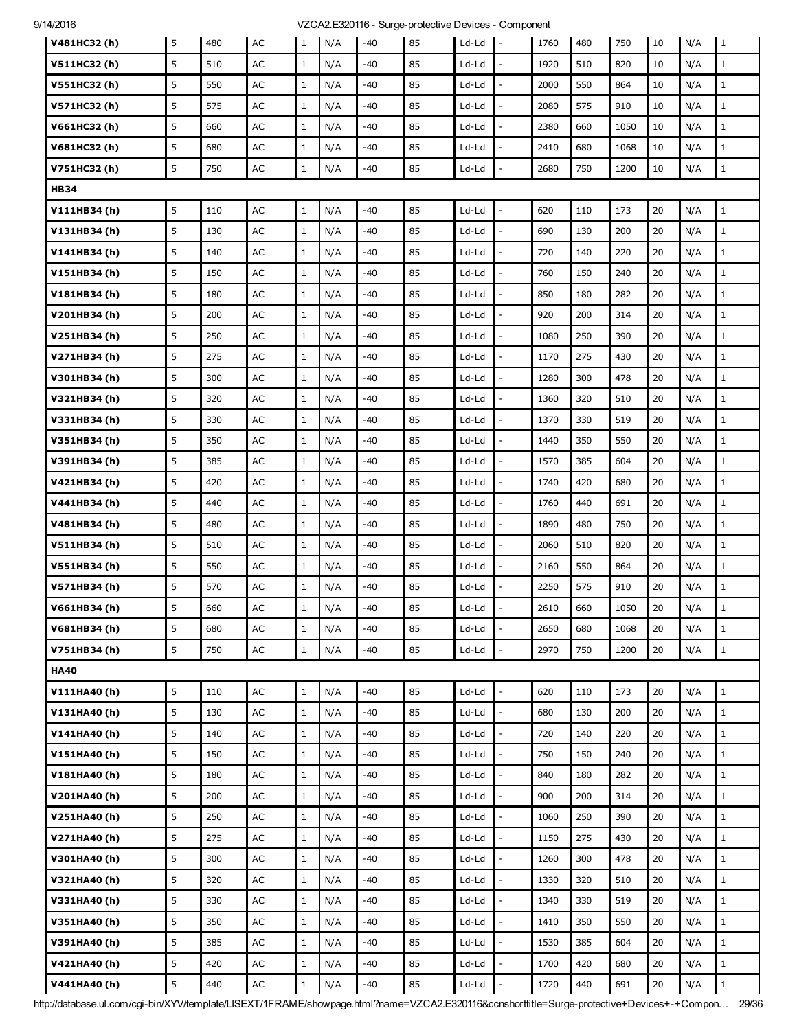| 9/14/2016 |  |  |
|-----------|--|--|
|           |  |  |

| V481HC32 (h) | 5 | 480 | AC            | 1            | N/A | $-40$ | 85 | Ld-Ld   | $\mathbf{I}$ –           | 1760 | 480 | 750  | 10     | N/A | 1            |
|--------------|---|-----|---------------|--------------|-----|-------|----|---------|--------------------------|------|-----|------|--------|-----|--------------|
| V511HC32(h)  | 5 | 510 | AC            | $\mathbf{1}$ | N/A | -40   | 85 | Ld-Ld   |                          | 1920 | 510 | 820  | 10     | N/A | $\mathbf{1}$ |
| V551HC32(h)  | 5 | 550 | AC            | $\mathbf{1}$ | N/A | -40   | 85 | Ld-Ld   | $\overline{\phantom{a}}$ | 2000 | 550 | 864  | 10     | N/A | $\mathbf{1}$ |
| V571HC32(h)  | 5 | 575 | AC            | $\mathbf{1}$ | N/A | -40   | 85 | Ld-Ld   | $\overline{a}$           | 2080 | 575 | 910  | 10     | N/A | $1\,$        |
| V661HC32(h)  | 5 | 660 | AC            | $\mathbf{1}$ | N/A | -40   | 85 | Ld-Ld   |                          | 2380 | 660 | 1050 | 10     | N/A | $\mathbf{1}$ |
| V681HC32 (h) | 5 | 680 | AC            | $\mathbf{1}$ | N/A | -40   | 85 | Ld-Ld   |                          | 2410 | 680 | 1068 | 10     | N/A | $1\,$        |
| V751HC32(h)  | 5 | 750 | $\mathsf{AC}$ | $1\,$        | N/A | -40   | 85 | Ld-Ld   | $\overline{a}$           | 2680 | 750 | 1200 | 10     | N/A | $1\,$        |
| <b>HB34</b>  |   |     |               |              |     |       |    |         |                          |      |     |      |        |     |              |
| V111HB34(h)  | 5 | 110 | AC            | $\mathbf{1}$ | N/A | -40   | 85 | Ld-Ld   |                          | 620  | 110 | 173  | 20     | N/A | $1\,$        |
| V131HB34(h)  | 5 | 130 | AC            | $\mathbf{1}$ | N/A | -40   | 85 | Ld-Ld   | $\overline{a}$           | 690  | 130 | 200  | 20     | N/A | $1\,$        |
| V141HB34(h)  | 5 | 140 | AC            | $\mathbf{1}$ | N/A | -40   | 85 | Ld-Ld   | $\overline{a}$           | 720  | 140 | 220  | 20     | N/A | $1\,$        |
| V151HB34(h)  | 5 | 150 | AC            | $\mathbf{1}$ | N/A | -40   | 85 | Ld-Ld   |                          | 760  | 150 | 240  | 20     | N/A | $\mathbf{1}$ |
| V181HB34(h)  | 5 | 180 | AC            | $\mathbf{1}$ | N/A | -40   | 85 | Ld-Ld   |                          | 850  | 180 | 282  | 20     | N/A | $1\,$        |
| V201HB34(h)  | 5 | 200 | AC            | $\mathbf{1}$ | N/A | -40   | 85 | Ld-Ld   | $\overline{a}$           | 920  | 200 | 314  | 20     | N/A | $1\,$        |
| V251HB34(h)  | 5 | 250 | AC            | $\mathbf{1}$ | N/A | -40   | 85 | Ld-Ld   |                          | 1080 | 250 | 390  | 20     | N/A | $\mathbf{1}$ |
| V271HB34(h)  | 5 | 275 | AC            | $\mathbf{1}$ | N/A | -40   | 85 | Ld-Ld   | $\overline{a}$           | 1170 | 275 | 430  | 20     | N/A | $\mathbf{1}$ |
| V301HB34(h)  | 5 | 300 | AC            | $\mathbf{1}$ | N/A | -40   | 85 | Ld-Ld   | $\overline{a}$           | 1280 | 300 | 478  | 20     | N/A | $\mathbf{1}$ |
| V321HB34(h)  | 5 | 320 | AC            | $\mathbf{1}$ | N/A | $-40$ | 85 | Ld-Ld   |                          | 1360 | 320 | 510  | 20     | N/A | $\mathbf{1}$ |
| V331HB34(h)  | 5 | 330 | AC            | $\mathbf{1}$ | N/A | -40   | 85 | Ld-Ld   | $\overline{a}$           | 1370 | 330 | 519  | 20     | N/A | $\mathbf{1}$ |
| V351HB34(h)  | 5 | 350 | AC            | $\mathbf{1}$ | N/A | -40   | 85 | Ld-Ld   | $\overline{a}$           | 1440 | 350 | 550  | 20     | N/A | $1\,$        |
| V391HB34(h)  | 5 | 385 | $\mathsf{AC}$ | $\mathbf{1}$ | N/A | -40   | 85 | Ld-Ld   |                          | 1570 | 385 | 604  | 20     | N/A | $\mathbf{1}$ |
| V421HB34(h)  | 5 | 420 | AC            | $\mathbf{1}$ | N/A | -40   | 85 | Ld-Ld   | $\overline{\phantom{a}}$ | 1740 | 420 | 680  | 20     | N/A | $\mathbf{1}$ |
| V441HB34(h)  | 5 | 440 | AC            | $\mathbf{1}$ | N/A | -40   | 85 | Ld-Ld   | $\overline{a}$           | 1760 | 440 | 691  | 20     | N/A | $1\,$        |
| V481HB34(h)  | 5 | 480 | AC            | $\mathbf{1}$ | N/A | -40   | 85 | Ld-Ld   |                          | 1890 | 480 | 750  | 20     | N/A | $\mathbf{1}$ |
| V511HB34(h)  | 5 | 510 | AC            | $\mathbf{1}$ | N/A | -40   | 85 | Ld-Ld   |                          | 2060 | 510 | 820  | 20     | N/A | $1\,$        |
| V551HB34(h)  | 5 | 550 | AC            | $\mathbf{1}$ | N/A | -40   | 85 | Ld-Ld   | $\overline{a}$           | 2160 | 550 | 864  | 20     | N/A | $1\,$        |
| V571HB34(h)  | 5 | 570 | AC            | $\mathbf{1}$ | N/A | -40   | 85 | Ld-Ld   |                          | 2250 | 575 | 910  | 20     | N/A | $\mathbf{1}$ |
| V661HB34(h)  | 5 | 660 | AC            | $1\,$        | N/A | -40   | 85 | Ld-Ld   |                          | 2610 | 660 | 1050 | 20     | N/A | $\mathbf{1}$ |
| V681HB34(h)  | 5 | 680 | AC            | $\mathbf{1}$ | N/A | -40   | 85 | Ld-Ld   | $\frac{1}{2}$            | 2650 | 680 | 1068 | 20     | N/A | $1\,$        |
| V751HB34(h)  | 5 | 750 | $\sf AC$      | $\,1$        | N/A | -40   | 85 | Ld-Ld   |                          | 2970 | 750 | 1200 | 20     | N/A | $\mathbf{1}$ |
| <b>HA40</b>  |   |     |               |              |     |       |    |         |                          |      |     |      |        |     |              |
| V111HA40(h)  | 5 | 110 | AC            | $\mathbf{1}$ | N/A | -40   | 85 | Ld-Ld   | $\overline{a}$           | 620  | 110 | 173  | $20\,$ | N/A | $\mathbf 1$  |
| V131HA40(h)  | 5 | 130 | $\mathsf{AC}$ | $\,1$        | N/A | -40   | 85 | Ld-Ld   | $\overline{\phantom{a}}$ | 680  | 130 | 200  | 20     | N/A | $\mathbf{1}$ |
| V141HA40(h)  | 5 | 140 | AC            | $\mathbf{1}$ | N/A | -40   | 85 | Ld-Ld   |                          | 720  | 140 | 220  | 20     | N/A | $\mathbf 1$  |
| V151HA40(h)  | 5 | 150 | AC            | $\mathbf{1}$ | N/A | -40   | 85 | $Ld-Ld$ | $\overline{a}$           | 750  | 150 | 240  | 20     | N/A | $\mathbf 1$  |
| V181HA40(h)  | 5 | 180 | AC            | $\mathbf{1}$ | N/A | -40   | 85 | Ld-Ld   | $\overline{a}$           | 840  | 180 | 282  | 20     | N/A | $\mathbf{1}$ |
| V201HA40 (h) | 5 | 200 | AC            | $\mathbf{1}$ | N/A | $-40$ | 85 | Ld-Ld   | $\overline{a}$           | 900  | 200 | 314  | 20     | N/A | $\mathbf{1}$ |
| V251HA40(h)  | 5 | 250 | AC            | $\mathbf{1}$ | N/A | -40   | 85 | $Ld-Ld$ |                          | 1060 | 250 | 390  | 20     | N/A | $\mathbf 1$  |
| V271HA40(h)  | 5 | 275 | AC            | $\mathbf{1}$ | N/A | -40   | 85 | Ld-Ld   | $\frac{1}{2}$            | 1150 | 275 | 430  | 20     | N/A | $\mathbf{1}$ |
| V301HA40(h)  | 5 | 300 | $\mathsf{AC}$ | $\mathbf{1}$ | N/A | $-40$ | 85 | Ld-Ld   |                          | 1260 | 300 | 478  | 20     | N/A | $\mathbf{1}$ |
| V321HA40 (h) | 5 | 320 | AC            | $\mathbf{1}$ | N/A | -40   | 85 | $Ld-Ld$ | $\overline{a}$           | 1330 | 320 | 510  | 20     | N/A | $\mathbf{1}$ |
| V331HA40 (h) | 5 | 330 | AC            | $\mathbf{1}$ | N/A | -40   | 85 | Ld-Ld   | $\overline{\phantom{m}}$ | 1340 | 330 | 519  | 20     | N/A | $\mathbf{1}$ |
| V351HA40(h)  | 5 | 350 | $\sf AC$      | $\mathbf{1}$ | N/A | -40   | 85 | Ld-Ld   |                          | 1410 | 350 | 550  | 20     | N/A | $\mathbf{1}$ |
| V391HA40(h)  | 5 | 385 | AC            | $\mathbf{1}$ | N/A | $-40$ | 85 | $Ld-Ld$ | $\overline{\phantom{a}}$ | 1530 | 385 | 604  | 20     | N/A | $\mathbf{1}$ |
| V421HA40 (h) | 5 | 420 | AC            | $\mathbf{1}$ | N/A | -40   | 85 | Ld-Ld   | $\overline{a}$           | 1700 | 420 | 680  | $20\,$ | N/A | $\mathbf{1}$ |
| V441HA40(h)  | 5 | 440 | AC            |              | N/A | $-40$ | 85 | $Ld-Ld$ |                          | 1720 | 440 | 691  | 20     | N/A |              |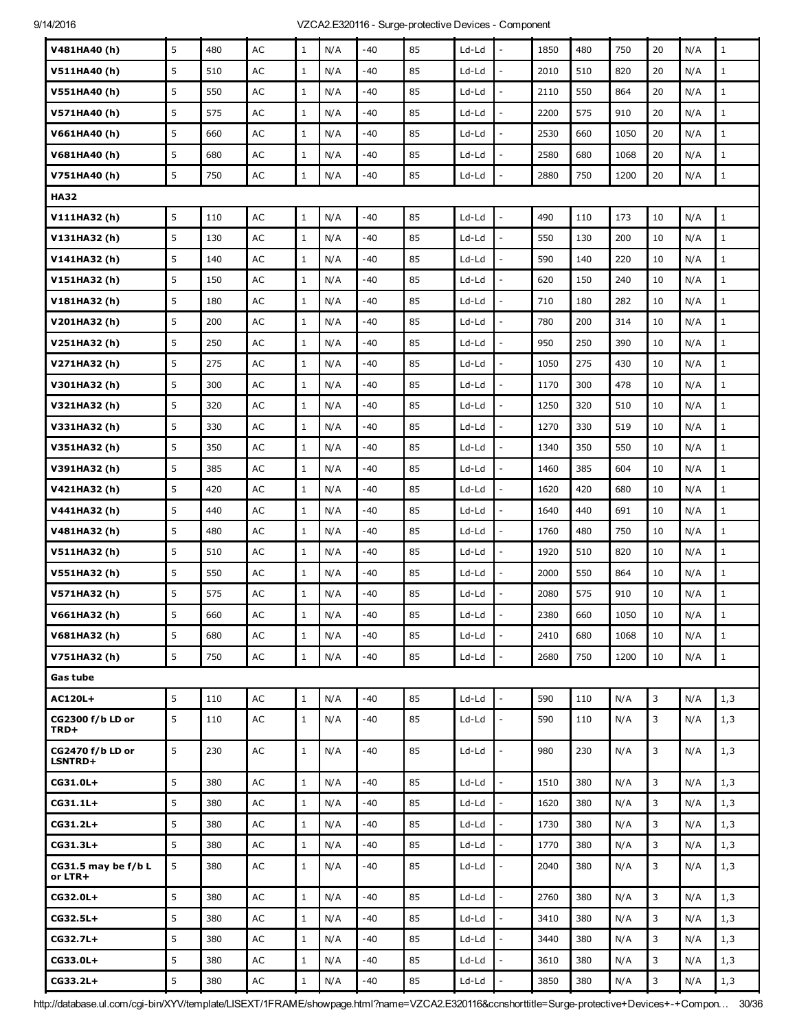| V481HA40(h)                        | 5 | 480 | AC            | $\mathbf{1}$ | N/A | $-40$ | 85 | Ld-Ld   |                              | 1850 | 480 | 750  | 20 | N/A | $\mathbf{1}$ |
|------------------------------------|---|-----|---------------|--------------|-----|-------|----|---------|------------------------------|------|-----|------|----|-----|--------------|
| V511HA40(h)                        | 5 | 510 | AC            | $\mathbf{1}$ | N/A | -40   | 85 | Ld-Ld   |                              | 2010 | 510 | 820  | 20 | N/A | $\mathbf{1}$ |
| V551HA40(h)                        | 5 | 550 | AC            | $\mathbf{1}$ | N/A | -40   | 85 | Ld-Ld   | $\overline{a}$               | 2110 | 550 | 864  | 20 | N/A | $\mathbf{1}$ |
| V571HA40 (h)                       | 5 | 575 | AC            | $\mathbf{1}$ | N/A | $-40$ | 85 | Ld-Ld   |                              | 2200 | 575 | 910  | 20 | N/A | $\mathbf{1}$ |
| V661HA40(h)                        | 5 | 660 | AC            | $\mathbf{1}$ | N/A | -40   | 85 | Ld-Ld   |                              | 2530 | 660 | 1050 | 20 | N/A | $\mathbf{1}$ |
| V681HA40(h)                        | 5 | 680 | AC            | $\mathbf{1}$ | N/A | -40   | 85 | Ld-Ld   | $\qquad \qquad \blacksquare$ | 2580 | 680 | 1068 | 20 | N/A | $\mathbf{1}$ |
| V751HA40(h)                        | 5 | 750 | AC            | $\mathbf 1$  | N/A | $-40$ | 85 | Ld-Ld   |                              | 2880 | 750 | 1200 | 20 | N/A | $\mathbf{1}$ |
| <b>HA32</b>                        |   |     |               |              |     |       |    |         |                              |      |     |      |    |     |              |
| V111HA32(h)                        | 5 | 110 | $\mathsf{AC}$ | $\mathbf{1}$ | N/A | -40   | 85 | Ld-Ld   | $\overline{\phantom{a}}$     | 490  | 110 | 173  | 10 | N/A | $1\,$        |
| V131HA32(h)                        | 5 | 130 | AC            | $\mathbf{1}$ | N/A | $-40$ | 85 | Ld-Ld   |                              | 550  | 130 | 200  | 10 | N/A | $\mathbf{1}$ |
| V141HA32(h)                        | 5 | 140 | AC            | $\mathbf{1}$ | N/A | $-40$ | 85 | Ld-Ld   |                              | 590  | 140 | 220  | 10 | N/A | $\mathbf{1}$ |
| V151HA32 (h)                       | 5 | 150 | AC            | $\mathbf{1}$ | N/A | -40   | 85 | Ld-Ld   | $\overline{\phantom{a}}$     | 620  | 150 | 240  | 10 | N/A | $1\,$        |
| V181HA32(h)                        | 5 | 180 | AC            | $\mathbf{1}$ | N/A | $-40$ | 85 | Ld-Ld   |                              | 710  | 180 | 282  | 10 | N/A | $\mathbf{1}$ |
| V201HA32 (h)                       | 5 | 200 | AC            | $\mathbf{1}$ | N/A | -40   | 85 | Ld-Ld   |                              | 780  | 200 | 314  | 10 | N/A | $\mathbf{1}$ |
| V251HA32 (h)                       | 5 | 250 | AC            | $\mathbf{1}$ | N/A | -40   | 85 | Ld-Ld   | $\overline{a}$               | 950  | 250 | 390  | 10 | N/A | $\mathbf{1}$ |
| V271HA32(h)                        | 5 | 275 | AC            | $\mathbf{1}$ | N/A | -40   | 85 | Ld-Ld   |                              | 1050 | 275 | 430  | 10 | N/A | $\mathbf{1}$ |
| V301HA32 (h)                       | 5 | 300 | AC            | $\mathbf{1}$ | N/A | -40   | 85 | Ld-Ld   |                              | 1170 | 300 | 478  | 10 | N/A | $\mathbf{1}$ |
| V321HA32(h)                        | 5 | 320 | AC            | $\mathbf{1}$ | N/A | -40   | 85 | Ld-Ld   | $\overline{\phantom{0}}$     | 1250 | 320 | 510  | 10 | N/A | $\mathbf{1}$ |
| V331HA32 (h)                       | 5 | 330 | AC            | $\mathbf{1}$ | N/A | -40   | 85 | Ld-Ld   |                              | 1270 | 330 | 519  | 10 | N/A | $\mathbf{1}$ |
| V351HA32 (h)                       | 5 | 350 | AC            | $\mathbf{1}$ | N/A | -40   | 85 | Ld-Ld   |                              | 1340 | 350 | 550  | 10 | N/A | $\mathbf{1}$ |
| V391HA32 (h)                       | 5 | 385 | AC            | $\mathbf{1}$ | N/A | -40   | 85 | Ld-Ld   | $\overline{\phantom{a}}$     | 1460 | 385 | 604  | 10 | N/A | $\mathbf{1}$ |
| V421HA32(h)                        | 5 | 420 | AC            | $\mathbf{1}$ | N/A | -40   | 85 | Ld-Ld   |                              | 1620 | 420 | 680  | 10 | N/A | $\mathbf{1}$ |
| V441HA32 (h)                       | 5 | 440 | AC            | $\mathbf{1}$ | N/A | -40   | 85 | Ld-Ld   |                              | 1640 | 440 | 691  | 10 | N/A | $\mathbf{1}$ |
| V481HA32(h)                        | 5 | 480 | AC            | $\mathbf{1}$ | N/A | -40   | 85 | Ld-Ld   |                              | 1760 | 480 | 750  | 10 | N/A | $\mathbf{1}$ |
| V511HA32(h)                        | 5 | 510 | AC            | $\mathbf{1}$ | N/A | -40   | 85 | Ld-Ld   | $\overline{a}$               | 1920 | 510 | 820  | 10 | N/A | $\mathbf{1}$ |
| V551HA32 (h)                       | 5 | 550 | AC            | $\mathbf{1}$ | N/A | $-40$ | 85 | Ld-Ld   |                              | 2000 | 550 | 864  | 10 | N/A | $\mathbf{1}$ |
| V571HA32(h)                        | 5 | 575 | AC            | $\mathbf{1}$ | N/A | -40   | 85 | Ld-Ld   |                              | 2080 | 575 | 910  | 10 | N/A | $\mathbf{1}$ |
| V661HA32(h)                        | 5 | 660 | $\mathsf{AC}$ | $\mathbf 1$  | N/A | -40   | 85 | Ld-Ld   |                              | 2380 | 660 | 1050 | 10 | N/A | $\mathbf 1$  |
| V681HA32 (h)                       | 5 | 680 | AC            | $\mathbf 1$  | N/A | -40   | 85 | Ld-Ld   |                              | 2410 | 680 | 1068 | 10 | N/A | $\mathbf{1}$ |
| V751HA32 (h)                       | 5 | 750 | AC            | $\mathbf{1}$ | N/A | -40   | 85 | Ld-Ld   |                              | 2680 | 750 | 1200 | 10 | N/A | $\mathbf{1}$ |
| Gas tube                           |   |     |               |              |     |       |    |         |                              |      |     |      |    |     |              |
| <b>AC120L+</b>                     | 5 | 110 | AC            | $\,1$        | N/A | $-40$ | 85 | Ld-Ld   | $\overline{a}$               | 590  | 110 | N/A  | 3  | N/A | 1,3          |
| CG2300 f/b LD or<br>TRD+           | 5 | 110 | AC            | $\mathbf{1}$ | N/A | -40   | 85 | Ld-Ld   |                              | 590  | 110 | N/A  | 3  | N/A | 1,3          |
| CG2470 f/b LD or<br><b>LSNTRD+</b> | 5 | 230 | AC            | $\mathbf{1}$ | N/A | -40   | 85 | Ld-Ld   | $\overline{a}$               | 980  | 230 | N/A  | 3  | N/A | 1,3          |
| CG31.0L+                           | 5 | 380 | AC            | $\mathbf{1}$ | N/A | $-40$ | 85 | Ld-Ld   | $\overline{\phantom{a}}$     | 1510 | 380 | N/A  | 3  | N/A | 1,3          |
| CG31.1L+                           | 5 | 380 | AC            | $\mathbf{1}$ | N/A | -40   | 85 | $Ld-Ld$ | $\overline{\phantom{a}}$     | 1620 | 380 | N/A  | 3  | N/A | 1,3          |
| CG31.2L+                           | 5 | 380 | $\mathsf{AC}$ | $\mathbf{1}$ | N/A | -40   | 85 | Ld-Ld   |                              | 1730 | 380 | N/A  | 3  | N/A | 1,3          |
| CG31.3L+                           | 5 | 380 | $\mathsf{AC}$ | $\mathbf{1}$ | N/A | -40   | 85 | Ld-Ld   |                              | 1770 | 380 | N/A  | 3  | N/A | 1,3          |
| CG31.5 may be f/b L<br>or LTR+     | 5 | 380 | AC            | $\mathbf{1}$ | N/A | $-40$ | 85 | Ld-Ld   | $\overline{\phantom{0}}$     | 2040 | 380 | N/A  | 3  | N/A | 1,3          |
| CG32.0L+                           | 5 | 380 | AC            | $\mathbf 1$  | N/A | $-40$ | 85 | Ld-Ld   | $\overline{a}$               | 2760 | 380 | N/A  | 3  | N/A | 1,3          |
| $CG32.5L+$                         | 5 | 380 | AC            | $\mathbf{1}$ | N/A | -40   | 85 | Ld-Ld   |                              | 3410 | 380 | N/A  | 3  | N/A | 1,3          |
| CG32.7L+                           | 5 | 380 | $\mathsf{AC}$ | $\mathbf{1}$ | N/A | -40   | 85 | Ld-Ld   |                              | 3440 | 380 | N/A  | 3  | N/A | 1,3          |
| CG33.0L+                           | 5 | 380 | $\mathsf{AC}$ | $\mathbf{1}$ | N/A | -40   | 85 | Ld-Ld   |                              | 3610 | 380 | N/A  | 3  | N/A | 1,3          |
| $CG33.2L+$                         | 5 | 380 | AC            | $\mathbf{1}$ | N/A | -40   | 85 | Ld-Ld   |                              | 3850 | 380 | N/A  | 3  | N/A | 1, 3         |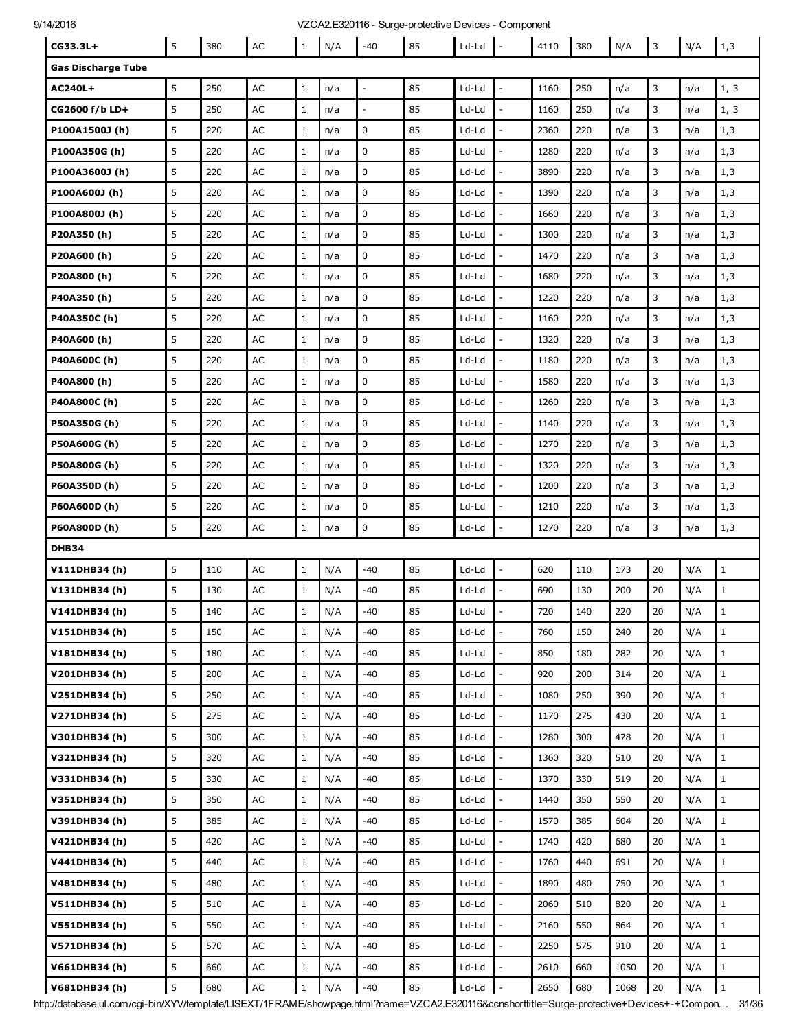| 9/14/2016 |  |  |
|-----------|--|--|
|           |  |  |

### 16 16 14/2016 100 vzcA2.E320116 - Surge-protective Devices - Component

| 14/2010                   |   |     |               |              |     |                | VZCAZ.E320 HD - Surge-protective Devices - Component |         |                          |      |     |      |    |     |              |
|---------------------------|---|-----|---------------|--------------|-----|----------------|------------------------------------------------------|---------|--------------------------|------|-----|------|----|-----|--------------|
| CG33.3L+                  | 5 | 380 | $\sf AC$      | $\mathbf{1}$ | N/A | $-40$          | 85                                                   | Ld-Ld   | $\sim$                   | 4110 | 380 | N/A  | 3  | N/A | 1,3          |
| <b>Gas Discharge Tube</b> |   |     |               |              |     |                |                                                      |         |                          |      |     |      |    |     |              |
| AC240L+                   | 5 | 250 | AC            | $\mathbf{1}$ | n/a |                | 85                                                   | Ld-Ld   |                          | 1160 | 250 | n/a  | 3  | n/a | 1, 3         |
| CG2600 f/b LD+            | 5 | 250 | AC            | $\mathbf{1}$ | n/a | $\overline{a}$ | 85                                                   | Ld-Ld   |                          | 1160 | 250 | n/a  | 3  | n/a | 1, 3         |
| P100A1500J (h)            | 5 | 220 | AC            | $\mathbf{1}$ | n/a | 0              | 85                                                   | Ld-Ld   | ÷,                       | 2360 | 220 | n/a  | 3  | n/a | 1,3          |
| P100A350G (h)             | 5 | 220 | AC            | $\mathbf{1}$ | n/a | $\mathbf 0$    | 85                                                   | Ld-Ld   |                          | 1280 | 220 | n/a  | 3  | n/a | 1,3          |
| P100A3600J (h)            | 5 | 220 | AC            | $\mathbf{1}$ | n/a | 0              | 85                                                   | Ld-Ld   |                          | 3890 | 220 | n/a  | 3  | n/a | 1,3          |
| P100A600J (h)             | 5 | 220 | AC            | $\mathbf{1}$ | n/a | 0              | 85                                                   | Ld-Ld   | $\overline{\phantom{a}}$ | 1390 | 220 | n/a  | 3  | n/a | 1,3          |
| P100A800J(h)              | 5 | 220 | AC            | $\mathbf{1}$ | n/a | $\mathbf 0$    | 85                                                   | Ld-Ld   |                          | 1660 | 220 | n/a  | 3  | n/a | 1,3          |
| P20A350(h)                | 5 | 220 | AC            | $\mathbf{1}$ | n/a | 0              | 85                                                   | Ld-Ld   |                          | 1300 | 220 | n/a  | 3  | n/a | 1,3          |
| P20A600 (h)               | 5 | 220 | AC            | $\mathbf{1}$ | n/a | 0              | 85                                                   | Ld-Ld   | $\overline{a}$           | 1470 | 220 | n/a  | 3  | n/a | 1,3          |
| P20A800 (h)               | 5 | 220 | AC            | $\mathbf{1}$ | n/a | 0              | 85                                                   | Ld-Ld   |                          | 1680 | 220 | n/a  | 3  | n/a | 1,3          |
| P40A350 (h)               | 5 | 220 | AC            | $\mathbf{1}$ | n/a | 0              | 85                                                   | Ld-Ld   |                          | 1220 | 220 | n/a  | 3  | n/a | 1,3          |
| P40A350C (h)              | 5 | 220 | AC            | $\mathbf{1}$ | n/a | 0              | 85                                                   | Ld-Ld   | $\frac{1}{2}$            | 1160 | 220 | n/a  | 3  | n/a | 1,3          |
| P40A600 (h)               | 5 | 220 | AC            | $\mathbf{1}$ | n/a | 0              | 85                                                   | Ld-Ld   |                          | 1320 | 220 | n/a  | 3  | n/a | 1,3          |
| P40A600C (h)              | 5 | 220 | AC            | $\mathbf{1}$ | n/a | 0              | 85                                                   | Ld-Ld   |                          | 1180 | 220 | n/a  | 3  | n/a | 1,3          |
| P40A800 (h)               | 5 | 220 | AC            | $\mathbf{1}$ | n/a | $\mathbf 0$    | 85                                                   | Ld-Ld   | $\overline{a}$           | 1580 | 220 | n/a  | 3  | n/a | 1,3          |
| P40A800C(h)               | 5 | 220 | AC            | $\mathbf{1}$ | n/a | 0              | 85                                                   | Ld-Ld   |                          | 1260 | 220 | n/a  | 3  | n/a | 1,3          |
| P50A350G (h)              | 5 | 220 | AC            | $\mathbf{1}$ | n/a | 0              | 85                                                   | Ld-Ld   |                          | 1140 | 220 | n/a  | 3  | n/a | 1,3          |
| P50A600G (h)              | 5 | 220 | AC            | $\mathbf{1}$ | n/a | $\mathbf 0$    | 85                                                   | Ld-Ld   | $\overline{a}$           | 1270 | 220 | n/a  | 3  | n/a | 1,3          |
| P50A800G (h)              | 5 | 220 | AC            | $\mathbf{1}$ | n/a | 0              | 85                                                   | Ld-Ld   |                          | 1320 | 220 | n/a  | 3  | n/a | 1,3          |
| P60A350D (h)              | 5 | 220 | AC            | $\mathbf{1}$ | n/a | 0              | 85                                                   | Ld-Ld   |                          | 1200 | 220 | n/a  | 3  | n/a | 1,3          |
| P60A600D (h)              | 5 | 220 | AC            | $\mathbf{1}$ | n/a | 0              | 85                                                   | Ld-Ld   |                          | 1210 | 220 | n/a  | 3  | n/a | 1,3          |
| P60A800D (h)              | 5 | 220 | AC            | $\mathbf{1}$ | n/a | 0              | 85                                                   | Ld-Ld   | L,                       | 1270 | 220 | n/a  | 3  | n/a | 1,3          |
| DHB34                     |   |     |               |              |     |                |                                                      |         |                          |      |     |      |    |     |              |
| V111DHB34(h)              | 5 | 110 | $\mathsf{AC}$ | $\mathbf{1}$ | N/A | $-40$          | 85                                                   | Ld-Ld   |                          | 620  | 110 | 173  | 20 | N/A | $\mathbf{1}$ |
| V131DHB34 (h)             | 5 | 130 | AC            | $\mathbf{1}$ | N/A | -40            | 85                                                   | Ld-Ld   |                          | 690  | 130 | 200  | 20 | N/A | 1            |
| V141DHB34 (h)             | 5 | 140 | AC            | 1            | N/A | -40            | 85                                                   | $Ld-Ld$ |                          | 720  | 140 | 220  | 20 | N/A | 1            |
| V151DHB34(h)              | 5 | 150 | AC            | $\mathbf{1}$ | N/A | $-40$          | 85                                                   | Ld-Ld   |                          | 760  | 150 | 240  | 20 | N/A | $\mathbf 1$  |
| V181DHB34(h)              | 5 | 180 | AC            | $\mathbf{1}$ | N/A | -40            | 85                                                   | Ld-Ld   | $\overline{\phantom{a}}$ | 850  | 180 | 282  | 20 | N/A | $\mathbf{1}$ |
| V201DHB34(h)              | 5 | 200 | $\mathsf{AC}$ | $\mathbf{1}$ | N/A | $-40$          | 85                                                   | $Ld-Ld$ |                          | 920  | 200 | 314  | 20 | N/A | $\mathbf{1}$ |
| V251DHB34(h)              | 5 | 250 | AC            | $\mathbf{1}$ | N/A | $-40$          | 85                                                   | Ld-Ld   |                          | 1080 | 250 | 390  | 20 | N/A | $\mathbf{1}$ |
| V271DHB34(h)              | 5 | 275 | AC            | $1\,$        | N/A | -40            | 85                                                   | Ld-Ld   | $\mathbb{L}$             | 1170 | 275 | 430  | 20 | N/A | $\mathbf{1}$ |
| V301DHB34(h)              | 5 | 300 | $\mathsf{AC}$ | $\mathbf{1}$ | N/A | $-40$          | 85                                                   | Ld-Ld   |                          | 1280 | 300 | 478  | 20 | N/A | $\mathbf{1}$ |
| V321DHB34(h)              | 5 | 320 | AC            | $1\,$        | N/A | $-40$          | 85                                                   | Ld-Ld   |                          | 1360 | 320 | 510  | 20 | N/A | $\mathbf{1}$ |
| V331DHB34(h)              | 5 | 330 | AC            | $\mathbf{1}$ | N/A | -40            | 85                                                   | Ld-Ld   | $\overline{a}$           | 1370 | 330 | 519  | 20 | N/A | $\mathbf{1}$ |
| V351DHB34(h)              | 5 | 350 | $\mathsf{AC}$ | $\mathbf{1}$ | N/A | -40            | 85                                                   | Ld-Ld   |                          | 1440 | 350 | 550  | 20 | N/A | $\mathbf{1}$ |
| V391DHB34 (h)             | 5 | 385 | AC            | $\mathbf{1}$ | N/A | $-40$          | 85                                                   | $Ld-Ld$ |                          | 1570 | 385 | 604  | 20 | N/A | $\mathbf{1}$ |
| V421DHB34(h)              | 5 | 420 | AC            | $\mathbf{1}$ | N/A | $-40$          | 85                                                   | $Ld-Ld$ | $\overline{\phantom{a}}$ | 1740 | 420 | 680  | 20 | N/A | $\mathbf{1}$ |
| V441DHB34(h)              | 5 | 440 | $\mathsf{AC}$ | $\mathbf{1}$ | N/A | -40            | 85                                                   | Ld-Ld   |                          | 1760 | 440 | 691  | 20 | N/A | $\mathbf{1}$ |
|                           | 5 |     |               |              |     |                | 85                                                   |         |                          |      |     |      |    |     |              |
| V481DHB34 (h)             |   | 480 | AC            | $\mathbf{1}$ | N/A | $-40$          |                                                      | $Ld-Ld$ | $\frac{1}{2}$            | 1890 | 480 | 750  | 20 | N/A | $\mathbf{1}$ |
| V511DHB34(h)              | 5 | 510 | AC            | $\mathbf{1}$ | N/A | $-40$          | 85                                                   | $Ld-Ld$ |                          | 2060 | 510 | 820  | 20 | N/A | $\mathbf{1}$ |
| V551DHB34(h)              | 5 | 550 | $\mathsf{AC}$ | $\mathbf{1}$ | N/A | -40            | 85                                                   | Ld-Ld   |                          | 2160 | 550 | 864  | 20 | N/A | $\mathbf{1}$ |
| V571DHB34(h)              | 5 | 570 | AC            | $\mathbf{1}$ | N/A | -40            | 85                                                   | Ld-Ld   | $\sim$                   | 2250 | 575 | 910  | 20 | N/A | $\mathbf{1}$ |
| V661DHB34(h)              | 5 | 660 | AC            | $\mathbf{1}$ | N/A | $-40$          | 85                                                   | Ld-Ld   |                          | 2610 | 660 | 1050 | 20 | N/A | $\mathbf{1}$ |
| V681DHB34 (h)             | 5 | 680 | AC            | $\mathbf{1}$ | N/A | $-40$          | 85                                                   | Ld-Ld   | $\sim$                   | 2650 | 680 | 1068 | 20 | N/A | $\vert$ 1    |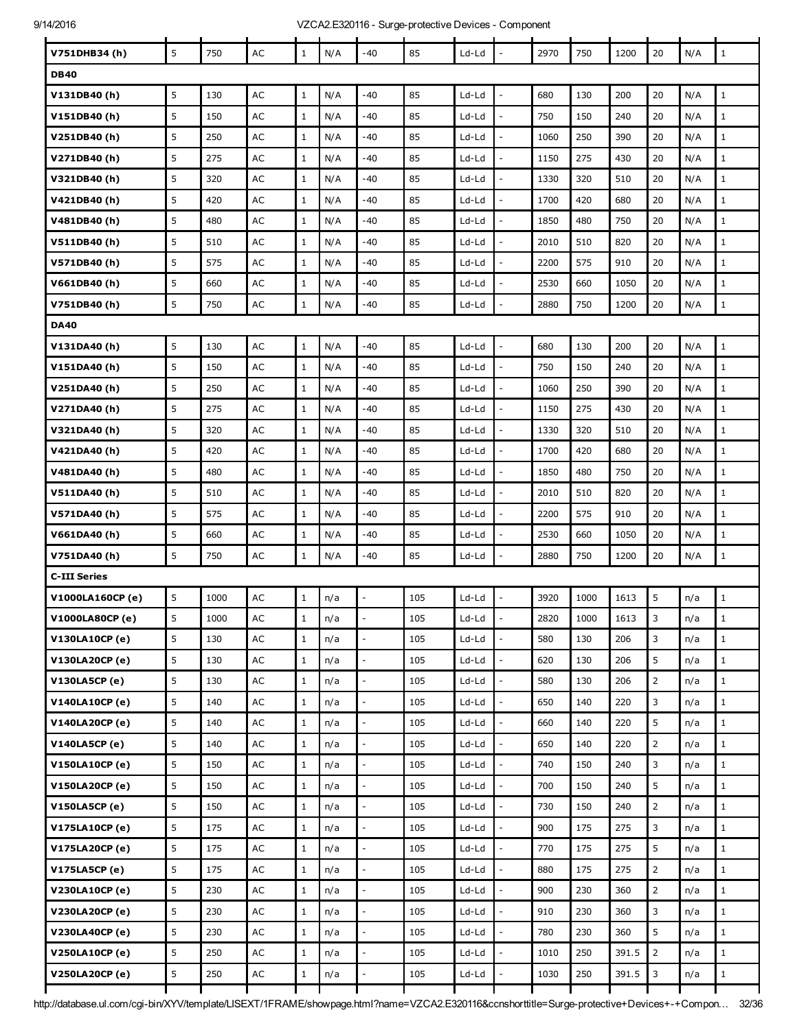| V751DHB34(h)          | 5 | 750  | AC            | $\mathbf 1$  | N/A | $-40$                    | 85  | Ld-Ld   | $\overline{\phantom{a}}$ | 2970 | 750  | 1200  | 20             | N/A | $\,$ 1 $\,$  |
|-----------------------|---|------|---------------|--------------|-----|--------------------------|-----|---------|--------------------------|------|------|-------|----------------|-----|--------------|
| <b>DB40</b>           |   |      |               |              |     |                          |     |         |                          |      |      |       |                |     |              |
| V131DB40(h)           | 5 | 130  | AC            | $\mathbf{1}$ | N/A | $-40$                    | 85  | Ld-Ld   | $\overline{a}$           | 680  | 130  | 200   | 20             | N/A | $\mathbf{1}$ |
| V151DB40(h)           | 5 | 150  | AC            | $\,1$        | N/A | -40                      | 85  | Ld-Ld   | $\frac{1}{2}$            | 750  | 150  | 240   | 20             | N/A | $\mathbf 1$  |
| V251DB40 (h)          | 5 | 250  | $\mathsf{AC}$ | $\mathbf{1}$ | N/A | -40                      | 85  | Ld-Ld   |                          | 1060 | 250  | 390   | 20             | N/A | $\mathbf{1}$ |
| V271DB40 (h)          | 5 | 275  | AC            | $\mathbf{1}$ | N/A | $-40$                    | 85  | Ld-Ld   | L,                       | 1150 | 275  | 430   | 20             | N/A | $\mathbf{1}$ |
| V321DB40 (h)          | 5 | 320  | AC            | $\mathbf{1}$ | N/A | -40                      | 85  | Ld-Ld   | $\overline{\phantom{a}}$ | 1330 | 320  | 510   | 20             | N/A | $\mathbf 1$  |
| V421DB40 (h)          | 5 | 420  | AC            | $\mathbf{1}$ | N/A | -40                      | 85  | Ld-Ld   |                          | 1700 | 420  | 680   | 20             | N/A | $\mathbf{1}$ |
| V481DB40 (h)          | 5 | 480  | AC            | $\mathbf{1}$ | N/A | -40                      | 85  | Ld-Ld   | L,                       | 1850 | 480  | 750   | 20             | N/A | $1\,$        |
| V511DB40(h)           | 5 | 510  | AC            | $\mathbf{1}$ | N/A | $-40$                    | 85  | Ld-Ld   | $\frac{1}{2}$            | 2010 | 510  | 820   | 20             | N/A | $\mathbf 1$  |
| V571DB40 (h)          | 5 | 575  | AC            | $\mathbf{1}$ | N/A | -40                      | 85  | Ld-Ld   |                          | 2200 | 575  | 910   | 20             | N/A | $\mathbf{1}$ |
| V661DB40 (h)          | 5 | 660  | AC            | $\mathbf{1}$ | N/A | -40                      | 85  | Ld-Ld   | L,                       | 2530 | 660  | 1050  | 20             | N/A | $1\,$        |
| V751DB40(h)           | 5 | 750  | AC            | $\mathbf{1}$ | N/A | -40                      | 85  | Ld-Ld   | $\frac{1}{2}$            | 2880 | 750  | 1200  | 20             | N/A | $1\,$        |
| <b>DA40</b>           |   |      |               |              |     |                          |     |         |                          |      |      |       |                |     |              |
| V131DA40 (h)          | 5 | 130  | AC            | $\,1$        | N/A | $-40$                    | 85  | Ld-Ld   | $\overline{\phantom{a}}$ | 680  | 130  | 200   | 20             | N/A | $1\,$        |
| V151DA40 (h)          | 5 | 150  | AC            | $\mathbf{1}$ | N/A | -40                      | 85  | Ld-Ld   | $\overline{a}$           | 750  | 150  | 240   | 20             | N/A | $\mathbf{1}$ |
| V251DA40(h)           | 5 | 250  | AC            | $\mathbf{1}$ | N/A | -40                      | 85  | Ld-Ld   | $\overline{a}$           | 1060 | 250  | 390   | 20             | N/A | $\mathbf{1}$ |
| V271DA40 (h)          | 5 | 275  | AC            | $\mathbf{1}$ | N/A | $-40$                    | 85  | Ld-Ld   |                          | 1150 | 275  | 430   | 20             | N/A | $\mathbf 1$  |
| V321DA40 (h)          | 5 | 320  | AC            | $\mathbf{1}$ | N/A | -40                      | 85  | Ld-Ld   | $\overline{a}$           | 1330 | 320  | 510   | 20             | N/A | $\mathbf{1}$ |
| V421DA40 (h)          | 5 | 420  | AC            | $\mathbf{1}$ | N/A | -40                      | 85  | Ld-Ld   | $\overline{a}$           | 1700 | 420  | 680   | 20             | N/A | $\mathbf{1}$ |
| V481DA40(h)           | 5 | 480  | AC            | $\mathbf{1}$ | N/A | $-40$                    | 85  | Ld-Ld   | $\overline{a}$           | 1850 | 480  | 750   | 20             | N/A | $\mathbf 1$  |
| V511DA40 (h)          | 5 | 510  | AC            | $\mathbf{1}$ | N/A | -40                      | 85  | Ld-Ld   |                          | 2010 | 510  | 820   | 20             | N/A | $\mathbf{1}$ |
| V571DA40 (h)          | 5 | 575  | AC            | $\mathbf{1}$ | N/A | -40                      | 85  | Ld-Ld   | $\bar{\phantom{a}}$      | 2200 | 575  | 910   | 20             | N/A | $\mathbf{1}$ |
| V661DA40 (h)          | 5 | 660  | AC            | $\mathbf{1}$ | N/A | $-40$                    | 85  | Ld-Ld   |                          | 2530 | 660  | 1050  | 20             | N/A | $\mathbf 1$  |
| V751DA40 (h)          | 5 | 750  | AC            | $\mathbf{1}$ | N/A | -40                      | 85  | Ld-Ld   | $\overline{a}$           | 2880 | 750  | 1200  | 20             | N/A | $\mathbf{1}$ |
| <b>C-III Series</b>   |   |      |               |              |     |                          |     |         |                          |      |      |       |                |     |              |
| V1000LA160CP (e)      | 5 | 1000 | AC            | $\mathbf{1}$ | n/a |                          | 105 | Ld-Ld   |                          | 3920 | 1000 | 1613  | 5              | n/a | $\mathbf{1}$ |
| V1000LA80CP (e)       | 5 | 1000 | $\mathsf{AC}$ | $\mathbf 1$  | n/a |                          | 105 | Ld-Ld   |                          | 2820 | 1000 | 1613  | 3              | n/a | $\mathbf 1$  |
| V130LA10CP (e)        | 5 | 130  | AC            | $\mathbf{1}$ | n/a | $\mathbb{L}$             | 105 | Ld-Ld   | $\overline{\phantom{a}}$ | 580  | 130  | 206   | 3              | n/a | $1\,$        |
| V130LA20CP (e)        | 5 | 130  | $\mathsf{AC}$ | $\mathbf{1}$ | n/a |                          | 105 | Ld-Ld   |                          | 620  | 130  | 206   | 5              | n/a | $\mathbf 1$  |
| V130LA5CP (e)         | 5 | 130  | $\mathsf{AC}$ | $\mathbf{1}$ | n/a |                          | 105 | $Ld-Ld$ | ÷,                       | 580  | 130  | 206   | $\overline{2}$ | n/a | $\mathbf{1}$ |
| <b>V140LA10CP (e)</b> | 5 | 140  | $\mathsf{AC}$ | $\mathbf{1}$ | n/a | $\mathbb{L}$             | 105 | Ld-Ld   | $\frac{1}{2}$            | 650  | 140  | 220   | 3              | n/a | $\,1$        |
| V140LA20CP (e)        | 5 | 140  | $\mathsf{AC}$ | $\mathbf{1}$ | n/a |                          | 105 | Ld-Ld   |                          | 660  | 140  | 220   | 5              | n/a | $\mathbf{1}$ |
| <b>V140LA5CP (e)</b>  | 5 | 140  | AC            | $\mathbf{1}$ | n/a |                          | 105 | Ld-Ld   | $\frac{1}{2}$            | 650  | 140  | 220   | $\overline{2}$ | n/a | $\mathbf{1}$ |
| V150LA10CP (e)        | 5 | 150  | $\mathsf{AC}$ | $\mathbf{1}$ | n/a | $\mathbb{L}$             | 105 | Ld-Ld   | $\overline{a}$           | 740  | 150  | 240   | 3              | n/a | $\,1$        |
| V150LA20CP (e)        | 5 | 150  | $\mathsf{AC}$ | $\mathbf{1}$ | n/a |                          | 105 | Ld-Ld   | $\overline{a}$           | 700  | 150  | 240   | 5              | n/a | $\mathbf 1$  |
| V150LA5CP (e)         | 5 | 150  | AC            | $\,1$        | n/a | $\overline{a}$           | 105 | $Ld-Ld$ | $\frac{1}{2}$            | 730  | 150  | 240   | $\overline{2}$ | n/a | $1\,$        |
| V175LA10CP (e)        | 5 | 175  | $\mathsf{AC}$ | $\mathbf{1}$ | n/a | $\overline{a}$           | 105 | Ld-Ld   | $\overline{a}$           | 900  | 175  | 275   | 3              | n/a | $1\,$        |
| V175LA20CP (e)        | 5 | 175  | $\mathsf{AC}$ | $1\,$        | n/a | $\overline{\phantom{a}}$ | 105 | Ld-Ld   | $\overline{a}$           | 770  | 175  | 275   | 5              | n/a | $\mathbf 1$  |
| V175LA5CP (e)         | 5 | 175  | AC            | $\mathbf{1}$ | n/a |                          | 105 | Ld-Ld   |                          | 880  | 175  | 275   | $\overline{2}$ | n/a | $\mathbf{1}$ |
| <b>V230LA10CP (e)</b> | 5 | 230  | $\mathsf{AC}$ | $\mathbf{1}$ | n/a | $\sim$                   | 105 | Ld-Ld   | $\overline{a}$           | 900  | 230  | 360   | $\overline{2}$ | n/a | $\mathbf 1$  |
| V230LA20CP (e)        | 5 | 230  | AC            | $\mathbf{1}$ | n/a | $\overline{\phantom{a}}$ | 105 | Ld-Ld   | $\overline{\phantom{a}}$ | 910  | 230  | 360   | 3              | n/a | $\mathbf 1$  |
| <b>V230LA40CP (e)</b> | 5 | 230  | AC            | $\mathbf{1}$ | n/a |                          | 105 | Ld-Ld   | $\overline{a}$           | 780  | 230  | 360   | 5              | n/a | $\mathbf 1$  |
| <b>V250LA10CP (e)</b> | 5 | 250  | $\mathsf{AC}$ | $\mathbf{1}$ | n/a | $\overline{a}$           | 105 | Ld-Ld   | $\overline{a}$           | 1010 | 250  | 391.5 | $\overline{2}$ | n/a | $\mathbf 1$  |
| <b>V250LA20CP (e)</b> | 5 | 250  | $\sf AC$      | $\mathbf{1}$ | n/a | $\overline{\phantom{a}}$ | 105 | $Ld-Ld$ | $\overline{a}$           | 1030 | 250  | 391.5 | 3              | n/a | $1\,$        |
|                       |   |      |               |              |     |                          |     |         |                          |      |      |       |                |     |              |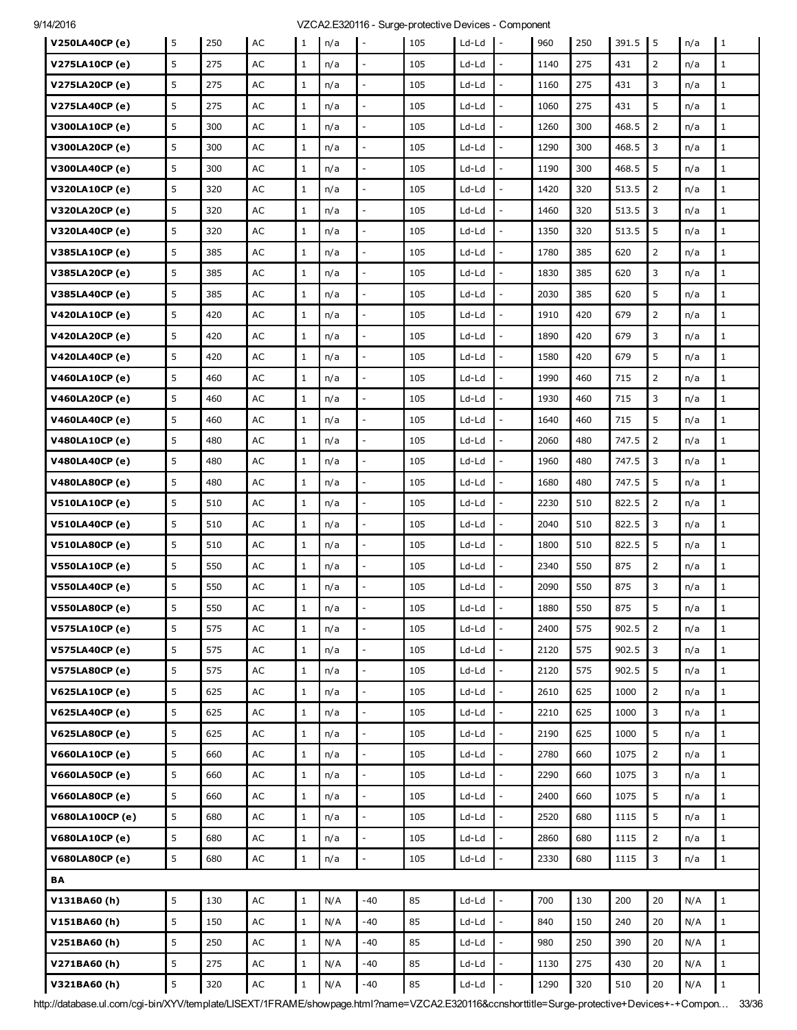| V250LA40CP (e)         | 5       | 250 | AC            | $\mathbf{1}$ | n/a | $\overline{\phantom{a}}$ | 105 | Ld-Ld   | $\mathbf{I}$             | 960  | 250 | 391.5 | $\overline{1}5$ | n/a | $\mathbf{1}$ |
|------------------------|---------|-----|---------------|--------------|-----|--------------------------|-----|---------|--------------------------|------|-----|-------|-----------------|-----|--------------|
| V275LA10CP (e)         | 5       | 275 | AC            | $\mathbf{1}$ | n/a |                          | 105 | $Ld-Ld$ |                          | 1140 | 275 | 431   | $\overline{2}$  | n/a | $\mathbf{1}$ |
| V275LA20CP (e)         | 5       | 275 | AC            | $\mathbf{1}$ | n/a |                          | 105 | Ld-Ld   |                          | 1160 | 275 | 431   | 3               | n/a | $\mathbf{1}$ |
| <b>V275LA40CP (e)</b>  | 5       | 275 | AC            | $\mathbf{1}$ | n/a | $\overline{\phantom{a}}$ | 105 | Ld-Ld   | $\frac{1}{2}$            | 1060 | 275 | 431   | 5               | n/a | $\mathbf{1}$ |
| V300LA10CP (e)         | 5       | 300 | AC            | $\mathbf{1}$ | n/a |                          | 105 | Ld-Ld   |                          | 1260 | 300 | 468.5 | $\overline{2}$  | n/a | $\mathbf{1}$ |
| V300LA20CP (e)         | 5       | 300 | AC            | $\mathbf{1}$ | n/a | $\overline{a}$           | 105 | Ld-Ld   | L.                       | 1290 | 300 | 468.5 | 3               | n/a | $\mathbf{1}$ |
| V300LA40CP (e)         | 5       | 300 | AC            | $\mathbf{1}$ | n/a | $\overline{\phantom{a}}$ | 105 | Ld-Ld   | $\frac{1}{2}$            | 1190 | 300 | 468.5 | 5               | n/a | $\mathbf{1}$ |
| <b>V320LA10CP (e)</b>  | 5       | 320 | AC            | $\mathbf{1}$ | n/a |                          | 105 | Ld-Ld   |                          | 1420 | 320 | 513.5 | $\overline{2}$  | n/a | $\mathbf{1}$ |
| V320LA20CP (e)         | 5       | 320 | AC            | $\mathbf{1}$ | n/a | $\overline{a}$           | 105 | Ld-Ld   | L.                       | 1460 | 320 | 513.5 | 3               | n/a | $\mathbf{1}$ |
| V320LA40CP (e)         | 5       | 320 | AC            | $\mathbf{1}$ | n/a | $\overline{\phantom{a}}$ | 105 | Ld-Ld   | $\overline{\phantom{a}}$ | 1350 | 320 | 513.5 | 5               | n/a | $1\,$        |
| V385LA10CP (e)         | 5       | 385 | AC            | $\mathbf{1}$ | n/a |                          | 105 | Ld-Ld   |                          | 1780 | 385 | 620   | $\overline{2}$  | n/a | $\mathbf{1}$ |
| V385LA20CP (e)         | 5       | 385 | AC            | $\mathbf{1}$ | n/a | $\overline{a}$           | 105 | Ld-Ld   | ÷,                       | 1830 | 385 | 620   | 3               | n/a | $\mathbf{1}$ |
| V385LA40CP (e)         | 5       | 385 | AC            | $\mathbf{1}$ | n/a | $\overline{\phantom{a}}$ | 105 | Ld-Ld   | $\overline{\phantom{a}}$ | 2030 | 385 | 620   | 5               | n/a | $\mathbf{1}$ |
| <b>V420LA10CP (e)</b>  | 5       | 420 | AC            | $\mathbf{1}$ | n/a |                          | 105 | $Ld-Ld$ |                          | 1910 | 420 | 679   | 2               | n/a | $\mathbf{1}$ |
| <b>V420LA20CP (e)</b>  | 5       | 420 | AC            | $\mathbf{1}$ | n/a | $\overline{\phantom{a}}$ | 105 | Ld-Ld   | $\overline{a}$           | 1890 | 420 | 679   | 3               | n/a | $\mathbf{1}$ |
| <b>V420LA40CP</b> (e)  | 5       | 420 | AC            | $\mathbf{1}$ | n/a | $\overline{\phantom{a}}$ | 105 | Ld-Ld   | $\overline{a}$           | 1580 | 420 | 679   | 5               | n/a | $\mathbf{1}$ |
| <b>V460LA10CP (e)</b>  | 5       | 460 | AC            | $\mathbf{1}$ | n/a |                          | 105 | Ld-Ld   | $\overline{a}$           | 1990 | 460 | 715   | 2               | n/a | $\mathbf{1}$ |
| <b>V460LA20CP (e)</b>  | 5       | 460 | AC            | $\mathbf{1}$ | n/a |                          | 105 | Ld-Ld   | $\overline{a}$           | 1930 | 460 | 715   | 3               | n/a | $\mathbf{1}$ |
| <b>V460LA40CP</b> (e)  | 5       | 460 | AC            | $\mathbf{1}$ | n/a | $\overline{\phantom{a}}$ | 105 | Ld-Ld   | $\overline{a}$           | 1640 | 460 | 715   | 5               | n/a | $\mathbf{1}$ |
| <b>V480LA10CP (e)</b>  | 5       | 480 | AC            | $\mathbf{1}$ | n/a | $\overline{a}$           | 105 | Ld-Ld   | ÷,                       | 2060 | 480 | 747.5 | $\overline{2}$  | n/a | $\mathbf{1}$ |
| <b>V480LA40CP (e)</b>  | 5       | 480 | AC            | $\mathbf{1}$ | n/a |                          | 105 | Ld-Ld   |                          | 1960 | 480 | 747.5 | 3               | n/a | $\mathbf{1}$ |
| <b>V480LA80CP (e)</b>  | 5       | 480 | AC            | $\mathbf{1}$ | n/a | $\overline{\phantom{a}}$ | 105 | Ld-Ld   | $\overline{a}$           | 1680 | 480 | 747.5 | 5               | n/a | $\mathbf{1}$ |
| <b>V510LA10CP (e)</b>  | 5       | 510 | AC            | $\mathbf{1}$ | n/a | $\overline{\phantom{a}}$ | 105 | Ld-Ld   | $\overline{a}$           | 2230 | 510 | 822.5 | $\overline{2}$  | n/a | $\mathbf{1}$ |
| <b>V510LA40CP (e)</b>  | 5       | 510 | AC            | $\mathbf{1}$ | n/a |                          | 105 | Ld-Ld   |                          | 2040 | 510 | 822.5 | 3               | n/a | $\mathbf{1}$ |
| <b>V510LA80CP (e)</b>  | 5       | 510 | AC            | $\mathbf{1}$ | n/a |                          | 105 | Ld-Ld   |                          | 1800 | 510 | 822.5 | 5               | n/a | $\mathbf{1}$ |
| <b>V550LA10CP (e)</b>  | 5       | 550 | AC            | $\mathbf{1}$ | n/a | $\overline{\phantom{a}}$ | 105 | Ld-Ld   | $\overline{\phantom{a}}$ | 2340 | 550 | 875   | $\overline{2}$  | n/a | $\mathbf{1}$ |
| <b>V550LA40CP</b> (e)  | 5       | 550 | AC            | $\mathbf{1}$ | n/a |                          | 105 | Ld-Ld   |                          | 2090 | 550 | 875   | 3               | n/a | $\mathbf{1}$ |
| <b>V550LA80CP (e)</b>  | 5       | 550 | AC            | $\mathbf 1$  | n/a |                          | 105 | Ld-Ld   |                          | 1880 | 550 | 875   | 5               | n/a | $\mathbf{1}$ |
| <b>V575LA10CP (e)</b>  | 5       | 575 | AC            | $\mathbf{1}$ | n/a | $\equiv$                 | 105 | Ld-Ld   | $\bar{\phantom{a}}$      | 2400 | 575 | 902.5 | $\overline{2}$  | n/a | $1\,$        |
| <b>V575LA40CP (e)</b>  | 5       | 575 | $\mathsf{AC}$ | $\mathbf{1}$ | n/a |                          | 105 | Ld-Ld   |                          | 2120 | 575 | 902.5 | 3               | n/a | $\mathbf{1}$ |
| <b>V575LA80CP (e)</b>  | 5       | 575 | $\mathsf{AC}$ | $\mathbf{1}$ | n/a | $\overline{\phantom{a}}$ | 105 | Ld-Ld   | L.                       | 2120 | 575 | 902.5 | 5               | n/a | $\mathbf{1}$ |
| <b>V625LA10CP (e)</b>  | 5       | 625 | AC            | $\mathbf{1}$ | n/a | $\mathbb{Z}^2$           | 105 | $Ld-Ld$ | $\overline{\phantom{a}}$ | 2610 | 625 | 1000  | $\overline{2}$  | n/a | $\mathbf{1}$ |
| <b>V625LA40CP (e)</b>  | 5       | 625 | AC            | $\mathbf{1}$ | n/a |                          | 105 | Ld-Ld   |                          | 2210 | 625 | 1000  | 3               | n/a | $\mathbf{1}$ |
| <b>V625LA80CP (e)</b>  | 5       | 625 | AC            | $\mathbf{1}$ | n/a | $\overline{a}$           | 105 | Ld-Ld   | L.                       | 2190 | 625 | 1000  | 5               | n/a | $\mathbf{1}$ |
| <b>V660LA10CP (e)</b>  | 5       | 660 | $\mathsf{AC}$ | $\mathbf{1}$ | n/a | $\mathbb{Z}^2$           | 105 | $Ld-Ld$ | $\frac{1}{2}$            | 2780 | 660 | 1075  | $\overline{2}$  | n/a | $\mathbf{1}$ |
| <b>V660LA50CP (e)</b>  | 5       | 660 | AC            | $\mathbf{1}$ | n/a |                          | 105 | Ld-Ld   |                          | 2290 | 660 | 1075  | 3               | n/a | $\mathbf{1}$ |
| <b>V660LA80CP (e)</b>  | 5       | 660 | AC            | $\mathbf{1}$ | n/a | $\overline{a}$           | 105 | Ld-Ld   | $\overline{a}$           | 2400 | 660 | 1075  | 5               | n/a | $1\,$        |
| <b>V680LA100CP (e)</b> | 5       | 680 | AC            | $\mathbf{1}$ | n/a | $\overline{\phantom{a}}$ | 105 | $Ld-Ld$ | $\overline{\phantom{a}}$ | 2520 | 680 | 1115  | 5               | n/a | $\mathbf{1}$ |
| <b>V680LA10CP (e)</b>  | 5       | 680 | AC            | $\mathbf{1}$ | n/a |                          | 105 | Ld-Ld   | ÷,                       | 2860 | 680 | 1115  | $\overline{2}$  | n/a | $\mathbf{1}$ |
| <b>V680LA80CP (e)</b>  | 5       | 680 | AC            | $\mathbf{1}$ | n/a | $\overline{a}$           | 105 | Ld-Ld   | L.                       | 2330 | 680 | 1115  | 3               | n/a | $\mathbf{1}$ |
| BA                     |         |     |               |              |     |                          |     |         |                          |      |     |       |                 |     |              |
| V131BA60(h)            | 5       | 130 | AC            | $1\,$        | N/A | $-40$                    | 85  | Ld-Ld   | $\bar{\phantom{a}}$      | 700  | 130 | 200   | 20              | N/A | $\mathbf{1}$ |
| V151BA60(h)            | 5       | 150 | AC            | $\mathbf{1}$ | N/A | $-40$                    | 85  | Ld-Ld   |                          | 840  | 150 | 240   | 20              | N/A | $\mathbf{1}$ |
| V251BA60(h)            | 5       | 250 | AC            | $\mathbf{1}$ | N/A | $-40$                    | 85  | $Ld-Ld$ | $\overline{a}$           | 980  | 250 | 390   | 20              | N/A | $1\,$        |
| V271BA60(h)            | 5       | 275 | AC            | $\mathbf{1}$ | N/A | -40                      | 85  | Ld-Ld   | ÷,                       | 1130 | 275 | 430   | 20              | N/A | $\mathbf{1}$ |
| V321BA60(h)            | $\sf 5$ | 320 | $\mathsf{AC}$ | $\mathbf{1}$ | N/A | $-40$                    | 85  | Ld-Ld   | ÷,                       | 1290 | 320 | 510   | $20\,$          | N/A | $\mathbf 1$  |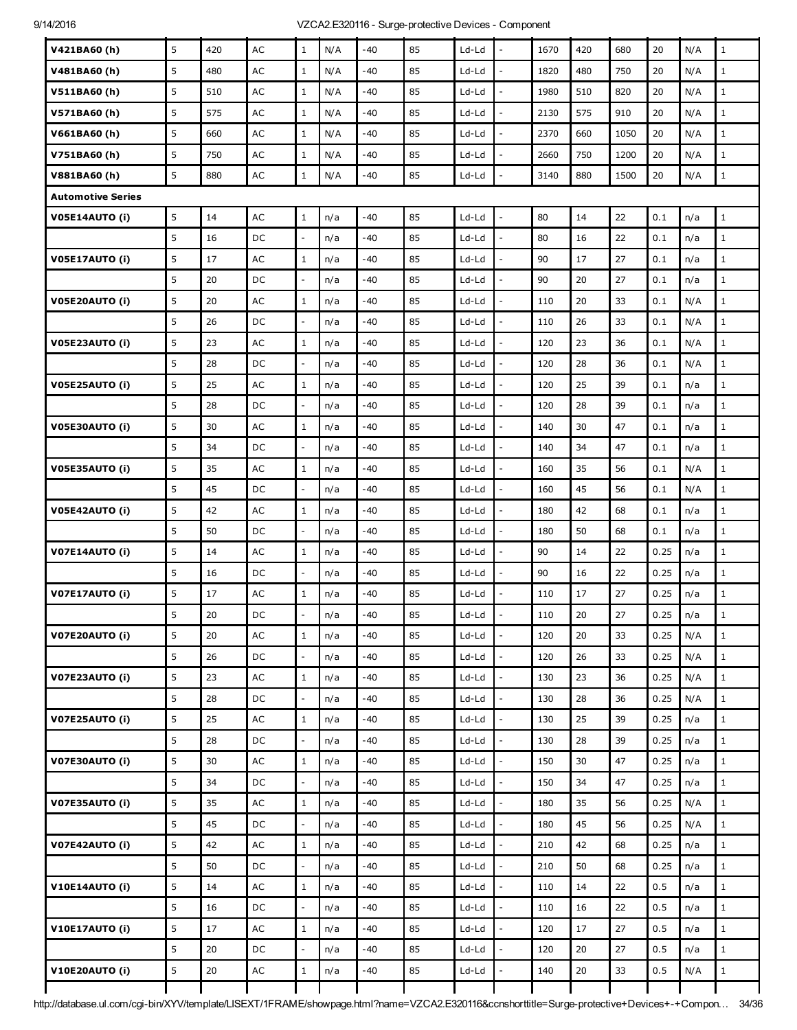| V421BA60(h)              | 5 | 420 | AC            | $\mathbf{1}$             | N/A | $-40$ | 85 | $Ld-Ld$ |                          | 1670 | 420 | 680  | 20   | N/A | $\mathbf{1}$ |
|--------------------------|---|-----|---------------|--------------------------|-----|-------|----|---------|--------------------------|------|-----|------|------|-----|--------------|
| V481BA60(h)              | 5 | 480 | AC            | $\mathbf{1}$             | N/A | $-40$ | 85 | Ld-Ld   | $\overline{a}$           | 1820 | 480 | 750  | 20   | N/A | $\mathbf{1}$ |
| V511BA60(h)              | 5 | 510 | AC            | $\mathbf{1}$             | N/A | $-40$ | 85 | Ld-Ld   | $\overline{a}$           | 1980 | 510 | 820  | 20   | N/A | $\mathbf{1}$ |
| V571BA60(h)              | 5 | 575 | AC            | $\mathbf{1}$             | N/A | $-40$ | 85 | Ld-Ld   | $\overline{a}$           | 2130 | 575 | 910  | 20   | N/A | $\mathbf 1$  |
| V661BA60(h)              | 5 | 660 | AC            | $\mathbf{1}$             | N/A | -40   | 85 | Ld-Ld   | $\overline{a}$           | 2370 | 660 | 1050 | 20   | N/A | $\mathbf{1}$ |
| V751BA60(h)              | 5 | 750 | AC            | $\mathbf{1}$             | N/A | -40   | 85 | Ld-Ld   | $\overline{a}$           | 2660 | 750 | 1200 | 20   | N/A | $\mathbf 1$  |
| V881BA60(h)              | 5 | 880 | $\mathsf{AC}$ | $\,1$                    | N/A | $-40$ | 85 | Ld-Ld   | $\overline{\phantom{a}}$ | 3140 | 880 | 1500 | 20   | N/A | $\mathbf 1$  |
| <b>Automotive Series</b> |   |     |               |                          |     |       |    |         |                          |      |     |      |      |     |              |
| <b>V05E14AUTO (i)</b>    | 5 | 14  | AC            | $\mathbf{1}$             | n/a | $-40$ | 85 | Ld-Ld   | $\overline{\phantom{a}}$ | 80   | 14  | 22   | 0.1  | n/a | $\mathbf 1$  |
|                          | 5 | 16  | DC            | $\overline{a}$           | n/a | $-40$ | 85 | Ld-Ld   |                          | 80   | 16  | 22   | 0.1  | n/a | $\mathbf 1$  |
| V05E17AUTO (i)           | 5 | 17  | AC            | $\mathbf{1}$             | n/a | -40   | 85 | Ld-Ld   | $\overline{a}$           | 90   | 17  | 27   | 0.1  | n/a | $\mathbf{1}$ |
|                          | 5 | 20  | DC            | $\mathbf{L}$             | n/a | $-40$ | 85 | Ld-Ld   | $\frac{1}{2}$            | 90   | 20  | 27   | 0.1  | n/a | $\mathbf 1$  |
| V05E20AUTO (i)           | 5 | 20  | AC            | $\mathbf{1}$             | n/a | $-40$ | 85 | $Ld-Ld$ |                          | 110  | 20  | 33   | 0.1  | N/A | $\mathbf{1}$ |
|                          | 5 | 26  | DC            | $\overline{\phantom{0}}$ | n/a | $-40$ | 85 | Ld-Ld   | $\overline{a}$           | 110  | 26  | 33   | 0.1  | N/A | $\mathbf{1}$ |
| V05E23AUTO (i)           | 5 | 23  | AC            | $\mathbf{1}$             | n/a | $-40$ | 85 | Ld-Ld   | $\frac{1}{2}$            | 120  | 23  | 36   | 0.1  | N/A | $\mathbf 1$  |
|                          | 5 | 28  | DC            | $\overline{a}$           | n/a | -40   | 85 | Ld-Ld   |                          | 120  | 28  | 36   | 0.1  | N/A | $\mathbf{1}$ |
| V05E25AUTO (i)           | 5 | 25  | AC            | $\mathbf{1}$             | n/a | $-40$ | 85 | Ld-Ld   | ÷,                       | 120  | 25  | 39   | 0.1  | n/a | $\mathbf{1}$ |
|                          | 5 | 28  | DC            | $\mathbf{L}$             | n/a | $-40$ | 85 | Ld-Ld   | $\frac{1}{2}$            | 120  | 28  | 39   | 0.1  | n/a | $\mathbf 1$  |
| V05E30AUTO (i)           | 5 | 30  | AC            | $\mathbf{1}$             | n/a | -40   | 85 | Ld-Ld   |                          | 140  | 30  | 47   | 0.1  | n/a | $\mathbf{1}$ |
|                          | 5 | 34  | DC            | $\overline{\phantom{0}}$ | n/a | $-40$ | 85 | Ld-Ld   | $\overline{a}$           | 140  | 34  | 47   | 0.1  | n/a | $\mathbf{1}$ |
| V05E35AUTO (i)           | 5 | 35  | AC            | $\mathbf{1}$             | n/a | $-40$ | 85 | Ld-Ld   | $\overline{\phantom{a}}$ | 160  | 35  | 56   | 0.1  | N/A | $\mathbf 1$  |
|                          | 5 | 45  | DC            | $\frac{1}{2}$            | n/a | $-40$ | 85 | Ld-Ld   |                          | 160  | 45  | 56   | 0.1  | N/A | $\mathbf{1}$ |
| V05E42AUTO (i)           | 5 | 42  | AC            | $\,1$                    | n/a | $-40$ | 85 | Ld-Ld   | $\overline{a}$           | 180  | 42  | 68   | 0.1  | n/a | $\mathbf{1}$ |
|                          | 5 | 50  | DC            | $\overline{\phantom{0}}$ | n/a | -40   | 85 | Ld-Ld   | $\overline{a}$           | 180  | 50  | 68   | 0.1  | n/a | $\mathbf{1}$ |
| V07E14AUTO (i)           | 5 | 14  | AC            | $\mathbf{1}$             | n/a | $-40$ | 85 | Ld-Ld   | $\overline{a}$           | 90   | 14  | 22   | 0.25 | n/a | $\mathbf{1}$ |
|                          | 5 | 16  | DC            | $\overline{\phantom{m}}$ | n/a | $-40$ | 85 | Ld-Ld   |                          | 90   | 16  | 22   | 0.25 | n/a | $1\,$        |
| V07E17AUTO (i)           | 5 | 17  | AC            | $\mathbf{1}$             | n/a | -40   | 85 | Ld-Ld   | $\overline{a}$           | 110  | 17  | 27   | 0.25 | n/a | $\mathbf 1$  |
|                          | 5 | 20  | DC            | $\overline{a}$           | n/a | -40   | 85 | Ld-Ld   |                          | 110  | 20  | 27   | 0.25 | n/a | $\mathbf{1}$ |
| <b>V07E20AUTO (i)</b>    | 5 | 20  | AC            | $\mathbf{1}$             | n/a | $-40$ | 85 | Ld-Ld   | $\overline{a}$           | 120  | 20  | 33   | 0.25 | N/A | $\mathbf{1}$ |
|                          | 5 | 26  | DC            | $\frac{1}{2}$            | n/a | -40   | 85 | Ld-Ld   | $\overline{a}$           | 120  | 26  | 33   | 0.25 | N/A | $1\,$        |
| <b>V07E23AUTO (i)</b>    | 5 | 23  | AC            | $\,1$                    | n/a | $-40$ | 85 | Ld-Ld   | $\overline{\phantom{a}}$ | 130  | 23  | 36   | 0.25 | N/A | $\mathbf 1$  |
|                          | 5 | 28  | DC            | $\overline{\phantom{0}}$ | n/a | $-40$ | 85 | $Ld-Ld$ | $\overline{\phantom{a}}$ | 130  | 28  | 36   | 0.25 | N/A | $1\,$        |
| V07E25AUTO (i)           | 5 | 25  | AC            | $\mathbf{1}$             | n/a | -40   | 85 | Ld-Ld   | $\overline{a}$           | 130  | 25  | 39   | 0.25 | n/a | $\mathbf{1}$ |
|                          | 5 | 28  | DC            | $\overline{\phantom{a}}$ | n/a | -40   | 85 | Ld-Ld   | $\overline{\phantom{a}}$ | 130  | 28  | 39   | 0.25 | n/a | $\mathbf 1$  |
| V07E30AUTO (i)           | 5 | 30  | AC            | $\mathbf{1}$             | n/a | $-40$ | 85 | Ld-Ld   | $\overline{a}$           | 150  | 30  | 47   | 0.25 | n/a | $\mathbf{1}$ |
|                          | 5 | 34  | DC            | $\overline{\phantom{a}}$ | n/a | $-40$ | 85 | Ld-Ld   | $\frac{1}{2}$            | 150  | 34  | 47   | 0.25 | n/a | $\mathbf 1$  |
| V07E35AUTO (i)           | 5 | 35  | AC            | $\mathbf{1}$             | n/a | -40   | 85 | Ld-Ld   | $\frac{1}{2}$            | 180  | 35  | 56   | 0.25 | N/A | $\,1$        |
|                          | 5 | 45  | DC            | $\overline{\phantom{a}}$ | n/a | -40   | 85 | Ld-Ld   | $\overline{a}$           | 180  | 45  | 56   | 0.25 | N/A | $\mathbf{1}$ |
| V07E42AUTO (i)           | 5 | 42  | $\mathsf{AC}$ | $\mathbf{1}$             | n/a | $-40$ | 85 | Ld-Ld   | $\frac{1}{2}$            | 210  | 42  | 68   | 0.25 | n/a | $\mathbf{1}$ |
|                          | 5 | 50  | DC            | $\overline{\phantom{a}}$ | n/a | $-40$ | 85 | Ld-Ld   | $\frac{1}{2}$            | 210  | 50  | 68   | 0.25 | n/a | $\,1$        |
| V10E14AUTO (i)           | 5 | 14  | $\mathsf{AC}$ | $\mathbf{1}$             | n/a | -40   | 85 | Ld-Ld   | $\overline{a}$           | 110  | 14  | 22   | 0.5  | n/a | $\mathbf{1}$ |
|                          | 5 | 16  | DC            | $\overline{\phantom{a}}$ | n/a | $-40$ | 85 | Ld-Ld   | $\overline{\phantom{a}}$ | 110  | 16  | 22   | 0.5  | n/a | $\mathbf{1}$ |
| V10E17AUTO (i)           | 5 | 17  | AC            | $\mathbf{1}$             | n/a | $-40$ | 85 | Ld-Ld   | $\overline{\phantom{a}}$ | 120  | 17  | 27   | 0.5  | n/a | $\,1$        |
|                          | 5 | 20  | DC            | $\overline{\phantom{0}}$ | n/a | -40   | 85 | Ld-Ld   | $\overline{a}$           | 120  | 20  | 27   | 0.5  | n/a | $\mathbf{1}$ |
| V10E20AUTO (i)           | 5 | 20  | $\mathsf{AC}$ | $\mathbf 1$              | n/a | $-40$ | 85 | Ld-Ld   | $\frac{1}{2}$            | 140  | 20  | 33   | 0.5  | N/A | $\,1$        |
|                          |   |     |               |                          |     |       |    |         |                          |      |     |      |      |     |              |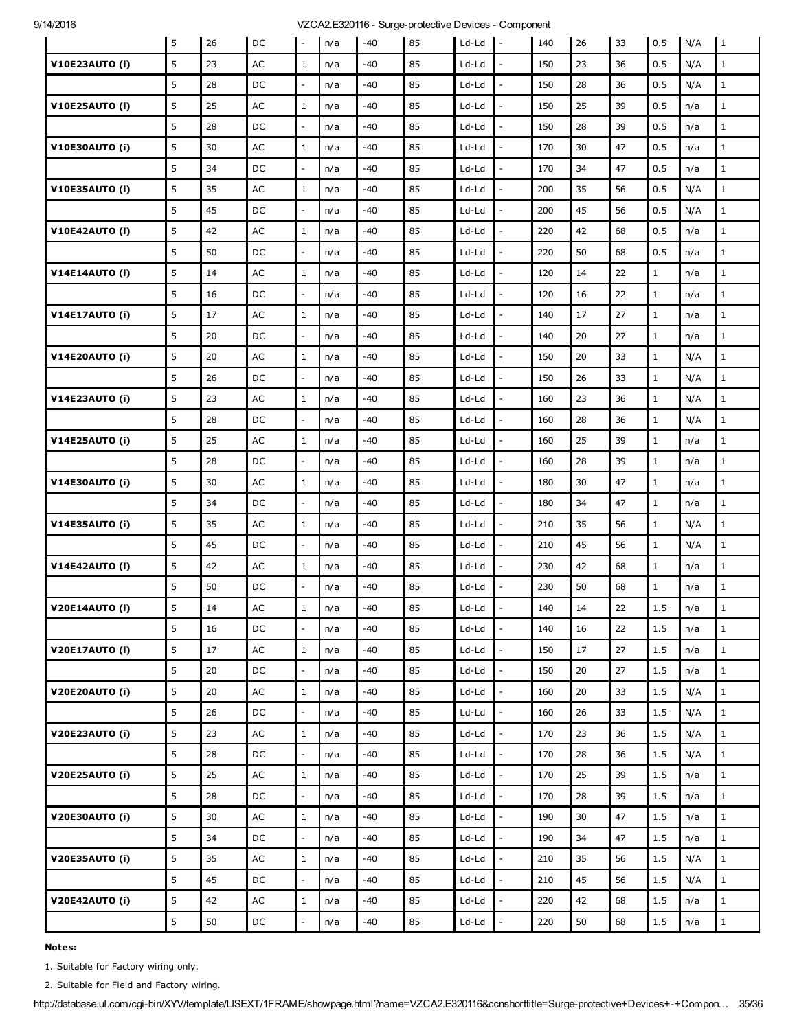### 9/14/2016 9/14/2016 VZCA2.E320116 - Surge-protective Devices - Component

|                       | 5 | 26 | DC            | $\mathbf{L}$             | n/a | $-40$ | 85 | Ld-Ld   | $\sim$                   | 140 | 26 | 33 | 0.5          | N/A | $\overline{1}$ |
|-----------------------|---|----|---------------|--------------------------|-----|-------|----|---------|--------------------------|-----|----|----|--------------|-----|----------------|
| <b>V10E23AUTO (i)</b> | 5 | 23 | AC            | $\mathbf{1}$             | n/a | -40   | 85 | Ld-Ld   | $\overline{\phantom{a}}$ | 150 | 23 | 36 | 0.5          | N/A | $\mathbf{1}$   |
|                       | 5 | 28 | DC            | $\qquad \qquad -$        | n/a | -40   | 85 | Ld-Ld   |                          | 150 | 28 | 36 | 0.5          | N/A | $\mathbf{1}$   |
| <b>V10E25AUTO (i)</b> | 5 | 25 | AC            | $\mathbf{1}$             | n/a | $-40$ | 85 | Ld-Ld   | $\overline{\phantom{a}}$ | 150 | 25 | 39 | 0.5          | n/a | $\mathbf{1}$   |
|                       | 5 | 28 | DC            | $\overline{\phantom{a}}$ | n/a | -40   | 85 | Ld-Ld   | $\overline{a}$           | 150 | 28 | 39 | 0.5          | n/a | $\mathbf{1}$   |
| V10E30AUTO (i)        | 5 | 30 | $\mathsf{AC}$ | $\mathbf{1}$             | n/a | -40   | 85 | Ld-Ld   |                          | 170 | 30 | 47 | 0.5          | n/a | $\mathbf{1}$   |
|                       | 5 | 34 | DC            | $\blacksquare$           | n/a | -40   | 85 | Ld-Ld   | $\overline{\phantom{a}}$ | 170 | 34 | 47 | 0.5          | n/a | $\mathbf{1}$   |
| <b>V10E35AUTO (i)</b> | 5 | 35 | AC            | $\mathbf{1}$             | n/a | -40   | 85 | Ld-Ld   | $\overline{\phantom{a}}$ | 200 | 35 | 56 | 0.5          | N/A | $\mathbf{1}$   |
|                       | 5 | 45 | DC            | $\blacksquare$           | n/a | -40   | 85 | Ld-Ld   |                          | 200 | 45 | 56 | 0.5          | N/A | $\mathbf{1}$   |
| <b>V10E42AUTO (i)</b> | 5 | 42 | AC            | $\mathbf{1}$             | n/a | -40   | 85 | Ld-Ld   | $\overline{\phantom{a}}$ | 220 | 42 | 68 | 0.5          | n/a | $\mathbf{1}$   |
|                       | 5 | 50 | DC            | $\overline{\phantom{a}}$ | n/a | -40   | 85 | Ld-Ld   | $\overline{a}$           | 220 | 50 | 68 | 0.5          | n/a | $\mathbf{1}$   |
| V14E14AUTO (i)        | 5 | 14 | $\mathsf{AC}$ | $\mathbf{1}$             | n/a | -40   | 85 | Ld-Ld   |                          | 120 | 14 | 22 | $\mathbf{1}$ | n/a | $\mathbf{1}$   |
|                       | 5 | 16 | DC            | $\sim$                   | n/a | -40   | 85 | Ld-Ld   | $\overline{\phantom{a}}$ | 120 | 16 | 22 | $\mathbf{1}$ | n/a | $\mathbf{1}$   |
| V14E17AUTO (i)        | 5 | 17 | $\mathsf{AC}$ | $\mathbf{1}$             | n/a | -40   | 85 | Ld-Ld   | $\overline{a}$           | 140 | 17 | 27 | $\mathbf{1}$ | n/a | $\mathbf{1}$   |
|                       | 5 | 20 | DC            | $\overline{\phantom{a}}$ | n/a | -40   | 85 | Ld-Ld   | $\overline{a}$           | 140 | 20 | 27 | $\mathbf{1}$ | n/a | $\mathbf{1}$   |
| V14E20AUTO (i)        | 5 | 20 | AC            | $\mathbf{1}$             | n/a | -40   | 85 | Ld-Ld   |                          | 150 | 20 | 33 | $\mathbf{1}$ | N/A | $\mathbf{1}$   |
|                       | 5 | 26 | DC            | $\overline{\phantom{a}}$ | n/a | -40   | 85 | Ld-Ld   | $\overline{a}$           | 150 | 26 | 33 | $\mathbf{1}$ | N/A | $\mathbf{1}$   |
| <b>V14E23AUTO (i)</b> | 5 | 23 | AC            | $\mathbf{1}$             | n/a | -40   | 85 | Ld-Ld   | $\overline{a}$           | 160 | 23 | 36 | $\mathbf{1}$ | N/A | $\mathbf{1}$   |
|                       | 5 | 28 | DC            | $\equiv$                 | n/a | $-40$ | 85 | Ld-Ld   |                          | 160 | 28 | 36 | $\mathbf{1}$ | N/A | $\mathbf{1}$   |
| <b>V14E25AUTO (i)</b> | 5 | 25 | $\mathsf{AC}$ | $\mathbf{1}$             | n/a | -40   | 85 | Ld-Ld   | $\overline{a}$           | 160 | 25 | 39 | $\mathbf{1}$ | n/a | $\mathbf{1}$   |
|                       | 5 | 28 | DC            | $\overline{\phantom{a}}$ | n/a | -40   | 85 | Ld-Ld   | $\frac{1}{2}$            | 160 | 28 | 39 | $\mathbf{1}$ | n/a | $1\,$          |
| <b>V14E30AUTO (i)</b> | 5 | 30 | AC            | $\mathbf 1$              | n/a | $-40$ | 85 | Ld-Ld   |                          | 180 | 30 | 47 | $1\,$        | n/a | $\mathbf{1}$   |
|                       | 5 | 34 | DC            | $\blacksquare$           | n/a | -40   | 85 | Ld-Ld   | $\overline{a}$           | 180 | 34 | 47 | $\mathbf{1}$ | n/a | $\mathbf{1}$   |
| <b>V14E35AUTO (i)</b> | 5 | 35 | AC            | $\mathbf{1}$             | n/a | -40   | 85 | Ld-Ld   | $\frac{1}{2}$            | 210 | 35 | 56 | $\mathbf{1}$ | N/A | $\mathbf{1}$   |
|                       | 5 | 45 | DC            | $\qquad \qquad -$        | n/a | -40   | 85 | Ld-Ld   |                          | 210 | 45 | 56 | $\mathbf{1}$ | N/A | $\mathbf{1}$   |
| <b>V14E42AUTO (i)</b> | 5 | 42 | $\mathsf{AC}$ | $\mathbf{1}$             | n/a | -40   | 85 | Ld-Ld   | $\overline{\phantom{a}}$ | 230 | 42 | 68 | $\mathbf{1}$ | n/a | $\mathbf{1}$   |
|                       | 5 | 50 | DC            | $\overline{\phantom{a}}$ | n/a | -40   | 85 | Ld-Ld   | $\overline{a}$           | 230 | 50 | 68 | $\mathbf{1}$ | n/a | $\mathbf{1}$   |
| V20E14AUTO (i)        | 5 | 14 | AC            | $\mathbf{1}$             | n/a | -40   | 85 | Ld-Ld   |                          | 140 | 14 | 22 | 1.5          | n/a | $\mathbf{1}$   |
|                       | 5 | 16 | DC            | $\overline{\phantom{a}}$ | n/a | $-40$ | 85 | Ld-Ld   | $\mathbb{L}$             | 140 | 16 | 22 | 1.5          | n/a | $\mathbf{1}$   |
| V20E17AUTO (i)        | 5 | 17 | AC            | $\mathbf 1$              | n/a | -40   | 85 | Ld-Ld   | $\overline{\phantom{a}}$ | 150 | 17 | 27 | 1.5          | n/a | $\mathbf 1$    |
|                       | 5 | 20 | DC            | $\blacksquare$           | n/a | -40   | 85 | $Ld-Ld$ |                          | 150 | 20 | 27 | 1.5          | n/a | $\mathbf{1}$   |
| V20E20AUTO (i)        | 5 | 20 | $\mathsf{AC}$ | $\,1$                    | n/a | $-40$ | 85 | $Ld-Ld$ | $\overline{\phantom{a}}$ | 160 | 20 | 33 | 1.5          | N/A | $\mathbf{1}$   |
|                       | 5 | 26 | DC            | $\bar{\phantom{a}}$      | n/a | -40   | 85 | $Ld-Ld$ | $\overline{a}$           | 160 | 26 | 33 | 1.5          | N/A | $\mathbf 1$    |
| V20E23AUTO (i)        | 5 | 23 | $\mathsf{AC}$ | $\mathbf{1}$             | n/a | -40   | 85 | Ld-Ld   |                          | 170 | 23 | 36 | 1.5          | N/A | $\mathbf{1}$   |
|                       | 5 | 28 | DC            | $\overline{\phantom{a}}$ | n/a | $-40$ | 85 | Ld-Ld   | $\overline{\phantom{a}}$ | 170 | 28 | 36 | 1.5          | N/A | $\mathbf 1$    |
| <b>V20E25AUTO (i)</b> | 5 | 25 | $\mathsf{AC}$ | $\mathbf{1}$             | n/a | $-40$ | 85 | $Ld-Ld$ | $\overline{a}$           | 170 | 25 | 39 | 1.5          | n/a | $\mathbf{1}$   |
|                       | 5 | 28 | DC            | $\overline{\phantom{a}}$ | n/a | -40   | 85 | Ld-Ld   | $\frac{1}{2}$            | 170 | 28 | 39 | 1.5          | n/a | $\mathbf{1}$   |
| V20E30AUTO (i)        | 5 | 30 | $\mathsf{AC}$ | $\mathbf{1}$             | n/a | -40   | 85 | $Ld-Ld$ | $\overline{\phantom{a}}$ | 190 | 30 | 47 | 1.5          | n/a | $\mathbf{1}$   |
|                       | 5 | 34 | DC            | $\overline{\phantom{a}}$ | n/a | $-40$ | 85 | $Ld-Ld$ | $\overline{a}$           | 190 | 34 | 47 | 1.5          | n/a | $\mathbf{1}$   |
| V20E35AUTO (i)        | 5 | 35 | $\mathsf{AC}$ | $\,1$                    | n/a | $-40$ | 85 | Ld-Ld   | $\frac{1}{2}$            | 210 | 35 | 56 | 1.5          | N/A | $\mathbf{1}$   |
|                       | 5 | 45 | DC            | $\blacksquare$           | n/a | -40   | 85 | Ld-Ld   | $\overline{a}$           | 210 | 45 | 56 | 1.5          | N/A | $\mathbf{1}$   |
| V20E42AUTO (i)        | 5 | 42 | $\mathsf{AC}$ | $\,1$                    | n/a | -40   | 85 | Ld-Ld   |                          | 220 | 42 | 68 | 1.5          | n/a | $\mathbf{1}$   |
|                       | 5 | 50 | DC            | $\equiv$                 | n/a | $-40$ | 85 | $Ld-Ld$ | $\overline{\phantom{a}}$ | 220 | 50 | 68 | $1.5\,$      | n/a | $\mathbf{1}$   |

### Notes:

1. Suitable for Factory wiring only.

2. Suitable for Field and Factory wiring.